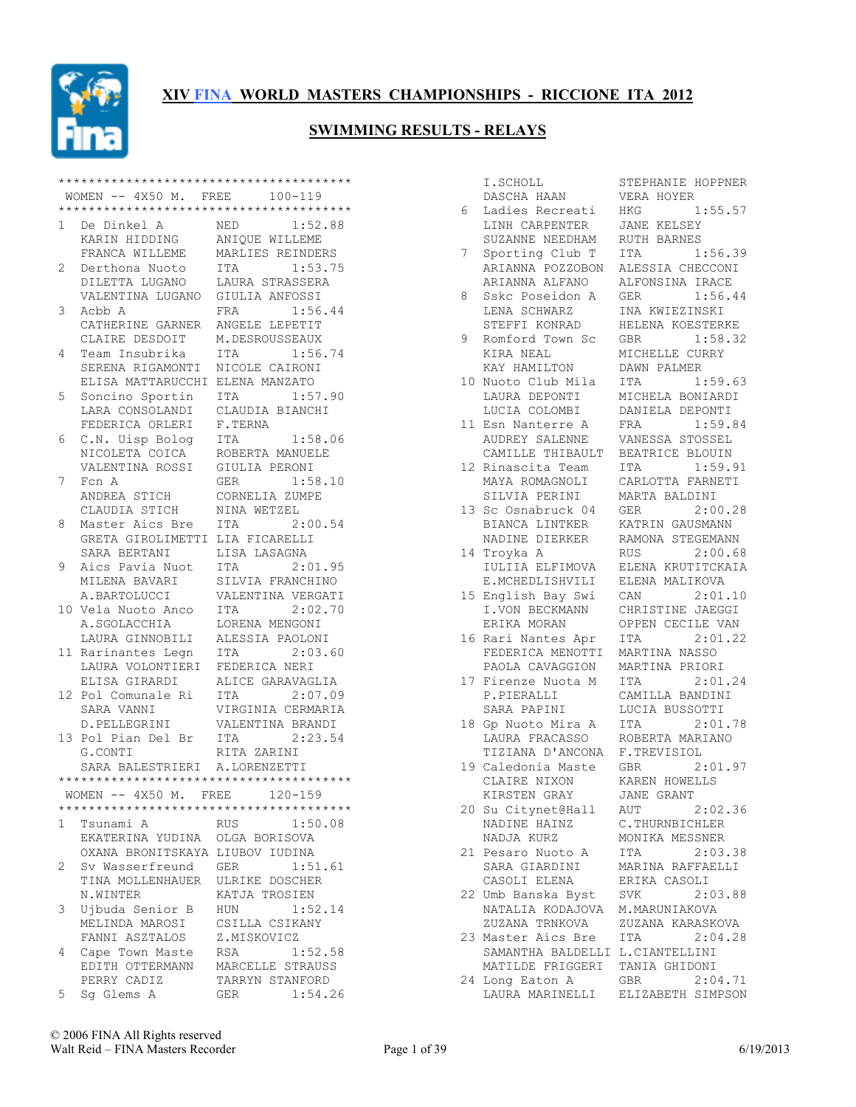

|   | WOMEN -- 4X50 M. FREE 100-119        |                                 |  |
|---|--------------------------------------|---------------------------------|--|
|   | 1 De Dinkel A                        | NED<br>1:52.88                  |  |
|   | KARIN HIDDING                        | ANIQUE WILLEME                  |  |
|   | FRANCA WILLEME                       | MARLIES REINDERS                |  |
| 2 | Derthona Nuoto                       | <b>ITA</b><br>1:53.75           |  |
|   | DILETTA LUGANO                       | LAURA STRASSERA                 |  |
|   | VALENTINA LUGANO                     | GIULIA ANFOSSI                  |  |
| 3 | Acbb A                               | 1:56.44<br>FRA                  |  |
|   | CATHERINE GARNER                     | ANGELE LEPETIT                  |  |
|   | CLAIRE DESDOIT                       | M.DESROUSSEAUX                  |  |
| 4 | Team Insubrika                       | ITA 1:56.74                     |  |
|   | SERENA RIGAMONTI                     | NICOLE CAIRONI                  |  |
|   | ELISA MATTARUCCHI                    | ELENA MANZATO                   |  |
| 5 | Soncino Sportin                      | ITA 1:57.90                     |  |
|   | LARA CONSOLANDI                      | CLAUDIA BIANCHI                 |  |
|   | FEDERICA ORLERI                      | F.TERNA                         |  |
| 6 | C.N. Uisp Bolog                      | ITA<br>1:58.06                  |  |
|   | NICOLETA COICA                       | ROBERTA MANUELE                 |  |
|   | VALENTINA ROSSI                      | GIULIA PERONI                   |  |
| 7 | Fcn A                                | 1:58.10<br>GER                  |  |
|   | ANDREA STICH                         | CORNELIA ZUMPE                  |  |
|   | CLAUDIA STICH                        | NINA WETZEL                     |  |
| 8 | Master Aics Bre<br>GRETA GIROLIMETTI | 2:00.54<br>ITA<br>LIA FICARELLI |  |
|   | SARA BERTANI                         | LISA LASAGNA                    |  |
| 9 | Aics Pavia Nuot                      | ITA<br>2:01.95                  |  |
|   | MILENA BAVARI                        | SILVIA FRANCHINO                |  |
|   | A.BARTOLUCCI                         | VALENTINA VERGATI               |  |
|   | 10 Vela Nuoto Anco                   | <b>ITA</b><br>2:02.70           |  |
|   | A. SGOLACCHIA                        | LORENA MENGONI                  |  |
|   | LAURA GINNOBILI                      | ALESSIA PAOLONI                 |  |
|   | 11 Rarinantes Legn                   | ITA<br>2:03.60                  |  |
|   | LAURA VOLONTIERI                     | FEDERICA NERI                   |  |
|   | ELISA GIRARDI                        | ALICE GARAVAGLIA                |  |
|   | 12 Pol Comunale Ri                   | 2:07.09<br>ITA                  |  |
|   | SARA VANNI                           | VIRGINIA CERMARIA               |  |
|   | D.PELLEGRINI                         | VALENTINA BRANDI                |  |
|   | 13 Pol Pian Del Br                   | <b>ITA</b><br>2:23.54           |  |
|   | G.CONTI                              | RITA ZARINI                     |  |
|   | SARA BALESTRIERI A. LORENZETTI       |                                 |  |
|   |                                      |                                 |  |
|   | WOMEN -- 4X50 M. FREE 120-159        |                                 |  |
|   |                                      |                                 |  |
| 1 | Tsunami A                            | RUS<br>1:50.08                  |  |
|   | EKATERINA YUDINA                     | OLGA BORISOVA                   |  |
|   | OXANA BRONITSKAYA                    | LIUBOV IUDINA                   |  |
| 2 | Sv Wasserfreund                      | 1:51.61<br>GER                  |  |
|   | TINA MOLLENHAUER                     | ULRIKE DOSCHER                  |  |
|   | N.WINTER                             | KATJA TROSIEN                   |  |
| 3 | Ujbuda Senior B                      | HUN<br>1:52.14                  |  |
|   | MELINDA MAROSI                       | CSILLA CSIKANY                  |  |
|   | FANNI ASZTALOS                       | Z.MISKOVICZ                     |  |
| 4 | Cape Town Maste                      | RSA<br>1:52.58                  |  |
|   | EDITH OTTERMANN                      | MARCELLE STRAUSS                |  |
|   | PERRY CADIZ                          | TARRYN STANFORD                 |  |
| 5 | Sq Glems A                           | 1:54.26<br>GER                  |  |

|    | I.SCHOLL                           | STEPHANIE HOPPNER     |
|----|------------------------------------|-----------------------|
|    | DASCHA HAAN<br>I                   | VERA HOYER            |
| 6  | Ladies Recreati                    | 1:55.57<br>HKG        |
|    | LINH CARPENTER                     | <b>JANE KELSEY</b>    |
|    | SUZANNE NEEDHAM                    | <b>RUTH BARNES</b>    |
| 7  | Sporting Club T                    | 1:56.39<br><b>ITA</b> |
|    | ARIANNA POZZOBON                   | ALESSIA CHECCONI      |
|    | ARIANNA ALFANO                     | ALFONSINA IRACE       |
| 8  | Sskc Poseidon A                    | 1:56.44<br>GER        |
|    | LENA SCHWARZ                       | INA KWIEZINSKI        |
|    | STEFFI KONRAD                      | HELENA KOESTERKE      |
| 9  | Romford Town Sc                    | GBR<br>1:58.32        |
|    | KIRA NEAL                          | MICHELLE CURRY        |
|    | KAY HAMILTON                       | DAWN PALMER           |
|    | 10 Nuoto Club Mila                 | 1:59.63<br>ITA        |
|    | LAURA DEPONTI                      | MICHELA BONIARDI      |
|    | LUCIA COLOMBI                      | DANIELA DEPONTI       |
|    | 11 Esn Nanterre A                  | FRA<br>1:59.84        |
|    | AUDREY SALENNE                     | VANESSA STOSSEL       |
|    | CAMILLE THIBAULT                   | BEATRICE BLOUIN       |
|    | 12 Rinascita Team                  | ITA<br>1:59.91        |
|    | MAYA ROMAGNOLI                     | CARLOTTA FARNETI      |
|    | SILVIA PERINI                      | MARTA BALDINI         |
|    | 13 Sc Osnabruck 04                 | 2:00.28<br>GER        |
|    | BIANCA LINTKER                     | KATRIN GAUSMANN       |
|    | NADINE DIERKER                     | RAMONA STEGEMANN      |
|    | 14 Troyka A                        | RUS<br>2:00.68        |
|    | IULIIA ELFIMOVA                    | ELENA KRUTITCKAIA     |
|    | E.MCHEDLISHVILI                    | ELENA MALIKOVA        |
| 15 | English Bay Swi                    | CAN 2:01.10           |
|    | I.VON BECKMANN                     | CHRISTINE JAEGGI      |
|    | ERIKA MORAN                        | OPPEN CECILE VAN      |
|    | 16 Rari Nantes Apr                 | 2:01.22<br>ITA        |
|    | FEDERICA MENOTTI                   | MARTINA NASSO         |
|    | PAOLA CAVAGGION                    | MARTINA PRIORI        |
|    | 17 Firenze Nuota M                 | ITA<br>2:01.24        |
|    | P.PIERALLI                         | CAMILLA BANDINI       |
|    | SARA PAPINI                        | LUCIA BUSSOTTI        |
| 18 | Gp Nuoto Mira A                    | <b>ITA</b><br>2:01.78 |
|    | LAURA FRACASSO                     | ROBERTA MARIANO       |
|    | TIZIANA D'ANCONA F. TREVISIOL      |                       |
| 19 | Caledonia Maste                    | GBR 2:01.97           |
|    | CLAIRE NIXON                       | KAREN HOWELLS         |
|    | KIRSTEN GRAY                       | JANE GRANT            |
|    |                                    |                       |
|    | 20 Su Citynet@Hall<br>NADINE HAINZ | AUT<br>2:02.36        |
|    |                                    | C.THURNBICHLER        |
|    | NADJA KURZ                         | MONIKA MESSNER        |
|    | 21 Pesaro Nuoto A                  | ITA<br>2:03.38        |
|    | SARA GIARDINI                      | MARINA RAFFAELLI      |
|    | CASOLI ELENA                       | ERIKA CASOLI          |
|    | 22 Umb Banska Byst                 | SVK<br>2:03.88        |
|    | NATALIA KODAJOVA                   | M.MARUNIAKOVA         |
|    | ZUZANA TRNKOVA                     | ZUZANA KARASKOVA      |
|    | 23 Master Aics Bre                 | ITA<br>2:04.28        |
|    | SAMANTHA BALDELLI                  | L.CIANTELLINI         |
|    | MATILDE FRIGGERI                   | TANIA GHIDONI         |
|    | 24 Long Eaton A                    | 2:04.71<br>GBR        |
|    | LAURA MARINELLI                    | ELIZABETH SIMPSON     |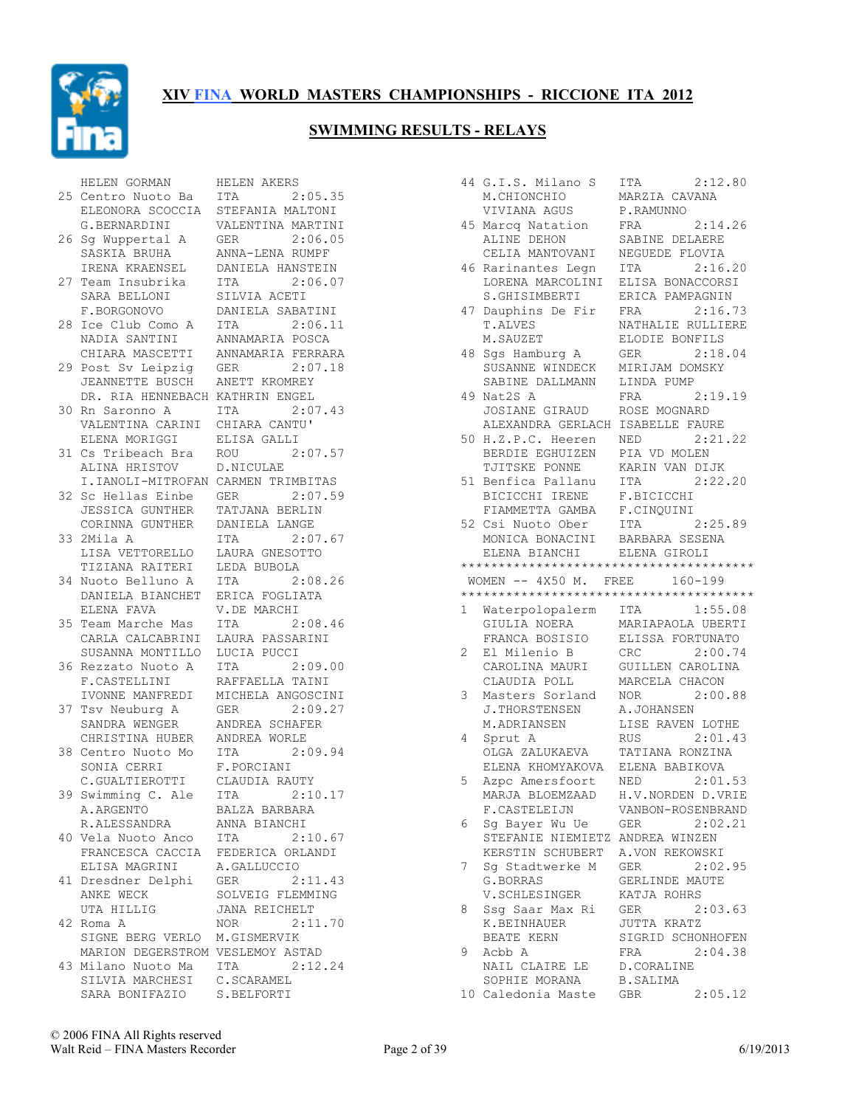

|    | HELEN GORMAN                                            | HELEN AKERS                    |
|----|---------------------------------------------------------|--------------------------------|
| 25 | Centro Nuoto Ba                                         | ITA<br>2:05.35                 |
|    | ELEONORA SCOCCIA                                        | STEFANIA MALTONI               |
|    | G.BERNARDINI                                            | VALENTINA MARTINI              |
| 26 | Sq Wuppertal A                                          | GER<br>2:06.05                 |
|    | SASKIA BRUHA                                            | ANNA-LENA RUMPF                |
|    | IRENA KRAENSEL                                          | DANIELA HANSTEIN               |
|    | 27 Team Insubrika                                       | ITA<br>2:06.07                 |
|    | SARA BELLONI                                            | SILVIA ACETI                   |
|    | F.BORGONOVO                                             | DANIELA SABATINI               |
|    | 28 Ice Club Como A                                      | 2:06.11<br>ITA                 |
|    | NADIA SANTINI                                           | ANNAMARIA POSCA                |
|    | CHIARA MASCETTI                                         | ANNAMARIA FERRARA              |
| 29 | Post Sv Leipzig                                         | 2:07.18<br>GER                 |
|    | JEANNETTE BUSCH                                         | ANETT KROMREY                  |
|    | DR. RIA HENNEBACH KATHRIN ENGEL                         |                                |
|    | 30 Rn Saronno A                                         | ITA<br>2:07.43                 |
|    | VALENTINA CARINI                                        | CHIARA CANTU'                  |
|    | ELENA MORIGGI                                           | ELISA GALLI                    |
|    | 31 Cs Tribeach Bra                                      | ROU<br>2:07.57                 |
|    | ALINA HRISTOV                                           | D.NICULAE                      |
|    | I.IANOLI-MITROFAN CARMEN TRIMBITAS                      | GER<br>2:07.59                 |
|    | 32 Sc Hellas Einbe<br>JESSICA GUNTHER                   | TATJANA BERLIN                 |
|    | CORINNA GUNTHER                                         | DANIELA LANGE                  |
|    | 33 2Mila A                                              | 2:07.67<br>ITA                 |
|    | LISA VETTORELLO                                         | LAURA GNESOTTO                 |
|    | TIZIANA RAITERI                                         | LEDA BUBOLA                    |
| 34 | Nuoto Belluno A                                         | 2:08.26<br>ITA                 |
|    | DANIELA BIANCHET                                        | ERICA FOGLIATA                 |
|    | ELENA FAVA                                              | V.DE MARCHI                    |
|    | 35 Team Marche Mas                                      | ITA<br>2:08.46                 |
|    | CARLA CALCABRINI                                        | LAURA PASSARINI                |
|    | SUSANNA MONTILLO                                        | LUCIA PUCCI                    |
| 36 | Rezzato Nuoto A                                         | ITA<br>2:09.00                 |
|    | F.CASTELLINI                                            | RAFFAELLA TAINI                |
|    | IVONNE MANFREDI                                         | MICHELA ANGOSCINI              |
|    | 37 Tsv Neuburg A                                        | GER<br>2:09.27                 |
|    | SANDRA WENGER                                           | ANDREA SCHAFER                 |
| 38 | CHRISTINA HUBER                                         | ANDREA WORLE<br>ITA<br>2:09.94 |
|    | Centro Nuoto Mo<br>SONIA CERRI                          | F.PORCIANI                     |
|    | C.GUALTIEROTTI                                          | CLAUDIA RAUTY                  |
| 39 | Swimming C. Ale                                         | <b>ITA</b><br>2:10.17          |
|    | A.ARGENTO                                               | BALZA BARBARA                  |
|    | R.ALESSANDRA                                            | ANNA BIANCHI                   |
|    | 40 Vela Nuoto Anco ITA                                  | 2:10.67                        |
|    | FRANCESCA CACCIA FEDERICA ORLANDI                       |                                |
|    | ELISA MAGRINI                                           | A.GALLUCCIO                    |
|    | 41 Dresdner Delphi                                      | GER<br>2:11.43                 |
|    | ANKE WECK                                               | SOLVEIG FLEMMING               |
|    | UTA HILLIG                                              | <b>JANA REICHELT</b>           |
|    | 42 Roma A                                               | 2:11.70<br>NOR                 |
|    | SIGNE BERG VERLO M.GISMERVIK                            |                                |
|    | MARION DEGERSTROM VESLEMOY ASTAD<br>43 Milano Nuoto Ma  | ITA                            |
|    |                                                         | 2:12.24                        |
|    |                                                         |                                |
|    | SILVIA MARCHESI C.SCARAMEL<br>SARA BONIFAZIO S.BELFORTI |                                |

|           | 44 G.I.S. Milano S<br>M.CHIONCHIO<br>VIVIANA AGUS                  | 2:12.80<br>ITA<br>MARZIA CAVANA<br>P.RAMUNNO          |
|-----------|--------------------------------------------------------------------|-------------------------------------------------------|
|           | 45 Marcq Natation<br>ALINE DEHON<br>CELIA MANTOVANI                | 2:14.26<br>FRA<br>SABINE DELAERE<br>NEGUEDE FLOVIA    |
|           | 46 Rarinantes Legn<br>LORENA MARCOLINI<br>S.GHISIMBERTI            | 2:16.20<br>ITA<br>ELISA BONACCORSI<br>ERICA PAMPAGNIN |
|           | 47 Dauphins De Fir<br>T.ALVES<br>M. SAUZET                         | FRA<br>2:16.73<br>NATHALIE RULLIERE<br>ELODIE BONFILS |
| 48        | Sqs Hamburg A<br>SUSANNE WINDECK<br>SABINE DALLMANN                | 2:18.04<br>GER<br>MIRIJAM DOMSKY<br>LINDA PUMP        |
| 49        | Nat2S A<br>JOSIANE GIRAUD<br>ALEXANDRA GERLACH ISABELLE FAURE      | 2:19.19<br>FRA<br>ROSE MOGNARD                        |
|           | 50 H.Z.P.C. Heeren<br>BERDIE EGHUIZEN<br>TJITSKE PONNE             | 2:21.22<br>NED<br>PIA VD MOLEN<br>KARIN VAN DIJK      |
|           | 51 Benfica Pallanu<br>BICICCHI IRENE<br>FIAMMETTA GAMBA F.CINOUINI | 2:22.20<br>ITA<br>F.BICICCHI                          |
|           | 52 Csi Nuoto Ober<br>MONICA BONACINI BARBARA SESENA                | 2:25.89<br>ITA                                        |
|           | ELENA BIANCHI                                                      | ELENA GIROLI                                          |
|           | WOMEN -- 4X50 M. FREE 160-199                                      |                                                       |
| $1 \quad$ | Waterpolopalerm ITA                                                | 1:55.08                                               |
|           | GIULIA NOERA                                                       | MARIAPAOLA UBERTI                                     |
|           | FRANCA BOSISIO                                                     | ELISSA FORTUNATO                                      |
| 2         | El Milenio B                                                       | $\mathsf{CRC}^-$<br>2:00.74                           |
|           | CAROLINA MAURI                                                     | GUILLEN CAROLINA                                      |
|           |                                                                    |                                                       |
|           | CLAUDIA POLL                                                       | MARCELA CHACON                                        |
| 3         | Masters Sorland                                                    | <b>NOR</b><br>2:00.88                                 |
|           | J.THORSTENSEN                                                      | A.JOHANSEN                                            |
|           | M.ADRIANSEN                                                        | LISE RAVEN LOTHE                                      |
| 4         | Sprut A                                                            | 2:01.43<br>RUS                                        |
|           | OLGA ZALUKAEVA                                                     | TATIANA RONZINA                                       |
|           | ELENA KHOMYAKOVA                                                   | ELENA BABIKOVA<br><b>NED</b>                          |
| 5         | Azpc Amersfoort                                                    | 2:01.53                                               |
|           | MARJA BLOEMZAAD                                                    | H.V.NORDEN D.VRIE                                     |
| 6         | F.CASTELEIJN                                                       | VANBON-ROSENBRAND<br>2:02.21<br>GER                   |
|           | Sg Bayer Wu Ue<br>STEFANIE NIEMIETZ ANDREA WINZEN                  |                                                       |
|           | KERSTIN SCHUBERT                                                   | A.VON REKOWSKI                                        |
| 7         | Sq Stadtwerke M                                                    | GER<br>2:02.95                                        |
|           | G. BORRAS                                                          | GERLINDE MAUTE                                        |
|           | V.SCHLESINGER                                                      | KATJA ROHRS                                           |
| 8         | Ssg Saar Max Ri                                                    | 2:03.63<br>GER                                        |
|           | K.BEINHAUER                                                        | JUTTA KRATZ                                           |
|           | BEATE KERN                                                         | SIGRID SCHONHOFEN                                     |
| 9         | Acbb A                                                             | 2:04.38<br>FRA                                        |
|           | NAIL CLAIRE LE                                                     | D.CORALINE                                            |
|           | SOPHIE MORANA<br>10 Caledonia Maste                                | <b>B.SALIMA</b><br>2:05.12<br><b>GBR</b>              |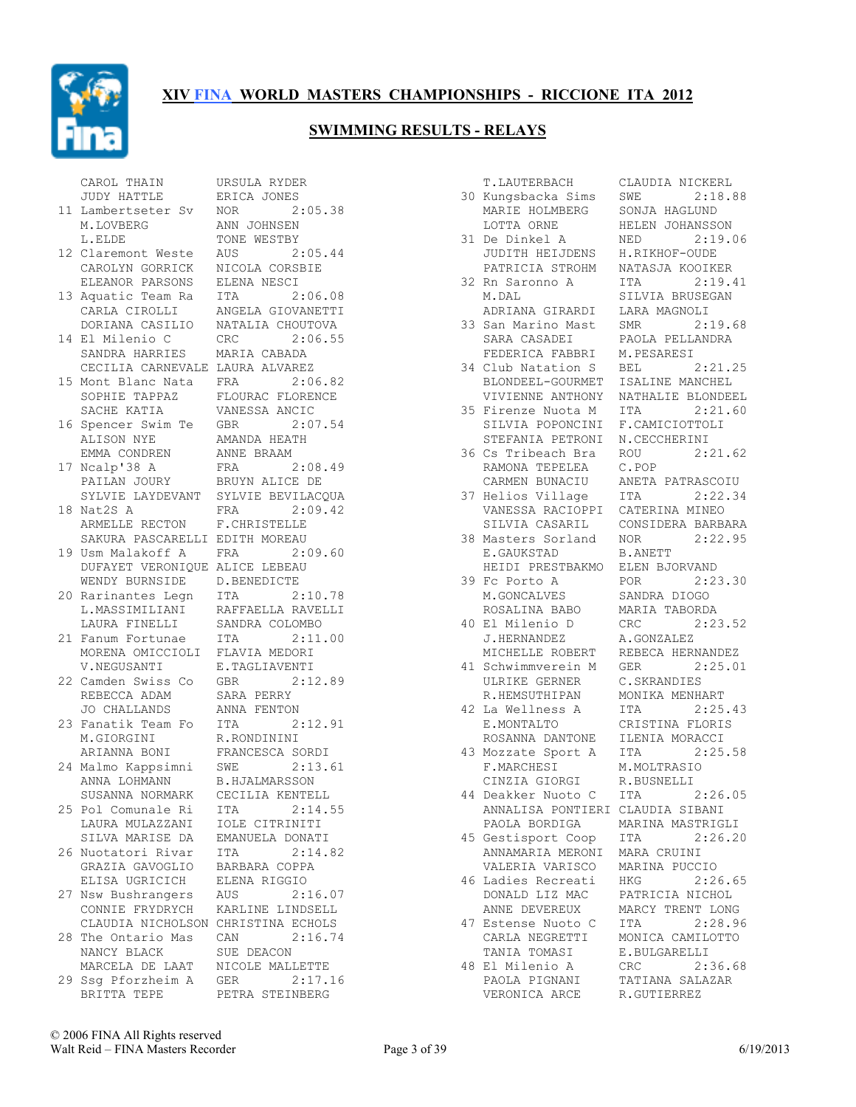

#### **SWIMMING RESULTS - RELAYS**

| CAROL THAIN<br>JUDY HATTLE                | URSULA RYDER<br>ERICA JONES                          |
|-------------------------------------------|------------------------------------------------------|
| 11 Lambertseter Sv<br>M.LOVBERG           | 2:05.38<br>NOR<br>ANN JOHNSEN                        |
| L.ELDE                                    | TONE WESTBY                                          |
| 12 Claremont Weste                        | 2:05.44<br>AUS                                       |
| CAROLYN GORRICK                           | NICOLA CORSBIE                                       |
| ELEANOR PARSONS                           | ELENA NESCI                                          |
| 13 Aquatic Team Ra                        | ITA 2:06.08                                          |
| CARLA CIROLLI                             | ANGELA GIOVANETTI                                    |
| DORIANA CASILIO                           | NATALIA CHOUTOVA                                     |
| 14 El Milenio C                           | 2:06.55<br>CRC                                       |
| SANDRA HARRIES<br>CECILIA CARNEVALE       | MARIA CABADA<br>LAURA ALVAREZ                        |
| 15 Mont Blanc Nata                        | FRA<br>2:06.82                                       |
| SOPHIE TAPPAZ                             | FLOURAC FLORENCE                                     |
| SACHE KATIA                               | VANESSA ANCIC                                        |
| 16 Spencer Swim Te                        | 2:07.54<br>GBR                                       |
| ALISON NYE                                | AMANDA HEATH                                         |
| EMMA CONDREN                              | ANNE BRAAM                                           |
| 17 Ncalp'38 A                             | FRA<br>2:08.49                                       |
| PAILAN JOURY                              | BRUYN ALICE DE<br>SYLVIE LAYDEVANT SYLVIE BEVILACQUA |
| 18 Nat2S A                                | FRA 2:09.42                                          |
| ARMELLE RECTON F.CHRISTELLE               |                                                      |
| SAKURA PASCARELLI EDITH MOREAU            |                                                      |
| 19 Usm Malakoff A                         | 2:09.60<br>FRA                                       |
| DUFAYET VERONIQUE ALICE LEBEAU            |                                                      |
| WENDY BURNSIDE                            | D.BENEDICTE                                          |
|                                           |                                                      |
| 20 Rarinantes Legn                        | ITA 2:10.78                                          |
| L.MASSIMILIANI RAFFAELLA RAVELLI          |                                                      |
| LAURA FINELLI                             | SANDRA COLOMBO                                       |
| 21 Fanum Fortunae                         | 2:11.00<br>ITA                                       |
| MORENA OMICCIOLI FLAVIA MEDORI            |                                                      |
| V.NEGUSANTI                               | E.TAGLIAVENTI                                        |
| 22 Camden Swiss Co                        | GBR 2:12.89                                          |
| REBECCA ADAM<br>JO CHALLANDS              | SARA PERRY<br>ANNA FENTON                            |
| 23 Fanatik Team Fo                        | 2:12.91<br>ITA                                       |
| M.GIORGINI                                | R.RONDININI                                          |
| ARIANNA BONI                              | FRANCESCA SORDI                                      |
| 24 Malmo Kappsimni                        | SWE<br>2:13.61                                       |
| ANNA LOHMANN                              | <b>B.HJALMARSSON</b>                                 |
| SUSANNA NORMARK                           | CECILIA KENTELL                                      |
| 25 Pol Comunale Ri                        | 2:14.55<br>ITA                                       |
| LAURA MULAZZANI                           | IOLE CITRINITI                                       |
| SILVA MARISE DA EMANUELA DONATI           |                                                      |
| 26 Nuotatori Rivar                        | 2:14.82<br>ITA<br>BARBARA COPPA                      |
| GRAZIA GAVOGLIO<br>ELISA UGRICICH         | ELENA RIGGIO                                         |
| 27 Nsw Bushrangers                        | 2:16.07<br>AUS                                       |
| CONNIE FRYDRYCH                           | KARLINE LINDSELL                                     |
| CLAUDIA NICHOLSON CHRISTINA ECHOLS        |                                                      |
| 28 The Ontario Mas                        | CAN<br>2:16.74                                       |
| NANCY BLACK                               | SUE DEACON                                           |
| MARCELA DE LAAT<br>29 Ssg Pforzheim A GER | NICOLE MALLETTE<br>2:17.16                           |

|    | T.LAUTERBACH                                              | CLAUDIA NICKERL           |
|----|-----------------------------------------------------------|---------------------------|
|    | 30 Kungsbacka Sims SWE                                    | 2:18.1                    |
|    | MARIE HOLMBERG                                            | SONJA HAGLUND             |
|    | LOTTA ORNE                                                | HELEN JOHANSSON           |
|    | 31 De Dinkel A                                            | 2:19.1<br>NED             |
|    | JUDITH HEIJDENS                                           | H.RIKHOF-OUDE             |
|    | PATRICIA STROHM                                           | NATASJA KOOIKER           |
|    | 32 Rn Saronno A                                           | ITA<br>2:19.4             |
|    | M.DAL                                                     | SILVIA BRUSEGAN           |
|    | ADRIANA GIRARDI                                           | LARA MAGNOLI              |
|    | 33 San Marino Mast                                        | 2:19.<br>SMR              |
|    | SARA CASADEI                                              | PAOLA PELLANDRA           |
|    | FEDERICA FABBRI                                           | M.PESARESI                |
|    | 34 Club Natation S                                        | 2:21.2<br><b>BEL</b>      |
|    | BLONDEEL-GOURMET                                          | ISALINE MANCHEL           |
|    | VIVIENNE ANTHONY                                          | NATHALIE BLONDEI          |
|    | 35 Firenze Nuota M                                        | 2:21.<br>ITA              |
|    | SILVIA POPONCINI                                          | F.CAMICIOTTOLI            |
|    | STEFANIA PETRONI<br>36 Cs Tribeach Bra                    | N.CECCHERINI<br>ROU 2:21. |
|    | RAMONA TEPELEA                                            |                           |
|    | CARMEN BUNACIU                                            | C.POP<br>ANETA PATRASCOIU |
|    | 37 Helios Village                                         | ITA 2:22.                 |
|    | VANESSA RACIOPPI CATERINA MINEO                           |                           |
|    | SILVIA CASARIL                                            | CONSIDERA BARBAI          |
|    | 38 Masters Sorland                                        | NOR 2:22.                 |
|    | E.GAUKSTAD                                                | <b>B.ANETT</b>            |
|    | HEIDI PRESTBAKMO                                          | ELEN BJORVAND             |
|    | 39 Fc Porto A                                             | POR 2:23.                 |
|    | M. GONCALVES                                              | SANDRA DIOGO              |
|    | ROSALINA BABO                                             | MARIA TABORDA             |
|    | 40 El Milenio D                                           | 2:23.5<br><b>CRC</b>      |
|    | J.HERNANDEZ                                               | A.GONZALEZ                |
|    | MICHELLE ROBERT                                           | REBECA HERNANDE!          |
|    | 41 Schwimmverein M                                        | GER 2:25.                 |
|    | <b>ULRIKE GERNER</b>                                      | C.SKRANDIES               |
|    | R.HEMSUTHIPAN                                             | MONIKA MENHART            |
| 42 | La Wellness A                                             | ITA<br>2:25.4             |
|    | E.MONTALTO                                                | CRISTINA FLORIS           |
|    | ROSANNA DANTONE                                           | ILENIA MORACCI            |
|    | 43 Mozzate Sport A                                        | 2:25.5<br>ITA             |
|    | F.MARCHESI                                                | M.MOLTRASIO               |
|    | CINZIA GIORGI                                             | R.BUSNELLI                |
|    | 44 Deakker Nuoto C ITA                                    | 2:26.1                    |
|    | ANNALISA PONTIERI CLAUDIA SIBANI                          |                           |
|    | PAOLA BORDIGA                                             | MARINA MASTRIGLI          |
|    | 45 Gestisport Coop ITA                                    | 2:26.2                    |
|    | ANNAMARIA MERONI MARA CRUINI                              |                           |
|    | VALERIA VARISCO MARINA PUCCIO<br>Ladies Recreati HKG 2:26 |                           |
|    | 46 Ladies Recreati                                        | 2:26.                     |
|    | DONALD LIZ MAC                                            | PATRICIA NICHOL           |
|    | ANNE DEVEREUX                                             | MARCY TRENT LON           |
|    | 47 Estense Nuoto C                                        | 2:28.1<br>ITA             |
|    | CARLA NEGRETTI                                            | MONICA CAMILOTT           |
|    | TANIA TOMASI                                              | E.BULGARELLI              |
|    | 48 El Milenio A                                           | CRC<br>2:36.              |
|    | PAOLA PIGNANI                                             | TATIANA SALAZAR           |

2:18.88 HAGLUND JOHANSSON  $2:19.06$ HOF-OUDE JA KOOIKER  $2:19.41$ A BRUSEGAN MAGNOLI  $2:19.68$ PELLANDRA ARESI  $2:21.25$ NE MANCHEL LIE BLONDEEL  $2:21.60$ **IICIOTTOLI** CHERINI  $2:21.62$ PATRASCOIU  $2:22.34$ INA MINEO DERA BARBARA  $2:22.95$  $TTT$  $\operatorname{BJORVAND}$  $2:23.30$ A DIOGO TABORDA  $2:23.52$ IZALEZ A HERNANDEZ  $2:25.01$ ANDIES A MENHART 2:25.43 INA FLORIS A MORACCI  $2:25.58$ TRASIO NELLI  $2:26.05$ IA SIBANI A MASTRIGLI  $2:26.20$ CRUINI A PUCCIO  $2:26.65$ CIA NICHOL TRENT LONG  $2:28.96$ A CAMILOTTO GARELLI  $2:36.68$ NA SALAZAR VERONICA ARCE R.GUTIERREZ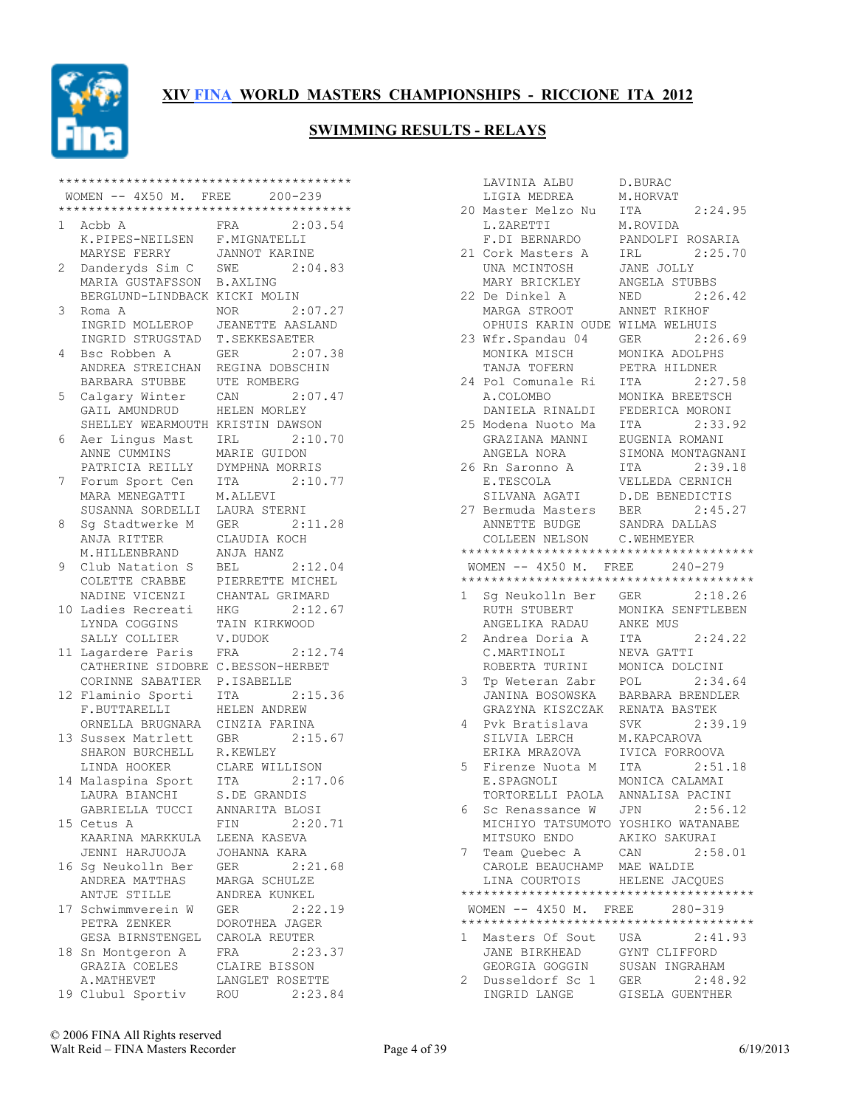

|           | WOMEN -- 4X50 M. FREE 200-239         |                               |
|-----------|---------------------------------------|-------------------------------|
|           |                                       |                               |
| $1 \quad$ | Acbb A                                | FRA<br>2:03.54                |
|           | K.PIPES-NEILSEN                       | F.MIGNATELLI                  |
|           | MARYSE FERRY                          | <b>JANNOT KARINE</b>          |
| 2         | Danderyds Sim C                       | 2:04.83<br>SWE                |
|           | MARIA GUSTAFSSON                      | <b>B.AXLING</b>               |
|           | BERGLUND-LINDBACK                     | KICKI MOLIN                   |
| 3         | Roma A                                | NOR<br>2:07.27                |
|           | INGRID MOLLEROP                       | JEANETTE AASLAND              |
|           | INGRID STRUGSTAD                      | T. SEKKESAETER                |
| 4         | Bsc Robben A                          | 2:07.38<br>GER                |
|           | ANDREA STREICHAN                      | REGINA DOBSCHIN               |
|           | BARBARA STUBBE                        | UTE ROMBERG                   |
| 5         | Calgary Winter                        | 2:07.47<br>CAN                |
|           | GAIL AMUNDRUD                         | HELEN MORLEY                  |
|           | SHELLEY WEARMOUTH KRISTIN DAWSON      |                               |
| 6         | Aer Lingus Mast                       | IRL<br>2:10.70                |
|           | ANNE CUMMINS                          | MARIE GUIDON                  |
|           | PATRICIA REILLY                       | DYMPHNA MORRIS                |
| 7         | Forum Sport Cen                       | <b>ITA</b><br>2:10.77         |
|           | MARA MENEGATTI                        | M.ALLEVI                      |
|           | SUSANNA SORDELLI                      | LAURA STERNI                  |
| 8         | Sg Stadtwerke M                       | GER<br>2:11.28                |
|           | ANJA RITTER                           | CLAUDIA KOCH                  |
|           | M.HILLENBRAND                         | ANJA HANZ                     |
| 9         | Club Natation S                       | BEL<br>2:12.04                |
|           | COLETTE CRABBE                        | PIERRETTE MICHEL              |
|           | NADINE VICENZI                        | CHANTAL GRIMARD               |
|           | 10 Ladies Recreati                    | <b>HKG</b><br>2:12.67         |
|           | LYNDA COGGINS                         | TAIN KIRKWOOD                 |
|           | SALLY COLLIER                         | V.DUDOK                       |
| 11 -      | Lagardere Paris                       | FRA<br>2:12.74                |
|           | CATHERINE SIDOBRE                     | C.BESSON-HERBET               |
|           | CORINNE SABATIER                      | P.ISABELLE                    |
|           | 12 Flaminio Sporti                    | ITA<br>2:15.36                |
|           | F.BUTTARELLI<br>ORNELLA BRUGNARA      | HELEN ANDREW<br>CINZIA FARINA |
|           |                                       | 2:15.67<br><b>GBR</b>         |
|           | 13 Sussex Matrlett<br>SHARON BURCHELL | R.KEWLEY                      |
|           | LINDA HOOKER                          | CLARE WILLISON                |
| 14        | Malaspina Sport ITA                   | 2:17.06                       |
|           | LAURA BIANCHI                         | S.DE GRANDIS                  |
|           | GABRIELLA TUCCI                       | ANNARITA BLOSI                |
|           | 15 Cetus A                            | 2:20.71<br>FIN                |
|           | KAARINA MARKKULA                      | LEENA KASEVA                  |
|           | JENNI HARJUOJA                        | JOHANNA KARA                  |
|           | 16 Sq Neukolln Ber                    | 2:21.68<br>GER                |
|           | ANDREA MATTHAS                        | MARGA SCHULZE                 |
|           | ANTJE STILLE                          | ANDREA KUNKEL                 |
|           | 17 Schwimmverein W                    | 2:22.19<br>GER                |
|           | PETRA ZENKER                          | DOROTHEA JAGER                |
|           | GESA BIRNSTENGEL CAROLA REUTER        |                               |
|           | 18 Sn Montgeron A                     | FRA<br>2:23.37                |
|           | GRAZIA COELES                         | CLAIRE BISSON                 |
|           | A. MATHEVET                           | LANGLET ROSETTE               |
|           | 19 Clubul Sportiv                     | ROU 2:23.84                   |

|           | LAVINIA ALBU                            | D.BURAC                         |
|-----------|-----------------------------------------|---------------------------------|
|           | LIGIA MEDREA                            | M.HORVAT                        |
|           | 20 Master Melzo Nu                      | 2:24.95<br><b>TTA</b>           |
|           | L.ZARETTI                               | M.ROVIDA                        |
|           | F.DI BERNARDO                           | PANDOLFI ROSARIA                |
|           | 21 Cork Masters A                       | <b>IRL</b><br>2:25.70           |
|           | UNA MCINTOSH                            | JANE JOLLY                      |
|           | MARY BRICKLEY<br>22 De Dinkel A         | ANGELA STUBBS<br>NED<br>2:26.42 |
|           | MARGA STROOT                            | ANNET RIKHOF                    |
|           | OPHUIS KARIN OUDE WILMA WELHUIS         |                                 |
|           | 23 Wfr.Spandau 04                       | GER<br>2:26.69                  |
|           | MONIKA MISCH                            | MONIKA ADOLPHS                  |
|           | TANJA TOFERN                            | PETRA HILDNER                   |
|           | 24 Pol Comunale Ri                      | 2:27.58<br>ITA                  |
|           | A.COLOMBO                               | MONIKA BREETSCH                 |
|           | DANIELA RINALDI                         | FEDERICA MORONI                 |
|           | 25 Modena Nuoto Ma                      | 2:33.92<br>ITA                  |
|           | GRAZIANA MANNI                          | EUGENIA ROMANI                  |
|           | ANGELA NORA                             | SIMONA MONTAGNANI               |
|           | 26 Rn Saronno A                         | <b>TTA</b><br>2:39.18           |
|           | E.TESCOLA                               | VELLEDA CERNICH                 |
|           | SILVANA AGATI                           | D.DE BENEDICTIS                 |
|           | 27 Bermuda Masters BER<br>ANNETTE BUDGE | 2:45.27<br>SANDRA DALLAS        |
|           | COLLEEN NELSON C.WEHMEYER               |                                 |
|           |                                         |                                 |
|           | WOMEN -- 4X50 M. FREE 240-279           |                                 |
|           |                                         |                                 |
|           |                                         |                                 |
|           |                                         |                                 |
|           | 1 Sg Neukolln Ber GER 2:18.26           | MONIKA SENFTLEBEN               |
|           | RUTH STUBERT<br>ANGELIKA RADAU          | ANKE MUS                        |
| 2         | Andrea Doria A                          | ITA<br>2:24.22                  |
|           | C.MARTINOLI                             | NEVA GATTI                      |
|           | ROBERTA TURINI                          | MONICA DOLCINI                  |
| 3         | Tp Weteran Zabr                         | 2:34.64<br>POL                  |
|           | JANINA BOSOWSKA                         | BARBARA BRENDLER                |
|           | GRAZYNA KISZCZAK RENATA BASTEK          |                                 |
| 4         | Pvk Bratislava                          | 2:39.19<br>SVK                  |
|           | SILVIA LERCH                            | M.KAPCAROVA                     |
| 5         | ERIKA MRAZOVA                           | IVICA FORROOVA<br><b>TTA</b>    |
|           | Firenze Nuota M<br>E.SPAGNOLI           | 2:51.18<br>MONICA CALAMAI       |
|           |                                         |                                 |
| 6         | TORTORELLI PAOLA<br>Sc Renassance W JPN | ANNALISA PACINI<br>2:56.12      |
|           | MICHIYO TATSUMOTO YOSHIKO WATANABE      |                                 |
|           | MITSUKO ENDO                            | AKIKO SAKURAI                   |
| 7         | Team Quebec A                           | 2:58.01<br>CAN                  |
|           | CAROLE BEAUCHAMP MAE WALDIE             |                                 |
|           | LINA COURTOIS                           | HELENE JACOUES                  |
|           |                                         |                                 |
|           | WOMEN -- 4X50 M. FREE 280-319           |                                 |
|           |                                         |                                 |
| $1 \quad$ | Masters Of Sout USA                     | 2:41.93                         |
|           | JANE BIRKHEAD                           | GYNT CLIFFORD                   |
| 2         | GEORGIA GOGGIN<br>Dusseldorf Sc 1 GER   | SUSAN INGRAHAM<br>2:48.92       |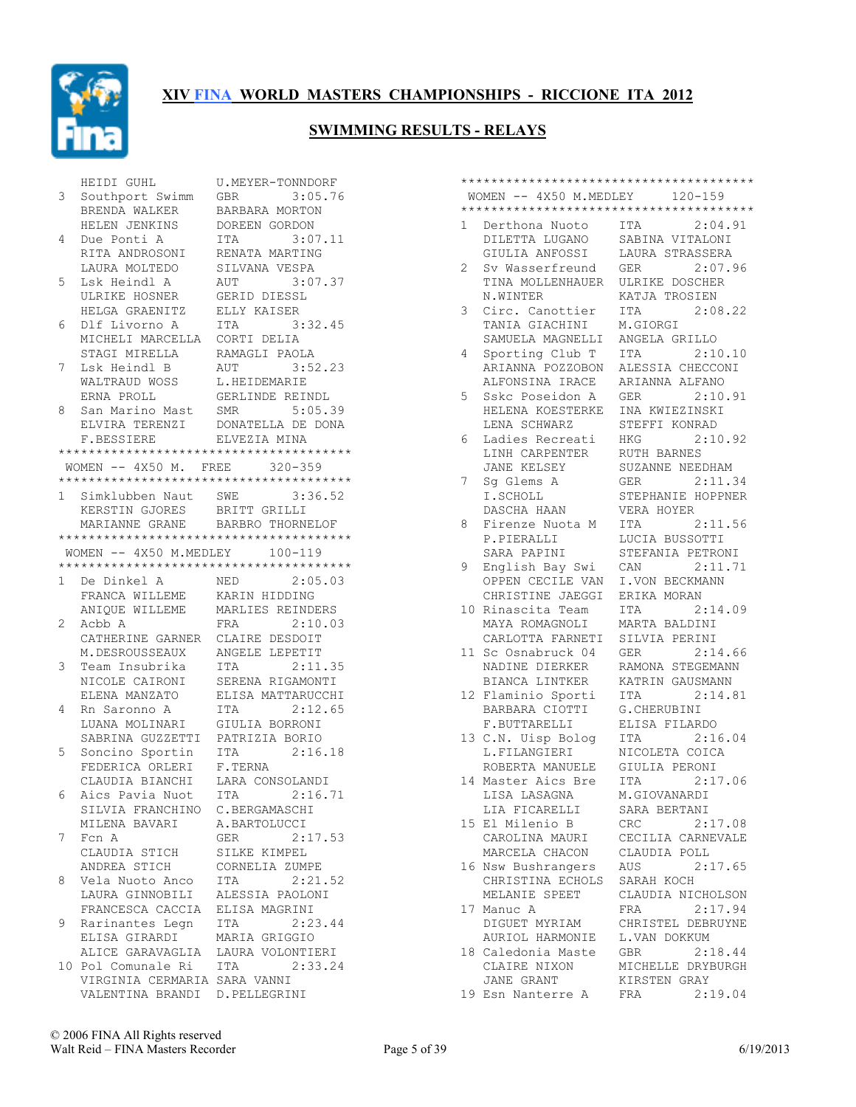

|              | HEIDI GUHL                                                                                  | U.MEYER-TONNDORF                |
|--------------|---------------------------------------------------------------------------------------------|---------------------------------|
| 3            | Southport Swimm GBR                                                                         | 3:05.76                         |
|              | BRENDA WALKER                                                                               | BARBARA MORTON                  |
|              | HELEN JENKINS                                                                               | BARBANA<br>DOREEN GORDON<br>3:0 |
| 4            | Due Ponti A                                                                                 | 3:07.11<br>ITA                  |
|              |                                                                                             |                                 |
|              | RITA ANDROSONI     RENATA MARTING<br>LAURA MOLTEDO     SILVANA VESPA                        |                                 |
| 5            | Lsk Heindl A                                                                                | <b>AUT</b><br>3:07.37           |
|              | ULRIKE HOSNER GERID DIESSL                                                                  |                                 |
|              |                                                                                             | ELLY KAISER                     |
| 6            | ULRIKE 11000<br>HELGA GRAENITZ<br>A                                                         | 3:32.45<br>I TA                 |
|              | MICHELI MARCELLA CORTI DELIA                                                                |                                 |
|              |                                                                                             | RAMAGLI PAOLA                   |
| 7            | STAGI MIRELLA<br>Lsk Heindl B                                                               | AUT<br>3:52.23                  |
|              | WALTRAUD WOSS L.HEIDEMARIE                                                                  |                                 |
|              |                                                                                             |                                 |
|              | ERNA PROLL<br>ERNA PROLL<br>San Marino Mast                                                 |                                 |
| 8            |                                                                                             | 5:05.39                         |
|              | ELVIRA TERENZI DONATELLA DE DONA                                                            |                                 |
|              | F.BESSIERE                                                                                  | ELVEZIA MINA                    |
|              |                                                                                             |                                 |
|              | WOMEN -- 4X50 M. FREE 320-359                                                               |                                 |
|              |                                                                                             |                                 |
| $\mathbf{1}$ | Simklubben Naut SWE 3:36.52<br>KERSTIN GJORES BRITT GRILLI                                  |                                 |
|              |                                                                                             |                                 |
|              | MARIANNE GRANE BARBRO THORNELOF                                                             |                                 |
|              |                                                                                             |                                 |
|              | WOMEN -- 4X50 M.MEDLEY 100-119                                                              |                                 |
|              |                                                                                             |                                 |
|              |                                                                                             | 2:05.03                         |
|              | 1 De Dinkel A MED 2:05.0<br>FRANCA WILLEME KARIN HIDDING<br>ANIQUE WILLEME MARLIES REINDERS |                                 |
|              |                                                                                             |                                 |
| 2            | Acbb A                                                                                      | 2:10.03<br>FRA                  |
|              |                                                                                             |                                 |
|              | CATHERINE GARNER CLAIRE DESDOIT<br>M.DESROUSSEAUX ANGELE LEPETIT                            |                                 |
| 3            | Team Insubrika ITA                                                                          | 2:11.35                         |
|              |                                                                                             |                                 |
|              | NICOLE CAIRONI SERENA RIGAMONTI<br>ELENA MANZATO                                            | ELISA MATTARUCCHI               |
| 4            | Rn Saronno A                                                                                | ITA<br>2:12.65                  |
|              |                                                                                             |                                 |
|              | LUANA MOLINARI GIULIA BORRONI                                                               |                                 |
|              | SABRINA GUZZETTI PATRIZIA BORIO<br>Soncino Sportin ITA 2:16                                 |                                 |
| 5            |                                                                                             | 2:16.18                         |
|              | FEDERICA ORLERI F.TERNA                                                                     |                                 |
|              | CLAUDIA BIANCHI LARA CONSOLANDI<br>Aics Pavia Nuot ITA 2:16.7                               |                                 |
| 6            |                                                                                             | 2:16.71                         |
|              | SILVIA FRANCHINO                                                                            | C.BERGAMASCHI                   |
|              | MILENA BAVARI                                                                               | A. BARTOLUCCI                   |
| 7            | Fcn A                                                                                       | GER<br>2:17.53                  |
|              | CLAUDIA STICH                                                                               | SILKE KIMPEL                    |
|              | ANDREA STICH                                                                                | CORNELIA ZUMPE                  |
| 8            | Vela Nuoto Anco                                                                             | ITA<br>2:21.52                  |
|              | LAURA GINNOBILI                                                                             | ALESSIA PAOLONI                 |
|              | FRANCESCA CACCIA                                                                            | ELISA MAGRINI                   |
| 9            | Rarinantes Legn                                                                             | ITA<br>2:23.44                  |
|              | ELISA GIRARDI                                                                               | MARIA GRIGGIO                   |
|              | ALICE GARAVAGLIA                                                                            | LAURA VOLONTIERI                |
|              | 10 Pol Comunale Ri                                                                          | ITA<br>2:33.24                  |
|              | VIRGINIA CERMARIA SARA VANNI                                                                |                                 |
|              | VALENTINA BRANDI D. PELLEGRINI                                                              |                                 |
|              |                                                                                             |                                 |

| WOMEN -- 4X50 M.MEDLEY 120-159 |                                                                  |                    |
|--------------------------------|------------------------------------------------------------------|--------------------|
|                                |                                                                  |                    |
|                                | 1 Derthona Nuoto ITA                                             | 2:04.91            |
|                                |                                                                  |                    |
|                                | DILETTA LUGANO SABINA VITALONI<br>GIULIA ANFOSSI LAURA STRASSERA |                    |
| 2                              | Sv Wasserfreund GER                                              | 2:07.96            |
|                                | TINA MOLLENHAUER ULRIKE DOSCHER                                  |                    |
|                                | N.WINTER                                                         | KATJA TROSIEN      |
| 3                              | Circ. Canottier                                                  | ITA<br>2:08.22     |
|                                | TANIA GIACHINI                                                   | M.GIORGI           |
|                                | SAMUELA MAGNELLI                                                 | ANGELA GRILLO      |
| 4                              | Sporting Club T                                                  | 2:10.10<br>ITA     |
|                                | ARIANNA POZZOBON                                                 | ALESSIA CHECCONI   |
|                                | ALFONSINA IRACE                                                  | ARIANNA ALFANO     |
| 5                              | Sskc Poseidon A                                                  | GER<br>2:10.91     |
|                                | HELENA KOESTERKE INA KWIEZINSKI                                  |                    |
|                                | LENA SCHWARZ                                                     | STEFFI KONRAD      |
| 6                              | Ladies Recreati                                                  | HKG<br>2:10.92     |
|                                | LINH CARPENTER                                                   | <b>RUTH BARNES</b> |
|                                | JANE KELSEY                                                      | SUZANNE NEEDHAM    |
| 7                              | Sq Glems A                                                       | GER<br>2:11.34     |
|                                | I.SCHOLL                                                         | STEPHANIE HOPPNER  |
|                                | DASCHA HAAN                                                      | VERA HOYER         |
| 8                              | Firenze Nuota M                                                  | 2:11.56<br>ITA     |
|                                | P.PIERALLI                                                       | LUCIA BUSSOTTI     |
|                                | SARA PAPINI                                                      | STEFANIA PETRONI   |
| 9                              | English Bay Swi                                                  | CAN<br>2:11.71     |
|                                | OPPEN CECILE VAN                                                 | I.VON BECKMANN     |
|                                | CHRISTINE JAEGGI                                                 | ERIKA MORAN        |
|                                | 10 Rinascita Team                                                | ITA<br>2:14.09     |
|                                | MAYA ROMAGNOLI                                                   | MARTA BALDINI      |
|                                | CARLOTTA FARNETI                                                 | SILVIA PERINI      |
|                                | 11 Sc Osnabruck 04                                               | GER<br>2:14.66     |
|                                | NADINE DIERKER                                                   | RAMONA STEGEMANN   |
|                                | BIANCA LINTKER                                                   | KATRIN GAUSMANN    |
|                                | 12 Flaminio Sporti                                               | ITA<br>2:14.81     |
|                                | BARBARA CIOTTI                                                   | G. CHERUBINI       |
|                                | F.BUTTARELLI                                                     | ELISA FILARDO      |
|                                | 13 C.N. Uisp Bolog                                               | 2:16.04<br>I TA    |
|                                | L. FILANGIERI                                                    | NICOLETA COICA     |
|                                | ROBERTA MANUELE                                                  | GIULIA PERONI      |
|                                | 14 Master Aics Bre                                               | ITA<br>2:17.06     |
|                                | LISA LASAGNA                                                     | M.GIOVANARDI       |
|                                | LIA FICARELLI                                                    | SARA BERTANI       |
|                                | 15 El Milenio B                                                  | CRC<br>2:17.08     |
|                                | CAROLINA MAURI                                                   | CECILIA CARNEVALE  |
|                                | MARCELA CHACON                                                   | CLAUDIA POLL       |
|                                | 16 Nsw Bushrangers                                               | 2:17.65<br>AUS     |
|                                | CHRISTINA ECHOLS SARAH KOCH                                      |                    |
|                                | MELANIE SPEET                                                    | CLAUDIA NICHOLSON  |
|                                | 17 Manuc A                                                       | FRA<br>2:17.94     |
|                                | DIGUET MYRIAM                                                    | CHRISTEL DEBRUYNE  |
|                                | AURIOL HARMONIE                                                  | L.VAN DOKKUM       |
|                                | 18 Caledonia Maste                                               | GBR<br>2:18.44     |
|                                | CLAIRE NIXON                                                     | MICHELLE DRYBURGH  |
|                                | JANE GRANT                                                       | KIRSTEN GRAY       |
|                                | 19 Esn Nanterre A FRA 2:19.04                                    |                    |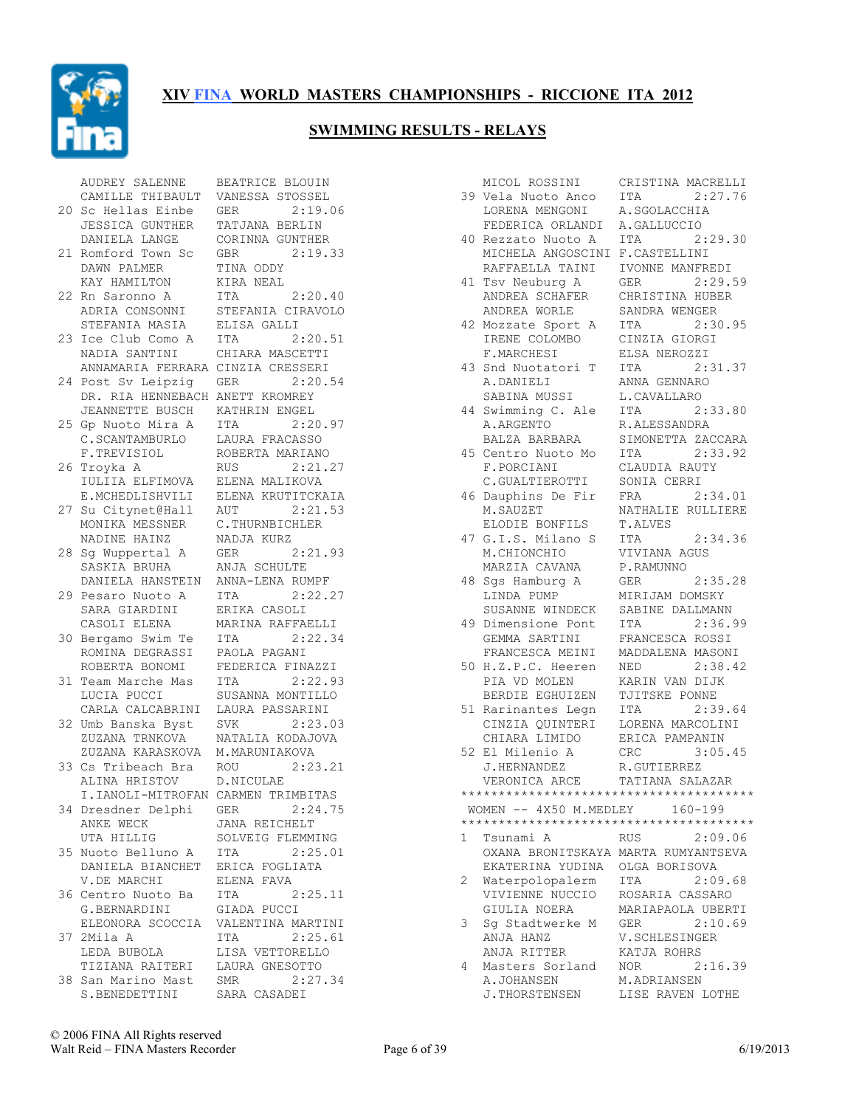

|              | AUDREY SALENNE                    | BEATRICE BLOUIN       |
|--------------|-----------------------------------|-----------------------|
|              | CAMILLE THIBAULT                  | VANESSA STOSSEL       |
| $20^{\circ}$ | Sc Hellas Einbe                   | 2:19.06<br>GER        |
|              | <b>JESSICA GUNTHER</b>            | TATJANA BERLIN        |
|              | DANIELA LANGE                     | CORINNA GUNTHER       |
| 21           | Romford Town Sc                   | 2:19.33<br>GBR        |
|              | DAWN PALMER                       | TINA ODDY             |
|              | KAY HAMILTON                      | KIRA NEAL             |
| 22           | Rn Saronno A                      | <b>ITA</b><br>2:20.40 |
|              | ADRIA CONSONNI                    | STEFANIA CIRAVOLO     |
|              | STEFANIA MASIA                    | ELISA GALLI           |
| 23           | Ice Club Como A                   | 2:20.51<br>ITA        |
|              | NADIA SANTINI                     | CHIARA MASCETTI       |
|              | ANNAMARIA FERRARA CINZIA CRESSERI |                       |
| 24           | Post Sv Leipzig                   | GER<br>2:20.54        |
|              | DR. RIA HENNEBACH                 | ANETT KROMREY         |
|              | JEANNETTE BUSCH                   | KATHRIN ENGEL         |
|              | 25 Gp Nuoto Mira A                | ITA<br>2:20.97        |
|              | C.SCANTAMBURLO                    | LAURA FRACASSO        |
|              | F.TREVISIOL                       | ROBERTA MARIANO       |
| 26           | Troyka A                          | RUS<br>2:21.27        |
|              | IULIIA ELFIMOVA                   | ELENA MALIKOVA        |
|              | E.MCHEDLISHVILI                   | ELENA KRUTITCKAIA     |
|              | 27 Su Citynet@Hall                | AUT 2:21.53           |
|              | MONIKA MESSNER                    | C.THURNBICHLER        |
|              | NADINE HAINZ                      | NADJA KURZ            |
| 28           | Sq Wuppertal A                    | 2:21.93<br>GER        |
|              | SASKIA BRUHA                      | ANJA SCHULTE          |
|              | DANIELA HANSTEIN                  | ANNA-LENA RUMPF       |
|              | 29 Pesaro Nuoto A                 | <b>ITA</b><br>2:22.27 |
|              | SARA GIARDINI                     | ERIKA CASOLI          |
|              | CASOLI ELENA                      | MARINA RAFFAELLI      |
|              | 30 Bergamo Swim Te                | 2:22.34<br>ITA        |
|              | ROMINA DEGRASSI                   | PAOLA PAGANI          |
|              | ROBERTA BONOMI                    | FEDERICA FINAZZI      |
|              | 31 Team Marche Mas                | <b>ITA</b><br>2:22.93 |
|              | LUCIA PUCCI                       | SUSANNA MONTILLO      |
|              | CARLA CALCABRINI                  | LAURA PASSARINI       |
|              | 32 Umb Banska Byst                | 2:23.03<br>SVK        |
|              | ZUZANA TRNKOVA                    | NATALIA KODAJOVA      |
|              | ZUZANA KARASKOVA                  | M.MARUNIAKOVA         |
| 33           | Cs Tribeach Bra                   | 2:23.21<br>ROU        |
|              | ALINA HRISTOV                     | D.NICULAE             |
|              | I.IANOLI-MITROFAN                 |                       |
|              |                                   | CARMEN TRIMBITAS      |
|              | 34 Dresdner Delphi                | 2:24.75<br>GER        |
|              | ANKE WECK<br>UTA HILLIG           | JANA REICHELT         |
|              |                                   | SOLVEIG FLEMMING      |
|              | 35 Nuoto Belluno A                | ITA<br>2:25.01        |
|              | DANIELA BIANCHET                  | ERICA FOGLIATA        |
|              | V.DE MARCHI                       | ELENA FAVA            |
| 36           | Centro Nuoto Ba                   | <b>ITA</b><br>2:25.11 |
|              | G.BERNARDINI                      | GIADA PUCCI           |
|              | ELEONORA SCOCCIA                  | VALENTINA MARTINI     |
|              | 37 2Mila A                        | ITA<br>2:25.61        |
|              | LEDA BUBOLA                       | LISA VETTORELLO       |
|              | TIZIANA RAITERI                   | LAURA GNESOTTO        |
|              | 38 San Marino Mast SMR            | 2:27.34               |
|              | S.BENEDETTINI                     | SARA CASADEI          |

|    | MICOL ROSSINI CRISTINA MACRELLI                                    |                                     |
|----|--------------------------------------------------------------------|-------------------------------------|
|    |                                                                    | <b>ITA</b>                          |
|    | 39 Vela Nuoto Anco                                                 | 2:27.76                             |
|    | LORENA MENGONI                                                     | A.SGOLACCHIA                        |
|    | FEDERICA ORLANDI A.GALLUCCIO                                       |                                     |
|    | 40 Rezzato Nuoto A ITA                                             | 2:29.30                             |
|    | MICHELA ANGOSCINI F.CASTELLINI                                     |                                     |
|    | RAFFAELLA TAINI                                                    | IVONNE MANFREDI                     |
|    | 41 Tsv Neuburg A                                                   | 2:29.59<br>GER                      |
|    | ANDREA SCHAFER                                                     | CHRISTINA HUBER                     |
|    | ANDREA WORLE                                                       | SANDRA WENGER                       |
|    | 42 Mozzate Sport A                                                 | ITA<br>2:30.95                      |
|    | IRENE COLOMBO                                                      | CINZIA GIORGI                       |
|    | F.MARCHESI                                                         | ELSA NEROZZI                        |
|    | 43 Snd Nuotatori T                                                 | 2:31.37<br>ITA                      |
|    | A.DANIELI                                                          | ANNA GENNARO                        |
|    | SABINA MUSSI                                                       | L.CAVALLARO                         |
|    | 44 Swimming C. Ale                                                 | ITA<br>2:33.80                      |
|    | A.ARGENTO                                                          | R.ALESSANDRA                        |
|    | BALZA BARBARA                                                      | SIMONETTA ZACCARA                   |
|    | 45 Centro Nuoto Mo                                                 | 2:33.92<br>ITA                      |
|    | F. PORCIANI                                                        | CLAUDIA RAUTY                       |
|    | C.GUALTIEROTTI                                                     | SONIA CERRI                         |
| 46 | Dauphins De Fir                                                    | FRA<br>2:34.01                      |
|    | M. SAUZET                                                          | NATHALIE RULLIERE                   |
|    |                                                                    |                                     |
|    | ELODIE BONFILS<br>47 G.I.S. Milano S                               | T.ALVES<br>2:34.36                  |
|    | M.CHIONCHIO                                                        | ITA<br>VIVIANA AGUS                 |
|    | MARZIA CAVANA                                                      | P.RAMUNNO                           |
|    | 48 Sqs Hamburg A                                                   | 2:35.28<br>GER                      |
|    | LINDA PUMP                                                         | MIRIJAM DOMSKY                      |
|    | SUSANNE WINDECK                                                    | SABINE DALLMANN                     |
|    | 49 Dimensione Pont                                                 | ITA<br>2:36.99                      |
|    | GEMMA SARTINI                                                      | FRANCESCA ROSSI                     |
|    | FRANCESCA MEINI                                                    | MADDALENA MASONI                    |
|    | 50 H.Z.P.C. Heeren                                                 | NED<br>2:38.42                      |
|    | PIA VD MOLEN                                                       | KARIN VAN DIJK                      |
|    | BERDIE EGHUIZEN TJITSKE PONNE                                      |                                     |
|    |                                                                    | 2:39.64                             |
|    | 51 Rarinantes Legn ITA                                             |                                     |
|    | CINZIA QUINTERI LORENA MARCOLINI<br>CHIARA LIMIDO   ERICA PAMPANIN |                                     |
|    | 52 El Milenio A CRC                                                | 3:05.45                             |
|    |                                                                    |                                     |
|    | J.HERNANDEZ R.GUTIERREZ<br>VERONICA ARCE TATIANA SALAZAR           |                                     |
|    |                                                                    |                                     |
|    | WOMEN -- 4X50 M.MEDLEY                                             | 160-199                             |
|    |                                                                    |                                     |
| 1  | Tsunami A                                                          | RUS<br>2:09.06                      |
|    |                                                                    | OXANA BRONITSKAYA MARTA RUMYANTSEVA |
|    | EKATERINA YUDINA                                                   | OLGA BORISOVA                       |
| 2  | Waterpolopalerm                                                    | ITA<br>2:09.68                      |
|    | VIVIENNE NUCCIO                                                    | ROSARIA CASSARO                     |
|    | GIULIA NOERA                                                       | MARIAPAOLA UBERTI                   |
| 3  | Sq Stadtwerke M                                                    | 2:10.69<br>GER                      |
|    | ANJA HANZ                                                          | V.SCHLESINGER                       |
|    | ANJA RITTER                                                        | KATJA ROHRS                         |
| 4  | Masters Sorland                                                    | 2:16.39<br>NOR                      |
|    | A.JOHANSEN                                                         | M.ADRIANSEN                         |
|    | J.THORSTENSEN                                                      | LISE RAVEN LOTHE                    |
|    |                                                                    |                                     |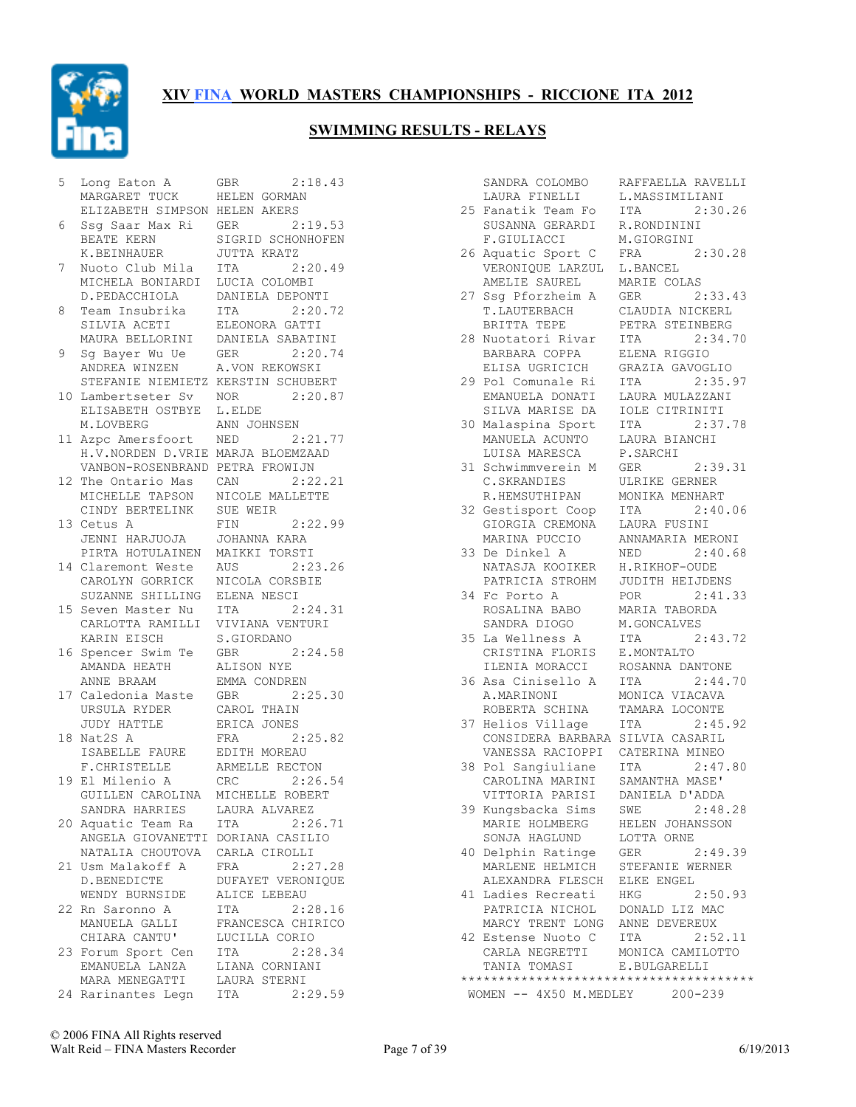

#### **SWIMMING RESULTS - RELAYS**

| 5 | Long Eaton A                       | GBR<br>2:18.43               |
|---|------------------------------------|------------------------------|
|   | MARGARET TUCK HELEN GORMAN         |                              |
|   | ELIZABETH SIMPSON HELEN AKERS      |                              |
| 6 | Ssq Saar Max Ri GER                | 2:19.53                      |
|   | BEATE KERN                         | SIGRID SCHONHOFEN            |
|   | K.BEINHAUER                        | JUTTA KRATZ                  |
| 7 | Nuoto Club Mila                    | 2:20.49<br>ITA               |
|   | MICHELA BONIARDI                   | LUCIA COLOMBI                |
|   | D. PEDACCHIOLA                     | DANIELA DEPONTI              |
| 8 | Team Insubrika                     | ITA<br>2:20.72               |
|   | SILVIA ACETI                       | ELEONORA GATTI               |
|   | MAURA BELLORINI                    | DANIELA SABATINI             |
| 9 | Sg Bayer Wu Ue                     | GER 2:20.74                  |
|   | ANDREA WINZEN                      | A.VON REKOWSKI               |
|   | STEFANIE NIEMIETZ KERSTIN SCHUBERT |                              |
|   | 10 Lambertseter Sv                 | NOR<br>2:20.87               |
|   | ELISABETH OSTBYE                   | L.ELDE                       |
|   | M.LOVBERG                          | ANN JOHNSEN                  |
|   | 11 Azpc Amersfoort                 | NED 2:21.77                  |
|   | H.V.NORDEN D.VRIE MARJA BLOEMZAAD  |                              |
|   | VANBON-ROSENBRAND PETRA FROWIJN    |                              |
|   | 12 The Ontario Mas                 | CAN<br>2:22.21               |
|   | MICHELLE TAPSON                    | NICOLE MALLETTE              |
|   | CINDY BERTELINK                    | SUE WEIR                     |
|   | 13 Cetus A                         | FIN<br>2:22.99               |
|   | JENNI HARJUOJA                     | JOHANNA KARA                 |
|   | PIRTA HOTULAINEN                   | MAIKKI TORSTI                |
|   | 14 Claremont Weste                 | AUS<br>2:23.26               |
|   | CAROLYN GORRICK                    | NICOLA CORSBIE               |
|   | SUZANNE SHILLING                   | ELENA NESCI                  |
|   | 15 Seven Master Nu                 | <b>ITA</b><br>2:24.31        |
|   | CARLOTTA RAMILLI                   | VIVIANA VENTURI              |
|   | KARIN EISCH<br>16 Spencer Swim Te  | S.GIORDANO<br>2:24.58<br>GBR |
|   | AMANDA HEATH                       | ALISON NYE                   |
|   | ANNE BRAAM                         | EMMA CONDREN                 |
|   | 17 Caledonia Maste                 | 2:25.30<br>GBR               |
|   | URSULA RYDER                       | CAROL THAIN                  |
|   | JUDY HATTLE                        | ERICA JONES                  |
|   | 18 Nat2S A                         | 2:25.82<br>FRA               |
|   | ISABELLE FAURE                     | EDITH MOREAU                 |
|   | F. CHRISTELLE                      | ARMELLE RECTON               |
|   | 19 El Milenio A                    | 2:26.54<br>CRC               |
|   | GUILLEN CAROLINA                   | MICHELLE ROBERT              |
|   | SANDRA HARRIES                     | LAURA ALVAREZ                |
|   | 20 Aquatic Team Ra                 | ITA<br>2:26.71               |
|   | ANGELA GIOVANETTI DORIANA CASILIO  |                              |
|   | NATALIA CHOUTOVA                   | CARLA CIROLLI                |
|   | 21 Usm Malakoff A                  | FRA<br>2:27.28               |
|   | D. BENEDICTE                       | DUFAYET VERONIQUE            |
|   | WENDY BURNSIDE                     | ALICE LEBEAU                 |
|   | 22 Rn Saronno A                    | ITA<br>2:28.16               |
|   | MANUELA GALLI                      | FRANCESCA CHIRICO            |
|   | CHIARA CANTU'                      | LUCILLA CORIO                |
|   | 23 Forum Sport Cen                 | ITA<br>2:28.34               |
|   | EMANUELA LANZA                     | LIANA CORNIANI               |
|   | MARA MENEGATTI                     | LAURA STERNI                 |
|   | 24 Rarinantes Legn ITA             | 2:29.59                      |

| SANDRA COLOMBO     |  |
|--------------------|--|
| LAURA FINELLI      |  |
| 25 Fanatik Team Fo |  |
| SUSANNA GERARDI    |  |
| F.GIULIACCI        |  |
| 26 Aquatic Sport C |  |

RAFFAELLA RAVELLI L.MASSIMILIANI

R.RONDININI M.GIORGINI

PETRA STEINBERG

GRAZIA GAVOGLIO

ELENA RIGGIO

2:30.26

2:30.28

 $2:34.70$ 

 $2:35.97$ 

2:37.78

 $2:39.31$ 

 $2:40.68$ 

2:41.33

 $2:43.72$ 

 $2:45.92$ 

 $2:47.80$ 

 $2:40.06$ 

ITA

FRA

ITA

P.SARCHI

NED

ITA

ITA

M.GONCALVES

MONICA VIACAVA

MONIKA MENHART

ANNAMARIA MERONI

- VERONIQUE LARZUL L.BANCEL AMELIE SAUREL MARIE COLAS
- 27 Ssg Pforzheim A GER 2:33.43 T.LAUTERBACH CLAUDIA NICKERL BRITTA TEPE
- 28 Nuotatori Rivar BARBARA COPPA ELISA UGRICICH
- 29 Pol Comunale Ri ITA EMANUELA DONATI LAURA MULAZZANI SILVA MARISE DA IOLE CITRINITI
- 30 Malaspina Sport ITA MANUELA ACUNTO LAURA BIANCHI LUISA MARESCA
- 31 Schwimmverein M GER C.SKRANDIES ULRIKE GERNER<br>R.HEMSUTHIPAN MONIKA MENHART
- 32 Gestisport Coop ITA 2:<br>GIORGIA CREMONA LAURA FUSINI
- MARINA PUCCIO<br>33 De Dinkel A NATASJA KOOIKER H.RIKHOF-OUDE PATRICIA STROHM JUDITH HEIJDENS
- 34 Fc Porto A POR ROSALINA BABO MARIA TABORDA SANDRA DIOGO
- 35 La Wellness A CRISTINA FLORIS E.MONTALTO ILENIA MORACCI ROSANNA DANTONE
- 36 Asa Cinisello A ITA 2:44.70 A.MARINONI ROBERTA SCHINA TAMARA LOCONTE
- 37 Helios Village CONSIDERA BARBARA SILVIA CASARIL
- VANESSA RACIOPPI CATERINA MINEO<br>38 Pol Sangiuliane ITA 2:47 CAROLINA MARINI SAMANTHA MASE' VITTORIA PARISI DANIELA D'ADDA
- 39 Kungsbacka Sims SWE 2:48.28 MARIE HOLMBERG HELEN JOHANSSON SONJA HAGLUND LOTTA ORNE
- 40 Delphin Ratinge GER  $2:49.39$ MARLENE HELMICH STEFANIE WERNER ALEXANDRA FLESCH ELKE ENGEL
- 41 Ladies Recreati HKG 2:50.93 PATRICIA NICHOL DONALD LIZ MAC MARCY TRENT LONG ANNE DEVEREUX 42 Estense Nuoto C ITA  $2:52.11$ MONICA CAMILOTTO
- CARLA NEGRETTI<br>TANIA TOMASI E.BULGARELLI WOMEN -- 4X50 M.MEDLEY 200-239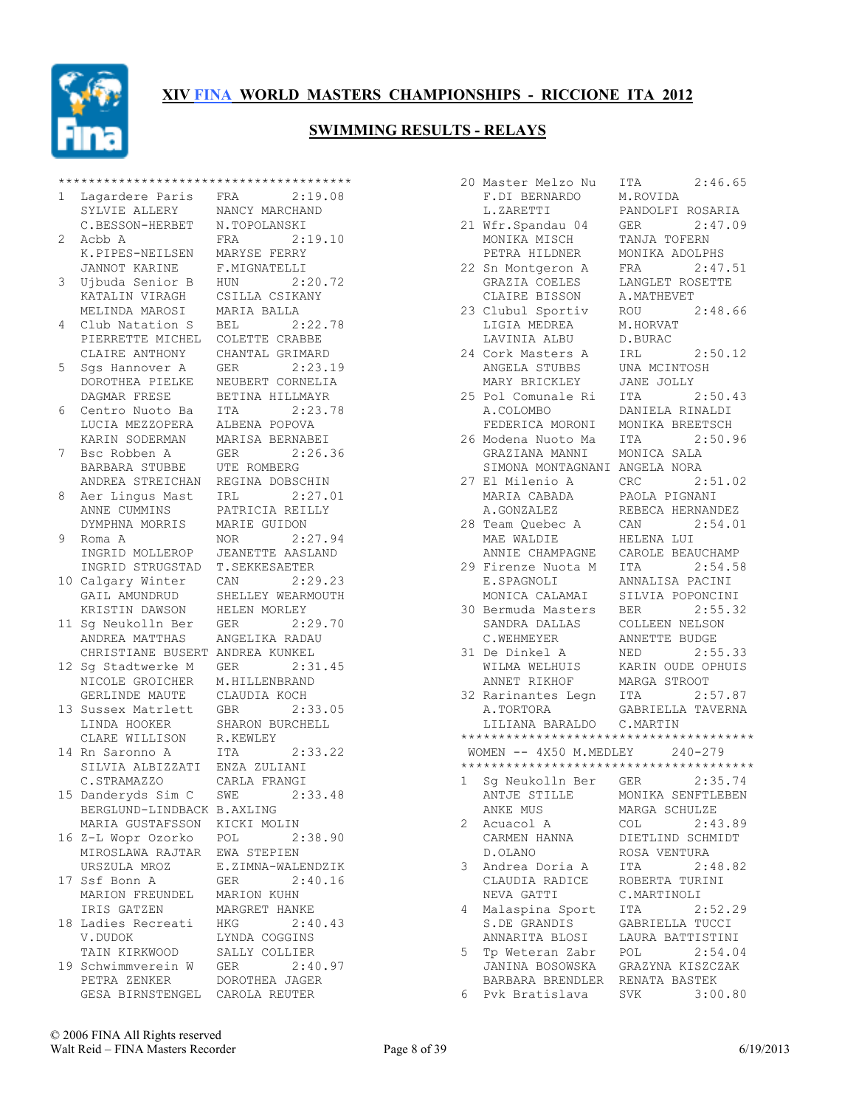

|   | 1 Lagardere Paris FRA                                        | 2:19.08               |
|---|--------------------------------------------------------------|-----------------------|
|   |                                                              |                       |
|   | SYLVIE ALLERY NANCY MARCHAND<br>C.BESSON-HERBET N.TOPOLANSKI |                       |
| 2 | Acbb A                                                       | 2:19.10<br>FRA        |
|   | K.PIPES-NEILSEN                                              | MARYSE FERRY          |
|   | <b>JANNOT KARINE</b>                                         | F.MIGNATELLI          |
|   |                                                              |                       |
| 3 | Ujbuda Senior B                                              | HUN<br>2:20.72        |
|   | KATALIN VIRAGH                                               | CSILLA CSIKANY        |
|   | MELINDA MAROSI                                               | MARIA BALLA           |
| 4 | Club Natation S                                              | 2:22.78<br><b>BEL</b> |
|   | PIERRETTE MICHEL                                             | COLETTE CRABBE        |
|   | CLAIRE ANTHONY                                               | CHANTAL GRIMARD       |
| 5 | Sgs Hannover A                                               | GER<br>2:23.19        |
|   | DOROTHEA PIELKE                                              | NEUBERT CORNELIA      |
|   | DAGMAR FRESE                                                 | BETINA HILLMAYR       |
| 6 | Centro Nuoto Ba                                              | 2:23.78<br>ITA        |
|   |                                                              |                       |
|   | LUCIA MEZZOPERA                                              | ALBENA POPOVA         |
|   | KARIN SODERMAN                                               | MARISA BERNABEI       |
| 7 | Bsc Robben A                                                 | GER<br>2:26.36        |
|   | BARBARA STUBBE                                               | UTE ROMBERG           |
|   | ANDREA STREICHAN                                             | REGINA DOBSCHIN       |
| 8 | Aer Lingus Mast                                              | IRL<br>2:27.01        |
|   | ANNE CUMMINS                                                 | PATRICIA REILLY       |
|   | DYMPHNA MORRIS                                               | MARIE GUIDON          |
| 9 | Roma A                                                       | NOR<br>2:27.94        |
|   | INGRID MOLLEROP                                              | JEANETTE AASLAND      |
|   | INGRID STRUGSTAD T.SEKKESAETER                               |                       |
|   | 10 Calgary Winter                                            | 2:29.23<br>CAN        |
|   | GAIL AMUNDRUD                                                | SHELLEY WEARMOUTH     |
|   |                                                              |                       |
|   | KRISTIN DAWSON                                               | HELEN MORLEY          |
|   | 11 Sg Neukolln Ber GER                                       | 2:29.70               |
|   | ANDREA MATTHAS                                               | ANGELIKA RADAU        |
|   | CHRISTIANE BUSERT ANDREA KUNKEL                              |                       |
|   | 12 Sq Stadtwerke M                                           | 2:31.45<br>GER        |
|   | NICOLE GROICHER                                              | M.HILLENBRAND         |
|   | GERLINDE MAUTE                                               | CLAUDIA KOCH          |
|   | 13 Sussex Matrlett                                           | 2:33.05<br>GBR        |
|   | LINDA HOOKER                                                 | SHARON BURCHELL       |
|   | LINDA 11001.<br>CLARE WILLISON                               | R.KEWLEY              |
|   | 14 Rn Saronno A                                              | 2:33.22<br>ITA        |
|   | SILVIA ALBIZZATI ENZA ZULIANI                                |                       |
|   | C.STRAMAZZO                                                  | CARLA FRANGI          |
|   | 15 Danderyds Sim C                                           | SWE<br>2:33.48        |
|   |                                                              |                       |
|   | BERGLUND-LINDBACK B.AXLING                                   |                       |
|   | MARIA GUSTAFSSON                                             | KICKI MOLIN           |
|   | 16 Z-L Wopr Ozorko                                           | POL<br>2:38.90        |
|   | MIROSLAWA RAJTAR                                             | EWA STEPIEN           |
|   | URSZULA MROZ                                                 | E.ZIMNA-WALENDZIK     |
|   | 17 Ssf Bonn A                                                | GER<br>2:40.16        |
|   | MARION FREUNDEL                                              | MARION KUHN           |
|   | IRIS GATZEN                                                  | MARGRET HANKE         |
|   | 18 Ladies Recreati                                           | 2:40.43<br>HKG        |
|   | V.DUDOK                                                      | LYNDA COGGINS         |
|   |                                                              |                       |
|   | TAIN KIRKWOOD                                                | SALLY COLLIER         |
|   | 19 Schwimmverein W                                           | GER<br>2:40.97        |
|   | PETRA ZENKER                                                 | DOROTHEA JAGER        |
|   | GESA BIRNSTENGEL                                             | CAROLA REUTER         |

|   | 20 Master Melzo Nu            | ITA<br>2:46.65                                                                                                                                                                                        |
|---|-------------------------------|-------------------------------------------------------------------------------------------------------------------------------------------------------------------------------------------------------|
|   | F.DI BERNARDO                 | M.ROVIDA                                                                                                                                                                                              |
|   | L.ZARETTI                     | PANDOLFI ROSARIA                                                                                                                                                                                      |
|   | 21 Wfr. Spandau 04            | GER 2:47.09                                                                                                                                                                                           |
|   | MONIKA MISCH                  | TANJA TOFERN                                                                                                                                                                                          |
|   | PETRA HILDNER                 | MONIKA ADOLPHS                                                                                                                                                                                        |
|   | 22 Sn Montgeron A             | 2:47.51<br>FRA                                                                                                                                                                                        |
|   | GRAZIA COELES                 | LANGLET ROSETTE                                                                                                                                                                                       |
|   | CLAIRE BISSON                 | A.MATHEVET                                                                                                                                                                                            |
|   | 23 Clubul Sportiv             | ROU 2:48.66                                                                                                                                                                                           |
|   | LIGIA MEDREA                  | M.HORVAT                                                                                                                                                                                              |
|   | LAVINIA ALBU                  | D. BURAC                                                                                                                                                                                              |
|   | 24 Cork Masters A             | IRL 2:50.12                                                                                                                                                                                           |
|   | ANGELA STUBBS                 | UNA MCINTOSH                                                                                                                                                                                          |
|   | MARY BRICKLEY                 | JANE JOLLY                                                                                                                                                                                            |
|   | 25 Pol Comunale Ri            | ITA 2:50.43                                                                                                                                                                                           |
|   | A.COLOMBO                     | DANIELA RINALDI                                                                                                                                                                                       |
|   | FEDERICA MORONI               | MONIKA BREETSCH                                                                                                                                                                                       |
|   | 26 Modena Nuoto Ma            | ITA 2:50.96                                                                                                                                                                                           |
|   | GRAZIANA MANNI                | MONICA SALA                                                                                                                                                                                           |
|   | SIMONA MONTAGNANI ANGELA NORA |                                                                                                                                                                                                       |
|   | 27 El Milenio A               | CRC<br>2:51.02                                                                                                                                                                                        |
|   | MARIA CABADA                  | PAOLA PIGNANI                                                                                                                                                                                         |
|   | A.GONZALEZ                    | REBECA HERNANDEZ                                                                                                                                                                                      |
|   | 28 Team Ouebec A              | CAN 2:54.01                                                                                                                                                                                           |
|   | MAE WALDIE                    | HELENA LUI                                                                                                                                                                                            |
|   | ANNIE CHAMPAGNE               | CAROLE BEAUCHAMP                                                                                                                                                                                      |
|   | 29 Firenze Nuota M            | ITA 2:54.58                                                                                                                                                                                           |
|   | E.SPAGNOLI                    | ANNALISA PACINI                                                                                                                                                                                       |
|   | MONICA CALAMAI                | SILVIA POPONCINI                                                                                                                                                                                      |
|   | 30 Bermuda Masters            | <b>BER</b><br>2:55.32                                                                                                                                                                                 |
|   | SANDRA DALLAS                 | COLLEEN NELSON                                                                                                                                                                                        |
|   | C.WEHMEYER                    | ANNETTE BUDGE                                                                                                                                                                                         |
|   | 31 De Dinkel A                | NED<br>2:55.33                                                                                                                                                                                        |
|   | WILMA WELHUIS                 | KARIN OUDE OPHUIS                                                                                                                                                                                     |
|   | NET RIKHOF MARGA STROOT       |                                                                                                                                                                                                       |
|   | 32 Rarinantes Legn ITA        | 2:57.87                                                                                                                                                                                               |
|   | A.TORTORA                     | GABRIELLA TAVERNA                                                                                                                                                                                     |
|   | LILIANA BARALDO C.MARTIN      |                                                                                                                                                                                                       |
|   |                               |                                                                                                                                                                                                       |
|   |                               |                                                                                                                                                                                                       |
|   |                               | $\begin{array}{lll} \text{WOMEN} & \text{---} & 4 \text{X50} & \text{M.MEDLEX} & 240-279 \\ \text{***}{**}{**}{**}{**}{**}{**}{**}{**}{**}{**} & \text{---} & \text{---} & \text{---} \\ \end{array}$ |
|   | 1 Sg Neukolln Ber GER 2:35.74 |                                                                                                                                                                                                       |
|   | ANTJE STILLE                  | MONIKA SENFTLEBEN                                                                                                                                                                                     |
|   | ANKE MUS                      | MARGA SCHULZE                                                                                                                                                                                         |
| 2 | Acuacol A                     | COL<br>2:43.89                                                                                                                                                                                        |
|   | CARMEN HANNA                  | DIETLIND SCHMIDT                                                                                                                                                                                      |
|   | D.OLANO                       | ROSA VENTURA                                                                                                                                                                                          |
| 3 | Andrea Doria A                | 2:48.82<br>ITA                                                                                                                                                                                        |
|   | CLAUDIA RADICE                | ROBERTA TURINI                                                                                                                                                                                        |
|   | NEVA GATTI                    | C.MARTINOLI                                                                                                                                                                                           |
| 4 | Malaspina Sport               | 2:52.29<br>ITA                                                                                                                                                                                        |
|   | S.DE GRANDIS                  | GABRIELLA TUCCI                                                                                                                                                                                       |
|   | ANNARITA BLOSI                | LAURA BATTISTINI                                                                                                                                                                                      |
| 5 | Tp Weteran Zabr               | POL<br>2:54.04                                                                                                                                                                                        |
|   | JANINA BOSOWSKA               | GRAZYNA KISZCZAK                                                                                                                                                                                      |
|   | BARBARA BRENDLER              | RENATA BASTEK                                                                                                                                                                                         |
| 6 | Pvk Bratislava                | SVK<br>3:00.80                                                                                                                                                                                        |
|   |                               |                                                                                                                                                                                                       |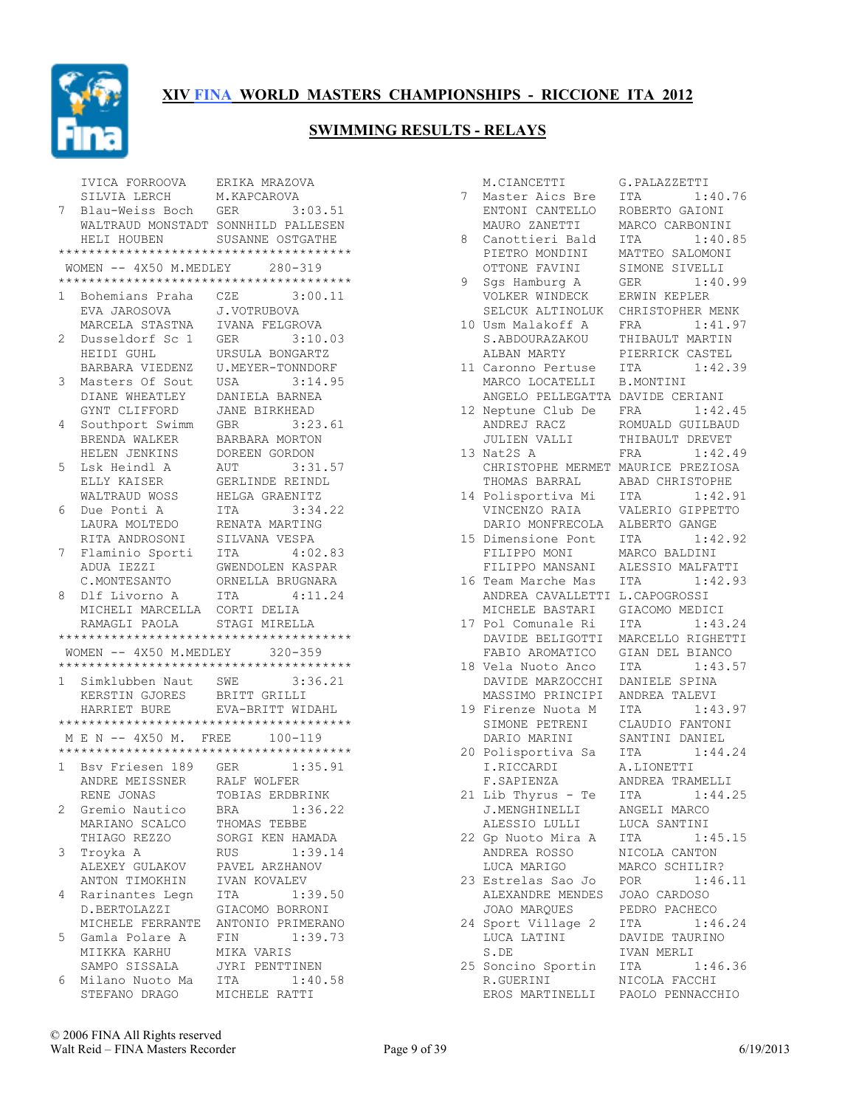

|           | IVICA FORROOVA<br>SILVIA LERCH   | ERIKA MRAZOVA                       |
|-----------|----------------------------------|-------------------------------------|
| 7         | Blau-Weiss Boch GER              | M.KAPCAROVA                         |
|           |                                  | 3:03.51                             |
|           |                                  | WALTRAUD MONSTADT SONNHILD PALLESEN |
|           | HELI HOUBEN SUSANNE OSTGATHE     |                                     |
|           | WOMEN -- 4X50 M.MEDLEY 280-319   |                                     |
|           |                                  |                                     |
| $1 \quad$ | Bohemians Praha CZE              | 3:00.11                             |
|           | EVA JAROSOVA                     | J.VOTRUBOVA                         |
|           | MARCELA STASTNA                  | IVANA FELGROVA                      |
| 2         | Dusseldorf Sc 1                  | 3:10.03<br>GER                      |
|           |                                  |                                     |
|           | HEIDI GUHL<br>BARBARA VIEDENZ    | URSULA BONGARTZ                     |
| 3         |                                  | U.MEYER-TONNDORF<br>3:14.95         |
|           | Masters Of Sout                  | USA                                 |
|           | DIANE WHEATLEY                   | DANIELA BARNEA                      |
|           | GYNT CLIFFORD                    | JANE BIRKHEAD                       |
| 4         | Southport Swimm                  | GBR<br>3:23.61                      |
|           | BRENDA WALKER                    | BARBARA MORTON                      |
|           | HELEN JENKINS                    | DOREEN GORDON                       |
| 5         | Lsk Heindl A                     | AUT<br>3:31.57                      |
|           | ELLY KAISER                      | GERLINDE REINDL                     |
|           | WALTRAUD WOSS                    | HELGA GRAENITZ                      |
| 6         | Due Ponti A                      | ITA<br>3:34.22                      |
|           | LAURA MOLTEDO                    | RENATA MARTING                      |
|           | RITA ANDROSONI SILVANA VESPA     |                                     |
| 7         | Flaminio Sporti                  | ITA<br>4:02.83                      |
|           | ADUA IEZZI                       | GWENDOLEN KASPAR                    |
|           | C.MONTESANTO                     | ORNELLA BRUGNARA                    |
| 8         | Dlf Livorno A                    | ITA<br>4:11.24                      |
|           |                                  |                                     |
|           | MICHELI MARCELLA                 | CORTI DELIA                         |
|           | RAMAGLI PAOLA                    | STAGI MIRELLA                       |
|           |                                  |                                     |
|           | WOMEN -- 4X50 M.MEDLEY 320-359   |                                     |
|           |                                  |                                     |
|           | 1 Simklubben Naut SWE            | 3:36.21                             |
|           | KERSTIN GJORES BRITT GRILLI      |                                     |
|           | HARRIET BURE                     | EVA-BRITT WIDAHL                    |
|           |                                  |                                     |
|           | M E N -- 4X50 M. FREE            | 100-119                             |
|           |                                  |                                     |
|           | 1 Bsv Friesen 189 GER            | 1:35.91                             |
|           | ANDRE MEISSNER RALF WOLFER       |                                     |
|           | RENE JONAS                       | TOBIAS ERDBRINK                     |
| 2.        | Gremio Nautico                   | 1:36.22<br>BRA                      |
|           | MARIANO SCALCO                   | THOMAS TEBBE                        |
|           | THIAGO REZZO                     | SORGI KEN HAMADA                    |
| 3         | Troyka A                         | 1:39.14<br>RUS                      |
|           | ALEXEY GULAKOV                   | PAVEL ARZHANOV                      |
|           | ANTON TIMOKHIN                   | IVAN KOVALEV                        |
| 4         | Rarinantes Legn                  | ITA<br>1:39.50                      |
|           | D.BERTOLAZZI                     | GIACOMO BORRONI                     |
|           | MICHELE FERRANTE                 | ANTONIO PRIMERANO                   |
| 5         | Gamla Polare A                   | 1:39.73<br>FIN                      |
|           | MIIKKA KARHU                     | MIKA VARIS                          |
|           | SAMPO SISSALA                    | JYRI PENTTINEN                      |
| 6         | Milano Nuoto Ma<br>STEFANO DRAGO | ITA<br>1:40.58<br>MICHELE RATTI     |

|    | M.CIANCETTI                           | G.PALAZZETTI                             |
|----|---------------------------------------|------------------------------------------|
| 7  | Master Aics Bre                       | 1:40.76<br>ITA                           |
|    | ENTONI CANTELLO                       | ROBERTO GAIONI                           |
|    | MAURO ZANETTI                         | MARCO CARBONINI                          |
| 8  | Canottieri Bald                       | ITA<br>1:40.85                           |
|    | PIETRO MONDINI                        | MATTEO SALOMONI                          |
|    | OTTONE FAVINI                         | SIMONE SIVELLI                           |
| 9  | Sgs Hamburg A                         | GER<br>1:40.99                           |
|    | VOLKER WINDECK                        | ERWIN KEPLER                             |
|    | SELCUK ALTINOLUK                      | CHRISTOPHER MENK                         |
|    | 10 Usm Malakoff A                     | 1:41.97<br>FRA                           |
|    | S.ABDOURAZAKOU                        | THIBAULT MARTIN                          |
|    | ALBAN MARTY<br>11 Caronno Pertuse     | PIERRICK CASTEL<br><b>ITA</b><br>1:42.39 |
|    | MARCO LOCATELLI                       | B.MONTINI                                |
|    | ANGELO PELLEGATTA DAVIDE CERIANI      |                                          |
|    | 12 Neptune Club De                    | 1:42.45<br>FRA                           |
|    | ANDREJ RACZ                           | ROMUALD GUILBAUD                         |
|    | JULIEN VALLI                          | THIBAULT DREVET                          |
|    | 13 Nat2S A                            | 1:42.49<br>FRA                           |
|    | CHRISTOPHE MERMET                     | MAURICE PREZIOSA                         |
|    | THOMAS BARRAL                         | ABAD CHRISTOPHE                          |
|    | 14 Polisportiva Mi                    | ITA<br>1:42.91                           |
|    | VINCENZO RAIA                         | VALERIO GIPPETTO                         |
|    | DARIO MONFRECOLA                      | ALBERTO GANGE                            |
|    | 15 Dimensione Pont                    | ITA<br>1:42.92                           |
|    | FILIPPO MONI                          | MARCO BALDINI                            |
|    | FILIPPO MANSANI<br>16 Team Marche Mas | ALESSIO MALFATTI<br>1:42.93<br>ITA       |
|    | ANDREA CAVALLETTI                     | L.CAPOGROSSI                             |
|    | MICHELE BASTARI                       | GIACOMO MEDICI                           |
|    | 17 Pol Comunale Ri                    | 1:43.24<br>ITA                           |
|    | DAVIDE BELIGOTTI                      | MARCELLO RIGHETTI                        |
|    | FABIO AROMATICO                       | GIAN DEL BIANCO                          |
| 18 | Vela Nuoto Anco                       | ITA<br>1:43.57                           |
|    | DAVIDE MARZOCCHI                      | DANIELE SPINA                            |
|    | MASSIMO PRINCIPI                      | ANDREA TALEVI                            |
|    | 19 Firenze Nuota M                    | <b>ITA</b><br>1:43.97                    |
|    | SIMONE PETRENI                        | CLAUDIO FANTONI<br>SANTINI DANIEL        |
|    | DARIO MARINI<br>20 Polisportiva Sa    | 1:44.24<br>ITA                           |
|    | I.RICCARDI                            | A.LIONETTI                               |
|    | F. SAPIENZA                           | ANDREA TRAMELLI                          |
|    | 21 Lib Thyrus - Te                    | ITA 1:44.25                              |
|    | J.MENGHINELLI                         | ANGELI MARCO                             |
|    | ALESSIO LULLI                         | LUCA SANTINI                             |
|    | 22 Gp Nuoto Mira A                    | 1:45.15<br>ITA                           |
|    | ANDREA ROSSO                          | NICOLA CANTON                            |
|    | LUCA MARIGO                           | MARCO SCHILIR?                           |
|    | 23 Estrelas Sao Jo                    | POR<br>1:46.11                           |
|    | ALEXANDRE MENDES                      | JOAO CARDOSO                             |
|    | JOAO MARQUES                          | PEDRO PACHECO                            |
|    | 24 Sport Village 2<br>LUCA LATINI     | ITA<br>1:46.24<br>DAVIDE TAURINO         |
|    | S.DE                                  | IVAN MERLI                               |
|    | 25 Soncino Sportin                    | ITA<br>1:46.36                           |
|    | R.GUERINI                             | NICOLA FACCHI                            |
|    | EROS MARTINELLI                       | PAOLO PENNACCHIO                         |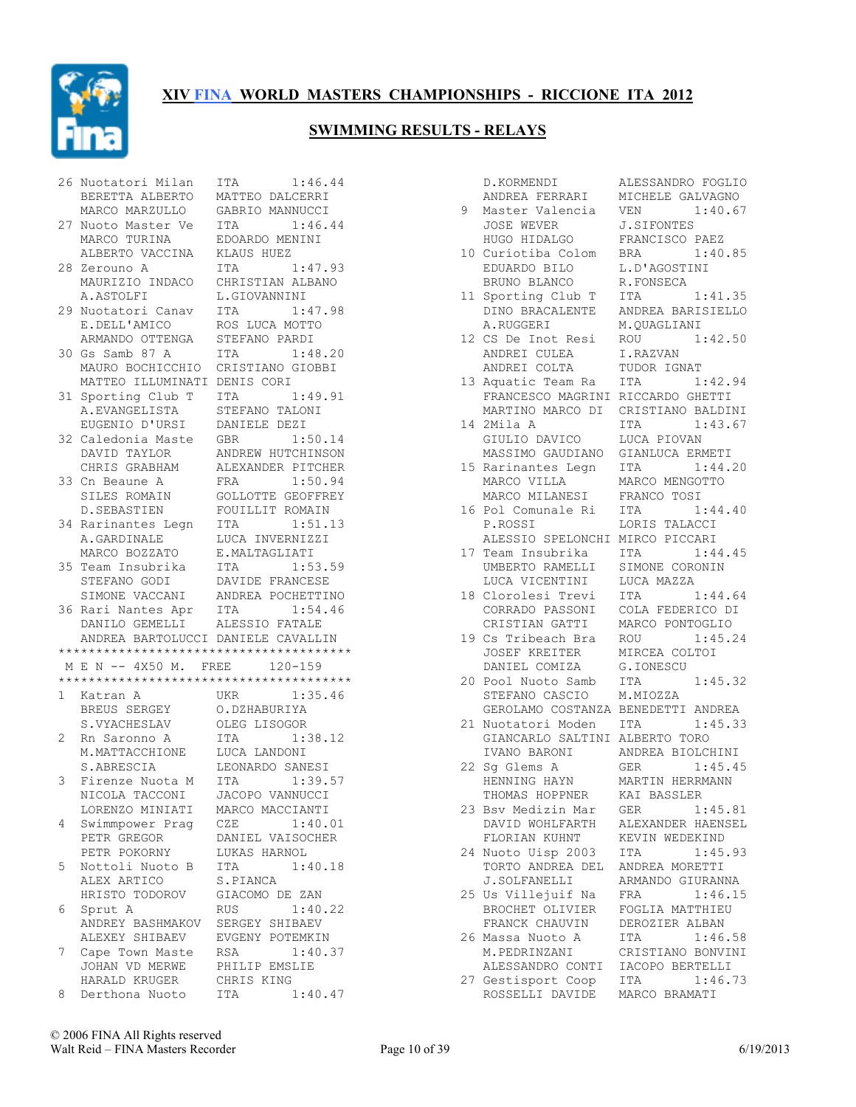

| 26           | Nuotatori Milan                                                    | ITA<br>1:46.44               |
|--------------|--------------------------------------------------------------------|------------------------------|
|              | BERETTA ALBERTO                                                    | MATTEO DALCERRI              |
|              | MARCO MARZULLO                                                     | GABRIO MANNUCCI              |
|              | 27 Nuoto Master Ve                                                 | ITA<br>1:46.44               |
|              | MARCO TURINA                                                       | EDOARDO MENINI               |
|              | ALBERTO VACCINA                                                    | KLAUS HUEZ                   |
|              |                                                                    |                              |
|              | 28 Zerouno A                                                       | ITA 1:47.93                  |
|              | MAURIZIO INDACO                                                    | CHRISTIAN ALBANO             |
|              | A.ASTOLFI                                                          | L.GIOVANNINI                 |
|              | 29 Nuotatori Canav                                                 | 1:47.98<br>ITA               |
|              | E.DELL'AMICO                                                       | ROS LUCA MOTTO               |
|              | ARMANDO OTTENGA                                                    | STEFANO PARDI                |
|              | 30 Gs Samb 87 A                                                    | 1:48.20<br>ITA               |
|              | MAURO BOCHICCHIO                                                   | CRISTIANO GIOBBI             |
|              | MATTEO ILLUMINATI                                                  | DENIS CORI                   |
|              | 31 Sporting Club T                                                 | ITA<br>1:49.91               |
|              | A.EVANGELISTA                                                      | STEFANO TALONI               |
|              | EUGENIO D'URSI                                                     | DANIELE DEZI                 |
|              | 32 Caledonia Maste                                                 |                              |
|              |                                                                    | GBR<br>1:50.14               |
|              | DAVID TAYLOR                                                       | ANDREW HUTCHINSON            |
|              | DAVID INTERNATIONAL CHRIS GRABHAM                                  | ALEXANDER PITCHER            |
|              | 33 Cn Beaune A                                                     | FRA 1:50.94                  |
|              | SILES ROMAIN                                                       | GOLLOTTE GEOFFREY            |
|              | D. SEBASTIEN                                                       | FOUILLIT ROMAIN              |
|              | 34 Rarinantes Legn                                                 | ITA 1:51.13                  |
|              | A.GARDINALE                                                        | LUCA INVERNIZZI              |
|              | MARCO BOZZATO                                                      | E.MALTAGLIATI                |
|              | 35 Team Insubrika                                                  | <b>ITA</b><br>1:53.59        |
|              | STEFANO GODI                                                       | DAVIDE FRANCESE              |
|              |                                                                    |                              |
|              | SIMONE VACCANI ANDREA POCHETTINO<br>36 Rari Nantes Apr ITA 1:54.46 |                              |
|              | DANILO GEMELLI ALESSIO FATALE                                      |                              |
|              | ANDREA BARTOLUCCI DANIELE CAVALLIN                                 |                              |
|              |                                                                    |                              |
|              |                                                                    |                              |
|              | M E N -- 4X50 M. FREE 120-159                                      |                              |
|              |                                                                    |                              |
|              | 1 Katran A<br>BREUS SERGEY                                         | UKR 1:35.46                  |
|              |                                                                    | O.DZHABURIYA                 |
|              | S.VYACHESLAV                                                       | OLEG LISOGOR                 |
| $\mathbf{2}$ | Rn Saronno A                                                       | 1:38.12<br><b>TTA</b>        |
|              | M.MATTACCHIONE                                                     | LUCA LANDONI                 |
|              | S.ABRESCIA                                                         | LEONARDO SANESI              |
| 3            | Firenze Nuota M ITA 1:39.57                                        |                              |
|              | NICOLA TACCONI                                                     | JACOPO VANNUCCI              |
|              | LORENZO MINIATI                                                    | MARCO MACCIANTI              |
| 4            | Swimmpower Prag                                                    | CZE<br>1:40.01               |
|              | PETR GREGOR                                                        | DANIEL VAISOCHER             |
|              |                                                                    |                              |
|              | PETR POKORNY                                                       | LUKAS HARNOL                 |
| 5            | Nottoli Nuoto B                                                    | ITA<br>1:40.18               |
|              | ALEX ARTICO                                                        | S.PIANCA                     |
|              | HRISTO TODOROV                                                     | GIACOMO DE ZAN               |
| 6            | Sprut A                                                            | RUS<br>1:40.22               |
|              | ANDREY BASHMAKOV                                                   | SERGEY SHIBAEV               |
|              |                                                                    |                              |
|              | ALEXEY SHIBAEV                                                     | EVGENY POTEMKIN              |
| 7            |                                                                    | 1:40.37<br>RSA               |
|              | Cape Town Maste                                                    |                              |
|              | JOHAN VD MERWE                                                     | PHILIP EMSLIE                |
| 8            | HARALD KRUGER<br>Derthona Nuoto                                    | CHRIS KING<br>1:40.47<br>ITA |

|    | D.KORMENDI                            | ALESSANDRO FOGLIO                   |
|----|---------------------------------------|-------------------------------------|
|    | ANDREA FERRARI                        | MICHELE GALVAGNO                    |
| 9  | Master Valencia                       | VEN 1:40.67                         |
|    | <b>JOSE WEVER</b>                     | J.SIFONTES                          |
|    | HUGO HIDALGO                          | FRANCISCO PAEZ                      |
|    | 10 Curiotiba Colom                    | <b>BRA</b><br>1:40.85               |
|    | EDUARDO BILO                          | L.D'AGOSTINI                        |
|    | BRUNO BLANCO                          |                                     |
|    | 11 Sporting Club T                    | R.FONSECA                           |
|    | DINO BRACALENTE                       | 1:41.35<br>ITA<br>ANDREA BARISIELLO |
|    | A.RUGGERI                             | M.QUAGLIANI                         |
|    |                                       |                                     |
|    | 12 CS De Inot Resi<br>ANDREI CULEA    | 1:42.50<br>ROU                      |
|    |                                       | I.RAZVAN                            |
|    | ANDREI COLTA                          | TUDOR IGNAT<br>1:42.94              |
|    | 13 Aquatic Team Ra                    | ITA<br>RICCARDO GHETTI              |
|    | FRANCESCO MAGRINI<br>MARTINO MARCO DI | CRISTIANO BALDINI                   |
|    |                                       |                                     |
|    | 14 2Mila A                            | ITA 1:43.67                         |
|    | GIULIO DAVICO                         | LUCA PIOVAN                         |
|    | MASSIMO GAUDIANO                      | GIANLUCA ERMETI                     |
|    | 15 Rarinantes Legn<br>MARCO VILLA     | 1:44.20<br>ITA                      |
|    |                                       | MARCO MENGOTTO                      |
|    | MARCO MILANESI                        | FRANCO TOSI                         |
|    | 16 Pol Comunale Ri<br>P.ROSSI         | ITA<br>1:44.40                      |
|    |                                       | LORIS TALACCI                       |
|    | ALESSIO SPELONCHI                     | MIRCO PICCARI                       |
|    | 17 Team Insubrika                     | ITA 1:44.45                         |
|    | UMBERTO RAMELLI                       | SIMONE CORONIN<br>LUCA MAZZA        |
|    | LUCA VICENTINI<br>18 Clorolesi Trevi  | <b>ITA</b>                          |
|    | CORRADO PASSONI                       | 1:44.64                             |
|    |                                       | COLA FEDERICO DI                    |
|    | CRISTIAN GATTI<br>19 Cs Tribeach Bra  | MARCO PONTOGLIO                     |
|    |                                       |                                     |
|    |                                       | ROU 1:45.24                         |
|    | <b>JOSEF KREITER</b>                  | MIRCEA COLTOI                       |
|    | DANIEL COMIZA                         | G.IONESCU                           |
| 20 | Pool Nuoto Samb                       | ITA<br>1:45.32                      |
|    | STEFANO CASCIO                        | M.MIOZZA                            |
|    | GEROLAMO COSTANZA BENEDETTI ANDREA    |                                     |
| 21 | Nuotatori Moden ITA 1:45.33           |                                     |
|    | GIANCARLO SALTINI ALBERTO TORO        |                                     |
|    | IVANO BARONI                          | ANDREA BIOLCHINI                    |
| 22 | Sq Glems A                            | <b>GER</b><br>1:45.45               |
|    | HENNING HAYN                          | MARTIN HERRMANN                     |
|    | THOMAS HOPPNER                        | KAI BASSLER                         |
|    | 23 Bsv Medizin Mar                    | 1:45.81<br>GER                      |
|    | DAVID WOHLFARTH                       | ALEXANDER HAENSEL                   |
|    | FLORIAN KUHNT                         | KEVIN WEDEKIND                      |
| 24 | Nuoto Uisp 2003                       | ITA<br>1:45.93                      |
|    | TORTO ANDREA DEL                      | ANDREA MORETTI                      |
|    | J.SOLFANELLI                          | ARMANDO GIURANNA                    |
|    | 25 Us Villejuif Na                    | 1:46.15<br>FRA                      |
|    | BROCHET OLIVIER                       | FOGLIA MATTHIEU                     |
|    | FRANCK CHAUVIN                        | DEROZIER ALBAN                      |
|    | 26 Massa Nuoto A                      | 1:46.58<br>ITA                      |
|    | M.PEDRINZANI                          | CRISTIANO BONVINI                   |
|    | ALESSANDRO CONTI                      | IACOPO BERTELLI                     |
|    | 27 Gestisport Coop<br>ROSSELLI DAVIDE | 1:46.73<br>ITA<br>MARCO BRAMATI     |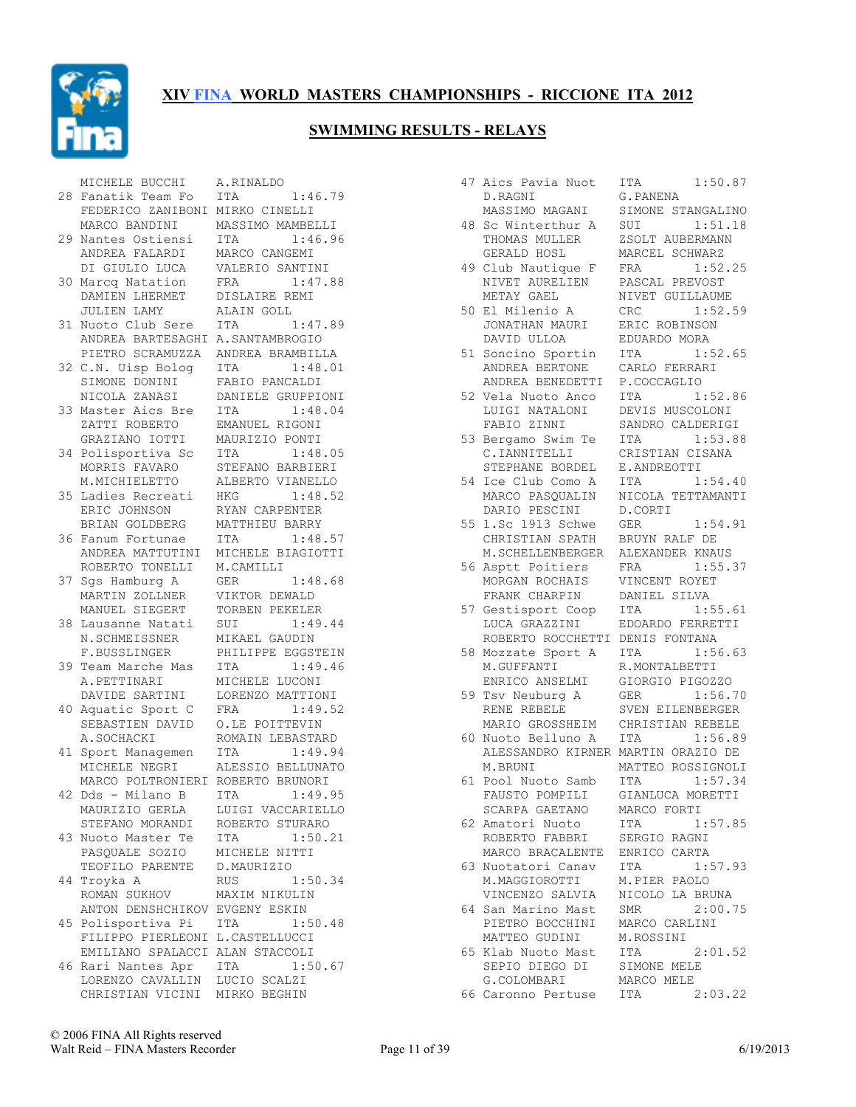

|     | MICHELE BUCCHI                    | A.RINALDO                          |
|-----|-----------------------------------|------------------------------------|
|     | 28 Fanatik Team Fo                | 1:46.79<br>ITA                     |
|     | FEDERICO ZANIBONI MIRKO CINELLI   |                                    |
|     | MARCO BANDINI                     | MASSIMO MAMBELLI                   |
|     | 29 Nantes Ostiensi                | 1:46.96<br>ITA                     |
|     | ANDREA FALARDI                    | MARCO CANGEMI                      |
|     | DI GIULIO LUCA                    | VALERIO SANTINI                    |
|     | 30 Marcq Natation                 | 1:47.88<br>FRA                     |
|     | DAMIEN LHERMET                    | DISLAIRE REMI                      |
|     | JULIEN LAMY                       | ALAIN GOLL                         |
| 31  | Nuoto Club Sere                   | 1:47.89<br>ITA                     |
|     | ANDREA BARTESAGHI                 | A.SANTAMBROGIO                     |
|     | PIETRO SCRAMUZZA                  | ANDREA BRAMBILLA                   |
|     | 32 C.N. Uisp Bolog                | ITA 1:48.01                        |
|     | SIMONE DONINI                     | FABIO PANCALDI                     |
|     | NICOLA ZANASI                     | DANIELE GRUPPIONI                  |
|     | 33 Master Aics Bre                | ITA<br>1:48.04                     |
|     | ZATTI ROBERTO                     | EMANUEL RIGONI                     |
|     | GRAZIANO IOTTI                    | MAURIZIO PONTI                     |
|     | 34 Polisportiva Sc                | ITA<br>1:48.05                     |
|     | MORRIS FAVARO                     | STEFANO BARBIERI                   |
|     | M.MICHIELETTO                     | ALBERTO VIANELLO                   |
|     | 35 Ladies Recreati                | HKG<br>1:48.52                     |
|     | ERIC JOHNSON                      | RYAN CARPENTER                     |
|     | BRIAN GOLDBERG                    | MATTHIEU BARRY                     |
|     | 36 Fanum Fortunae                 | ITA<br>1:48.57                     |
|     | ANDREA MATTUTINI                  | MICHELE BIAGIOTTI                  |
|     | ROBERTO TONELLI                   | M.CAMILLI                          |
|     | 37 Sgs Hamburg A                  | GER 1:48.68                        |
|     | MARTIN ZOLLNER                    | VIKTOR DEWALD                      |
|     | MANUEL SIEGERT                    | TORBEN PEKELER                     |
|     | 38 Lausanne Natati                | 1:49.44<br>SUI                     |
|     | N.SCHMEISSNER<br>F.BUSSLINGER     | MIKAEL GAUDIN<br>PHILIPPE EGGSTEIN |
|     | 39 Team Marche Mas                | ITA<br>1:49.46                     |
|     | A. PETTINARI                      | MICHELE LUCONI                     |
|     | DAVIDE SARTINI                    | LORENZO MATTIONI                   |
|     | 40 Aquatic Sport C                | FRA<br>1:49.52                     |
|     | SEBASTIEN DAVID                   | O.LE POITTEVIN                     |
|     | A. SOCHACKI                       | ROMAIN LEBASTARD                   |
| 41  | Sport Managemen                   | ITA<br>1:49.94                     |
|     | MICHELE NEGRI                     | ALESSIO BELLUNATO                  |
|     | MARCO POLTRONIERI ROBERTO BRUNORI |                                    |
|     | 42 Dds - Milano B                 | ITA<br>1:49.95                     |
|     | MAURIZIO GERLA                    | LUIGI VACCARIELLO                  |
|     | STEFANO MORANDI                   | ROBERTO STURARO                    |
| 43. | Nuoto Master Te                   | 1:50.21<br>ITA                     |
|     | PASQUALE SOZIO                    | MICHELE NITTI                      |
|     | TEOFILO PARENTE                   | D.MAURIZIO                         |
|     | 44 Troyka A                       | RUS<br>1:50.34                     |
|     | ROMAN SUKHOV                      | MAXIM NIKULIN                      |
|     | ANTON DENSHCHIKOV EVGENY ESKIN    |                                    |
|     | 45 Polisportiva Pi                | ITA<br>1:50.48                     |
|     | FILIPPO PIERLEONI L.CASTELLUCCI   |                                    |
|     | EMILIANO SPALACCI                 | ALAN STACCOLI                      |
| 46  | Rari Nantes Apr                   | ITA<br>1:50.67                     |
|     | LORENZO CAVALLIN                  | LUCIO SCALZI                       |
|     | CHRISTIAN VICINI                  | MIRKO BEGHIN                       |

|    | 47 Aics Pavia Nuot                 | 1:50.87<br>ITA    |
|----|------------------------------------|-------------------|
|    | D.RAGNI                            | G.PANENA          |
|    | MASSIMO MAGANI                     | SIMONE STANGALINO |
| 48 | Sc Winterthur A                    | SUI<br>1:51.18    |
|    | THOMAS MULLER                      | ZSOLT AUBERMANN   |
|    | GERALD HOSL                        | MARCEL SCHWARZ    |
| 49 | Club Nautique F                    | 1:52.25<br>FRA    |
|    | NIVET AURELIEN                     | PASCAL PREVOST    |
|    | METAY GAEL                         | NIVET GUILLAUME   |
| 50 | El Milenio A                       | 1:52.59<br>CRC    |
|    | JONATHAN MAURI                     | ERIC ROBINSON     |
|    | DAVID ULLOA                        | EDUARDO MORA      |
| 51 | Soncino Sportin                    | ITA 1:52.65       |
|    | ANDREA BERTONE                     | CARLO FERRARI     |
|    | ANDREA BENEDETTI                   | P.COCCAGLIO       |
| 52 | Vela Nuoto Anco                    | ITA 1:52.86       |
|    | LUIGI NATALONI                     | DEVIS MUSCOLONI   |
|    | FABIO ZINNI                        | SANDRO CALDERIGI  |
|    | 53 Bergamo Swim Te                 | ITA 1:53.88       |
|    | C.IANNITELLI                       | CRISTIAN CISANA   |
|    | STEPHANE BORDEL                    | E.ANDREOTTI       |
| 54 | Ice Club Como A                    | 1:54.40<br>ITA    |
|    | MARCO PASQUALIN                    | NICOLA TETTAMANTI |
|    | DARIO PESCINI                      | D.CORTI           |
| 55 | 1.Sc 1913 Schwe                    | 1:54.91<br>GER    |
|    | CHRISTIAN SPATH                    | BRUYN RALF DE     |
|    | M. SCHELLENBERGER                  | ALEXANDER KNAUS   |
| 56 | Asptt Poitiers                     | 1:55.37<br>FRA    |
|    | MORGAN ROCHAIS                     | VINCENT ROYET     |
|    | FRANK CHARPIN                      | DANIEL SILVA      |
|    | 57 Gestisport Coop                 | 1:55.61<br>ITA    |
|    | LUCA GRAZZINI                      | EDOARDO FERRETTI  |
|    | ROBERTO ROCCHETTI                  | DENIS FONTANA     |
| 58 | Mozzate Sport A                    | 1:56.63<br>ITA    |
|    | M.GUFFANTI                         | R.MONTALBETTI     |
|    | ENRICO ANSELMI                     | GIORGIO PIGOZZO   |
| 59 | Tsv Neuburg A                      | 1:56.70<br>GER    |
|    | RENE REBELE                        | SVEN EILENBERGER  |
|    | MARIO GROSSHEIM                    | CHRISTIAN REBELE  |
|    | 60 Nuoto Belluno A                 | ITA<br>1:56.89    |
|    | ALESSANDRO KIRNER MARTIN ORAZIO DE |                   |
|    | M. BRUNI                           | MATTEO ROSSIGNOLI |
| 61 | Pool Nuoto Samb                    | 1:57.34<br>ITA    |
|    | FAUSTO POMPILI                     | GIANLUCA MORETTI  |
|    | SCARPA GAETANO                     | MARCO FORTI       |
|    | 62 Amatori Nuoto                   | 1:57.85<br>ITA    |
|    | ROBERTO FABBRI                     | SERGIO RAGNI      |
|    | MARCO BRACALENTE ENRICO CARTA      |                   |
|    | 63 Nuotatori Canav                 | 1:57.93<br>ITA    |
|    | M.MAGGIOROTTI                      | M.PIER PAOLO      |
|    | VINCENZO SALVIA NICOLO LA BRUNA    |                   |
|    | 64 San Marino Mast                 | 2:00.75<br>SMR    |
|    | PIETRO BOCCHINI                    | MARCO CARLINI     |
|    | MATTEO GUDINI                      | M.ROSSINI         |
|    | 65 Klab Nuoto Mast ITA             | 2:01.52           |
|    | SEPIO DIEGO DI                     | SIMONE MELE       |
|    | G.COLOMBARI                        | MARCO MELE        |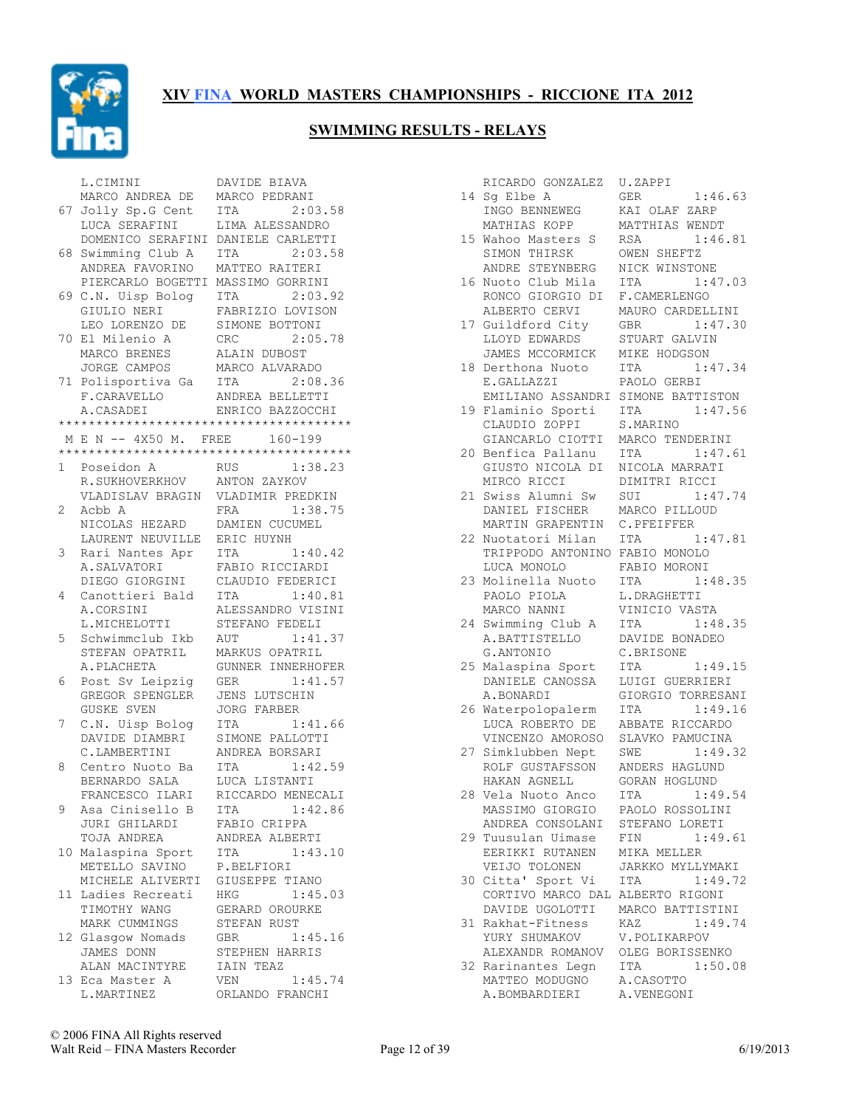

|    | L.CIMINI                          | DAVIDE BIAVA                           |
|----|-----------------------------------|----------------------------------------|
|    | MARCO ANDREA DE                   | MARCO PEDRANI                          |
|    | 67 Jolly Sp.G Cent                | 2:03.58<br>ITA                         |
|    | LUCA SERAFINI                     | LIMA ALESSANDRO                        |
|    | DOMENICO SERAFINI                 | DANIELE CARLETTI                       |
| 68 | Swimming Club A                   | ITA<br>2:03.58                         |
|    | ANDREA FAVORINO                   | MATTEO RAITERI                         |
|    | PIERCARLO BOGETTI                 | MASSIMO GORRINI                        |
|    | 69 C.N. Uisp Bolog                | <b>ITA</b><br>2:03.92                  |
|    | GIULIO NERI                       | FABRIZIO LOVISON                       |
|    | LEO LORENZO DE                    | SIMONE BOTTONI                         |
|    | 70 El Milenio A                   |                                        |
|    |                                   | 2:05.78<br>CRC                         |
|    | MARCO BRENES                      | ALAIN DUBOST                           |
|    | JORGE CAMPOS                      | MARCO ALVARADO                         |
|    | 71 Polisportiva Ga ITA            | 2:08.36                                |
|    | F.CARAVELLO<br>A.CASADEI          | ANDREA BELLETTI                        |
|    |                                   | ENRICO BAZZOCCHI                       |
|    |                                   |                                        |
|    | M E N -- 4X50 M. FREE 160-199     |                                        |
|    |                                   |                                        |
|    | 1 Poseidon A                      | RUS<br>1:38.23                         |
|    | R.SUKHOVERKHOV                    | ANTON ZAYKOV                           |
|    | VLADISLAV BRAGIN VLADIMIR PREDKIN |                                        |
| 2  | Acbb A                            | FRA<br>1:38.75                         |
|    | NICOLAS HEZARD                    | DAMIEN CUCUMEL                         |
|    | LAURENT NEUVILLE                  | ERIC HUYNH                             |
| 3  | Rari Nantes Apr                   | ITA<br>1:40.42                         |
|    | A.SALVATORI                       | FABIO RICCIARDI                        |
|    | DIEGO GIORGINI                    | CLAUDIO FEDERICI                       |
| 4  | Canottieri Bald                   | <b>ITA</b><br>1:40.81                  |
|    | A.CORSINI                         | ALESSANDRO VISINI                      |
|    | L.MICHELOTTI                      | STEFANO FEDELI                         |
| 5  | Schwimmclub Ikb                   | AUT<br>1:41.37                         |
|    | STEFAN OPATRIL                    | MARKUS OPATRIL                         |
|    | A. PLACHETA                       | GUNNER INNERHOFER                      |
|    |                                   |                                        |
| 6  | Post Sv Leipzig                   | GER<br>1:41.57<br><b>JENS LUTSCHIN</b> |
|    | GREGOR SPENGLER                   |                                        |
|    | <b>GUSKE SVEN</b>                 | JORG FARBER                            |
| 7  | C.N. Uisp Bolog                   | ITA<br>1:41.66                         |
|    | DAVIDE DIAMBRI                    | SIMONE PALLOTTI                        |
|    | C.LAMBERTINI                      | ANDREA BORSARI                         |
| 8  | Centro Nuoto Ba                   | 1:42.59<br>ITA                         |
|    | BERNARDO SALA                     | LUCA LISTANTI                          |
|    | FRANCESCO ILARI                   | RICCARDO MENECALI                      |
| 9  | Asa Cinisello B                   | ITA<br>1:42.86                         |
|    | JURI GHILARDI                     | FABIO CRIPPA                           |
|    | TOJA ANDREA                       | ANDREA ALBERTI                         |
|    | 10 Malaspina Sport                | ITA<br>1:43.10                         |
|    | METELLO SAVINO                    | P.BELFIORI                             |
|    | MICHELE ALIVERTI                  | GIUSEPPE TIANO                         |
|    | 11 Ladies Recreati                | HKG<br>1:45.03                         |
|    | TIMOTHY WANG                      | GERARD OROURKE                         |
|    | MARK CUMMINGS                     | STEFAN RUST                            |
|    | 12 Glasgow Nomads                 | 1:45.16<br>GBR                         |
|    | JAMES DONN                        | STEPHEN HARRIS                         |
|    | ALAN MACINTYRE                    | IAIN TEAZ                              |
|    | 13 Eca Master A                   | VEN<br>1:45.74                         |
|    | L.MARTINEZ                        | ORLANDO FRANCHI                        |
|    |                                   |                                        |

|    | RICARDO GONZALEZ                 | U.ZAPPI                      |
|----|----------------------------------|------------------------------|
| 14 | Sq Elbe A                        | 1:46.63<br>GER               |
|    | INGO BENNEWEG                    | KAI OLAF ZARP                |
|    | MATHIAS KOPP                     | MATTHIAS WENDT               |
|    | 15 Wahoo Masters<br>S            | 1:46.81<br>RSA               |
|    | SIMON THIRSK                     | <b>OWEN SHEFTZ</b>           |
|    | ANDRE STEYNBERG                  | NICK WINSTONE                |
|    | 16 Nuoto Club Mila               | ITA 1:47.03                  |
|    | RONCO GIORGIO DI                 | F.CAMERLENGO                 |
|    | ALBERTO CERVI                    | MAURO CARDELLINI             |
|    | 17 Guildford City                | 1:47.30<br>GBR               |
|    | LLOYD EDWARDS                    | STUART GALVIN                |
|    | JAMES MCCORMICK                  | MIKE HODGSON                 |
|    | 18 Derthona Nuoto                | <b>ITA</b><br>1:47.34        |
|    | E.GALLAZZI                       | PAOLO GERBI                  |
|    | EMILIANO ASSANDRI                | SIMONE BATTISTON             |
|    | 19 Flaminio Sporti               | ITA<br>1:47.56               |
|    | CLAUDIO ZOPPI                    | S.MARINO                     |
|    | GIANCARLO CIOTTI                 | MARCO TENDERINI              |
| 20 | Benfica Pallanu                  | ITA<br>1:47.61               |
|    | GIUSTO NICOLA DI                 | NICOLA MARRATI               |
|    | MIRCO RICCI                      | DIMITRI RICCI                |
|    | 21 Swiss Alumni Sw               | SUI<br>1:47.74               |
|    | DANIEL FISCHER                   | MARCO PILLOUD                |
|    | MARTIN GRAPENTIN                 | C.PFEIFFER                   |
|    | 22 Nuotatori Milan               | ITA<br>1:47.81               |
|    | TRIPPODO ANTONINO                | FABIO MONOLO                 |
|    | LUCA MONOLO                      | FABIO MORONI                 |
|    | 23 Molinella Nuoto               | 1:48.35<br>ITA               |
|    | PAOLO PIOLA<br>MARCO NANNI       | L.DRAGHETTI<br>VINICIO VASTA |
|    | 24 Swimming Club A               | 1:48.35<br>ITA               |
|    | A. BATTISTELLO                   | DAVIDE BONADEO               |
|    | G.ANTONIO                        | C.BRISONE                    |
| 25 | Malaspina Sport                  | 1:49.15<br>ITA               |
|    | DANIELE CANOSSA                  | LUIGI GUERRIERI              |
|    | A.BONARDI                        | GIORGIO TORRESANI            |
|    | 26 Waterpolopalerm               | ITA<br>1:49.16               |
|    | LUCA ROBERTO DE                  | ABBATE RICCARDO              |
|    | VINCENZO AMOROSO                 | SLAVKO PAMUCINA              |
| 27 | Simklubben Nept                  | 1:49.32<br>SWE               |
|    | ROLF GUSTAFSSON                  | ANDERS HAGLUND               |
|    | HAKAN AGNELL                     | GORAN HOGLUND                |
| 28 | Vela Nuoto Anco                  | 1:49.54<br><b>ITA</b>        |
|    | MASSIMO GIORGIO                  | PAOLO ROSSOLINI              |
|    | ANDREA CONSOLANI                 | STEFANO LORETI               |
|    | 29 Tuusulan Uimase               | FIN<br>1:49.61               |
|    | EERIKKI RUTANEN                  | MIKA MELLER                  |
|    | VEIJO TOLONEN                    | JARKKO MYLLYMAKI             |
| 30 | Citta' Sport Vi                  | ITA<br>1:49.72               |
|    | CORTIVO MARCO DAL ALBERTO RIGONI |                              |
|    | DAVIDE UGOLOTTI                  | MARCO BATTISTINI             |
|    | 31 Rakhat-Fitness                | 1:49.74<br>KAZ               |
|    |                                  |                              |
|    | YURY SHUMAKOV                    | V. POLIKARPOV                |
|    | ALEXANDR ROMANOV                 | OLEG BORISSENKO              |
|    | 32 Rarinantes Legn               | ITA<br>1:50.08               |
|    | MATTEO MODUGNO<br>A.BOMBARDIERI  | A.CASOTTO<br>A.VENEGONI      |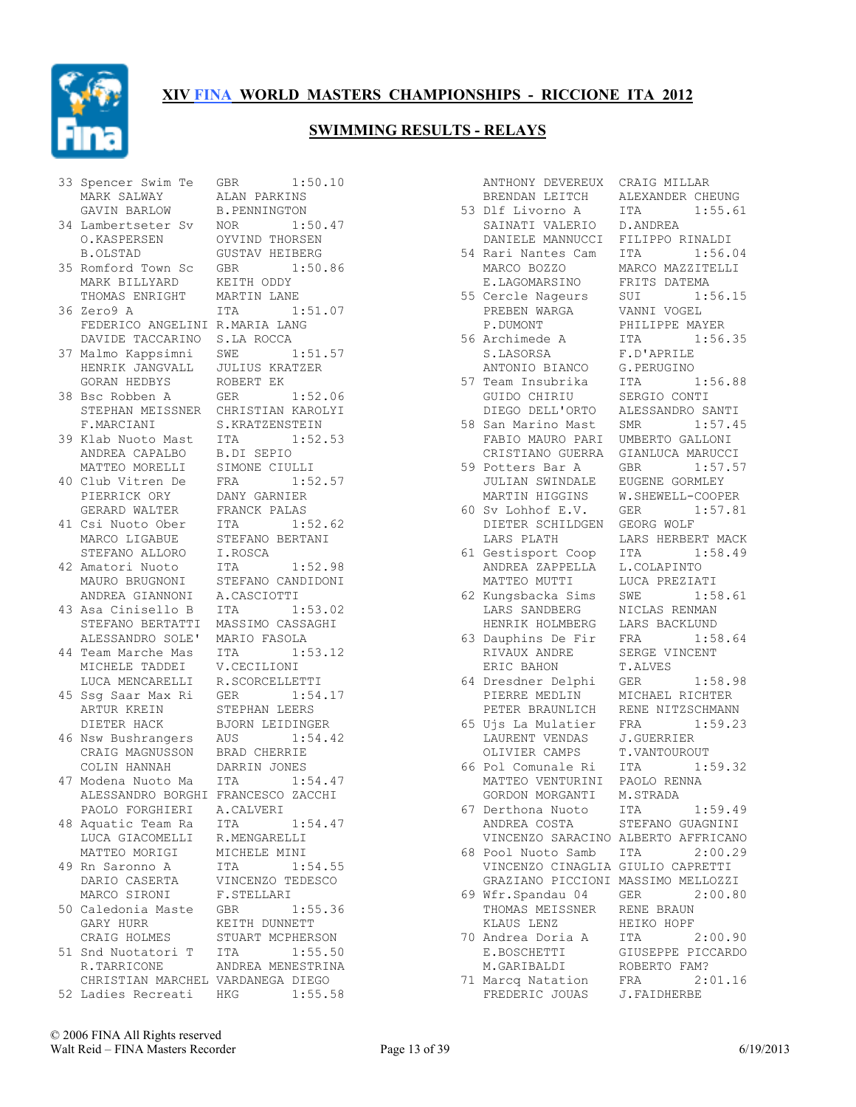

#### **SWIMMING RESULTS - RELAYS**

|    | 33 Spencer Swim Te                    | 1:50.10<br><b>GBR</b>            |
|----|---------------------------------------|----------------------------------|
|    | MARK SALWAY                           | ALAN PARKINS                     |
|    | GAVIN BARLOW                          | <b>B.PENNINGTON</b>              |
|    | 34 Lambertseter Sv                    | 1:50.47<br>NOR <b>NOR</b>        |
|    | O.KASPERSEN                           | OYVIND THORSEN                   |
|    | <b>B.OLSTAD</b>                       | <b>GUSTAV HEIBERG</b>            |
|    | 35 Romford Town Sc                    | 1:50.86<br>GBR                   |
|    | MARK BILLYARD                         | KEITH ODDY                       |
|    | THOMAS ENRIGHT                        | MARTIN LANE                      |
| 36 | Zero9 A                               | 1:51.07<br>ITA                   |
|    | FEDERICO ANGELINI                     | R.MARIA LANG                     |
|    | DAVIDE TACCARINO                      | S.LA ROCCA                       |
| 37 | Malmo Kappsimni                       | SWE<br>1:51.57                   |
|    | HENRIK JANGVALL                       | <b>JULIUS KRATZER</b>            |
|    | <b>GORAN HEDBYS</b>                   | ROBERT EK                        |
| 38 | Bsc Robben A                          | 1:52.06<br>GER                   |
|    | STEPHAN MEISSNER                      | CHRISTIAN KAROLYI                |
|    | F.MARCIANI                            | S.KRATZENSTEIN                   |
|    | 39 Klab Nuoto Mast                    | ITA 1:52.53                      |
|    | ANDREA CAPALBO                        | B.DI SEPIO                       |
|    | MATTEO MORELLI                        | SIMONE CIULLI                    |
|    | 40 Club Vitren De                     | 1:52.57<br>FRA                   |
|    | PIERRICK ORY                          | DANY GARNIER                     |
|    | GERARD WALTER                         | FRANCK PALAS                     |
|    | 41 Csi Nuoto Ober                     | ITA<br>1:52.62                   |
|    | MARCO LIGABUE                         | STEFANO BERTANI                  |
|    | STEFANO ALLORO<br>42 Amatori Nuoto    | I.ROSCA<br>1:52.98               |
|    |                                       | ITA                              |
|    | MAURO BRUGNONI                        | STEFANO CANDIDONI<br>A.CASCIOTTI |
|    | ANDREA GIANNONI<br>43 Asa Cinisello B | ITA<br>1:53.02                   |
|    | STEFANO BERTATTI                      | MASSIMO CASSAGHI                 |
|    | ALESSANDRO SOLE'                      | MARIO FASOLA                     |
|    | 44 Team Marche Mas                    | 1:53.12<br>ITA                   |
|    | MICHELE TADDEI                        | V.CECILIONI                      |
|    | LUCA MENCARELLI                       | R.SCORCELLETTI                   |
|    | 45 Ssq Saar Max Ri                    | GER<br>1:54.17                   |
|    | ARTUR KREIN                           | STEPHAN LEERS                    |
|    | DIETER HACK                           | <b>BJORN LEIDINGER</b>           |
|    | 46 Nsw Bushrangers                    | AUS 1:54.42                      |
|    | CRAIG MAGNUSSON                       | BRAD CHERRIE                     |
|    | COLIN HANNAH                          | DARRIN JONES                     |
|    | 47 Modena Nuoto Ma                    | <b>ITA</b><br>1:54.47            |
|    | ALESSANDRO BORGHI FRANCESCO ZACCHI    |                                  |
|    | PAOLO FORGHIERI                       | A.CALVERI                        |
| 48 | Aquatic Team Ra                       | ITA<br>1:54.47                   |
|    | LUCA GIACOMELLI                       | R.MENGARELLI                     |
|    | MATTEO MORIGI                         | MICHELE MINI                     |
| 49 | Rn Saronno A                          | ITA<br>1:54.55                   |
|    | DARIO CASERTA                         | VINCENZO TEDESCO                 |
|    | MARCO SIRONI                          | F.STELLARI                       |
| 50 | Caledonia Maste                       | GBR<br>1:55.36                   |
|    | GARY HURR                             | KEITH DUNNETT                    |
|    | CRAIG HOLMES                          | STUART MCPHERSON                 |
|    | 51 Snd Nuotatori T                    | ITA<br>1:55.50                   |
|    | R.TARRICONE                           | ANDREA MENESTRINA                |
|    | CHRISTIAN MARCHEL VARDANEGA DIEGO     |                                  |
|    | 52 Ladies Recreati                    | HKG<br>1:55.58                   |

|    | ANTHONY DEVEREUX CRAIG MILLAR    |                            |
|----|----------------------------------|----------------------------|
|    | BRENDAN LEITCH                   | ALEXANDER CHI              |
|    | 53 Dlf Livorno A                 | 1:3<br><b>ITA</b>          |
|    | SAINATI VALERIO                  | D.ANDREA                   |
|    | DANIELE MANNUCCI                 | FILIPPO RINAL              |
|    | 54 Rari Nantes Cam               | 1:<br><b>ITA</b>           |
|    | MARCO BOZZO                      | MARCO MAZZITI              |
|    | E.LAGOMARSINO                    | FRITS DATEMA               |
|    | 55 Cercle Nageurs                | 1:5<br>SUI                 |
|    | PREBEN WARGA                     | VANNI VOGEL                |
|    | P.DUMONT                         | PHILIPPE MAYE              |
| 56 | Archimede A                      | 1:<br>ITA                  |
|    | S.LASORSA                        | F.D'APRILE                 |
|    | ANTONIO BIANCO                   | G.PERUGINO                 |
|    | 57 Team Insubrika                | 1:<br>ITA                  |
|    | GUIDO CHIRIU                     | SERGIO CONTI               |
|    | DIEGO DELL'ORTO                  | ALESSANDRO SI              |
| 58 | San Marino Mast                  | 1:<br>SMR                  |
|    | FABIO MAURO PARI                 | UMBERTO GALLO              |
|    | CRISTIANO GUERRA                 | <b>GIANLUCA MARI</b>       |
| 59 | Potters Bar A                    | 1:<br>GBR                  |
|    | JULIAN SWINDALE                  | EUGENE GORMLI              |
|    | MARTIN HIGGINS                   | W.SHEWELL-COO              |
|    | 60 Sv Lohhof E.V.                | 1:<br>GER                  |
|    | DIETER SCHILDGEN                 | GEORG WOLF                 |
|    | LARS PLATH                       | LARS HERBERT               |
|    | 61 Gestisport Coop               | 1:5<br><b>ITA</b>          |
|    | ANDREA ZAPPELLA                  | L.COLAPINTO                |
|    | MATTEO MUTTI                     | LUCA PREZIATI              |
|    | 62 Kungsbacka Sims               | 1:5<br>SWE                 |
|    | LARS SANDBERG<br>HENRIK HOLMBERG | NICLAS RENMAN              |
|    |                                  | LARS BACKLUNI<br>1:<br>FRA |
|    | 63 Dauphins De Fir               | SERGE VINCENT              |
|    | RIVAUX ANDRE<br>ERIC BAHON       | T.ALVES                    |
| 64 | Dresdner Delphi                  | 1:3<br><b>GER</b>          |
|    | PIERRE MEDLIN                    | MICHAEL RICHT              |
|    | PETER BRAUNLICH                  | RENE NITZSCHM              |
|    | 65 Ujs La Mulatier               | 1:<br><b>FRA</b>           |
|    | LAURENT VENDAS                   | <b>J.GUERRIER</b>          |
|    | OLIVIER CAMPS                    | T.VANTOUROUT               |
| 66 | Pol Comunale Ri                  | 1:<br>ITA                  |
|    | MATTEO VENTURINI                 | PAOLO RENNA                |
|    | GORDON MORGANTI                  | M.STRADA                   |
|    | 67 Derthona Nuoto                | 1:5<br>ITA                 |
|    | ANDREA COSTA                     | STEFANO GUAGI              |
|    | VINCENZO SARACINO ALBERTO AFFRI  |                            |
| 68 | Pool Nuoto Samb                  | 2:0<br>ITA                 |
|    | VINCENZO CINAGLIA GIULIO CAPRET  |                            |
|    | GRAZIANO PICCIONI MASSIMO MELLO  |                            |
|    | 69 Wfr. Spandau 04               | 2:0<br>GER                 |
|    | THOMAS MEISSNER                  |                            |
|    | KLAUS LENZ                       | RENE BRAUN<br>HEIKO HOPF   |
|    | 70 Andrea Doria A                | ITA<br>2:0                 |
|    | E.BOSCHETTI                      | GIUSEPPE PICO              |
|    | M.GARIBALDI                      | ROBERTO FAM?               |
|    | 71 Marcq Natation                | 2:0<br>FRA                 |
|    |                                  |                            |

 $\overline{7}$ FREDERIC JOUAS

**EUNG** 55.61 LDI 56.04 ELLI 56.15 ER 56.35 56.88 ANTI 57.45 ONI UCCI 57.57 EY OPER 57.81 MACK 58.49  $\overline{1}$ 58.61  $\overline{\rm N}$ D 58.64  $T$ 58.98 TER MANN 59.23 59.32 59.49 NINI ICANO 00.29 **TTT:** OZZI 00.80 00.90 CARDO  $01.16$ J. FAIDHERBE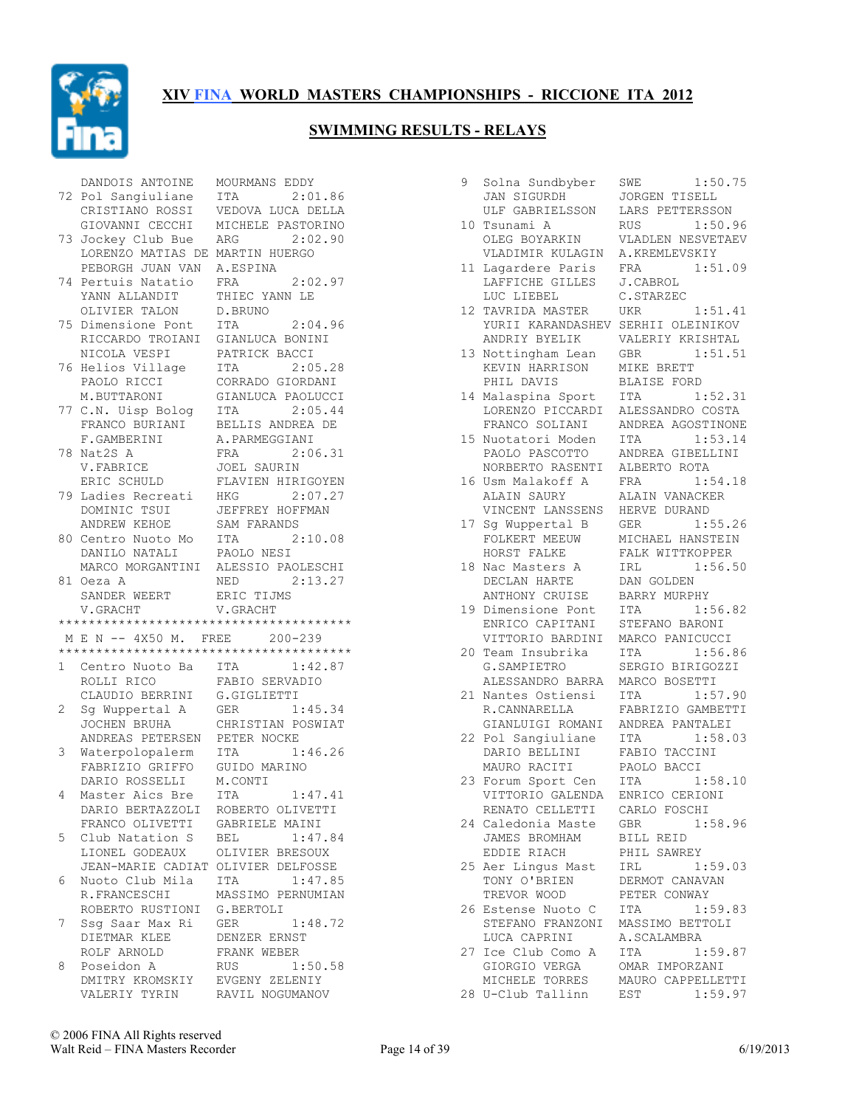

| 72 | DANDOIS ANTOINE<br>Pol Sangiuliane                  | MOURMANS EDDY<br>ITA 2:01.86     |
|----|-----------------------------------------------------|----------------------------------|
|    | CRISTIANO ROSSI                                     | VEDOVA LUCA DELLA                |
|    | GIOVANNI CECCHI                                     | MICHELE PASTORINO                |
|    | 73 Jockey Club Bue                                  | ARG 2:02.90                      |
|    | LORENZO MATIAS DE MARTIN HUERGO<br>PEBORGH JUAN VAN | A.ESPINA                         |
|    | 74 Pertuis Natatio                                  | FRA 2:02.97                      |
|    | YANN ALLANDIT                                       | THIEC YANN LE                    |
|    | OLIVIER TALON                                       | D.BRUNO                          |
|    | 75 Dimensione Pont                                  | ITA 2:04.96                      |
|    | RICCARDO TROIANI                                    | GIANLUCA BONINI                  |
|    | NICOLA VESPI                                        | PATRICK BACCI                    |
|    | 76 Helios Village                                   | ITA<br>2:05.28                   |
|    | PAOLO RICCI                                         | CORRADO GIORDANI                 |
|    | M. BUTTARONI                                        | GIANLUCA PAOLUCCI                |
|    | 77 C.N. Uisp Bolog                                  | ITA 2:05.44                      |
|    | FRANCO BURIANI                                      | BELLIS ANDREA DE                 |
|    | F.GAMBERINI                                         | A. PARMEGGIANI                   |
|    | 78 Nat2S A                                          | 2:06.31<br>FRA                   |
|    | V.FABRICE                                           | JOEL SAURIN                      |
|    | ERIC SCHULD                                         | FLAVIEN HIRIGOYEN<br>HKG 2:07.27 |
|    | 79 Ladies Recreati<br>DOMINIC TSUI                  | JEFFREY HOFFMAN                  |
|    | ANDREW KEHOE                                        | SAM FARANDS                      |
|    | 80 Centro Nuoto Mo                                  | ITA 2:10.08                      |
|    | DANILO NATALI                                       | PAOLO NESI                       |
|    | MARCO MORGANTINI ALESSIO PAOLESCHI                  |                                  |
|    | 81 Oeza A                                           | NED 2:13.27                      |
|    |                                                     |                                  |
|    |                                                     |                                  |
|    |                                                     |                                  |
|    | SANDER WEERT ERIC TIJMS<br>V.GRACHT V.GRACHT        |                                  |
|    | M E N -- 4X50 M. FREE 200-239                       |                                  |
|    |                                                     |                                  |
|    | 1 Centro Nuoto Ba ITA<br>POIII PICO PARIO           | 1:42.87                          |
|    | ROLLI RICO                                          | FABIO SERVADIO                   |
|    | CLAUDIO BERRINI                                     | G.GIGLIETTI                      |
| 2  | Sg Wuppertal A                                      | GER 1:45.34                      |
|    | JOCHEN BRUHA<br>ANDREAS PETERSEN PETER NOCKE        | CHRISTIAN POSWIAT                |
| 3  |                                                     | ITA<br>1:46.26                   |
|    | Waterpolopalerm<br>FABRIZIO GRIFFO                  | GUIDO MARINO                     |
|    | DARIO ROSSELLI                                      | M.CONTI                          |
| 4  | Master Aics Bre                                     | $_{\tt ITA}$<br>1:47.41          |
|    | DARIO BERTAZZOLI                                    | ROBERTO OLIVETTI                 |
|    | FRANCO OLIVETTI                                     | GABRIELE MAINI                   |
| 5  | Club Natation S                                     | 1:47.84<br>BEL                   |
|    | LIONEL GODEAUX                                      | OLIVIER BRESOUX                  |
|    | JEAN-MARIE CADIAT OLIVIER DELFOSSE                  |                                  |
| 6  | Nuoto Club Mila                                     | ITA<br>1:47.85                   |
|    | R. FRANCESCHI                                       | MASSIMO PERNUMIAN                |
|    | ROBERTO RUSTIONI                                    | G.BERTOLI                        |
| 7  | Ssg Saar Max Ri                                     | 1:48.72<br>GER                   |
|    | DIETMAR KLEE                                        | DENZER ERNST<br>FRANK WEBER      |
| 8  | ROLF ARNOLD<br>Poseidon A                           | RUS<br>1:50.58                   |
|    | DMITRY KROMSKIY                                     | EVGENY ZELENIY                   |

| 9  | Solna Sundbyber                  | 1:50.75<br>SWE                   |
|----|----------------------------------|----------------------------------|
|    | JAN SIGURDH                      | JORGEN TISELL                    |
|    | ULF GABRIELSSON                  | LARS PETTERSSON                  |
|    | 10 Tsunami A                     | <b>RUS</b><br>1:50.96            |
|    | OLEG BOYARKIN                    | VLADLEN NESVETAEV                |
|    | VLADIMIR KULAGIN                 | A.KREMLEVSKIY                    |
|    | 11 Lagardere Paris               | 1:51.09<br>FRA                   |
|    | LAFFICHE GILLES                  | <b>J.CABROL</b>                  |
|    | LUC LIEBEL                       | C.STARZEC                        |
|    | 12 TAVRIDA MASTER                | 1:51.41<br>UKR                   |
|    | YURII KARANDASHEV                | SERHII OLEINIKOV                 |
|    | ANDRIY BYELIK                    | VALERIY KRISHTAL                 |
|    | 13 Nottingham Lean               | GBR<br>1:51.51                   |
|    | KEVIN HARRISON                   | MIKE BRETT                       |
|    | PHIL DAVIS                       | <b>BLAISE FORD</b>               |
|    | 14 Malaspina Sport               | 1:52.31<br>ITA                   |
|    | LORENZO PICCARDI                 | ALESSANDRO COSTA                 |
|    | FRANCO SOLIANI                   | ANDREA AGOSTINONE                |
|    | 15 Nuotatori Moden               | ITA<br>1:53.14                   |
|    | PAOLO PASCOTTO                   | ANDREA GIBELLINI                 |
|    | NORBERTO RASENTI                 | ALBERTO ROTA                     |
| 16 | Usm Malakoff A                   | 1:54.18<br>FRA                   |
|    | <b>ALAIN SAURY</b>               | ALAIN VANACKER                   |
|    | VINCENT LANSSENS                 | HERVE DURAND                     |
|    | 17 Sg Wuppertal B                | 1:55.26<br>GER                   |
|    | FOLKERT MEEUW                    | MICHAEL HANSTEIN                 |
|    | HORST FALKE                      | FALK WITTKOPPER                  |
| 18 | Nac Masters A                    | IRL 1:56.50                      |
|    | DECLAN HARTE                     | DAN GOLDEN                       |
|    | ANTHONY CRUISE                   | <b>BARRY MURPHY</b>              |
|    | 19 Dimensione Pont               | 1:56.82<br>ITA                   |
|    | ENRICO CAPITANI                  | STEFANO BARONI                   |
|    | VITTORIO BARDINI                 | MARCO PANICUCCI                  |
|    | 20 Team Insubrika                | ITA<br>1:56.86                   |
|    | G.SAMPIETRO                      | SERGIO BIRIGOZZI                 |
|    | ALESSANDRO BARRA                 | MARCO BOSETTI                    |
|    | 21 Nantes Ostiensi               | ITA<br>1:57.90                   |
|    | R.CANNARELLA                     | FABRIZIO GAMBETTI                |
|    | GIANLUIGI ROMANI                 | ANDREA PANTALEI                  |
|    | 22 Pol Sangiuliane               | ITA<br>1:58.03                   |
|    | DARIO BELLINI                    | FABIO TACCINI                    |
|    | MAURO RACITI                     | PAOLO BACCI                      |
|    | 23 Forum Sport Cen               | 1:58.10<br>ITA                   |
|    | VITTORIO GALENDA ENRICO CERIONI  |                                  |
|    | RENATO CELLETTI                  | CARLO FOSCHI                     |
|    | 24 Caledonia Maste GBR           | 1:58.96                          |
|    | JAMES BROMHAM                    | BILL REID                        |
|    | EDDIE RIACH                      | PHIL SAWREY                      |
|    | 25 Aer Lingus Mast               | IRL<br>1:59.03                   |
|    | TONY O'BRIEN                     | DERMOT CANAVAN                   |
|    | TREVOR WOOD                      | PETER CONWAY                     |
|    | 26 Estense Nuoto C               | ITA<br>1:59.83                   |
|    | STEFANO FRANZONI MASSIMO BETTOLI |                                  |
|    | LUCA CAPRINI                     | A.SCALAMBRA                      |
|    | 27 Ice Club Como A               | ITA<br>1:59.87                   |
|    | GIORGIO VERGA                    | OMAR IMPORZANI                   |
|    |                                  | MICHELE TORRES MAURO CAPPELLETTI |
|    |                                  | 28 U-Club Tallinn EST 1:59.97    |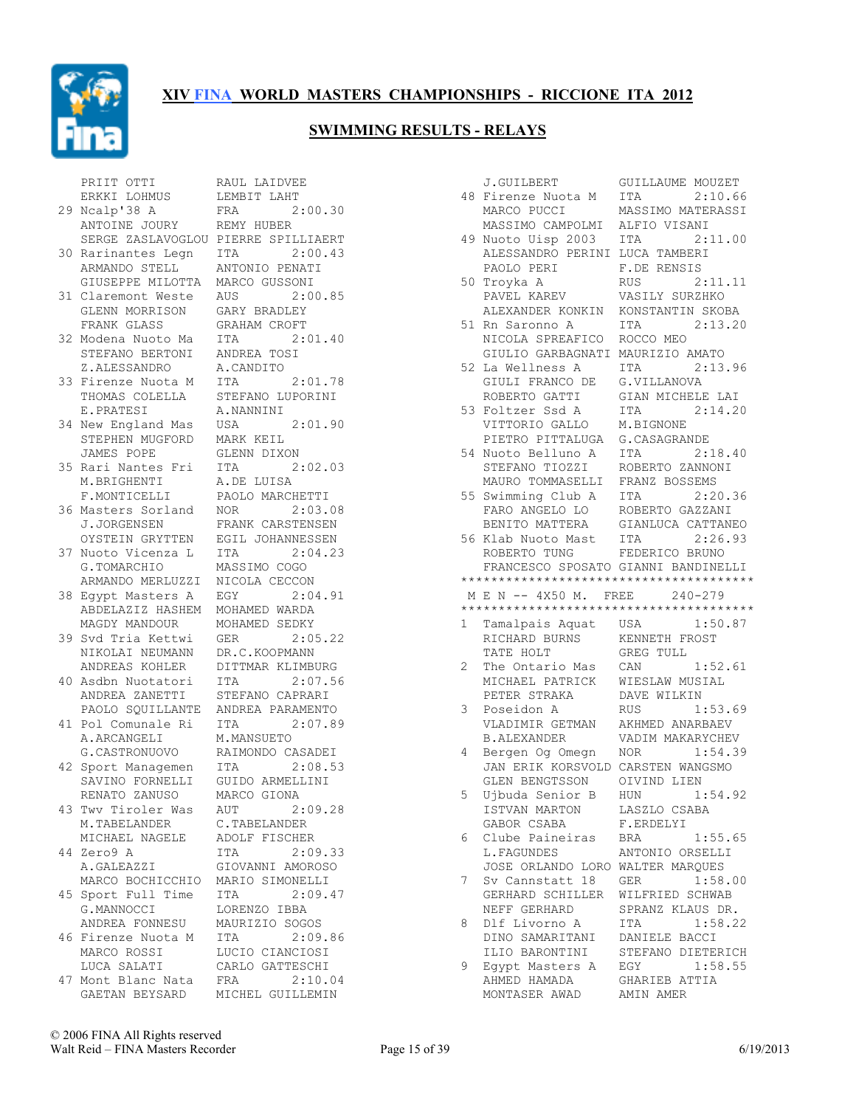

|    | PRIIT OTTI                        | RAUL LAIDVEE                         |
|----|-----------------------------------|--------------------------------------|
|    |                                   |                                      |
|    | ERKKI LOHMUS                      | LEMBIT LAHT                          |
|    | 29 Ncalp'38 A                     | FRA<br>2:00.30                       |
|    | ANTOINE JOURY                     | REMY HUBER                           |
|    | SERGE ZASLAVOGLOU                 | PIERRE SPILLIAERT                    |
|    | 30 Rarinantes Legn                | ITA<br>2:00.43                       |
|    | ARMANDO STELL                     | ANTONIO PENATI                       |
|    | GIUSEPPE MILOTTA                  | MARCO GUSSONI                        |
| 31 | Claremont Weste                   | 2:00.85<br>AUS                       |
|    | GLENN MORRISON                    | GARY BRADLEY                         |
|    | FRANK GLASS                       | GRAHAM CROFT                         |
|    | 32 Modena Nuoto Ma                | 2:01.40<br>ITA                       |
|    | STEFANO BERTONI                   | ANDREA TOSI                          |
|    | Z.ALESSANDRO                      | A.CANDITO                            |
| 33 | Firenze Nuota M                   | ITA<br>2:01.78                       |
|    | THOMAS COLELLA                    | STEFANO LUPORINI                     |
|    | E.PRATESI                         | A.NANNINI                            |
|    | 34 New England Mas                | 2:01.90<br>USA                       |
|    | STEPHEN MUGFORD                   | MARK KEIL                            |
|    | JAMES POPE                        | GLENN DIXON                          |
|    | 35 Rari Nantes Fri                | <b>ITA</b><br>2:02.03                |
|    | M.BRIGHENTI                       | A.DE LUISA                           |
|    | F.MONTICELLI                      | PAOLO MARCHETTI                      |
|    |                                   | 2:03.08                              |
|    | 36 Masters Sorland                | NOR <b>NOR</b>                       |
|    | J.JORGENSEN                       | FRANK CARSTENSEN<br>EGIL JOHANNESSEN |
|    | OYSTEIN GRYTTEN                   |                                      |
|    | 37 Nuoto Vicenza L<br>G.TOMARCHIO | ITA<br>2:04.23                       |
|    | ARMANDO MERLUZZI                  | MASSIMO COGO<br>NICOLA CECCON        |
|    | Egypt Masters A                   | EGY<br>2:04.91                       |
| 38 |                                   |                                      |
|    | ABDELAZIZ HASHEM                  | MOHAMED WARDA                        |
|    | MAGDY MANDOUR                     | MOHAMED SEDKY                        |
|    | 39 Svd Tria Kettwi                | GER<br>2:05.22                       |
|    | NIKOLAI NEUMANN                   | DR.C.KOOPMANN                        |
|    | ANDREAS KOHLER                    | DITTMAR KLIMBURG                     |
| 40 | Asdbn Nuotatori                   | ITA<br>2:07.56                       |
|    | ANDREA ZANETTI                    | STEFANO CAPRARI                      |
|    | PAOLO SQUILLANTE                  | ANDREA PARAMENTO                     |
|    | 41 Pol Comunale Ri                | ITA<br>2:07.89                       |
|    | A. ARCANGELI                      | M.MANSUETO                           |
|    | G. CASTRONUOVO                    | RAIMONDO CASADEI                     |
| 42 | Sport Managemen                   | ITA<br>2:08.53                       |
|    | SAVINO FORNELLI                   | GUIDO ARMELLINI                      |
|    | RENATO ZANUSO                     | MARCO GIONA                          |
|    | 43 Twy Tiroler Was                | AUT<br>2:09.28                       |
|    | M.TABELANDER                      | C.TABELANDER                         |
|    | MICHAEL NAGELE                    | ADOLF FISCHER                        |
|    | 44 Zero9 A                        | ITA<br>2:09.33                       |
|    | A.GALEAZZI                        | GIOVANNI AMOROSO                     |
|    | MARCO BOCHICCHIO                  | MARIO SIMONELLI                      |
|    | 45 Sport Full Time                | ITA<br>2:09.47                       |
|    | G.MANNOCCI                        | LORENZO IBBA                         |
|    | ANDREA FONNESU                    | MAURIZIO SOGOS                       |
|    | 46 Firenze Nuota M                | ITA<br>2:09.86                       |
|    | MARCO ROSSI                       | LUCIO CIANCIOSI                      |
|    | LUCA SALATI                       | CARLO GATTESCHI                      |
|    | 47 Mont Blanc Nata                | 2:10.04<br>FRA                       |
|    | GAETAN BEYSARD                    | MICHEL GUILLEMIN                     |

|    | J.GUILBERT                              | GUILLAUME MOUZET                    |
|----|-----------------------------------------|-------------------------------------|
| 48 | Firenze Nuota M                         | ITA<br>2:10.66                      |
|    | MARCO PUCCI                             | MASSIMO MATERASSI                   |
|    | MASSIMO CAMPOLMI                        | ALFIO VISANI                        |
|    | 49 Nuoto Uisp 2003                      | ITA 2:11.00                         |
|    | ALESSANDRO PERINI                       | LUCA TAMBERI                        |
|    | PAOLO PERI                              | F.DE RENSIS                         |
|    | 50 Troyka A                             | <b>RUS</b><br>2:11.11               |
|    | PAVEL KAREV                             | VASILY SURZHKO                      |
|    | ALEXANDER KONKIN                        | KONSTANTIN SKOBA                    |
|    | 51 Rn Saronno A                         | <b>ITA</b><br>2:13.20               |
|    | NICOLA SPREAFICO                        | ROCCO MEO                           |
|    | GIULIO GARBAGNATI                       | MAURIZIO AMATO                      |
|    | 52 La Wellness A                        | ITA<br>2:13.96                      |
|    | GIULI FRANCO DE                         | G.VILLANOVA                         |
|    | ROBERTO GATTI                           | GIAN MICHELE LAI                    |
|    | 53 Foltzer Ssd A                        | ITA<br>2:14.20                      |
|    | VITTORIO GALLO                          | M.BIGNONE                           |
|    | PIETRO PITTALUGA                        | G. CASAGRANDE                       |
|    | 54 Nuoto Belluno A                      | <b>ITA</b><br>2:18.40               |
|    | STEFANO TIOZZI                          | ROBERTO ZANNONI                     |
|    | MAURO TOMMASELLI                        | FRANZ BOSSEMS                       |
|    | 55 Swimming Club A                      | ITA<br>2:20.36                      |
|    | FARO ANGELO LO                          | ROBERTO GAZZANI                     |
|    | BENITO MATTERA                          | GIANLUCA CATTANEO                   |
|    | 56 Klab Nuoto Mast ITA                  | 2:26.93                             |
|    | ROBERTO TUNG                            | FEDERICO BRUNO                      |
|    |                                         | FRANCESCO SPOSATO GIANNI BANDINELLI |
|    |                                         |                                     |
|    |                                         |                                     |
|    | M E N -- 4X50 M. FREE                   | $240 - 279$                         |
|    |                                         |                                     |
| 1  | Tamalpais Aquat USA 1:50.87             |                                     |
|    | RICHARD BURNS                           | KENNETH FROST                       |
|    | TATE HOLT                               | GREG TULL                           |
| 2  | The Ontario Mas                         | CAN<br>1:52.61                      |
|    | MICHAEL PATRICK                         | WIESLAW MUSIAL                      |
|    | PETER STRAKA                            | DAVE WILKIN                         |
| 3  | Poseidon A                              | RUS<br>1:53.69                      |
|    | VLADIMIR GETMAN                         | AKHMED ANARBAEV                     |
|    | <b>B. ALEXANDER</b>                     | VADIM MAKARYCHEV                    |
| 4  | Bergen Og Omegn                         | NOR <sub>2</sub><br>1:54.39         |
|    | JAN ERIK KORSVOLD CARSTEN WANGSMO       |                                     |
|    | GLEN BENGTSSON                          | OIVIND LIEN                         |
| 5  | Ujbuda Senior B                         | 1:54.92<br>HUN <b>HUN</b>           |
|    | ISTVAN MARTON                           | LASZLO CSABA                        |
|    | GABOR CSABA                             | F.ERDELYI                           |
| 6  | Clube Paineiras                         | BRA<br>1:55.65                      |
|    | L. FAGUNDES                             | ANTONIO ORSELLI                     |
|    | JOSE ORLANDO LORO WALTER MARQUES        |                                     |
| 7  | Sv Cannstatt 18                         | GER<br>1:58.00                      |
|    | GERHARD SCHILLER WILFRIED SCHWAB        |                                     |
|    | NEFF GERHARD                            | SPRANZ KLAUS DR.                    |
| 8  | Dlf Livorno A                           | ITA<br>1:58.22                      |
|    | DINO SAMARITANI                         | DANIELE BACCI                       |
|    | ILIO BARONTINI                          | STEFANO DIETERICH                   |
| 9  | Egypt Masters A                         | EGY<br>1:58.55                      |
|    | AHMED HAMADA<br>MONTASER AWAD AMIN AMER | GHARIEB ATTIA                       |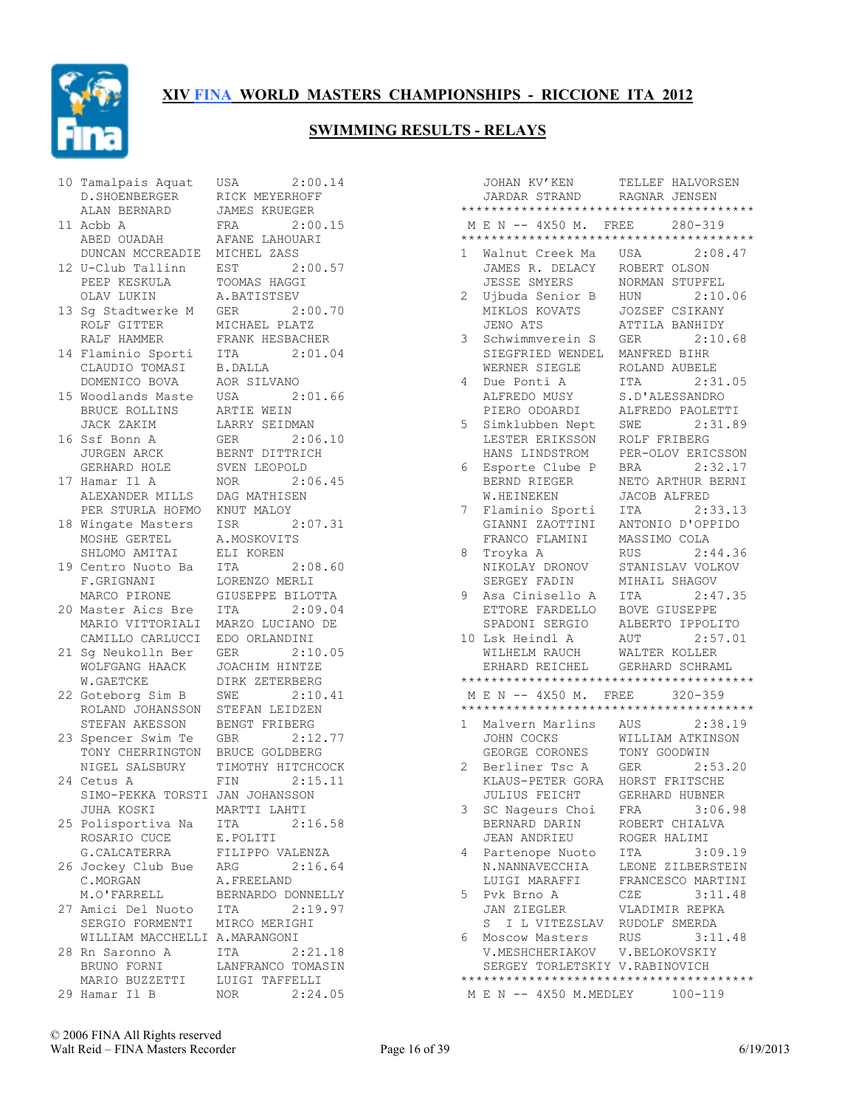

|    | 10 Tamalpais Aquat                 | USA<br>2:00.14                 |
|----|------------------------------------|--------------------------------|
|    | D. SHOENBERGER                     | RICK MEYERHOFF                 |
|    | ALAN BERNARD                       | <b>JAMES KRUEGER</b>           |
|    | 11 Acbb A                          | 2:00.15<br>FRA                 |
|    | ABED OUADAH                        | AFANE LAHOUARI                 |
|    | DUNCAN MCCREADIE                   | MICHEL ZASS                    |
|    | 12 U-Club Tallinn                  | EST<br>2:00.57                 |
|    | PEEP KESKULA                       | TOOMAS HAGGI                   |
|    | OLAV LUKIN                         | A.BATISTSEV                    |
|    | 13 Sq Stadtwerke M                 | 2:00.70<br>GER                 |
|    | ROLF GITTER                        | MICHAEL PLATZ                  |
|    | RALF HAMMER                        | FRANK HESBACHER                |
|    | 14 Flaminio Sporti                 | 2:01.04<br>ITA                 |
|    | CLAUDIO TOMASI                     | B.DALLA                        |
|    | DOMENICO BOVA                      | AOR SILVANO                    |
|    | 15 Woodlands Maste                 | 2:01.66<br>USA                 |
|    | <b>BRUCE ROLLINS</b>               | ARTIE WEIN                     |
|    | JACK ZAKIM                         | LARRY SEIDMAN                  |
| 16 | Ssf Bonn A                         | 2:06.10<br>GER                 |
|    | JURGEN ARCK                        | BERNT DITTRICH                 |
|    | GERHARD HOLE                       | SVEN LEOPOLD<br>2:06.45<br>NOR |
|    | 17 Hamar Il A<br>ALEXANDER MILLS   | DAG MATHISEN                   |
|    | PER STURLA HOFMO                   | KNUT MALOY                     |
|    | 18 Wingate Masters                 | 2:07.31<br>ISR                 |
|    | MOSHE GERTEL                       | A.MOSKOVITS                    |
|    | SHLOMO AMITAI                      | ELI KOREN                      |
|    | 19 Centro Nuoto Ba                 | 2:08.60<br><b>ITA</b>          |
|    | F.GRIGNANI                         | LORENZO MERLI                  |
|    | MARCO PIRONE                       | GIUSEPPE BILOTTA               |
|    | 20 Master Aics Bre                 | ITA<br>2:09.04                 |
|    | MARIO VITTORIALI                   | MARZO LUCIANO DE               |
|    | CAMILLO CARLUCCI                   | EDO ORLANDINI                  |
|    | 21 Sg Neukolln Ber                 | GER<br>2:10.05                 |
|    | WOLFGANG HAACK                     | JOACHIM HINTZE                 |
|    | W.GAETCKE                          | DIRK ZETERBERG                 |
|    | 22 Goteborg Sim B                  | SWE<br>2:10.41                 |
|    | ROLAND JOHANSSON                   | STEFAN LEIDZEN                 |
|    | STEFAN AKESSON                     | BENGT FRIBERG                  |
|    | 23 Spencer Swim Te                 | 2:12.77<br>GBR                 |
|    | TONY CHERRINGTON                   | <b>BRUCE GOLDBERG</b>          |
|    | NIGEL SALSBURY                     | TIMOTHY HITCHCOCK              |
| 24 | Cetus A                            | FIN<br>2:15.11                 |
|    | SIMO-PEKKA TORSTI JAN JOHANSSON    |                                |
|    | JUHA KOSKI                         | MARTTI LAHTI                   |
|    | 25 Polisportiva Na<br>ROSARIO CUCE | ITA<br>2:16.58<br>E.POLITI     |
|    | G. CALCATERRA                      | FILIPPO VALENZA                |
|    | 26 Jockey Club Bue                 | 2:16.64<br>ARG                 |
|    | C.MORGAN                           | A. FREELAND                    |
|    | ${\tt M.0 \texttt{'FARRELL}}$      | BERNARDO DONNELLY              |
|    | 27 Amici Del Nuoto                 | ITA<br>2:19.97                 |
|    | SERGIO FORMENTI MIRCO MERIGHI      |                                |
|    | WILLIAM MACCHELLI A.MARANGONI      |                                |
|    | 28 Rn Saronno A                    | ITA<br>2:21.18                 |
|    | BRUNO FORNI                        | LANFRANCO TOMASIN              |
|    | MARIO BUZZETTI                     | LUIGI TAFFELLI                 |
|    | 29 Hamar Il B                      | NOR 2:24.05                    |

|                                    | JOHAN KV'KEN TELLEF HALVORSEN<br>JARDAR STRAND RAGNAR JENSEN |
|------------------------------------|--------------------------------------------------------------|
|                                    |                                                              |
|                                    | M E N -- 4X50 M. FREE 280-319                                |
| 1 Walnut Creek Ma USA              | 2:08.47                                                      |
| JAMES R. DELACY                    | ROBERT OLSON                                                 |
| JESSE SMYERS                       | NORMAN STUPFEL                                               |
| Ujbuda Senior B<br>2               | HUN 2:10.06                                                  |
| MIKLOS KOVATS                      | <b>JOZSEF CSIKANY</b>                                        |
| JENO ATS                           | ATTILA BANHIDY                                               |
| 3<br>Schwimmverein S               | GER<br>2:10.68                                               |
|                                    | SIEGFRIED WENDEL MANFRED BIHR                                |
| WERNER SIEGLE<br>Due Ponti A       | ROLAND AUBELE                                                |
| 4                                  | ITA<br>2:31.05                                               |
| ALFREDO MUSY<br>PIERO ODOARDI      | S.D'ALESSANDRO<br>ALFREDO PAOLETTI                           |
| 5                                  | 2:31.89                                                      |
| Simklubben Nept<br>LESTER ERIKSSON | SWE<br>ROLF FRIBERG                                          |
| HANS LINDSTROM                     | PER-OLOV ERICSSON                                            |
| Esporte Clube P<br>6               | 2:32.17<br>BRA                                               |
| BERND RIEGER                       | NETO ARTHUR BERNI                                            |
| W.HEINEKEN                         | JACOB ALFRED                                                 |
| 7<br>Flaminio Sporti               | 2:33.13<br>ITA                                               |
| GIANNI ZAOTTINI                    | ANTONIO D'OPPIDO                                             |
| FRANCO FLAMINI                     | MASSIMO COLA                                                 |
| 8<br>Troyka A                      | 2:44.36<br><b>RUS</b>                                        |
| NIKOLAY DRONOV                     | STANISLAV VOLKOV                                             |
| SERGEY FADIN                       | MIHAIL SHAGOV                                                |
| Asa Cinisello A<br>9               | 2:47.35<br>ITA                                               |
| ETTORE FARDELLO                    | <b>BOVE GIUSEPPE</b>                                         |
| SPADONI SERGIO                     | ALBERTO IPPOLITO                                             |
| 10 Lsk Heindl A                    | 2:57.01<br>AUT                                               |
|                                    | WILHELM RAUCH WALTER KOLLER                                  |
|                                    | ERHARD REICHEL GERHARD SCHRAML                               |
|                                    |                                                              |
|                                    | M E N -- 4X50 M. FREE 320-359                                |
|                                    |                                                              |
|                                    | 1 Malvern Marlins AUS 2:38.19                                |
| JOHN COCKS                         | WILLIAM ATKINSON<br>GEORGE CORONES TONY GOODWIN              |
| $\mathbf{2}^-$                     | 2:53.20                                                      |
|                                    | Berliner Tsc A GER 2:53<br>KLAUS-PETER GORA HORST FRITSCHE   |
| JULIUS FEICHT                      | GERHARD HUBNER                                               |
| SC Nageurs Choi<br>3.              | 3:06.98<br>FRA                                               |
| BERNARD DARIN                      | ROBERT CHIALVA                                               |
| JEAN ANDRIEU                       | ROGER HALIMI                                                 |
| 4<br>Partenope Nuoto               | 3:09.19<br>ITA                                               |
| N.NANNAVECCHIA                     | LEONE ZILBERSTEIN                                            |
| LUIGI MARAFFI                      | FRANCESCO MARTINI                                            |
| 5<br>Pvk Brno A                    | CZE<br>3:11.48                                               |
| JAN ZIEGLER                        | VLADIMIR REPKA                                               |
| I L VITEZSLAV<br>S                 | RUDOLF SMERDA                                                |
| Moscow Masters<br>6                | 3:11.48<br>RUS                                               |
|                                    | V.MESHCHERIAKOV V.BELOKOVSKIY                                |
|                                    | SERGEY TORLETSKIY V.RABINOVICH                               |
|                                    |                                                              |
| M E N -- 4X50 M.MEDLEY             | 100-119                                                      |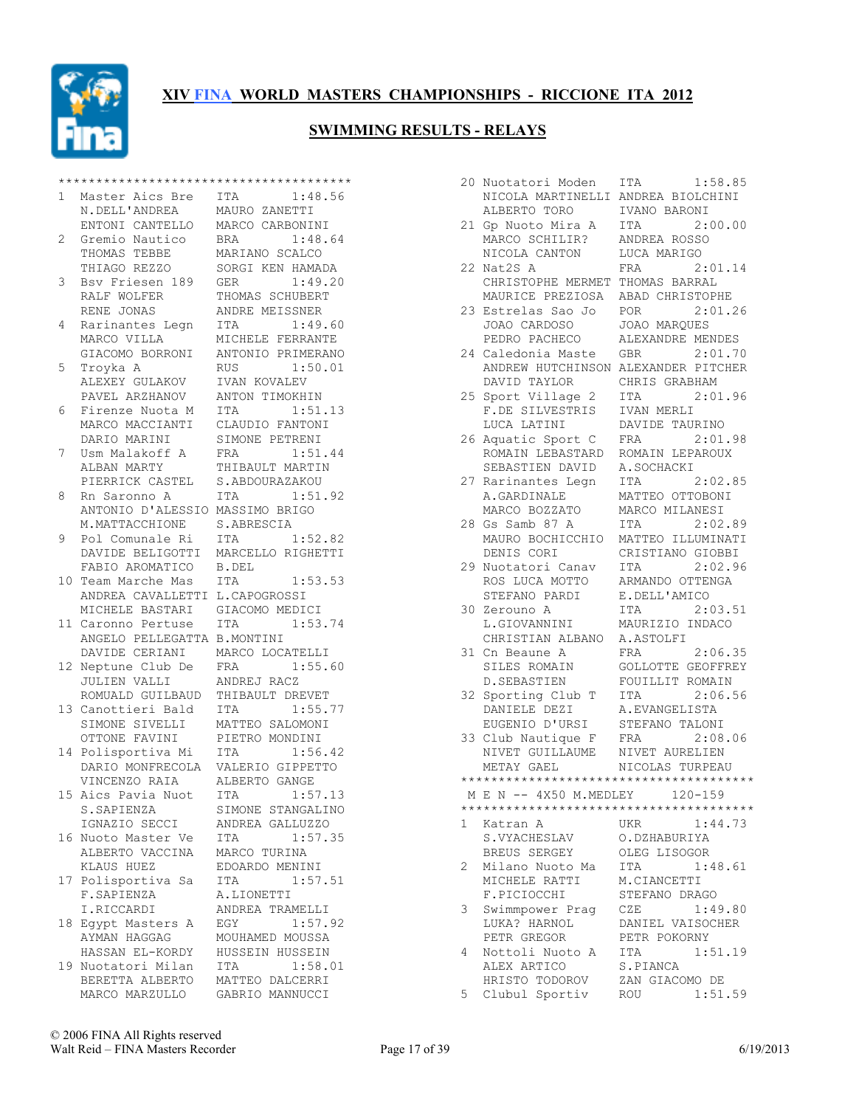

| 1  | Master Aics Bre<br>N.DELL'ANDREA  | ITA<br>1:48.56<br>MAURO ZANETTI |
|----|-----------------------------------|---------------------------------|
|    | ENTONI CANTELLO                   | MARCO CARBONINI                 |
| 2  | Gremio Nautico                    | BRA<br>1:48.64                  |
|    | THOMAS TEBBE                      | MARIANO SCALCO                  |
|    | THIAGO REZZO                      | SORGI KEN HAMADA                |
|    |                                   |                                 |
| 3  | Bsv Friesen 189                   | 1:49.20<br>GER                  |
|    | RALF WOLFER                       | THOMAS SCHUBERT                 |
|    | RENE JONAS                        | ANDRE MEISSNER                  |
| 4  | Rarinantes Legn                   | 1:49.60<br><b>ITA</b>           |
|    | MARCO VILLA                       | MICHELE FERRANTE                |
|    | GIACOMO BORRONI                   | ANTONIO PRIMERANO               |
| 5  | Troyka A                          | 1:50.01<br><b>RUS</b>           |
|    | ALEXEY GULAKOV                    | IVAN KOVALEV                    |
|    | PAVEL ARZHANOV                    | ANTON TIMOKHIN                  |
| 6  | Firenze Nuota M                   | 1:51.13<br><b>ITA</b>           |
|    | MARCO MACCIANTI                   | CLAUDIO FANTONI                 |
|    | DARIO MARINI                      | SIMONE PETRENI                  |
| 7  | Usm Malakoff A                    | 1:51.44<br>FRA                  |
|    | ALBAN MARTY                       | THIBAULT MARTIN                 |
|    | PIERRICK CASTEL                   | S.ABDOURAZAKOU                  |
| 8  | Rn Saronno A                      | ITA<br>1:51.92                  |
|    | ANTONIO D'ALESSIO MASSIMO BRIGO   |                                 |
|    | M.MATTACCHIONE                    | S.ABRESCIA                      |
| 9  | Pol Comunale Ri                   | ITA<br>1:52.82                  |
|    | DAVIDE BELIGOTTI                  | MARCELLO RIGHETTI               |
|    | FABIO AROMATICO                   | B.DEL                           |
| 10 | Team Marche Mas                   | 1:53.53<br>ITA                  |
|    | ANDREA CAVALLETTI                 | L.CAPOGROSSI                    |
|    | MICHELE BASTARI                   | GIACOMO MEDICI                  |
|    | 11 Caronno Pertuse                | <b>ITA</b><br>1:53.74           |
|    | ANGELO PELLEGATTA B.MONTINI       |                                 |
|    | DAVIDE CERIANI                    | MARCO LOCATELLI                 |
| 12 | Neptune Club De                   | 1:55.60<br>FRA                  |
|    | <b>JULIEN VALLI</b>               | ANDREJ RACZ                     |
|    | ROMUALD GUILBAUD                  | THIBAULT DREVET                 |
| 13 | Canottieri Bald                   | <b>ITA</b><br>1:55.77           |
|    | SIMONE SIVELLI                    | MATTEO SALOMONI                 |
|    | OTTONE FAVINI                     | PIETRO MONDINI                  |
|    | 14 Polisportiva Mi                | ITA<br>1:56.42                  |
|    | DARIO MONFRECOLA VALERIO GIPPETTO |                                 |
|    | VINCENZO RAIA                     | ALBERTO GANGE                   |
|    | 15 Aics Pavia Nuot ITA            | 1:57.13                         |
|    | S.SAPIENZA                        | SIMONE STANGALINO               |
|    | IGNAZIO SECCI                     | ANDREA GALLUZZO                 |
|    | 16 Nuoto Master Ve                | ITA<br>1:57.35                  |
|    | ALBERTO VACCINA                   | MARCO TURINA                    |
|    | KLAUS HUEZ                        | EDOARDO MENINI                  |
|    | 17 Polisportiva Sa                | 1:57.51<br>ITA                  |
|    | F. SAPIENZA                       | A.LIONETTI                      |
|    | I.RICCARDI                        | ANDREA TRAMELLI                 |
|    | 18 Eqypt Masters A                | 1:57.92<br>EGY                  |
|    | AYMAN HAGGAG                      | MOUHAMED MOUSSA                 |
|    | HASSAN EL-KORDY                   | HUSSEIN HUSSEIN                 |
|    | 19 Nuotatori Milan                | <b>ITA</b><br>1:58.01           |
|    | BERETTA ALBERTO                   | MATTEO DALCERRI                 |
|    | MARCO MARZULLO                    | GABRIO MANNUCCI                 |

|    | 20 Nuotatori Moden ITA<br>NICOLA MARTINELLI ANDREA BIOLCHINI | 1:58.85               |
|----|--------------------------------------------------------------|-----------------------|
|    | ALBERTO TORO                                                 | IVANO BARONI          |
|    | 21 Gp Nuoto Mira A                                           | ITA<br>2:00.00        |
|    | MARCO SCHILIR?                                               | ANDREA ROSSO          |
|    | NICOLA CANTON                                                | LUCA MARIGO           |
| 22 | Nat2S A                                                      | 2:01.14<br>FRA        |
|    | CHRISTOPHE MERMET                                            | THOMAS BARRAL         |
|    | MAURICE PREZIOSA                                             | ABAD CHRISTOPHE       |
|    | 23 Estrelas Sao Jo                                           | POR 2:01.26           |
|    | JOAO CARDOSO                                                 | JOAO MARQUES          |
|    | PEDRO PACHECO                                                | ALEXANDRE MENDES      |
|    | 24 Caledonia Maste                                           | GBR 2:01.70           |
|    | ANDREW HUTCHINSON                                            | ALEXANDER PITCHER     |
|    | DAVID TAYLOR                                                 | CHRIS GRABHAM         |
| 25 | Sport Village 2                                              | ITA<br>2:01.96        |
|    | F.DE SILVESTRIS                                              | IVAN MERLI            |
|    | LUCA LATINI                                                  | DAVIDE TAURINO        |
|    | 26 Aquatic Sport C                                           | FRA<br>2:01.98        |
|    | ROMAIN LEBASTARD                                             | ROMAIN LEPAROUX       |
|    | SEBASTIEN DAVID                                              | A.SOCHACKI            |
|    | 27 Rarinantes Legn                                           | ITA<br>2:02.85        |
|    | A. GARDINALE                                                 | MATTEO OTTOBONI       |
|    | MARCO BOZZATO                                                | MARCO MILANESI        |
|    | 28 Gs Samb 87 A                                              | ITA<br>2:02.89        |
|    | MAURO BOCHICCHIO                                             | MATTEO ILLUMINATI     |
|    | DENIS CORI                                                   | CRISTIANO GIOBBI      |
|    | 29 Nuotatori Canav                                           | 2:02.96<br>ITA        |
|    | ROS LUCA MOTTO                                               | ARMANDO OTTENGA       |
|    | STEFANO PARDI                                                | E.DELL'AMICO          |
|    | 30 Zerouno A                                                 | <b>ITA</b><br>2:03.51 |
|    | L.GIOVANNINI                                                 | MAURIZIO INDACO       |
|    | CHRISTIAN ALBANO                                             | A.ASTOLFI             |
|    | 31 Cn Beaune A                                               | 2:06.35<br>FRA        |
|    | SILES ROMAIN                                                 | GOLLOTTE GEOFFREY     |
|    | D. SEBASTIEN                                                 | FOUILLIT ROMAIN       |
| 32 | Sporting Club T                                              | ITA<br>2:06.56        |
|    | DANIELE DEZI                                                 | A. EVANGELISTA        |
|    | -<br>EUGENIO D'URSI                                          | STEFANO TALONI        |
|    | 33 Club Nautique F                                           | FRA<br>2:08.06        |
|    | NIVET GUILLAUME NIVET AURELIEN                               |                       |
|    | METAY GAEL                                                   | NICOLAS TURPEAU       |
|    |                                                              |                       |
|    | M E N -- 4X50 M.MEDLEY 120-159                               |                       |
|    |                                                              |                       |
|    | 1  Katran A                                                  | UKR<br>1:44.73        |
|    | S. VYACHESLAV                                                | O.DZHABURIYA          |
|    | BREUS SERGEY                                                 | OLEG LISOGOR          |
| 2  | Milano Nuoto Ma                                              | 1:48.61<br>ITA        |
|    | MICHELE RATTI                                                | M.CIANCETTI           |
|    | F.PICIOCCHI                                                  | STEFANO DRAGO         |
|    |                                                              | CZE                   |
| 3  | Swimmpower Prag<br>LUKA? HARNOL                              | 1:49.80               |
|    | PETR GREGOR                                                  | DANIEL VAISOCHER      |
|    |                                                              | PETR POKORNY<br>ITA   |
| 4  | Nottoli Nuoto A                                              | 1:51.19               |
|    | ALEX ARTICO                                                  | S.PIANCA              |
|    | HRISTO TODOROV<br>Clubul Sportiv                             | ZAN GIACOMO DE        |
| 5  |                                                              | 1:51.59<br>ROU        |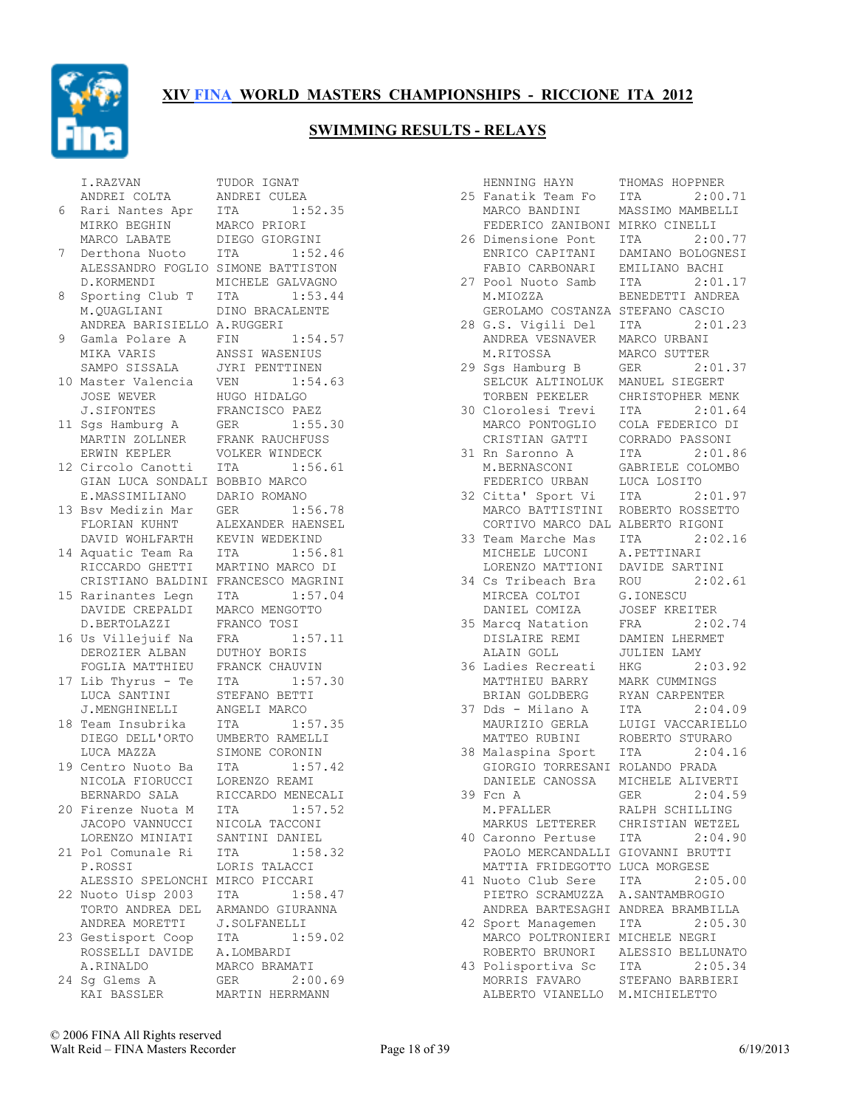

|   | I.RAZVAN                           | TUDOR IGNAT                         |
|---|------------------------------------|-------------------------------------|
|   | ANDREI COLTA                       | ANDREI CULEA                        |
| 6 | Rari Nantes Apr                    | ITA<br>1:52.35                      |
|   | MIRKO BEGHIN                       | MARCO PRIORI                        |
|   | MARCO LABATE                       | DIEGO GIORGINI                      |
| 7 | Derthona Nuoto                     | 1:52.46<br>ITA                      |
|   | ALESSANDRO FOGLIO SIMONE BATTISTON |                                     |
|   | D. KORMENDI                        | MICHELE GALVAGNO                    |
|   |                                    | <b>ITA</b>                          |
| 8 | Sporting Club T<br>M.OUAGLIANI     | 1:53.44<br>DINO BRACALENTE          |
|   |                                    |                                     |
|   | ANDREA BARISIELLO A.RUGGERI        |                                     |
| 9 | Gamla Polare A                     | 1:54.57<br>FIN                      |
|   | MIKA VARIS                         | ANSSI WASENIUS                      |
|   | SAMPO SISSALA                      | JYRI PENTTINEN                      |
|   | 10 Master Valencia                 | VEN<br>1:54.63                      |
|   | JOSE WEVER                         | HUGO HIDALGO                        |
|   | J.SIFONTES                         | FRANCISCO PAEZ                      |
|   | 11 Sqs Hamburg A                   | 1:55.30<br>GER                      |
|   | MARTIN ZOLLNER                     | FRANK RAUCHFUSS                     |
|   | ERWIN KEPLER                       | VOLKER WINDECK                      |
|   | 12 Circolo Canotti                 | 1:56.61<br>ITA                      |
|   | GIAN LUCA SONDALI                  | BOBBIO MARCO                        |
|   | E.MASSIMILIANO                     | DARIO ROMANO                        |
|   | 13 Bsv Medizin Mar                 | 1:56.78<br>GER                      |
|   | FLORIAN KUHNT                      | ALEXANDER HAENSEL                   |
|   | DAVID WOHLFARTH                    | KEVIN WEDEKIND                      |
|   | 14 Aquatic Team Ra                 | 1:56.81<br>ITA                      |
|   | RICCARDO GHETTI                    | MARTINO MARCO DI                    |
|   |                                    | CRISTIANO BALDINI FRANCESCO MAGRINI |
|   | 15 Rarinantes Legn                 | ITA<br>1:57.04                      |
|   | DAVIDE CREPALDI                    | MARCO MENGOTTO                      |
|   | D.BERTOLAZZI                       | FRANCO TOSI                         |
|   | 16 Us Villejuif Na                 | 1:57.11<br>FRA                      |
|   | DEROZIER ALBAN                     | DUTHOY BORIS                        |
|   | FOGLIA MATTHIEU                    | FRANCK CHAUVIN                      |
|   | 17 Lib Thyrus - Te                 | ITA<br>1:57.30                      |
|   | LUCA SANTINI                       | STEFANO BETTI                       |
|   | J.MENGHINELLI                      | ANGELI MARCO                        |
|   | 18 Team Insubrika                  | 1:57.35<br>ITA                      |
|   | DIEGO DELL'ORTO                    | UMBERTO RAMELLI                     |
|   | LUCA MAZZA                         | SIMONE CORONIN                      |
|   | 19 Centro Nuoto Ba                 | 1:57.42<br>ITA                      |
|   | NICOLA FIORUCCI                    | LORENZO REAMI                       |
|   | BERNARDO SALA                      | RICCARDO MENECALI                   |
|   | 20 Firenze Nuota M                 | ITA<br>1:57.52                      |
|   | JACOPO VANNUCCI                    | NICOLA TACCONI                      |
|   | LORENZO MINIATI                    | SANTINI DANIEL                      |
|   | 21 Pol Comunale Ri                 | 1:58.32<br>ITA                      |
|   | P.ROSSI                            | LORIS TALACCI                       |
|   | ALESSIO SPELONCHI MIRCO PICCARI    |                                     |
|   | 22 Nuoto Uisp 2003                 | ITA<br>1:58.47                      |
|   | TORTO ANDREA DEL                   | ARMANDO GIURANNA                    |
|   | ANDREA MORETTI                     | J.SOLFANELLI                        |
|   | 23 Gestisport Coop                 | ITA 1:59.02                         |
|   | ROSSELLI DAVIDE                    | A.LOMBARDI                          |
|   | A.RINALDO                          | MARCO BRAMATI                       |
|   | 24 Sg Glems A                      | GER<br>2:00.69                      |
|   | KAI BASSLER                        | MARTIN HERRMANN                     |

|    | HENNING HAYN                                    | THOMAS HOPPNER                    |
|----|-------------------------------------------------|-----------------------------------|
|    | 25 Fanatik Team Fo                              | 2:00.71<br>ITA                    |
|    | MARCO BANDINI                                   | MASSIMO MAMBELLI                  |
|    | FEDERICO ZANIBONI                               | MIRKO CINELLI                     |
|    | 26 Dimensione Pont                              | 2:00.77<br>ITA                    |
|    | ENRICO CAPITANI                                 | DAMIANO BOLOGNESI                 |
|    | FABIO CARBONARI                                 | EMILIANO BACHI                    |
|    | 27 Pool Nuoto Samb                              | 2:01.17<br>ITA                    |
|    | M.MIOZZA                                        | BENEDETTI ANDREA                  |
|    | GEROLAMO COSTANZA                               | STEFANO CASCIO                    |
| 28 | G.S. Vigili Del                                 | <b>ITA</b><br>2:01.23             |
|    | ANDREA VESNAVER                                 | MARCO URBANI                      |
|    | M.RITOSSA                                       | MARCO SUTTER                      |
| 29 | Sqs Hamburg B                                   | GER<br>2:01.37                    |
|    | SELCUK ALTINOLUK                                | MANUEL SIEGERT                    |
|    | TORBEN PEKELER                                  | CHRISTOPHER MENK                  |
| 30 | Clorolesi Trevi                                 | ITA 2:01.64                       |
|    |                                                 |                                   |
|    | MARCO PONTOGLIO                                 | COLA FEDERICO DI                  |
|    | CRISTIAN GATTI                                  | CORRADO PASSONI                   |
|    | 31 Rn Saronno A                                 | ITA<br>2:01.86                    |
|    | M.BERNASCONI                                    | GABRIELE COLOMBO                  |
|    | FEDERICO URBAN                                  | LUCA LOSITO                       |
| 32 | Citta' Sport Vi                                 | ITA<br>2:01.97                    |
|    | MARCO BATTISTINI                                | ROBERTO ROSSETTO                  |
|    | CORTIVO MARCO DAL                               | ALBERTO RIGONI                    |
|    | 33 Team Marche Mas                              | ITA<br>2:02.16                    |
|    | MICHELE LUCONI                                  | A. PETTINARI                      |
|    | LORENZO MATTIONI                                | DAVIDE SARTINI                    |
|    | 34 Cs Tribeach Bra                              | 2:02.61<br>ROU                    |
|    | MIRCEA COLTOI                                   | G.IONESCU                         |
|    | DANIEL COMIZA                                   |                                   |
|    |                                                 | <b>JOSEF KREITER</b>              |
|    | 35 Marcq Natation                               | 2:02.74<br>FRA                    |
|    | DISLAIRE REMI                                   | DAMIEN LHERMET                    |
|    | ALAIN GOLL                                      | <b>JULIEN LAMY</b>                |
|    | 36 Ladies Recreati                              | HKG<br>2:03.92                    |
|    | MATTHIEU BARRY                                  | MARK CUMMINGS                     |
|    | BRIAN GOLDBERG                                  | RYAN CARPENTER                    |
|    | 37 Dds - Milano A                               | ITA<br>2:04.09                    |
|    | MAURIZIO GERLA                                  | LUIGI VACCARIELLO                 |
|    | MATTEO RUBINI                                   | ROBERTO STURARO                   |
|    | 38 Malaspina Sport                              | ITA 2:04.16                       |
|    | GIORGIO TORRESANI ROLANDO PRADA                 |                                   |
|    | DANIELE CANOSSA                                 | MICHELE ALIVERTI                  |
|    | 39 Fcn A                                        | GER 2:04.59                       |
|    | M.PFALLER                                       | RALPH SCHILLING                   |
|    | MARKUS LETTERER                                 | CHRISTIAN WETZEL                  |
|    | 40 Caronno Pertuse                              | ITA<br>2:04.90                    |
|    | PAOLO MERCANDALLI GIOVANNI BRUTTI               |                                   |
|    | MATTIA FRIDEGOTTO LUCA MORGESE                  |                                   |
|    | 41 Nuoto Club Sere                              | ITA<br>2:05.00                    |
|    | PIETRO SCRAMUZZA                                | A. SANTAMBROGIO                   |
|    | ANDREA BARTESAGHI ANDREA BRAMBILLA              |                                   |
|    | 42 Sport Managemen                              | ITA<br>2:05.30                    |
|    | MARCO POLTRONIERI MICHELE NEGRI                 |                                   |
|    |                                                 | ROBERTO BRUNORI ALESSIO BELLUNATO |
|    | 43 Polisportiva Sc ITA                          | 2:05.34                           |
|    | MORRIS FAVARO<br>ALBERTO VIANELLO M.MICHIELETTO | STEFANO BARBIERI                  |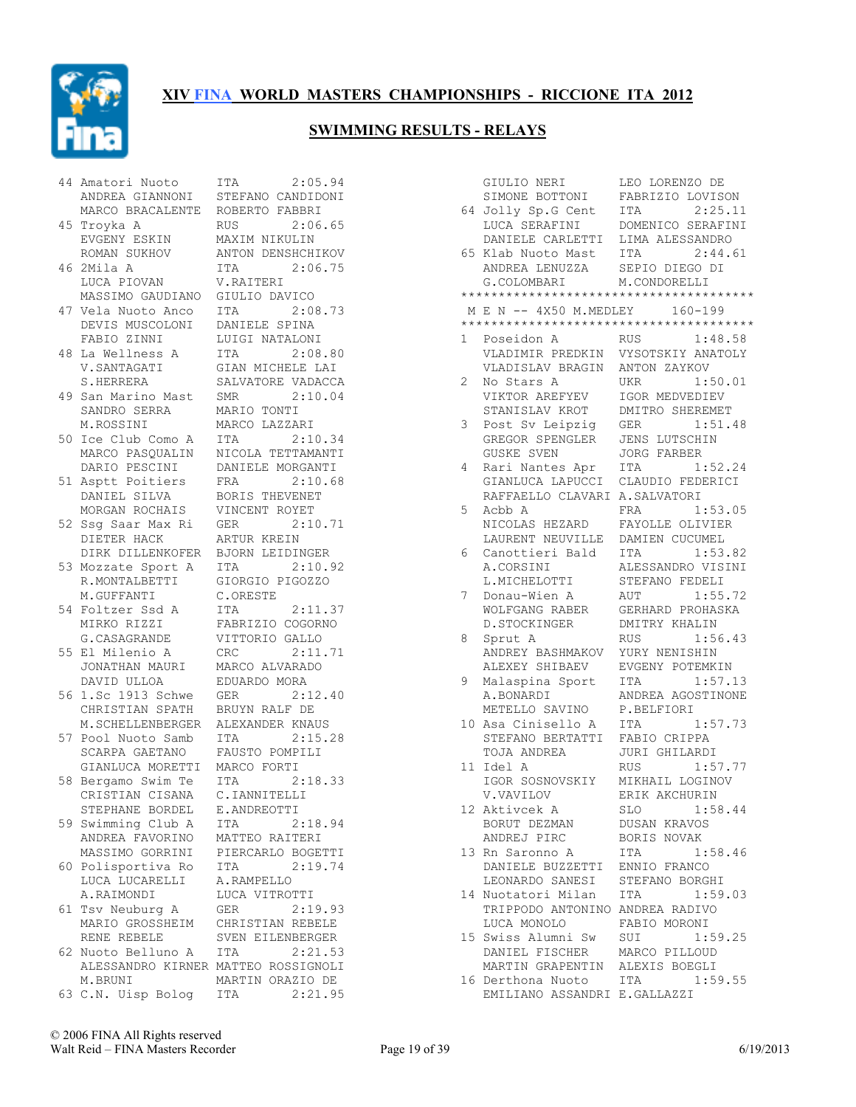

| 44 | Amatori Nuoto<br>ANDREA GIANNONI<br>MARCO BRACALENTE | 2:05.94<br>ITA<br>STEFANO CANDIDONI<br>ROBERTO FABBRI       |
|----|------------------------------------------------------|-------------------------------------------------------------|
| 45 | Troyka A<br>EVGENY ESKIN<br>ROMAN SUKHOV             | <b>RUS</b><br>2:06.65<br>MAXIM NIKULIN<br>ANTON DENSHCHIKOV |
| 46 | 2Mila A<br>LUCA PIOVAN                               | <b>ITA</b><br>2:06.75<br>V.RAITERI                          |
|    | MASSIMO GAUDIANO                                     | GIULIO DAVICO                                               |
|    | 47 Vela Nuoto Anco                                   | 2:08.73<br>ITA                                              |
|    | DEVIS MUSCOLONI<br>FABIO ZINNI                       | DANIELE SPINA<br>LUIGI NATALONI                             |
| 48 | La Wellness A                                        | ITA<br>2:08.80                                              |
|    | V. SANTAGATI<br>S.HERRERA                            | GIAN MICHELE LAI<br>SALVATORE VADACCA                       |
| 49 | San Marino Mast                                      | 2:10.04<br>SMR                                              |
|    | SANDRO SERRA                                         | MARIO TONTI                                                 |
|    | M.ROSSINI                                            | MARCO LAZZARI                                               |
| 50 | Ice Club Como A                                      | ITA<br>2:10.34                                              |
|    | MARCO PASOUALIN<br>DARIO PESCINI                     | NICOLA TETTAMANTI<br>DANIELE MORGANTI                       |
| 51 | Asptt Poitiers                                       | 2:10.68<br>FRA                                              |
|    | DANIEL SILVA                                         | BORIS THEVENET                                              |
|    | MORGAN ROCHAIS                                       | VINCENT ROYET                                               |
| 52 | Ssg Saar Max Ri                                      | 2:10.71<br>GER                                              |
|    | DIETER HACK                                          | ARTUR KREIN                                                 |
| 53 | DIRK DILLENKOFER<br>Mozzate Sport A                  | <b>BJORN LEIDINGER</b><br>ITA<br>2:10.92                    |
|    | R.MONTALBETTI                                        | GIORGIO PIGOZZO                                             |
|    | M.GUFFANTI                                           | C.ORESTE                                                    |
|    | 54 Foltzer Ssd A                                     | ITA<br>2:11.37                                              |
|    | MIRKO RIZZI                                          | FABRIZIO COGORNO                                            |
| 55 | G. CASAGRANDE<br>El Milenio A                        | VITTORIO GALLO<br>2:11.71<br><b>CRC</b>                     |
|    | JONATHAN MAURI                                       | MARCO ALVARADO                                              |
|    | DAVID ULLOA                                          | EDUARDO MORA                                                |
| 56 | 1.Sc 1913 Schwe                                      | GER<br>2:12.40                                              |
|    | CHRISTIAN SPATH                                      | BRUYN RALF DE                                               |
| 57 | M. SCHELLENBERGER<br>Pool Nuoto Samb                 | ALEXANDER KNAUS<br>2:15.28<br>ITA                           |
|    | SCARPA GAETANO                                       | FAUSTO POMPILI                                              |
|    | GIANLUCA MORETTI                                     | MARCO FORTI                                                 |
| 58 | Bergamo Swim Te                                      | ITA<br>2:18.33                                              |
|    | CRISTIAN CISANA                                      | C.IANNITELLI                                                |
|    | STEPHANE BORDEL<br>59 Swimming Club A                | E.ANDREOTTI<br>2:18.94                                      |
|    | ANDREA FAVORINO                                      | ITA<br>MATTEO RAITERI                                       |
|    | MASSIMO GORRINI                                      | PIERCARLO BOGETTI                                           |
|    | 60 Polisportiva Ro                                   | ITA<br>2:19.74                                              |
|    | LUCA LUCARELLI                                       | A.RAMPELLO                                                  |
|    | A.RAIMONDI                                           | LUCA VITROTTI                                               |
| 61 | Tsv Neuburg A<br>MARIO GROSSHEIM                     | GER<br>2:19.93<br>CHRISTIAN REBELE                          |
|    | RENE REBELE                                          | SVEN EILENBERGER                                            |
|    | 62 Nuoto Belluno A                                   | ITA<br>2:21.53                                              |
|    | ALESSANDRO KIRNER MATTEO ROSSIGNOLI                  |                                                             |
|    | M.BRUNI                                              | MARTIN ORAZIO DE                                            |
|    | 63 C.N. Uisp Bolog                                   | ITA<br>2:21.95                                              |

|                | GIULIO NERI                                                  | LEO LORENZO DE                                                      |
|----------------|--------------------------------------------------------------|---------------------------------------------------------------------|
|                | SIMONE BOTTONI                                               | FABRIZIO LOVISON                                                    |
| 64             | Jolly Sp.G Cent                                              | <b>ITA</b><br>2:25.11                                               |
|                | LUCA SERAFINI                                                | DOMENICO SERAFINI                                                   |
|                | DANIELE CARLETTI LIMA ALESSANDRO                             |                                                                     |
|                | 65 Klab Nuoto Mast ITA 2:44<br>ANDREA LENUZZA SEPIO DIEGO DI | 2:44.61                                                             |
|                |                                                              |                                                                     |
|                | G.COLOMBARI                                                  | M.CONDORELLI                                                        |
|                |                                                              |                                                                     |
|                | M E N -- 4X50 M.MEDLEY 160-199                               |                                                                     |
|                |                                                              |                                                                     |
|                | 1 Poseidon A                                                 | RUS 1:48.58                                                         |
|                |                                                              | VLADIMIR PREDKIN VYSOTSKIY ANATOLY<br>VLADISLAV BRAGIN ANTON ZAYKOV |
|                |                                                              |                                                                     |
| $\mathbf{2}^-$ | No Stars A                                                   | 1:50.01<br><b>UKR</b>                                               |
|                | VIKTOR AREFYEV                                               | IGOR MEDVEDIEV                                                      |
|                | STANISLAV KROT                                               | DMITRO SHEREMET                                                     |
| 3              | Post Sv Leipzig                                              | GER<br>1:51.48                                                      |
|                | GREGOR SPENGLER                                              | <b>JENS LUTSCHIN</b>                                                |
|                | <b>GUSKE SVEN</b>                                            | <b>JORG FARBER</b>                                                  |
| 4              | Rari Nantes Apr                                              | 1:52.24<br>ITA                                                      |
|                | GIANLUCA LAPUCCI                                             | CLAUDIO FEDERICI                                                    |
|                | RAFFAELLO CLAVARI                                            | A. SALVATORI                                                        |
| 5              | Acbb A                                                       | FRA<br>1:53.05                                                      |
|                | NICOLAS HEZARD                                               | FAYOLLE OLIVIER                                                     |
|                | LAURENT NEUVILLE                                             | DAMIEN CUCUMEL                                                      |
| 6              | Canottieri Bald                                              | ITA 1:53.82                                                         |
|                | A.CORSINI                                                    | ALESSANDRO VISINI                                                   |
|                | L.MICHELOTTI                                                 | STEFANO FEDELI                                                      |
| 7              | Donau-Wien A                                                 | AUT<br>1:55.72                                                      |
|                | WOLFGANG RABER                                               | GERHARD PROHASKA                                                    |
|                | D. STOCKINGER                                                | DMITRY KHALIN                                                       |
| 8              | Sprut A                                                      | RUS<br>1:56.43                                                      |
|                | ANDREY BASHMAKOV                                             | YURY NENISHIN                                                       |
|                | ALEXEY SHIBAEV                                               | EVGENY POTEMKIN                                                     |
| 9              | Malaspina Sport                                              | 1:57.13<br>ITA                                                      |
|                | A.BONARDI                                                    | ANDREA AGOSTINONE                                                   |
|                | METELLO SAVINO                                               | P.BELFIORI                                                          |
|                | 10 Asa Cinisello A                                           | ITA 1:57.73                                                         |
|                | STEFANO BERTATTI                                             | FABIO CRIPPA                                                        |
|                | TOJA ANDREA                                                  | <b>JURI GHILARDI</b>                                                |
| 11             | Idel A                                                       | 1:57.77<br><b>RUS</b>                                               |
|                | IGOR SOSNOVSKIY                                              | MIKHAIL LOGINOV                                                     |
|                | V.VAVILOV                                                    | ERIK AKCHURIN                                                       |
|                | 12 Aktivcek A                                                | 1:58.44<br>SLO                                                      |
|                | BORUT DEZMAN                                                 | DUSAN KRAVOS                                                        |
|                | ANDREJ PIRC                                                  | BORIS NOVAK                                                         |
|                | 13 Rn Saronno A                                              | ITA<br>1:58.46                                                      |
|                | DANIELE BUZZETTI ENNIO FRANCO                                |                                                                     |
|                | LEONARDO SANESI                                              | STEFANO BORGHI                                                      |
|                | 14 Nuotatori Milan                                           | ITA<br>1:59.03                                                      |
|                | TRIPPODO ANTONINO ANDREA RADIVO                              |                                                                     |
|                | LUCA MONOLO                                                  | FABIO MORONI                                                        |
|                | 15 Swiss Alumni Sw SUI                                       | 1:59.25                                                             |
|                | DANIEL FISCHER MARCO PILLOUD                                 |                                                                     |
|                | MARTIN GRAPENTIN ALEXIS BOEGLI<br>Derthona Nuoto ITA 1:59    |                                                                     |
|                | 16 Derthona Nuoto                                            | 1:59.55                                                             |
|                | EMILIANO ASSANDRI E.GALLAZZI                                 |                                                                     |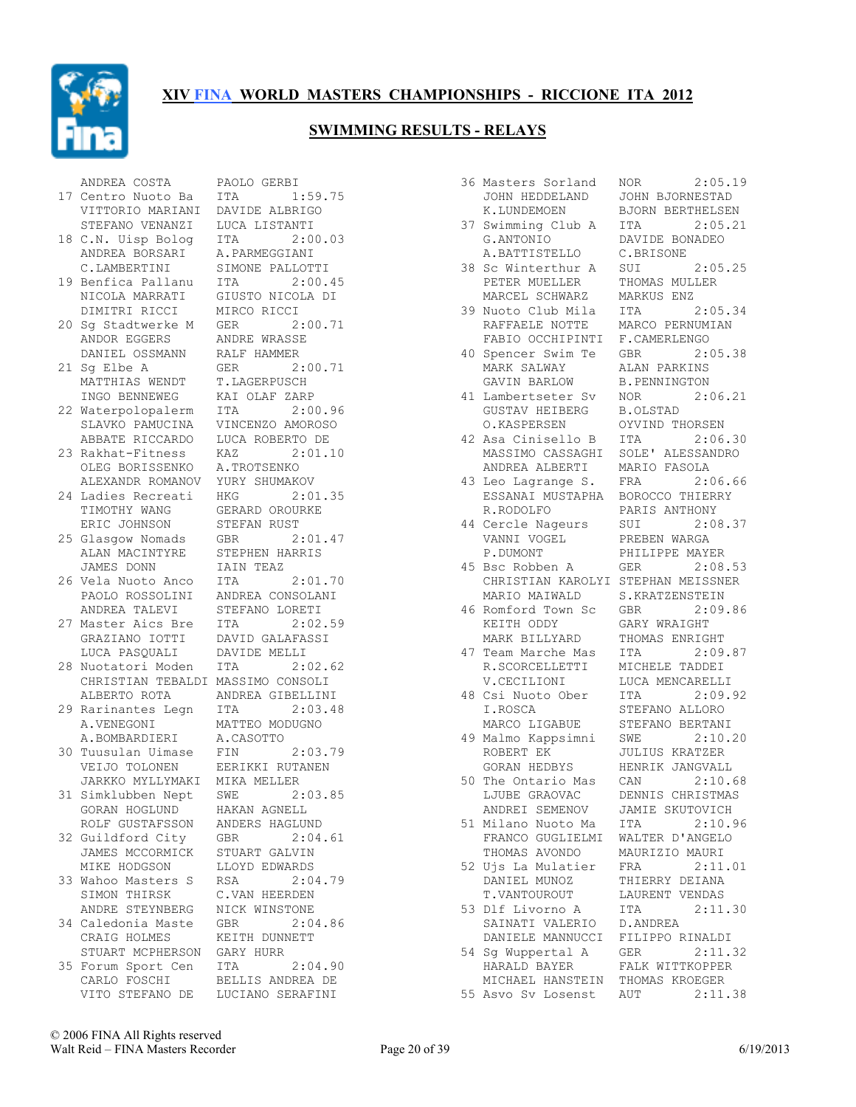

#### **SWIMMING RESULTS - RELAYS**

|    |                                     | PAOLO GERBI           |
|----|-------------------------------------|-----------------------|
|    | ANDREA COSTA                        | 1:59.75               |
|    | 17 Centro Nuoto Ba                  | ITA                   |
|    | VITTORIO MARIANI                    | DAVIDE ALBRIGO        |
|    | STEFANO VENANZI                     | LUCA LISTANTI         |
|    | 18 C.N. Uisp Bolog                  | ITA<br>2:00.03        |
|    | ANDREA BORSARI                      | A. PARMEGGIANI        |
|    | C.LAMBERTINI                        | SIMONE PALLOTTI       |
|    | 19 Benfica Pallanu                  | ITA<br>2:00.45        |
|    | NICOLA MARRATI                      | GIUSTO NICOLA DI      |
|    | DIMITRI RICCI                       | MIRCO RICCI           |
|    | 20 Sg Stadtwerke M                  | 2:00.71<br>GER        |
|    | ANDOR EGGERS                        | ANDRE WRASSE          |
|    | DANIEL OSSMANN                      | RALF HAMMER           |
|    | 21 Sq Elbe A                        | 2:00.71<br>GER        |
|    | MATTHIAS WENDT                      | T.LAGERPUSCH          |
|    | INGO BENNEWEG                       | KAI OLAF ZARP         |
|    | 22 Waterpolopalerm                  | ITA<br>2:00.96        |
|    | SLAVKO PAMUCINA                     | VINCENZO AMOROSO      |
|    | ABBATE RICCARDO                     | LUCA ROBERTO DE       |
|    | 23 Rakhat-Fitness                   | KAZ<br>2:01.10        |
|    | OLEG BORISSENKO                     | A. TROTSENKO          |
|    | ALEXANDR ROMANOV                    | YURY SHUMAKOV         |
|    | 24 Ladies Recreati                  | HKG<br>2:01.35        |
|    | TIMOTHY WANG                        | GERARD OROURKE        |
|    | ERIC JOHNSON                        | STEFAN RUST           |
|    |                                     | 2:01.47<br>GBR        |
|    | 25 Glasgow Nomads<br>ALAN MACINTYRE | STEPHEN HARRIS        |
|    | JAMES DONN                          | IAIN TEAZ             |
| 26 | Vela Nuoto Anco                     | 2:01.70<br>ITA        |
|    | PAOLO ROSSOLINI                     | ANDREA CONSOLANI      |
|    | ANDREA TALEVI                       | STEFANO LORETI        |
|    | 27 Master Aics Bre                  | ITA<br>2:02.59        |
|    | GRAZIANO IOTTI                      | DAVID GALAFASSI       |
|    | LUCA PASQUALI                       | DAVIDE MELLI          |
| 28 | Nuotatori Moden                     | <b>ITA</b><br>2:02.62 |
|    | CHRISTIAN TEBALDI                   | MASSIMO CONSOLI       |
|    | ALBERTO ROTA                        | ANDREA GIBELLINI      |
|    | 29 Rarinantes Legn                  | ITA<br>2:03.48        |
|    | A. VENEGONI                         | MATTEO MODUGNO        |
|    | A.BOMBARDIERI                       | A.CASOTTO             |
|    | 30 Tuusulan Uimase                  | 2:03.79<br>FIN        |
|    | VEIJO TOLONEN                       | EERIKKI RUTANEN       |
|    | JARKKO MYLLYMAKI                    | MIKA MELLER           |
|    | 31 Simklubben Nept                  | 2:03.85               |
|    |                                     | SWE                   |
|    | GORAN HOGLUND                       | HAKAN AGNELL          |
|    | ROLF GUSTAFSSON                     | ANDERS HAGLUND        |
|    | 32 Guildford City                   | 2:04.61<br>GBR        |
|    | JAMES MCCORMICK                     | STUART GALVIN         |
|    | MIKE HODGSON                        | LLOYD EDWARDS         |
|    | 33 Wahoo Masters S                  | 2:04.79<br>RSA        |
|    | SIMON THIRSK                        | C.VAN HEERDEN         |
|    | ANDRE STEYNBERG                     | NICK WINSTONE         |
|    | 34 Caledonia Maste                  | GBR<br>2:04.86        |
|    | CRAIG HOLMES                        | KEITH DUNNETT         |
|    | STUART MCPHERSON GARY HURR          |                       |
|    | 35 Forum Sport Cen                  | ITA<br>2:04.90        |
|    | CARLO FOSCHI                        | BELLIS ANDREA DE      |
|    | VITO STEFANO DE                     | LUCIANO SERAFINI      |

| ERBI             |
|------------------|
| 1:59.75          |
| <b>\LBRIGO</b>   |
| <b>STANTI</b>    |
| 2:00.03          |
| GIANI            |
| <b>PALLOTTI</b>  |
| 2:00.45          |
| NICOLA DI        |
| <b>ICCI</b>      |
| 2:00.71          |
| RASSE            |
| MER              |
| 2:00.71          |
|                  |
| PUSCH<br>F ZARP  |
|                  |
| 2:00.96          |
| ) AMOROSO        |
| BERTO DE         |
| 2:01.10          |
| 5NKO             |
| JMAKOV           |
| 2:01.35          |
| DROURKE          |
| RUST             |
| 2:01.47          |
| HARRIS           |
| λZ               |
| 2:01.70          |
| CONSOLANI        |
| LORETI           |
| 2:02.59          |
| <b>LAFASSI</b>   |
| 1ELLI            |
| 2:02.62          |
| CONSOLI          |
| <b>GIBELLINI</b> |
| 2:03.48          |
| <b>IODUGNO</b>   |
| ro.              |
| 2:03.79          |
| RUTANEN          |
| LLER             |
| 2:03.85          |
| GNELL            |
| HAGLUND          |
| 2:04.61          |
| GALVIN           |
| <b>OWARDS</b>    |
| 2:04.79          |
| EERDEN           |
| <b>STONE</b>     |
| 2:04.86          |
| JNNETT           |
| ₹R               |
| 2:04.90          |
| ANDREA DE        |
| SERAFINI         |

|    | 36 Masters Sorland  | 2:05.19<br>NOR        |
|----|---------------------|-----------------------|
|    | JOHN HEDDELAND      | JOHN BJORNESTAD       |
|    | K.LUNDEMOEN         | BJORN BERTHELSEN      |
|    | 37 Swimming Club A  | 2:05.21<br>ITA        |
|    | G.ANTONIO           | DAVIDE BONADEO        |
|    | A. BATTISTELLO      | C.BRISONE             |
|    | 38 Sc Winterthur A  | 2:05.25<br>SUI        |
|    | PETER MUELLER       | THOMAS MULLER         |
|    | MARCEL SCHWARZ      | MARKUS ENZ            |
|    | 39 Nuoto Club Mila  | 2:05.34<br>ITA        |
|    | RAFFAELE NOTTE      | MARCO PERNUMIAN       |
|    | FABIO OCCHIPINTI    | F.CAMERLENGO          |
|    | 40 Spencer Swim Te  | GBR 2:05.38           |
|    | MARK SALWAY         | ALAN PARKINS          |
|    | GAVIN BARLOW        | <b>B. PENNINGTON</b>  |
|    | 41 Lambertseter Sv  | NOR.<br>2:06.21       |
|    | GUSTAV HEIBERG      | B.OLSTAD              |
|    | O. KASPERSEN        | OYVIND THORSEN        |
|    | 42 Asa Cinisello B  | ITA<br>2:06.30        |
|    | MASSIMO CASSAGHI    | SOLE' ALESSANDRO      |
|    | ANDREA ALBERTI      | MARIO FASOLA          |
|    | 43 Leo Lagrange S.  | FRA<br>2:06.66        |
|    | ESSANAI MUSTAPHA    | BOROCCO THIERRY       |
|    | R.RODOLFO           | PARIS ANTHONY         |
| 44 | Cercle Nageurs      | 2:08.37<br>SUI        |
|    | VANNI VOGEL         | PREBEN WARGA          |
|    | P.DUMONT            | PHILIPPE MAYER        |
|    | 45 Bsc Robben A     | GER<br>2:08.53        |
|    | CHRISTIAN KAROLYI   | STEPHAN MEISSNER      |
|    | MARIO MAIWALD       | S.KRATZENSTEIN        |
|    | 46 Romford Town Sc  | 2:09.86<br>GBR        |
|    | KEITH ODDY          | GARY WRAIGHT          |
|    | MARK BILLYARD       | THOMAS ENRIGHT        |
|    | 47 Team Marche Mas  | 2:09.87<br>ITA        |
|    | R. SCORCELLETTI     | MICHELE TADDEI        |
|    | V. CECILIONI        | LUCA MENCARELLI       |
|    | 48 Csi Nuoto Ober   | 2:09.92<br>ITA        |
|    | I.ROSCA             | STEFANO ALLORO        |
|    | MARCO LIGABUE       | STEFANO BERTANI       |
|    | 49 Malmo Kappsimni  | SWE<br>2:10.20        |
|    | ROBERT EK           | <b>JULIUS KRATZER</b> |
|    | <b>GORAN HEDBYS</b> | HENRIK JANGVALL       |
|    | 50 The Ontario Mas  | CAN<br>2:10.68        |
|    | LJUBE GRAOVAC       | DENNIS CHRISTMAS      |
|    | ANDREI SEMENOV      | JAMIE SKUTOVICH       |
|    | 51 Milano Nuoto Ma  | <b>ITA</b><br>2:10.96 |
|    | FRANCO GUGLIELMI    | WALTER D'ANGELO       |
|    |                     |                       |

 $2:05.21$ DE BONADEO  $2:05.25$ AS MULLER  $2:05.34$ O PERNUMIAN MERLENGO PARKINS NNINGTON STAD ND THORSEN ALESSANDRO O FASOLA CCO THIERRY  $2:08.37$ EN WARGA IPPE MAYER HAN MEISSNER ATZENSTEIN WRAIGHT  $2:09.87$ ELE TADDEI MENCARELLI ANO ALLORO ANO BERTANI US KRATZER IK JANGVALL IS CHRISTMAS  $2:10.96$ ER D'ANGELO THOMAS AVONDO MAURIZIO MAURI 52 Ujs La Mulatier FRA 2:11.01 DANIEL MUNOZ THIERRY DEIANA T.VANTOUROUT LAURENT VENDAS 53 Dlf Livorno A ITA 2:11.30 SAINATI VALERIO D.ANDREA DANIELE MANNUCCI FILIPPO RINALDI 54 Sg Wuppertal A GER 2:11.32 HARALD BAYER FALK WITTKOPPER MICHAEL HANSTEIN THOMAS KROEGER 55 Asvo Sv Losenst AUT 2:11.38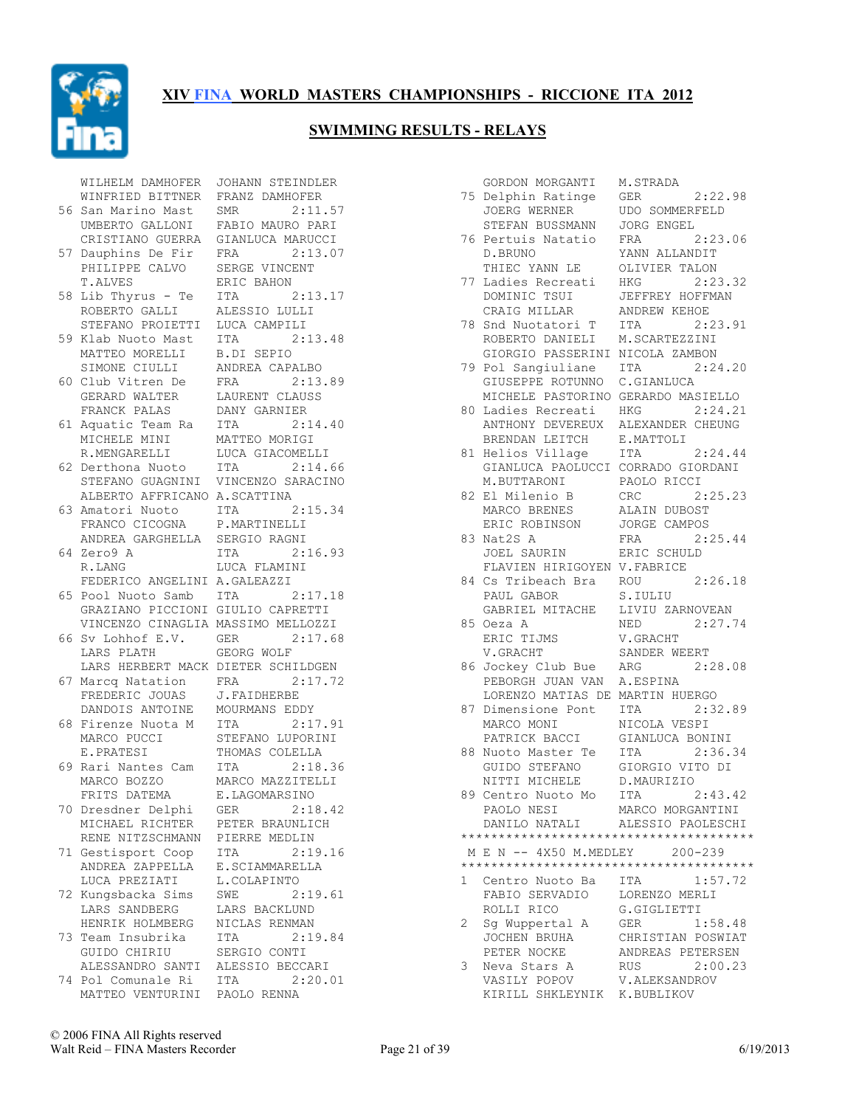

|    | WILHELM DAMHOFER                      | JOHANN STEINDLER                   |
|----|---------------------------------------|------------------------------------|
|    | WINFRIED BITTNER                      | FRANZ DAMHOFER                     |
| 56 | San Marino Mast                       | SMR<br>2:11.57                     |
|    | UMBERTO GALLONI FABIO MAURO PARI      |                                    |
|    | CRISTIANO GUERRA                      | GIANLUCA MARUCCI                   |
| 57 | Dauphins De Fir                       | FRA<br>2:13.07                     |
|    | PHILIPPE CALVO                        | SERGE VINCENT                      |
|    | T.ALVES                               | ERIC BAHON                         |
| 58 |                                       | ITA 2:13.17                        |
|    | Lib Thyrus - Te<br>ROBERTO GALLI      | ALESSIO LULLI                      |
|    | STEFANO PROIETTI                      | LUCA CAMPILI                       |
|    | 59 Klab Nuoto Mast                    |                                    |
|    | MATTEO MORELLI                        | ITA 2:13.48<br>B.DI SEPIO          |
|    | SIMONE CIULLI                         | ANDREA CAPALBO                     |
| 60 | Club Vitren De                        |                                    |
|    | GERARD WALTER                         | FRA<br>2:13.89<br>LAURENT CLAUSS   |
|    | FRANCK PALAS                          | DANY GARNIER                       |
|    |                                       |                                    |
|    | 61 Aquatic Team Ra ITA                | 2:14.40                            |
|    | MICHELE MINI<br>R.MENGARELLI          | MATTEO MORIGI<br>LUCA GIACOMELLI   |
|    | 62 Derthona Nuoto                     | ITA<br>2:14.66                     |
|    | STEFANO GUAGNINI                      | VINCENZO SARACINO                  |
|    | ALBERTO AFFRICANO A.SCATTINA          |                                    |
|    | 63 Amatori Nuoto                      | ITA<br>2:15.34                     |
|    | FRANCO CICOGNA                        | P.MARTINELLI                       |
|    | ANDREA GARGHELLA                      | SERGIO RAGNI                       |
|    | 64 Zero9 A                            | 2:16.93<br>ITA                     |
|    | R.LANG                                | LUCA FLAMINI                       |
|    | FEDERICO ANGELINI A.GALEAZZI          |                                    |
| 65 | Pool Nuoto Samb                       | <b>ITA</b><br>2:17.18              |
|    |                                       |                                    |
|    |                                       |                                    |
|    | GRAZIANO PICCIONI GIULIO CAPRETTI     |                                    |
|    | VINCENZO CINAGLIA MASSIMO MELLOZZI    |                                    |
| 66 | Sv Lohhof E.V.                        | 2:17.68<br>GER                     |
|    | LARS PLATH                            | GEORG WOLF                         |
|    | LARS HERBERT MACK DIETER SCHILDGEN    |                                    |
| 67 | Marcq Natation                        | FRA<br>2:17.72                     |
|    | FREDERIC JOUAS                        | J. FAIDHERBE                       |
|    | DANDOIS ANTOINE MOURMANS EDDY         | <b>ITA</b><br>2:17.91              |
|    | 68 Firenze Nuota M                    |                                    |
|    | MARCO PUCCI<br>E.PRATESI              | STEFANO LUPORINI<br>THOMAS COLELLA |
|    |                                       | ITA<br>2:18.36                     |
|    | 69 Rari Nantes Cam<br>MARCO BOZZO     | MARCO MAZZITELLI                   |
|    | FRITS DATEMA                          | E.LAGOMARSINO                      |
|    |                                       | 2:18.42<br>GER                     |
|    | 70 Dresdner Delphi<br>MICHAEL RICHTER | PETER BRAUNLICH                    |
|    | RENE NITZSCHMANN                      | PIERRE MEDLIN                      |
| 71 |                                       | ITA<br>2:19.16                     |
|    | Gestisport Coop<br>ANDREA ZAPPELLA    | E.SCIAMMARELLA                     |
|    | LUCA PREZIATI                         | L.COLAPINTO                        |
| 72 | Kungsbacka Sims                       | 2:19.61<br>SWE                     |
|    | LARS SANDBERG                         | LARS BACKLUND                      |
|    | HENRIK HOLMBERG                       | NICLAS RENMAN                      |
|    | 73 Team Insubrika                     | <b>ITA</b><br>2:19.84              |
|    | GUIDO CHIRIU                          | SERGIO CONTI                       |
|    | ALESSANDRO SANTI                      | ALESSIO BECCARI                    |
|    | 74 Pol Comunale Ri                    | ITA<br>2:20.01                     |

|           | GORDON MORGANTI                              | M.STRADA              |
|-----------|----------------------------------------------|-----------------------|
|           | 75 Delphin Ratinge                           | 2:22.98<br>GER        |
|           |                                              |                       |
|           | JOERG WERNER                                 | <b>UDO SOMMERFELD</b> |
|           | STEFAN BUSSMANN                              | JORG ENGEL            |
|           | 76 Pertuis Natatio                           | 2:23.06<br>FRA        |
|           | D.BRUNO                                      | YANN ALLANDIT         |
|           | THIEC YANN LE                                | OLIVIER TALON         |
|           | 77 Ladies Recreati                           | HKG 2:23.32           |
|           |                                              | JEFFREY HOFFMAN       |
|           | DOMINIC TSUI<br>CRAIG MILLAR<br>CRAIG MILLAR | ANDREW KEHOE          |
|           | 78 Snd Nuotatori T                           | ITA<br>2:23.91        |
|           | ROBERTO DANIELI                              | M. SCARTEZZINI        |
|           | GIORGIO PASSERINI NICOLA ZAMBON              |                       |
|           | 79 Pol Sangiuliane                           | ITA 2:24.20           |
|           |                                              |                       |
|           | GIUSEPPE ROTUNNO C.GIANLUCA                  |                       |
|           | MICHELE PASTORINO GERARDO MASIELLO           |                       |
|           | 80 Ladies Recreati                           | HKG<br>2:24.21        |
|           | ANTHONY DEVEREUX ALEXANDER CHEUNG            |                       |
|           | BRENDAN LEITCH<br>" ''-- "''llage            | E.MATTOLI             |
|           | 81 Helios Village                            | ITA<br>2:24.44        |
|           | GIANLUCA PAOLUCCI CORRADO GIORDANI           |                       |
|           | M.BUTTARONI                                  | PAOLO RICCI           |
|           | 82 El Milenio B                              | CRC<br>2:25.23        |
|           | MARCO BRENES                                 | ALAIN DUBOST          |
|           |                                              | JORGE CAMPOS          |
|           | ERIC ROBINSON<br>83 Nat2S A                  | FRA 2:25.44           |
|           | JOEL SAURIN                                  | ERIC SCHULD           |
|           |                                              |                       |
|           | FLAVIEN HIRIGOYEN V. FABRICE                 |                       |
|           | 84 Cs Tribeach Bra                           | ROU 2:26.18           |
|           | PAUL GABOR                                   | S.IULIU               |
|           | GABRIEL MITACHE                              | LIVIU ZARNOVEAN       |
|           | 85 Oeza A                                    | NED 2:27.74           |
|           | ERIC TIJMS                                   | V.GRACHT              |
|           | V.GRACHT                                     | SANDER WEERT          |
|           | 86 Jockey Club Bue                           | ARG<br>2:28.08        |
|           | PEBORGH JUAN VAN                             | A.ESPINA              |
|           | LORENZO MATIAS DE MARTIN HUERGO              |                       |
|           | 87 Dimensione Pont                           | ITA<br>2:32.89        |
|           | MARCO MONI                                   | NICOLA VESPI          |
|           | PATRICK BACCI                                | GIANLUCA BONINI       |
|           |                                              |                       |
|           | 88 Nuoto Master Te                           | ITA<br>2:36.34        |
|           | GUIDO STEFANO                                | GIORGIO VITO DI       |
|           | NITTI MICHELE                                | D.MAURIZIO            |
|           | 89 Centro Nuoto Mo                           | 2:43.42<br>ITA        |
|           | PAOLO NESI                                   | MARCO MORGANTINI      |
|           | DANILO NATALI                                |                       |
|           |                                              | ALESSIO PAOLESCHI     |
|           |                                              |                       |
|           | M E N -- 4X50 M.MEDLEY 200-239               |                       |
|           |                                              |                       |
| $1 \quad$ | Centro Nuoto Ba ITA                          | 1:57.72               |
|           |                                              |                       |
|           | FABIO SERVADIO                               | LORENZO MERLI         |
|           | ROLLI RICO                                   | G.GIGLIETTI           |
| 2         | Sq Wuppertal A                               | GER<br>1:58.48        |
|           | JOCHEN BRUHA                                 | CHRISTIAN POSWIAT     |
|           | PETER NOCKE                                  | ANDREAS PETERSEN      |
| 3         | Neva Stars A                                 | 2:00.23<br>RUS        |
|           | VASILY POPOV<br>KIRILL SHKLEYNIK K.BUBLIKOV  | V.ALEKSANDROV         |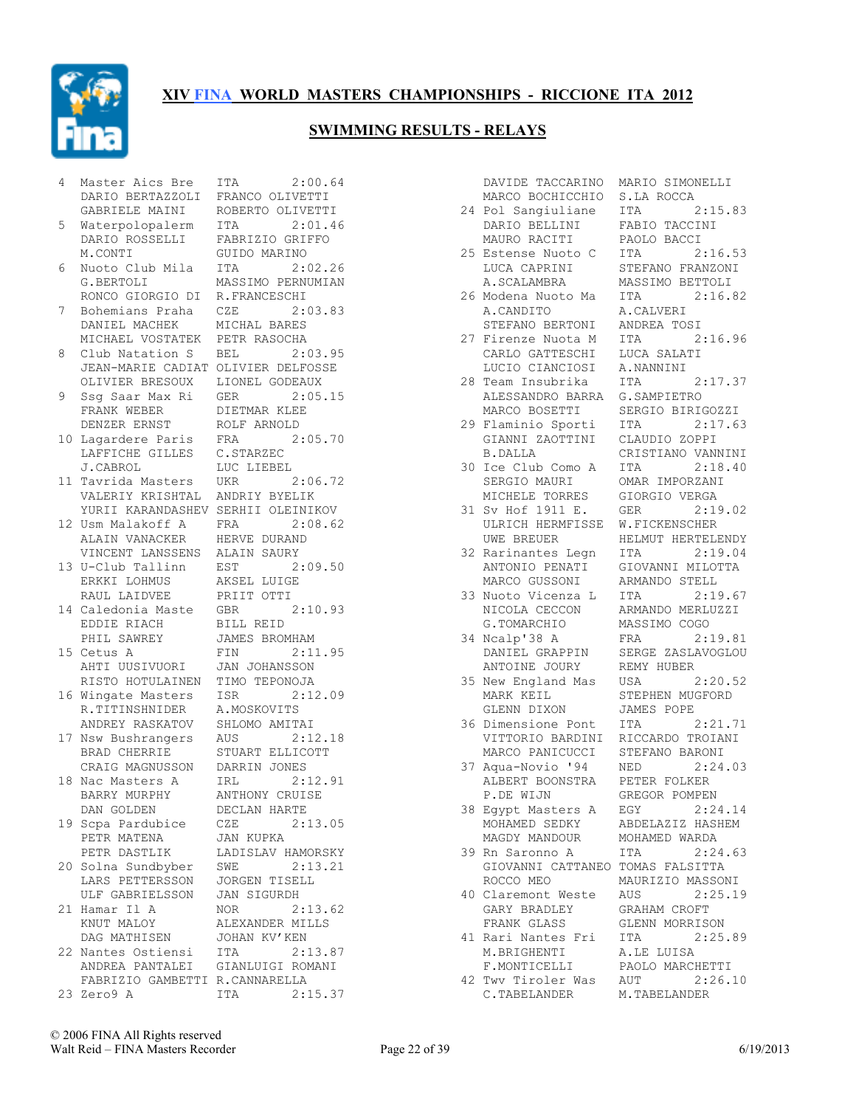

| 4  | Master Aics Bre                              | 2:00.64<br>ITA        |
|----|----------------------------------------------|-----------------------|
|    | DARIO BERTAZZOLI                             | FRANCO OLIVETTI       |
|    |                                              |                       |
|    | GABRIELE MAINI                               | ROBERTO OLIVETTI      |
| 5  | Waterpolopalerm                              | ITA<br>2:01.46        |
|    | DARIO ROSSELLI                               | FABRIZIO GRIFFO       |
|    |                                              | GUIDO MARINO          |
|    | M.CONTI                                      |                       |
| 6  | Nuoto Club Mila                              | ITA<br>2:02.26        |
|    | G.BERTOLI                                    | MASSIMO PERNUMIAN     |
|    | RONCO GIORGIO DI                             | R.FRANCESCHI          |
|    |                                              |                       |
| 7  | Bohemians Praha                              | 2:03.83<br>CZE        |
|    | DANIEL MACHEK                                | MICHAL BARES          |
|    | MICHAEL VOSTATEK                             | PETR RASOCHA          |
|    |                                              |                       |
| 8  | Club Natation S                              | 2:03.95<br><b>BEL</b> |
|    | JEAN-MARIE CADIAT OLIVIER DELFOSSE           |                       |
|    | OLIVIER BRESOUX                              | LIONEL GODEAUX        |
|    |                                              |                       |
| 9  | Ssg Saar Max Ri                              | 2:05.15<br>GER        |
|    | FRANK WEBER                                  | DIETMAR KLEE          |
|    | DENZER ERNST                                 | ROLF ARNOLD           |
|    |                                              |                       |
|    | 10 Lagardere Paris                           | 2:05.70<br>FRA        |
|    | LAFFICHE GILLES                              | C.STARZEC             |
|    | J.CABROL                                     | LUC LIEBEL            |
|    | Tavrida Masters                              | 2:06.72               |
| 11 |                                              | UKR                   |
|    | VALERIY KRISHTAL                             | ANDRIY BYELIK         |
|    | YURII KARANDASHEV SERHII OLEINIKOV           |                       |
|    | 12 Usm Malakoff A                            | FRA<br>2:08.62        |
|    |                                              |                       |
|    | ALAIN VANACKER                               | HERVE DURAND          |
|    | VINCENT LANSSENS                             | ALAIN SAURY           |
|    | 13 U-Club Tallinn                            | EST<br>2:09.50        |
|    |                                              |                       |
|    | ERKKI LOHMUS                                 | AKSEL LUIGE           |
|    | RAUL LAIDVEE                                 | PRIIT OTTI            |
|    | 14 Caledonia Maste                           | 2:10.93<br>GBR        |
|    | EDDIE RIACH                                  | BILL REID             |
|    |                                              |                       |
|    | PHIL SAWREY                                  | <b>JAMES BROMHAM</b>  |
|    | 15 Cetus A                                   | 2:11.95<br>FIN        |
|    | AHTI UUSIVUORI                               | JAN JOHANSSON         |
|    |                                              |                       |
|    | RISTO HOTULAINEN                             | TIMO TEPONOJA         |
|    | 16 Wingate Masters                           | 2:12.09<br>ISR        |
|    |                                              |                       |
|    |                                              |                       |
|    | R.TITINSHNIDER                               | A.MOSKOVITS           |
|    | ANDREY RASKATOV                              | SHLOMO AMITAI         |
|    | 17 Nsw Bushrangers                           | 2:12.18<br>AUS        |
|    | <b>BRAD CHERRIE</b>                          |                       |
|    |                                              | STUART ELLICOTT       |
|    | CRAIG MAGNUSSON                              | DARRIN JONES          |
|    | 18 Nac Masters A                             | 2:12.91<br>IRL        |
|    | BARRY MURPHY                                 | ANTHONY CRUISE        |
|    |                                              |                       |
|    | DAN GOLDEN                                   | DECLAN HARTE          |
|    | 19 Scpa Pardubice                            | CZE<br>2:13.05        |
|    | PETR MATENA                                  | JAN KUPKA             |
|    | PETR DASTLIK                                 | LADISLAV HAMORSKY     |
|    |                                              |                       |
|    | 20 Solna Sundbyber                           | 2:13.21<br>SWE        |
|    | LARS PETTERSSON                              | JORGEN TISELL         |
|    | ULF GABRIELSSON                              | JAN SIGURDH           |
|    |                                              |                       |
|    | 21 Hamar Il A                                | 2:13.62<br>NOR        |
|    | KNUT MALOY                                   | ALEXANDER MILLS       |
|    | DAG MATHISEN                                 | JOHAN KV'KEN          |
|    | 22 Nantes Ostiensi                           | 2:13.87               |
|    |                                              | ITA                   |
|    | ANDREA PANTALEI                              | GIANLUIGI ROMANI      |
|    | FABRIZIO GAMBETTI R.CANNARELLA<br>23 Zero9 A | ITA 2:15.37           |

|    | DAVIDE TACCARINO                              | MARIO SIMONELLI                   |
|----|-----------------------------------------------|-----------------------------------|
|    | MARCO BOCHICCHIO                              | S.LA ROCCA                        |
|    | 24 Pol Sangiuliane                            | 2:15.83<br><b>ITA</b>             |
|    | DARIO BELLINI                                 | FABIO TACCINI                     |
|    | MAURO RACITI                                  | PAOLO BACCI                       |
|    | 25 Estense Nuoto C                            | ITA<br>2:16.53                    |
|    | LUCA CAPRINI                                  | STEFANO FRANZONI                  |
|    | A.SCALAMBRA                                   | MASSIMO BETTOLI                   |
| 26 | Modena Nuoto Ma                               | ITA 2:16.82                       |
|    | A.CANDITO                                     | A.CALVERI                         |
|    | STEFANO BERTONI                               | ANDREA TOSI                       |
|    | 27 Firenze Nuota M                            | ITA<br>2:16.96                    |
|    | CARLO GATTESCHI                               | LUCA SALATI                       |
|    | LUCIO CIANCIOSI                               | A.NANNINI                         |
| 28 | Team Insubrika                                | 2:17.37<br><b>ITA</b>             |
|    | ALESSANDRO BARRA                              | G.SAMPIETRO                       |
|    | MARCO BOSETTI                                 | SERGIO BIRIGOZZI                  |
|    |                                               | 2:17.63                           |
|    | 29 Flaminio Sporti                            | ITA                               |
|    | GIANNI ZAOTTINI                               | CLAUDIO ZOPPI                     |
|    | B.DALLA                                       | CRISTIANO VANNINI                 |
|    | 30 Ice Club Como A                            | 2:18.40<br>ITA                    |
|    | SERGIO MAURI                                  | OMAR IMPORZANI                    |
|    | MICHELE TORRES                                | GIORGIO VERGA                     |
|    | 31 Sv Hof 1911 E.                             | 2:19.02<br>GER                    |
|    | ULRICH HERMFISSE                              | W.FICKENSCHER                     |
|    | <b>UWE BREUER</b>                             | HELMUT HERTELENDY                 |
|    | 32 Rarinantes Legn                            | ITA<br>2:19.04                    |
|    | ANTONIO PENATI                                | GIOVANNI MILOTTA                  |
|    |                                               |                                   |
|    | MARCO GUSSONI                                 | ARMANDO STELL                     |
|    | 33 Nuoto Vicenza L                            | ITA<br>2:19.67                    |
|    | NICOLA CECCON                                 | ARMANDO MERLUZZI                  |
|    | G.TOMARCHIO                                   | MASSIMO COGO                      |
|    | 34 Ncalp'38 A                                 | FRA 2:19.81                       |
|    | DANIEL GRAPPIN                                | SERGE ZASLAVOGLOU                 |
|    | ANTOINE JOURY                                 | REMY HUBER                        |
| 35 | New England Mas                               | 2:20.52<br>USA                    |
|    | MARK KEIL                                     | STEPHEN MUGFORD                   |
|    | GLENN DIXON                                   | <b>JAMES POPE</b>                 |
|    | 36 Dimensione Pont                            | ITA<br>2:21.71                    |
|    | VITTORIO BARDINI                              | RICCARDO TROIANI                  |
|    | MARCO PANICUCCI                               | STEFANO BARONI                    |
|    |                                               | 2:24.03<br>NED                    |
|    | 37 Aqua-Novio '94<br>ALBERT BOONSTRA          |                                   |
|    |                                               | PETER FOLKER                      |
|    | P.DE WIJN                                     | GREGOR POMPEN<br>2:24.14          |
|    | 38 Egypt Masters A<br>MOHAMED SEDKY           | EGY                               |
|    | MAGDY MANDOUR                                 | ABDELAZIZ HASHEM<br>MOHAMED WARDA |
|    | 39 Rn Saronno A                               | ITA<br>2:24.63                    |
|    |                                               |                                   |
|    | GIOVANNI CATTANEO TOMAS FALSITTA<br>ROCCO MEO | MAURIZIO MASSONI                  |
|    |                                               | 2:25.19<br>AUS                    |
|    | 40 Claremont Weste<br>GARY BRADLEY            |                                   |
|    | FRANK GLASS                                   | GRAHAM CROFT<br>GLENN MORRISON    |
|    | 41 Rari Nantes Fri                            | 2:25.89<br>ITA                    |
|    |                                               |                                   |
|    | M.BRIGHENTI                                   | A.LE LUISA                        |
|    | F.MONTICELLI<br>42 Twy Tiroler Was            | PAOLO MARCHETTI<br>AUT<br>2:26.10 |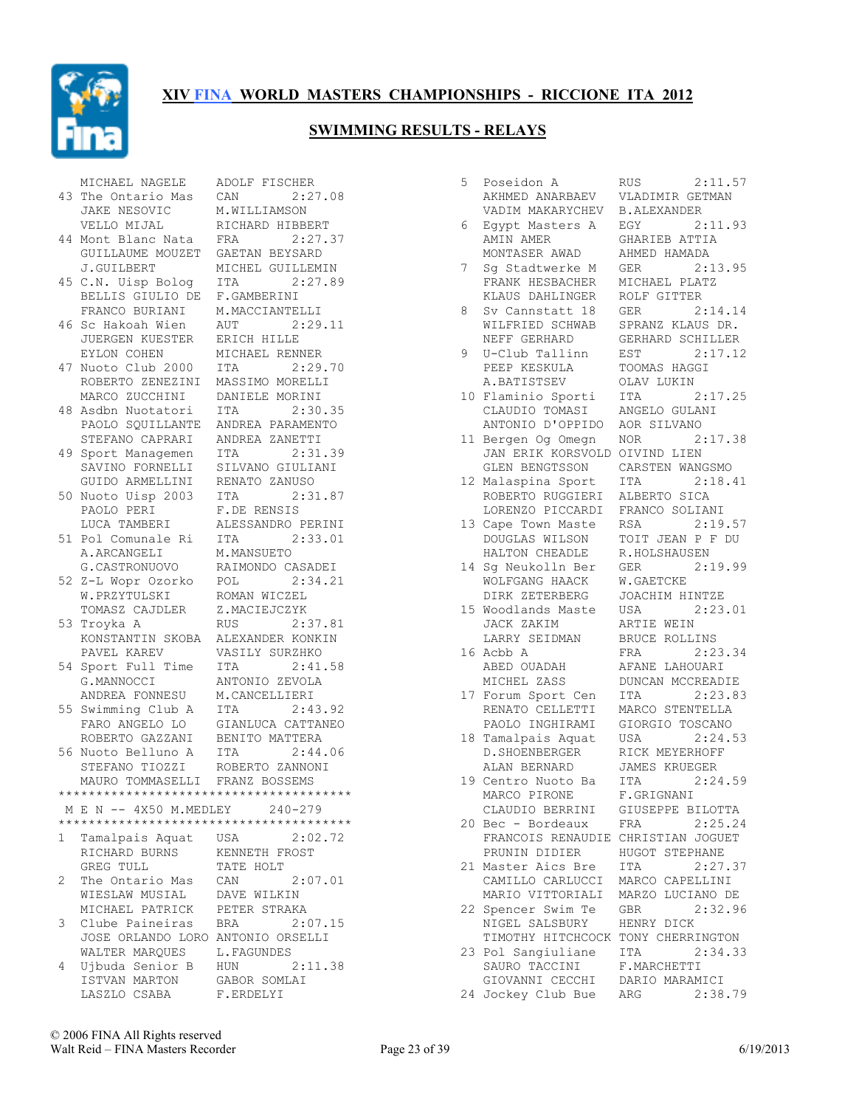

|    | MICHAEL NAGELE<br>43 The Ontario Mas                           | ADOLF FISCHER<br>CAN<br>2:27.08        |
|----|----------------------------------------------------------------|----------------------------------------|
|    | JAKE NESOVIC                                                   | M.WILLIAMSON                           |
| 44 | VELLO MIJAL<br>Mont Blanc Nata                                 | RICHARD HIBBERT<br>2:27.37<br>FRA      |
|    | GUILLAUME MOUZET                                               | GAETAN BEYSARD                         |
|    | J.GUILBERT                                                     | MICHEL GUILLEMIN                       |
|    | 45 C.N. Uisp Bolog                                             | ITA<br>2:27.89                         |
|    | BELLIS GIULIO DE                                               | F.GAMBERINI                            |
|    | FRANCO BURIANI                                                 | M.MACCIANTELLI                         |
|    | 46 Sc Hakoah Wien                                              | AUT 2:29.11                            |
|    | JUERGEN KUESTER                                                | ERICH HILLE                            |
|    | EYLON COHEN                                                    | MICHAEL RENNER                         |
| 47 | Nuoto Club 2000                                                | 2:29.70<br>ITA                         |
|    | ROBERTO ZENEZINI                                               | MASSIMO MORELLI                        |
|    | MARCO ZUCCHINI                                                 | DANIELE MORINI                         |
|    | 48 Asdbn Nuotatori                                             | ITA<br>2:30.35                         |
|    | PAOLO SQUILLANTE                                               | ANDREA PARAMENTO                       |
|    | STEFANO CAPRARI                                                | ANDREA ZANETTI                         |
| 49 | Sport Managemen                                                | 2:31.39<br>ITA                         |
|    | SAVINO FORNELLI                                                | SILVANO GIULIANI                       |
|    | GUIDO ARMELLINI<br>50 Nuoto Uisp 2003                          | RENATO ZANUSO<br><b>ITA</b><br>2:31.87 |
|    | PAOLO PERI                                                     | F.DE RENSIS                            |
|    | LUCA TAMBERI                                                   | ALESSANDRO PERINI                      |
|    | 51 Pol Comunale Ri                                             | ITA 2:33.01                            |
|    | A.ARCANGELI                                                    | M.MANSUETO                             |
|    | G.CASTRONUOVO                                                  | RAIMONDO CASADEI                       |
|    | 52 Z-L Wopr Ozorko                                             | POL<br>2:34.21                         |
|    | W. PRZYTULSKI                                                  | ROMAN WICZEL                           |
|    | TOMASZ CAJDLER                                                 | Z.MACIEJCZYK                           |
|    | 53 Troyka A                                                    | RUS 2:37.81                            |
|    | KONSTANTIN SKOBA                                               | ALEXANDER KONKIN                       |
|    | PAVEL KAREV                                                    | VASILY SURZHKO                         |
| 54 | Sport Full Time                                                | ITA<br>2:41.58                         |
|    | G.MANNOCCI<br>ANDREA FONNESU                                   | ANTONIO ZEVOLA<br>M.CANCELLIERI        |
|    | 55 Swimming Club A                                             | <b>ITA</b><br>2:43.92                  |
|    | FARO ANGELO LO                                                 | GIANLUCA CATTANEO                      |
|    | ROBERTO GAZZANI                                                | BENITO MATTERA                         |
|    | 56 Nuoto Belluno A                                             | ITA<br>2:44.06                         |
|    |                                                                | ROBERTO ZANNONI                        |
|    | STEFANO TIOZZI ROBERTO ZANNO<br>MAURO TOMMASELLI FRANZ BOSSEMS |                                        |
|    |                                                                |                                        |
|    | M E N -- 4X50 M.MEDLEY 240-279                                 |                                        |
|    |                                                                |                                        |
| 1  | Tamalpais Aquat USA                                            | 2:02.72                                |
|    | RICHARD BURNS                                                  | KENNETH FROST                          |
|    | GREG TULL                                                      | TATE HOLT                              |
| 2  | The Ontario Mas<br>WIESLAW MUSIAL                              | CAN<br>2:07.01<br>DAVE WILKIN          |
|    | MICHAEL PATRICK                                                | PETER STRAKA                           |
| 3  | Clube Paineiras                                                | 2:07.15<br>BRA                         |
|    | JOSE ORLANDO LORO ANTONIO ORSELLI                              |                                        |
|    | WALTER MARQUES                                                 | L. FAGUNDES                            |
| 4  | Ujbuda Senior B                                                | 2:11.38<br>HUN                         |
|    | ISTVAN MARTON                                                  | GABOR SOMLAI                           |
|    | LASZLO CSABA                                                   | F.ERDELYI                              |

| 5  | Poseidon A                         | 2:11.57<br><b>RUS</b> |
|----|------------------------------------|-----------------------|
|    | AKHMED ANARBAEV                    | VLADIMIR GETMAN       |
|    | VADIM MAKARYCHEV                   | <b>B.ALEXANDER</b>    |
|    |                                    |                       |
| 6  | Eqypt Masters A                    | EGY<br>2:11.93        |
|    | AMIN AMER                          | GHARIEB ATTIA         |
|    | MONTASER AWAD                      | AHMED HAMADA          |
| 7  | Sq Stadtwerke M                    | GER<br>2:13.95        |
|    | FRANK HESBACHER                    | MICHAEL PLATZ         |
|    | KLAUS DAHLINGER                    | ROLF GITTER           |
| 8  | Sv Cannstatt 18                    | 2:14.14<br>GER        |
|    | WILFRIED SCHWAB                    | SPRANZ KLAUS DR.      |
|    | NEFF GERHARD                       | GERHARD SCHILLER      |
|    |                                    |                       |
| 9  | U-Club Tallinn                     | EST<br>2:17.12        |
|    | PEEP KESKULA                       | TOOMAS HAGGI          |
|    | A. BATISTSEV                       | OLAV LUKIN            |
| 10 | Flaminio Sporti                    | ITA<br>2:17.25        |
|    | CLAUDIO TOMASI                     | ANGELO GULANI         |
|    | ANTONIO D'OPPIDO                   | AOR SILVANO           |
|    | 11 Bergen Og Omegn                 | NOR 2:17.38           |
|    | JAN ERIK KORSVOLD                  | OIVIND LIEN           |
|    | <b>GLEN BENGTSSON</b>              | CARSTEN WANGSMO       |
|    |                                    |                       |
|    | 12 Malaspina Sport                 | ITA<br>2:18.41        |
|    | ROBERTO RUGGIERI                   | ALBERTO SICA          |
|    | LORENZO PICCARDI                   | FRANCO SOLIANI        |
|    | 13 Cape Town Maste                 | 2:19.57<br>RSA        |
|    | DOUGLAS WILSON                     | TOIT JEAN P F DU      |
|    | HALTON CHEADLE                     | R.HOLSHAUSEN          |
|    | 14 Sg Neukolln Ber                 | GER 2:19.99           |
|    | WOLFGANG HAACK                     | W.GAETCKE             |
|    | DIRK ZETERBERG                     | JOACHIM HINTZE        |
|    | 15 Woodlands Maste                 | USA 2:23.01           |
|    | JACK ZAKIM                         | ARTIE WEIN            |
|    |                                    |                       |
|    | LARRY SEIDMAN                      | BRUCE ROLLINS         |
|    | 16 Acbb A                          | 2:23.34<br>FRA        |
|    | ABED OUADAH                        | AFANE LAHOUARI        |
|    | MICHEL ZASS                        | DUNCAN MCCREADIE      |
|    | 17 Forum Sport Cen                 | ITA<br>2:23.83        |
|    | RENATO CELLETTI                    | MARCO STENTELLA       |
|    | PAOLO INGHIRAMI                    | GIORGIO TOSCANO       |
|    | 18 Tamalpais Aquat                 | USA<br>2:24.53        |
|    | D. SHOENBERGER                     | RICK MEYERHOFF        |
|    | ALAN BERNARD                       | <b>JAMES KRUEGER</b>  |
|    | 19 Centro Nuoto Ba                 | 2:24.59<br>ITA        |
|    |                                    |                       |
|    | MARCO PIRONE                       | F.GRIGNANI            |
|    | CLAUDIO BERRINI                    | GIUSEPPE BILOTTA      |
|    | 20 Bec - Bordeaux                  | 2:25.24<br>FRA        |
|    | FRANCOIS RENAUDIE CHRISTIAN JOGUET |                       |
|    | PRUNIN DIDIER                      | HUGOT STEPHANE        |
|    | 21 Master Aics Bre                 | ITA<br>2:27.37        |
|    | CAMILLO CARLUCCI                   | MARCO CAPELLINI       |
|    | MARIO VITTORIALI                   | MARZO LUCIANO DE      |
|    | 22 Spencer Swim Te                 | GBR<br>2:32.96        |
|    | NIGEL SALSBURY                     | HENRY DICK            |
|    | TIMOTHY HITCHCOCK TONY CHERRINGTON |                       |
|    |                                    |                       |
|    | 23 Pol Sangiuliane                 | ITA<br>2:34.33        |
|    | SAURO TACCINI                      | F.MARCHETTI           |
|    | GIOVANNI CECCHI                    | DARIO MARAMICI        |
|    | 24 Jockey Club Bue ARG             | 2:38.79               |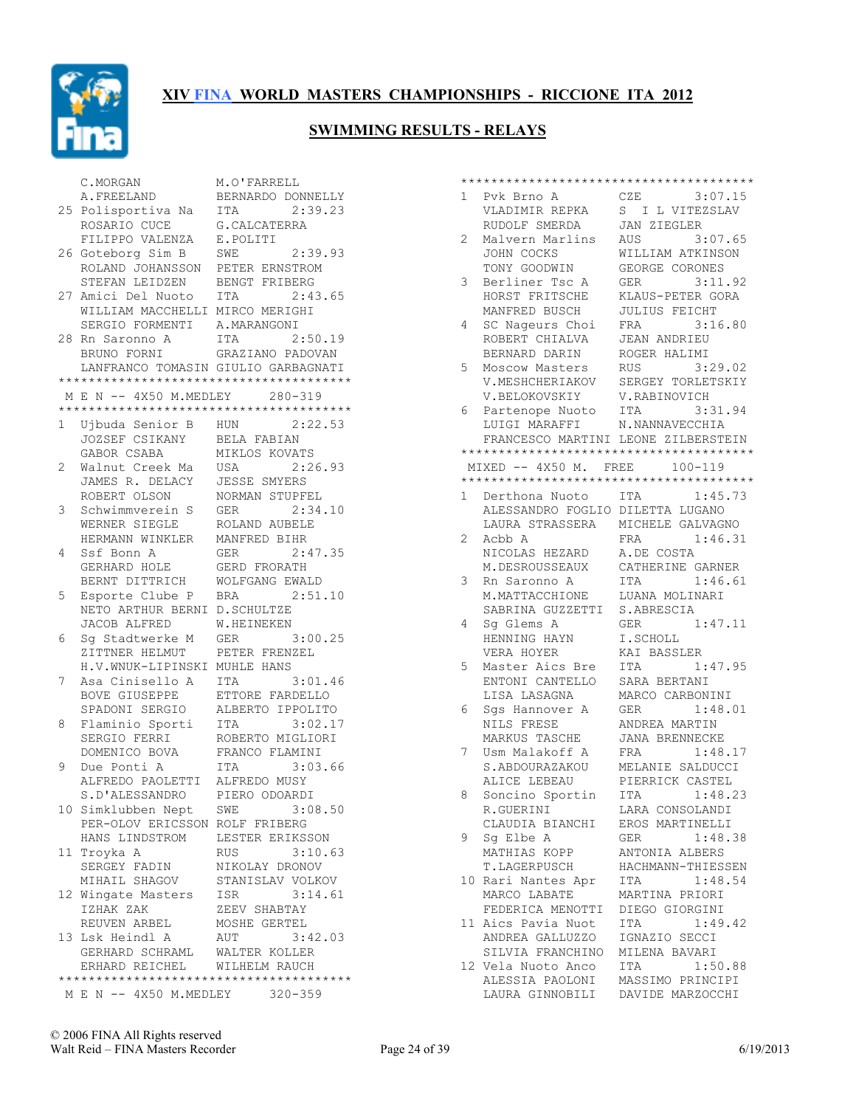

|    | C.MORGAN                              | M.O'FARRELL                         |
|----|---------------------------------------|-------------------------------------|
|    | A.FREELAND                            | BERNARDO DONNELLY                   |
|    | 25 Polisportiva Na ITA                | 2:39.23                             |
|    | ROSARIO CUCE                          | G.CALCATERRA                        |
|    | FILIPPO VALENZA                       | E.POLITI                            |
|    | 26 Goteborg Sim B                     | SWE<br>2:39.93                      |
|    | ROLAND JOHANSSON                      | PETER ERNSTROM                      |
|    | STEFAN LEIDZEN                        | <br>BENGT FRIBERG                   |
| 27 | Amici Del Nuoto ITA                   | 2:43.65                             |
|    | WILLIAM MACCHELLI MIRCO MERIGHI       |                                     |
|    | SERGIO FORMENTI A.MARANGONI           |                                     |
|    | 28 Rn Saronno A                       | ITA<br>2:50.19                      |
|    |                                       | BRUNO FORNI GRAZIANO PADOVAN        |
|    |                                       | LANFRANCO TOMASIN GIULIO GARBAGNATI |
|    |                                       |                                     |
|    | M E N -- 4X50 M.MEDLEY 280-319        |                                     |
|    |                                       |                                     |
| 1  |                                       | Ujbuda Senior B HUN 2:22.53         |
|    | JOZSEF CSIKANY BELA FABIAN            |                                     |
|    | GABOR CSABA                           | MIKLOS KOVATS                       |
| 2  | Walnut Creek Ma                       | 2:26.93<br>USA                      |
|    | JAMES R. DELACY JESSE SMYERS          |                                     |
|    | ROBERT OLSON                          | NORMAN STUPFEL                      |
| 3  | Schwimmverein S                       | GER<br>2:34.10                      |
|    | WERNER SIEGLE                         | ROLAND AUBELE                       |
|    | HERMANN WINKLER                       | MANFRED BIHR                        |
| 4  | Ssf Bonn A                            | 2:47.35<br>GER                      |
|    | GERHARD HOLE                          | <b>GERD FRORATH</b>                 |
|    | BERNT DITTRICH                        | WOLFGANG EWALD                      |
| 5  | Esporte Clube P                       | <b>BRA</b><br>2:51.10               |
|    | NETO ARTHUR BERNI D. SCHULTZE         |                                     |
|    | JACOB ALFRED                          | W.HEINEKEN                          |
| 6  | Sq Stadtwerke M                       | 3:00.25<br>GER                      |
|    | ZITTNER HELMUT                        | PETER FRENZEL                       |
|    | H.V.WNUK-LIPINSKI MUHLE HANS          |                                     |
| 7  | Asa Cinisello A ITA                   | 3:01.46                             |
|    | <b>BOVE GIUSEPPE</b>                  | ETTORE FARDELLO                     |
|    | SPADONI SERGIO                        | ALBERTO IPPOLITO                    |
| 8  | Flaminio Sporti ITA                   | 3:02.17                             |
|    | LU FERRI<br>DOMENICO BOVA<br>Due Pont | ROBERTO MIGLIORI                    |
|    |                                       | FRANCO FLAMINI                      |
| 9  | Due Ponti A                           | ITA<br>3:03.66                      |
|    | ALFREDO PAOLETTI ALFREDO MUSY         |                                     |
|    | S.D'ALESSANDRO PIERO ODOARDI          |                                     |
|    | 10 Simklubben Nept SWE                | 3:08.50                             |
|    | PER-OLOV ERICSSON ROLF FRIBERG        |                                     |
|    | HANS LINDSTROM                        | LESTER ERIKSSON                     |
|    | 11 Troyka A                           | RUS<br>3:10.63                      |
|    | SERGEY FADIN                          | NIKOLAY DRONOV                      |
|    | MIHAIL SHAGOV                         | STANISLAV VOLKOV                    |
|    | 12 Wingate Masters                    | ISR<br>3:14.61                      |
|    | IZHAK ZAK                             | ZEEV SHABTAY                        |
|    | REUVEN ARBEL                          | MOSHE GERTEL                        |
|    | 13 Lsk Heindl A                       | AUT<br>3:42.03                      |
|    | GERHARD SCHRAML WALTER KOLLER         |                                     |
|    |                                       |                                     |
|    |                                       | ERHARD REICHEL WILHELM RAUCH        |
|    | M E N -- 4X50 M.MEDLEY 320-359        |                                     |

|   | 1 Pvk Brno A                                | 3:07.15<br>CZE                      |
|---|---------------------------------------------|-------------------------------------|
|   | VLADIMIR REPKA                              | S I L VITEZSLAV                     |
|   | RUDOLF SMERDA                               | <b>JAN ZIEGLER</b>                  |
| 2 | Malvern Marlins                             | AUS<br>3:07.65                      |
|   | JOHN COCKS                                  | WILLIAM ATKINSON                    |
|   | TONY GOODWIN                                | GEORGE CORONES                      |
| 3 | Berliner Tsc A                              | 3:11.92<br>GER                      |
|   | HORST FRITSCHE                              | KLAUS-PETER GORA                    |
|   | MANFRED BUSCH                               | <b>JULIUS FEICHT</b>                |
| 4 | SC Nageurs Choi                             | 3:16.80<br>FRA                      |
|   | ROBERT CHIALVA                              | <b>JEAN ANDRIEU</b>                 |
|   | BERNARD DARIN                               | ROGER HALIMI                        |
| 5 | Moscow Masters                              | 3:29.02<br>RUS                      |
|   |                                             | V. MESHCHERIAKOV SERGEY TORLETSKIY  |
|   | V.BELOKOVSKIY V.RABI<br>Partenope Nuoto ITA | V.RABINOVICH                        |
| 6 |                                             | 3:31.94                             |
|   | LUIGI MARAFFI                               | N.NANNAVECCHIA                      |
|   |                                             | FRANCESCO MARTINI LEONE ZILBERSTEIN |
|   |                                             |                                     |
|   | MIXED -- 4X50 M. FREE 100-119               |                                     |
|   |                                             |                                     |
|   | 1 Derthona Nuoto ITA                        | 1:45.73                             |
|   | ALESSANDRO FOGLIO DILETTA LUGANO            |                                     |
|   | LAURA STRASSERA                             | MICHELE GALVAGNO                    |
| 2 | Acbb A                                      | FRA<br>1:46.31                      |
|   | NICOLAS HEZARD                              | A.DE COSTA                          |
|   | M.DESROUSSEAUX CATHERINE GARNER             |                                     |
| 3 | Rn Saronno A                                | 1:46.61<br>ITA                      |
|   | M.MATTACCHIONE                              | LUANA MOLINARI                      |
|   | SABRINA GUZZETTI S.ABRESCIA                 |                                     |
| 4 | Sq Glems A                                  | GER<br>1:47.11                      |
|   | HENNING HAYN<br>ITDA HOYER<br>VERA HOYER    | I.SCHOLL<br>KAI BASSLER             |
| 5 | Master Aics Bre                             | ITA<br>1:47.95                      |
|   | ENTONI CANTELLO                             | SARA BERTANI                        |
|   | LISA LASAGNA                                | MARCO CARBONINI                     |
| 6 | Sgs Hannover A                              | 1:48.01<br>GER                      |
|   | NILS FRESE                                  | ANDREA MARTIN                       |
|   | MARKUS TASCHE                               | <b>JANA BRENNECKE</b>               |
| 7 | Usm Malakoff A                              | 1:48.17<br>FRA                      |
|   | S.ABDOURAZAKOU MELANIE SALDUCCI             |                                     |
|   | ALICE LEBEAU                                | PIERRICK CASTEL                     |
| 8 | Soncino Sportin ITA                         | 1:48.23                             |
|   | R.GUERINI                                   | LARA CONSOLANDI                     |
|   | CLAUDIA BIANCHI                             | EROS MARTINELLI                     |
| 9 | Sq Elbe A                                   | 1:48.38<br>GER                      |
|   | MATHIAS KOPP                                | ANTONIA ALBERS                      |
|   | T.LAGERPUSCH                                | HACHMANN-THIESSEN                   |
|   | 10 Rari Nantes Apr                          | ITA<br>1:48.54                      |
|   | MARCO LABATE                                | MARTINA PRIORI                      |
|   | FEDERICA MENOTTI                            | DIEGO GIORGINI                      |
|   | 11 Aics Pavia Nuot                          | ITA<br>1:49.42                      |
|   | ANDREA GALLUZZO                             | IGNAZIO SECCI                       |
|   | SILVIA FRANCHINO                            | MILENA BAVARI                       |
|   | 12 Vela Nuoto Anco                          | 1:50.88<br>ITA                      |
|   | ALESSIA PAOLONI                             | MASSIMO PRINCIPI                    |
|   | LAURA GINNOBILI                             | DAVIDE MARZOCCHI                    |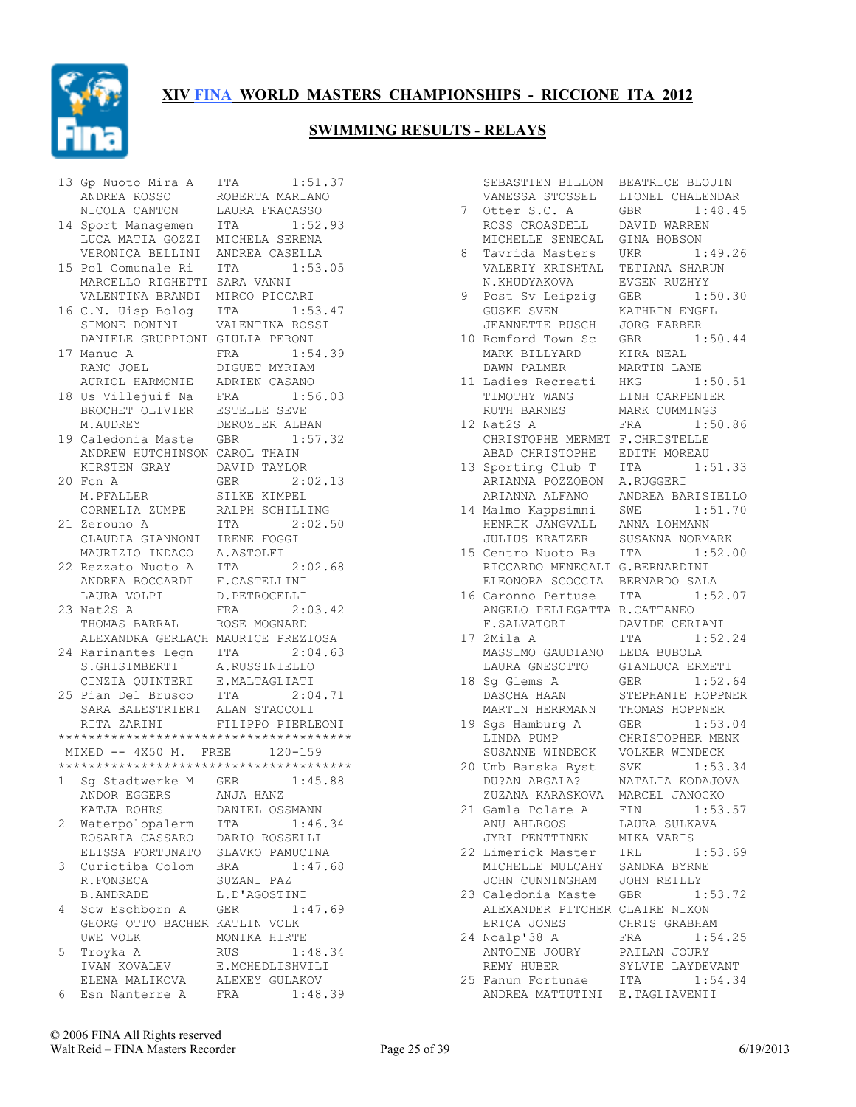

#### **SWIMMING RESULTS - RELAYS**

|   | 13 Gp Nuoto Mira A ITA<br>ANDREA ROSSO<br>NICOLA CANTON LAURA FRACASSO | 1:51.37<br>ROBERTA MARIANO |
|---|------------------------------------------------------------------------|----------------------------|
|   | 14 Sport Managemen ITA<br>LUCA MATIA GOZZI MICHELA SERENA              | 1:52.93                    |
|   | VERONICA BELLINI ANDREA CASELLA<br>15 Pol Comunale Ri ITA              | 1:53.05                    |
|   | MARCELLO RIGHETTI SARA VANNI                                           |                            |
|   | VALENTINA BRANDI MIRCO PICCARI                                         |                            |
|   | 16 C.N. Uisp Bolog                                                     | ITA 1:53.47                |
|   | SIMONE DONINI                                                          | VALENTINA ROSSI            |
|   | DANIELE GRUPPIONI GIULIA PERONI                                        |                            |
|   | 17 Manuc A                                                             | 1:54.39<br>FRA             |
|   | RANC JOEL                                                              | DIGUET MYRIAM              |
|   | AURIOL HARMONIE                                                        | ADRIEN CASANO              |
|   | 18 Us Villejuif Na                                                     | FRA<br>1:56.03             |
|   | BROCHET OLIVIER                                                        | ESTELLE SEVE               |
|   | M.AUDREY                                                               | DEROZIER ALBAN             |
|   | 19 Caledonia Maste                                                     | GBR 1:57.32                |
|   | ANDREW HUTCHINSON CAROL THAIN                                          |                            |
|   | KIRSTEN GRAY                                                           | DAVID TAYLOR               |
|   | 20 Fcn A                                                               | GER<br>2:02.13             |
|   | M. PFALLER                                                             | SILKE KIMPEL               |
|   | CORNELIA ZUMPE                                                         | RALPH SCHILLING            |
|   | 21 Zerouno A<br>CLAUDIA GIANNONI IRENE FOGGI                           | ITA 2:02.50                |
|   | MAURIZIO INDACO                                                        | A.ASTOLFI                  |
|   |                                                                        | 2:02.68<br>ITA             |
|   | 22 Rezzato Nuoto A<br>ANDREA BOCCARDI                                  | F.CASTELLINI               |
|   | LAURA VOLPI                                                            | D. PETROCELLI              |
|   | 23 Nat2S A                                                             | FRA<br>2:03.42             |
|   | THOMAS BARRAL                                                          | ROSE MOGNARD               |
|   | ALEXANDRA GERLACH MAURICE PREZIOSA                                     |                            |
|   | 24 Rarinantes Legn ITA                                                 | 2:04.63                    |
|   |                                                                        |                            |
|   | S.GHISIMBERTI A.RUSSINIELLO<br>CINZIA QUINTERI E.MALTAGLIATI           |                            |
|   | 25 Pian Del Brusco ITA                                                 | 2:04.71                    |
|   | SARA BALESTRIERI ALAN STACCOLI<br>RITA ZARINI      FILIPPO PIERLEONI   |                            |
|   | RITA ZARINI                                                            |                            |
|   |                                                                        |                            |
|   | MIXED -- 4X50 M. FREE                                                  | 120-159                    |
|   |                                                                        |                            |
|   | 1 Sg Stadtwerke M GER 1:45.88                                          |                            |
|   | ANDOR EGGERS                                                           | ANJA HANZ                  |
|   | KATJA ROHRS                                                            | DANIEL OSSMANN             |
| 2 | Waterpolopalerm                                                        | 1:46.34<br>ITA             |
|   | ROSARIA CASSARO                                                        | DARIO ROSSELLI             |
|   | ELISSA FORTUNATO                                                       | SLAVKO PAMUCINA            |
| 3 | Curiotiba Colom                                                        | 1:47.68<br>BRA             |
|   | R. FONSECA<br><b>B.ANDRADE</b>                                         | SUZANI PAZ<br>L.D'AGOSTINI |
| 4 | Scw Eschborn A                                                         | GER<br>1:47.69             |
|   | GEORG OTTO BACHER KATLIN VOLK                                          |                            |
|   | UWE VOLK                                                               | MONIKA HIRTE               |
| 5 | Troyka A                                                               | RUS<br>1:48.34             |
|   | IVAN KOVALEV                                                           | E.MCHEDLISHVILI            |
|   | ELENA MALIKOVA                                                         | ALEXEY GULAKOV             |
| 6 | Esn Nanterre A                                                         | FRA<br>1:48.39             |

|    | SEBASTIEN BILLON                                      | BEATRICE BLOUIN                  |
|----|-------------------------------------------------------|----------------------------------|
|    | VANESSA STOSSEL                                       | LIONEL CHALENDAR                 |
| 7  | Otter S.C. A                                          | GBR<br>1:48.45                   |
|    | ROSS CROASDELL                                        | DAVID WARREN                     |
|    | MICHELLE SENECAL                                      | GINA HOBSON                      |
| 8  | Tavrida Masters                                       | 1:49.26<br>UKR                   |
|    | VALERIY KRISHTAL                                      | TETIANA SHARUN                   |
|    | N.KHUDYAKOVA                                          | EVGEN RUZHYY                     |
| 9  | Post Sv Leipzig                                       | 1:50.30<br>GER                   |
|    | GUSKE SVEN                                            | KATHRIN ENGEL                    |
|    | JEANNETTE BUSCH                                       | <b>JORG FARBER</b>               |
|    | 10 Romford Town Sc                                    | GBR 1:50.44                      |
|    | MARK BILLYARD                                         | KIRA NEAL                        |
|    | DAWN PALMER                                           | MARTIN LANE                      |
|    | 11 Ladies Recreati                                    | 1:50.51<br>HKG                   |
|    | TIMOTHY WANG                                          | LINH CARPENTER                   |
|    | <b>RUTH BARNES</b>                                    | MARK CUMMINGS                    |
|    | 12 Nat2S A                                            | FRA 1:50.86                      |
|    | CHRISTOPHE MERMET F.CHRISTELLE                        |                                  |
|    | ABAD CHRISTOPHE                                       | EDITH MOREAU                     |
|    | 13 Sporting Club T<br>ARIANNA POZZOBON                | ITA 1:51.33<br>A.RUGGERI         |
|    |                                                       |                                  |
|    | ARIANNA ALFANO<br>14 Malmo Kappsimni                  | ANDREA BARISIELLO<br>SWE 1:51.70 |
|    | HENRIK JANGVALL ANNA LOHMANN                          |                                  |
|    | JULIUS KRATZER SUSANNA NORMARK                        |                                  |
| 15 | Centro Nuoto Ba ITA 1:52.00                           |                                  |
|    | RICCARDO MENECALI G.BERNARDINI                        |                                  |
|    | ELEONORA SCOCCIA BERNARDO SALA                        |                                  |
|    | 16 Caronno Pertuse                                    | <b>ITA</b><br>1:52.07            |
|    | ANGELO PELLEGATTA R.CATTANEO                          |                                  |
|    | F. SALVATORI                                          | DAVIDE CERIANI                   |
|    | 17 2Mila A                                            | ITA<br>1:52.24                   |
|    | MASSIMO GAUDIANO                                      | LEDA BUBOLA                      |
|    | LAURA GNESOTTO                                        | GIANLUCA ERMETI                  |
|    | 18 Sg Glems A                                         | 1:52.64<br>GER                   |
|    | DASCHA HAAN                                           | STEPHANIE HOPPNER                |
|    | MARTIN HERRMANN                                       | THOMAS HOPPNER                   |
|    | 19 Sgs Hamburg A                                      | GER<br>1:53.04                   |
|    | LINDA PUMP                                            | CHRISTOPHER MENK                 |
|    | SUSANNE WINDECK                                       | VOLKER WINDECK                   |
|    | 20 Umb Banska Byst                                    | 1:53.34<br>SVK                   |
|    | DU?AN ARGALA?                                         | NATALIA KODAJOVA                 |
|    | ZUZANA KARASKOVA                                      | MARCEL JANOCKO                   |
|    | 21 Gamla Polare A FIN                                 | 1:53.57                          |
|    | ANU AHLROOS                                           | LAURA SULKAVA                    |
|    | JYRI PENTTINEN MIKA VARIS<br>22 Limerick Master IRL 1 |                                  |
|    |                                                       | 1:53.69                          |
|    | MICHELLE MULCAHY SANDRA BYRNE                         |                                  |
|    | JOHN CUNNINGHAM JOHN REILLY                           |                                  |
|    | 23 Caledonia Maste                                    | GBR<br>1:53.72                   |
|    | ALEXANDER PITCHER CLAIRE NIXON                        |                                  |
|    | ERICA JONES                                           | CHRIS GRABHAM                    |
|    | 24 Ncalp'38 A                                         | FRA<br>1:54.25                   |
|    | ANTOINE JOURY PAILAN JOURY                            |                                  |
|    | REMY HUBER                                            | SYLVIE LAYDEVANT                 |
|    |                                                       | 25 Fanum Fortunae ITA 1:54.34    |

ANDREA MATTUTINI E.TAGLIAVENTI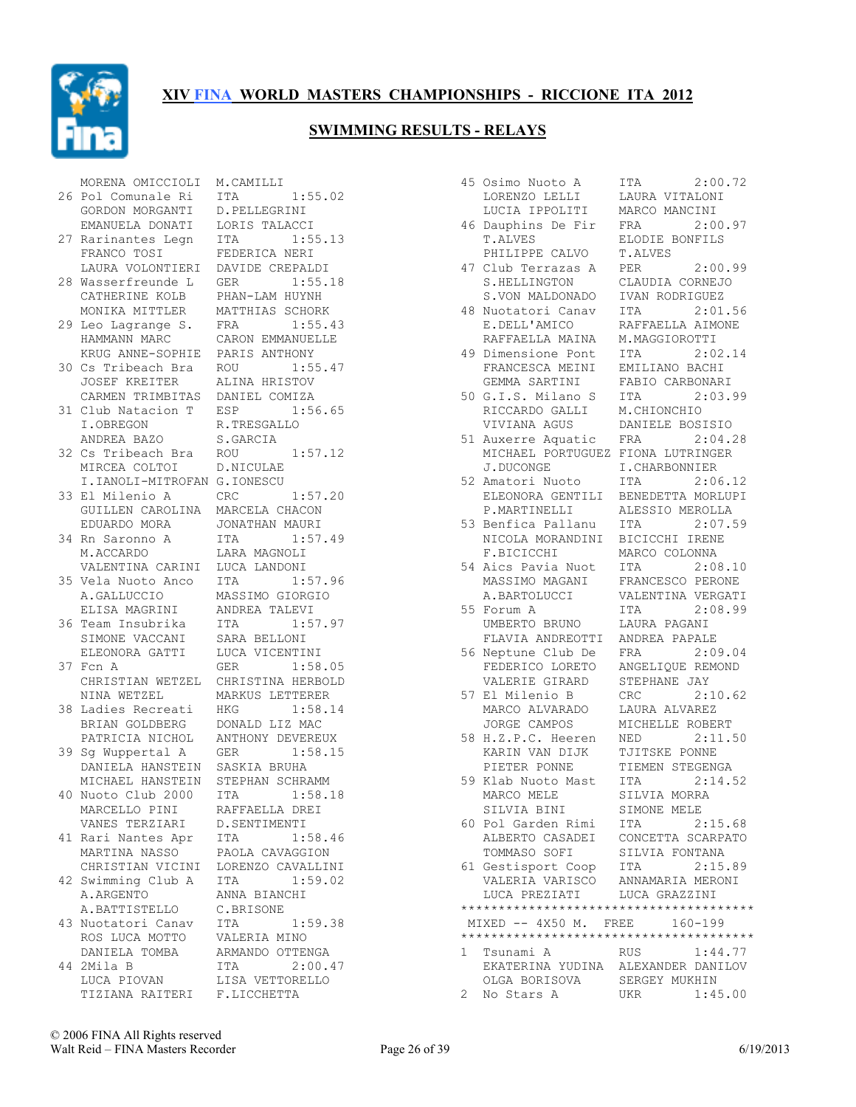

|     | MORENA OMICCIOLI                   | M.CAMILLI                       |
|-----|------------------------------------|---------------------------------|
| 26  | Pol Comunale Ri                    | 1:55.02<br>I TA                 |
|     | GORDON MORGANTI                    | D. PELLEGRINI                   |
|     | EMANUELA DONATI<br>Rarinantes Legn | LORIS TALACCI<br>ITA<br>1:55.13 |
| 27  | FRANCO TOSI                        | FEDERICA NERI                   |
|     | LAURA VOLONTIERI                   | DAVIDE CREPALDI                 |
| 28. | Wasserfreunde L                    | GER<br>1:55.18                  |
|     | CATHERINE KOLB                     | PHAN-LAM HUYNH                  |
|     | MONIKA MITTLER                     | MATTHIAS SCHORK                 |
| 29  | Leo Lagrange S.                    | 1:55.43<br>FRA                  |
|     | HAMMANN MARC                       | CARON EMMANUELLE                |
|     | KRUG ANNE-SOPHIE                   | PARIS ANTHONY                   |
|     | 30 Cs Tribeach Bra                 | 1:55.47<br>ROU                  |
|     | <b>JOSEF KREITER</b>               | ALINA HRISTOV                   |
|     | CARMEN TRIMBITAS                   | DANIEL COMIZA                   |
|     | 31 Club Natacion T                 | 1:56.65<br>ESP                  |
|     | I.OBREGON                          | R.TRESGALLO                     |
|     | ANDREA BAZO                        | S.GARCIA                        |
|     | 32 Cs Tribeach Bra                 | ROU<br>1:57.12                  |
|     | MIRCEA COLTOI                      | D.NICULAE                       |
|     | I.IANOLI-MITROFAN                  | G.IONESCU                       |
|     | 33 El Milenio A                    | 1:57.20<br>CRC C                |
|     | GUILLEN CAROLINA                   | MARCELA CHACON                  |
|     | EDUARDO MORA                       | JONATHAN MAURI                  |
|     | 34 Rn Saronno A<br>M.ACCARDO       | 1:57.49<br>ITA                  |
|     | VALENTINA CARINI                   | LARA MAGNOLI<br>LUCA LANDONI    |
|     | 35 Vela Nuoto Anco                 | ITA<br>1:57.96                  |
|     | A.GALLUCCIO                        | MASSIMO GIORGIO                 |
|     | ELISA MAGRINI                      | ANDREA TALEVI                   |
|     | 36 Team Insubrika                  | 1:57.97<br>ITA                  |
|     | SIMONE VACCANI                     | SARA BELLONI                    |
|     | ELEONORA GATTI                     | LUCA VICENTINI                  |
| 37  | Fcn A                              | GER<br>1:58.05                  |
|     | CHRISTIAN WETZEL                   | CHRISTINA HERBOLD               |
|     | NINA WETZEL                        | MARKUS LETTERER                 |
|     | 38 Ladies Recreati                 | HKG<br>1:58.14                  |
|     | BRIAN GOLDBERG                     | DONALD LIZ MAC                  |
|     | PATRICIA NICHOL                    | ANTHONY DEVEREUX                |
| 39  | Sg Wuppertal A                     | 1:58.15<br>GER                  |
|     | DANIELA HANSTEIN                   | SASKIA BRUHA                    |
|     | MICHAEL HANSTEIN                   | STEPHAN SCHRAMM                 |
| 40  | Nuoto Club 2000                    | 1:58.18<br>ITA                  |
|     | MARCELLO PINI<br>VANES TERZIARI    | RAFFAELLA DREI                  |
|     | 41 Rari Nantes Apr                 | D. SENTIMENTI<br>1:58.46        |
|     | MARTINA NASSO                      | ITA<br>PAOLA CAVAGGION          |
|     | CHRISTIAN VICINI                   | LORENZO CAVALLINI               |
|     | 42 Swimming Club A                 | 1:59.02<br>ITA                  |
|     | A.ARGENTO                          | ANNA BIANCHI                    |
|     | A.BATTISTELLO                      | C.BRISONE                       |
|     | 43 Nuotatori Canav                 | 1:59.38<br>ITA                  |
|     | ROS LUCA MOTTO                     | VALERIA MINO                    |
|     | DANIELA TOMBA                      | ARMANDO OTTENGA                 |
|     | 44 2Mila B                         | 2:00.47<br>ITA                  |
|     | LUCA PIOVAN                        | LISA VETTORELLO                 |
|     | TIZIANA RAITERI F.LICCHETTA        |                                 |

| 45           | Osimo Nuoto A                                          | ITA<br>2:00.72                     |
|--------------|--------------------------------------------------------|------------------------------------|
|              | LORENZO LELLI                                          | LAURA VITALONI                     |
|              | LUCIA IPPOLITI                                         | MARCO MANCINI                      |
| 46           | Dauphins De Fir                                        | 2:00.97<br>FRA                     |
|              | T.ALVES                                                | ELODIE BONFILS                     |
|              | PHILIPPE CALVO                                         | T.ALVES                            |
| 47           | Club Terrazas A                                        | 2:00.99<br>PER                     |
|              | S.HELLINGTON                                           |                                    |
|              |                                                        | CLAUDIA CORNEJO                    |
|              | S.VON MALDONADO                                        | IVAN RODRIGUEZ                     |
| 48           | Nuotatori Canav                                        | ITA<br>2:01.56                     |
|              | E.DELL'AMICO                                           | RAFFAELLA AIMONE                   |
|              | RAFFAELLA MAINA                                        | M.MAGGIOROTTI                      |
| 49           | Dimensione Pont                                        | <b>ITA</b><br>2:02.14              |
|              | FRANCESCA MEINI                                        | EMILIANO BACHI                     |
|              | GEMMA SARTINI                                          | FABIO CARBONARI                    |
| 50           | G.I.S. Milano S                                        | 2:03.99<br>ITA                     |
|              | RICCARDO GALLI                                         | M.CHIONCHIO                        |
|              |                                                        |                                    |
|              | VIVIANA AGUS                                           | DANIELE BOSISIO                    |
| 51           | Auxerre Aquatic                                        | FRA<br>2:04.28                     |
|              | MICHAEL PORTUGUEZ FIONA LUTRINGER                      |                                    |
|              | J.DUCONGE                                              | I.CHARBONNIER                      |
| 52.          | Amatori Nuoto                                          | ITA<br>2:06.12                     |
|              | ELEONORA GENTILI                                       | BENEDETTA MORLUPI                  |
|              | P.MARTINELLI                                           | ALESSIO MEROLLA                    |
|              | 53 Benfica Pallanu                                     | 2:07.59<br>ITA                     |
|              | NICOLA MORANDINI                                       | BICICCHI IRENE                     |
|              | F.BICICCHI                                             | MARCO COLONNA                      |
| 54           | Aics Pavia Nuot                                        | ITA                                |
|              |                                                        | 2:08.10                            |
|              | MASSIMO MAGANI                                         | FRANCESCO PERONE                   |
|              | A.BARTOLUCCI                                           | VALENTINA VERGATI                  |
| 55           | Forum A                                                | <b>ITA</b><br>2:08.99              |
|              | UMBERTO BRUNO                                          | LAURA PAGANI                       |
|              | FLAVIA ANDREOTTI                                       | ANDREA PAPALE                      |
|              | 56 Neptune Club De                                     | 2:09.04<br>FRA                     |
|              | FEDERICO LORETO                                        | ANGELIQUE REMOND                   |
|              | VALERIE GIRARD                                         | STEPHANE JAY                       |
| 57           | El Milenio B                                           | 2:10.62<br>CRC                     |
|              | MARCO ALVARADO                                         | LAURA ALVAREZ                      |
|              | <b>JORGE CAMPOS</b>                                    | MICHELLE ROBERT                    |
|              |                                                        |                                    |
|              | 58 H.Z.P.C. Heeren                                     | 2:11.50<br>NED                     |
|              | KARIN VAN DIJK                                         | TJITSKE PONNE                      |
|              | PIETER PONNE                                           | TIEMEN STEGENGA                    |
|              | 59 Klab Nuoto Mast                                     | 2:14.52<br>ITA                     |
|              | MARCO MELE                                             | SILVIA MORRA                       |
|              | SILVIA BINI                                            | SIMONE MELE                        |
| 60           | Pol Garden Rimi                                        | ITA<br>2:15.68                     |
|              |                                                        | ALBERTO CASADEI CONCETTA SCARPATO  |
|              | TOMMASO SOFI                                           | SILVIA FONTANA                     |
|              |                                                        | 2:15.89                            |
|              | 61 Gestisport Coop<br>VALERIA VARISCO ANNAMARIA MERONI | ITA                                |
|              |                                                        |                                    |
|              | LUCA PREZIATI LUCA GRAZZINI                            |                                    |
|              |                                                        |                                    |
|              | MIXED -- 4X50 M. FREE 160-199                          |                                    |
|              |                                                        |                                    |
| $\mathbf{1}$ | Tsunami A                                              | RUS<br>1:44.77                     |
|              |                                                        | EKATERINA YUDINA ALEXANDER DANILOV |
|              | OLGA BORISOVA                                          | SERGEY MUKHIN                      |
|              | 2 No Stars A                                           | UKR 1:45.00                        |
|              |                                                        |                                    |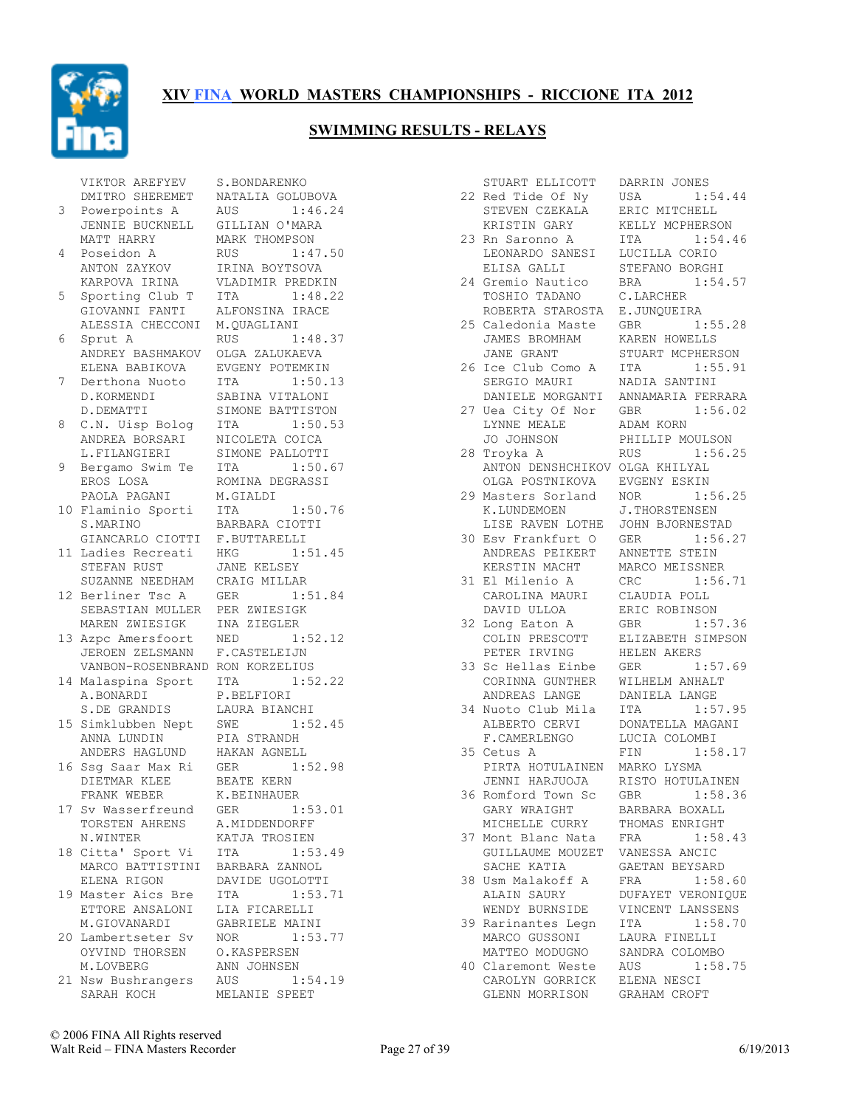

#### **SWIMMING RESULTS - RELAYS**

|    | VIKTOR AREFYEV                 | S.BONDARENKO                    |
|----|--------------------------------|---------------------------------|
|    | DMITRO SHEREMET                | NATALIA GOLUBOVA                |
| 3  | Powerpoints A                  | AUS<br>1:46.24                  |
|    | JENNIE BUCKNELL                | GILLIAN O'MARA                  |
|    | MATT HARRY                     | MARK THOMPSON                   |
| 4  | Poseidon A                     | RUS<br>1:47.50                  |
|    | ANTON ZAYKOV                   | IRINA BOYTSOVA                  |
|    | KARPOVA IRINA                  | VLADIMIR PREDKIN                |
| 5  | Sporting Club T                | 1:48.22<br>ITA                  |
|    | GIOVANNI FANTI                 | ALFONSINA IRACE                 |
|    | ALESSIA CHECCONI               | M.OUAGLIANI                     |
| 6  | Sprut A                        | RUS<br>1:48.37                  |
|    | ANDREY BASHMAKOV               | OLGA ZALUKAEVA                  |
|    | ELENA BABIKOVA                 | EVGENY POTEMKIN                 |
| 7  | Derthona Nuoto                 | 1:50.13<br>ITA                  |
|    | D.KORMENDI                     | SABINA VITALONI                 |
|    | D.DEMATTI                      | SIMONE BATTISTON                |
| 8  | C.N. Uisp Bolog                | 1:50.53<br>ITA                  |
|    | ANDREA BORSARI                 | NICOLETA COICA                  |
|    | L.FILANGIERI                   | SIMONE PALLOTTI                 |
| 9  | Bergamo Swim Te                | 1:50.67<br>ITA                  |
|    | EROS LOSA                      | ROMINA DEGRASSI                 |
|    | PAOLA PAGANI                   | M.GIALDI<br>1:50.76             |
|    | 10 Flaminio Sporti<br>S.MARINO | <b>ITA</b><br>BARBARA CIOTTI    |
|    | GIANCARLO CIOTTI               | F.BUTTARELLI                    |
|    | 11 Ladies Recreati             | 1:51.45<br>HKG                  |
|    | STEFAN RUST                    | JANE KELSEY                     |
|    | SUZANNE NEEDHAM                | CRAIG MILLAR                    |
|    | 12 Berliner Tsc A              | GER<br>1:51.84                  |
|    | SEBASTIAN MULLER               | PER ZWIESIGK                    |
|    | MAREN ZWIESIGK                 | INA ZIEGLER                     |
|    | 13 Azpc Amersfoort             | 1:52.12<br>NED                  |
|    | JEROEN ZELSMANN                | F.CASTELEIJN                    |
|    | VANBON-ROSENBRAND              | RON KORZELIUS                   |
|    | 14 Malaspina Sport             | <b>ITA</b><br>1:52.22           |
|    | A.BONARDI                      | P.BELFIORI                      |
|    | S.DE GRANDIS                   | LAURA BIANCHI                   |
|    | 15 Simklubben Nept             | 1:52.45<br>SWE                  |
|    | ANNA LUNDIN                    | PIA STRANDH                     |
|    | ANDERS HAGLUND                 | HAKAN AGNELL                    |
| 16 | Ssg Saar Max Ri                | 1:52.98<br>GER                  |
|    | DIETMAR KLEE<br>FRANK WEBER    | BEATE KERN                      |
|    | 17 Sv Wasserfreund             | K.BEINHAUER                     |
|    | TORSTEN AHRENS                 | 1:53.01<br>GER<br>A.MIDDENDORFF |
|    | N.WINTER                       | KATJA TROSIEN                   |
|    | 18 Citta' Sport Vi             | ITA<br>1:53.49                  |
|    | MARCO BATTISTINI               | BARBARA ZANNOL                  |
|    | ELENA RIGON                    | DAVIDE UGOLOTTI                 |
|    | 19 Master Aics Bre             | ITA<br>1:53.71                  |
|    | ETTORE ANSALONI                | LIA FICARELLI                   |
|    | M.GIOVANARDI                   | GABRIELE MAINI                  |
|    | 20 Lambertseter Sv             | 1:53.77<br>NOR                  |
|    | OYVIND THORSEN                 | O. KASPERSEN                    |
|    | M.LOVBERG                      | ANN JOHNSEN                     |
|    |                                |                                 |
|    | 21 Nsw Bushrangers             | AUS<br>1:54.19                  |

| NKO     |                |
|---------|----------------|
| OLUBOVA | 2.             |
| 1:46.24 |                |
| ' MARA  |                |
| PSON    | $\mathbf{2}$   |
| 1:47.50 |                |
| TSOVA   |                |
| PREDKIN |                |
|         | $\mathbf{2}$   |
| 1:48.22 |                |
| IRACE   |                |
| ΝI      | 2              |
| 1:48.37 |                |
| KAEVA   |                |
| TEMKIN  | 2              |
| 1:50.13 |                |
| TALONI  |                |
| TTISTON | $\overline{2}$ |
| 1:50.53 |                |
| COICA   |                |
| LLOTTI  | 2              |
| 1:50.67 |                |
|         |                |
| GRASSI  |                |
|         | 2              |
| 1:50.76 |                |
| IOTTI   |                |
| LLI     | 3              |
| 1:51.45 |                |
| ΕY      |                |
| LAR     | 3              |
| 1:51.84 |                |
| IGK     |                |
| ΕR      | 3.             |
| 1:52.12 |                |
| I JN    |                |
|         |                |
| LIUS    | 3.             |
| 1:52.22 |                |
| Ι       |                |
| NCHI    | 3              |
| 1:52.45 |                |
| DH      |                |
| ELL     | 3              |
| 1:52.98 |                |
| Ν       |                |
| ΕR      | 3              |
| 1:53.01 |                |
| ORFF    |                |
| SIEN    | 3              |
| 1:53.49 |                |
|         |                |
| ANNOL   |                |
| OLOTTI  | 3              |
| 1:53.71 |                |
| ELLI    |                |
| MAINI   | 3              |
| 1:53.77 |                |
| ΕN      |                |
| ΕN      | 4              |
| 1:54.19 |                |
|         |                |

|     | STUART ELLICOTT                                                   | DARRIN JONES          |
|-----|-------------------------------------------------------------------|-----------------------|
|     | 22 Red Tide Of Ny                                                 | 1:54.44<br>USA        |
|     | STEVEN CZEKALA                                                    | ERIC MITCHELL         |
|     | KRISTIN GARY                                                      | KELLY MCPHERSON       |
|     | 23 Rn Saronno A                                                   | ITA<br>1:54.46        |
|     |                                                                   | LUCILLA CORIO         |
|     | LEONARDO SANESI                                                   |                       |
|     | ELISA GALLI                                                       | STEFANO BORGHI        |
|     | 24 Gremio Nautico                                                 | 1:54.57<br><b>BRA</b> |
|     | TOSHIO TADANO                                                     | C.LARCHER             |
|     | ROBERTA STAROSTA                                                  | E.JUNQUEIRA           |
|     | 25 Caledonia Maste                                                | GBR<br>1:55.28        |
|     | JAMES BROMHAM                                                     | KAREN HOWELLS         |
|     | JANE GRANT                                                        | STUART MCPHERSON      |
| 26  | Ice Club Como A                                                   | 1:55.91<br>ITA        |
|     | SERGIO MAURI                                                      | NADIA SANTINI         |
|     | DANIELE MORGANTI                                                  | ANNAMARIA FERRARA     |
|     | 27 Uea City Of Nor                                                | GBR 1:56.02           |
|     | LYNNE MEALE                                                       | ADAM KORN             |
|     | JO JOHNSON                                                        | PHILLIP MOULSON       |
| 28  | Troyka A                                                          | 1:56.25<br><b>RUS</b> |
|     | ANTON DENSHCHIKOV OLGA KHILYAL                                    |                       |
|     | OLGA POSTNIKOVA                                                   | EVGENY ESKIN          |
|     | 29 Masters Sorland                                                | 1:56.25<br>NOR        |
|     | K.LUNDEMOEN                                                       | <b>J.THORSTENSEN</b>  |
|     | LISE RAVEN LOTHE                                                  | JOHN BJORNESTAD       |
|     | 30 Esv Frankfurt O                                                | GER 1:56.27           |
|     | ANDREAS PEIKERT                                                   | ANNETTE STEIN         |
|     | KERSTIN MACHT                                                     | MARCO MEISSNER        |
|     | 31 El Milenio A                                                   | 1:56.71<br>CRC        |
|     | CAROLINA MAURI                                                    | CLAUDIA POLL          |
|     | DAVID ULLOA                                                       | ERIC ROBINSON         |
|     | 32 Long Eaton A                                                   | GBR 1:57.36           |
|     | COLIN PRESCOTT                                                    | ELIZABETH SIMPSON     |
|     | PETER IRVING                                                      | HELEN AKERS           |
| 33. | Sc Hellas Einbe                                                   | 1:57.69<br>GER        |
|     | CORINNA GUNTHER                                                   | WILHELM ANHALT        |
|     | ANDREAS LANGE                                                     | DANIELA LANGE         |
|     | 34 Nuoto Club Mila                                                | ITA<br>1:57.95        |
|     | ALBERTO CERVI                                                     | DONATELLA MAGANI      |
|     | F.CAMERLENGO                                                      | LUCIA COLOMBI         |
|     | 35 Cetus A                                                        | 1:58.17<br>FIN        |
|     | PIRTA HOTULAINEN MARKO LYSMA<br>JENNI HARJUOJA – RISTO HOTULAINEN |                       |
|     |                                                                   |                       |
|     | 36 Romford Town Sc GBR 1:58.36                                    |                       |
|     | GARY WRAIGHT                                                      | BARBARA BOXALL        |
|     | MICHELLE CURRY                                                    | THOMAS ENRIGHT        |
|     | 37 Mont Blanc Nata                                                | 1:58.43<br>FRA        |
|     | GUILLAUME MOUZET                                                  | VANESSA ANCIC         |
|     | SACHE KATIA                                                       | GAETAN BEYSARD        |
|     | 38 Usm Malakoff A                                                 | FRA<br>1:58.60        |
|     | ALAIN SAURY                                                       | DUFAYET VERONIQUE     |
|     | WENDY BURNSIDE                                                    | VINCENT LANSSENS      |
|     | 39 Rarinantes Legn                                                | 1:58.70<br>ITA        |
|     | MARCO GUSSONI                                                     | LAURA FINELLI         |
|     | MATTEO MODUGNO                                                    | SANDRA COLOMBO        |
|     | 40 Claremont Weste                                                | 1:58.75<br>AUS        |
|     | CAROLYN GORRICK                                                   | ELENA NESCI           |

 $1:54.44$ CHELL<sup></sup>  $1:54.46$ CORIO BORGHI WELLS ICPHERSON NTINI  $1:56.02$ MOULSON LYAL SKIN<sup>.</sup> ENSEN<sup>.</sup> RNESTAD STEIN  $1:56.71$ POLL 1:57.36 'H SIMPSON ANHALT LANGE A MAGANI 1:58.17 'SMA TULAINEN BOXALL  $1:58.43$ ANCIC **EYSARD** VERONIQUE  $1:58.70$ NELLI OLOMBO GLENN MORRISON GRAHAM CROFT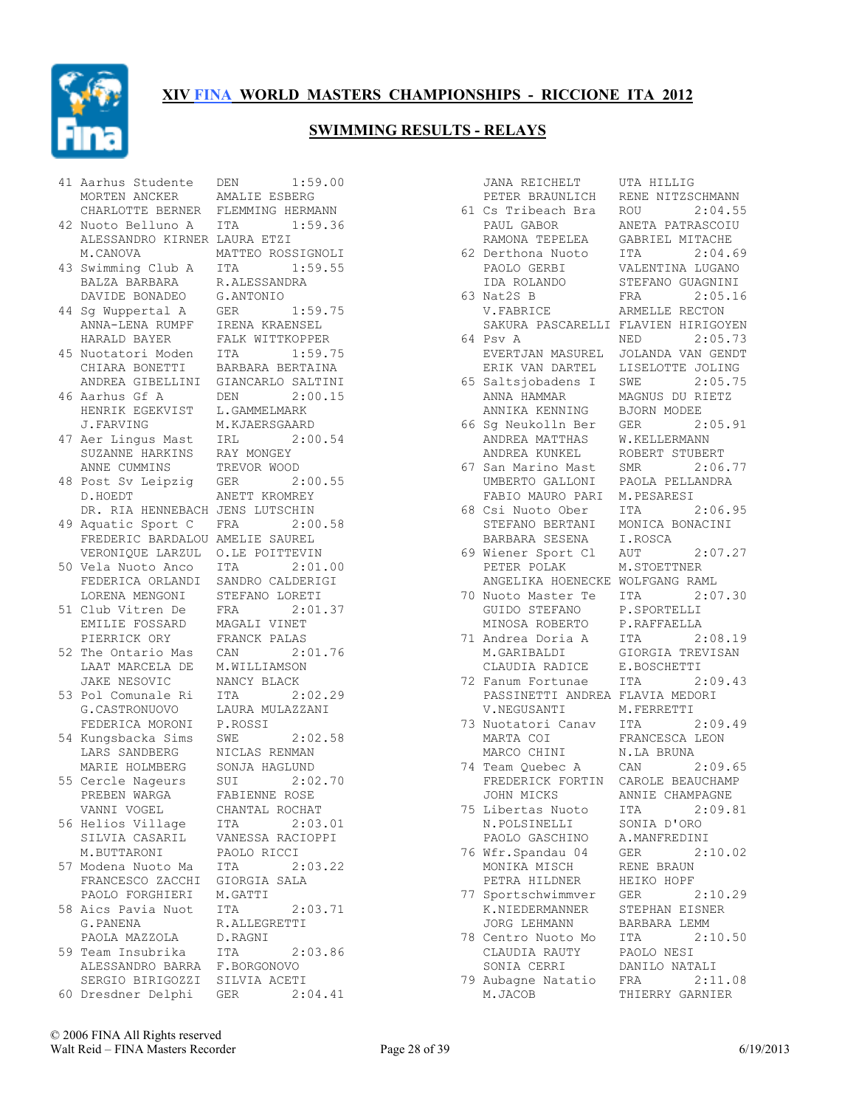

#### **SWIMMING RESULTS - RELAYS**

|    | 41 Aarhus Studente              | 1:59.00<br>DEN       |
|----|---------------------------------|----------------------|
|    | MORTEN ANCKER                   | <b>AMALIE ESBERG</b> |
|    | CHARLOTTE BERNER                | FLEMMING HERMANN     |
|    | 42 Nuoto Belluno A              | ITA<br>1:59.36       |
|    | ALESSANDRO KIRNER LAURA ETZI    |                      |
|    | M.CANOVA                        | MATTEO ROSSIGNOLI    |
|    | 43 Swimming Club A              | 1:59.55<br>ITA       |
|    | BALZA BARBARA                   |                      |
|    |                                 | R.ALESSANDRA         |
|    | DAVIDE BONADEO                  | G.ANTONIO            |
|    | 44 Sg Wuppertal A               | 1:59.75<br>GER       |
|    | ANNA-LENA RUMPF                 | IRENA KRAENSEL       |
|    | HARALD BAYER                    | FALK WITTKOPPER      |
| 45 | Nuotatori Moden                 | ITA<br>1:59.75       |
|    | CHIARA BONETTI                  | BARBARA BERTAINA     |
|    | ANDREA GIBELLINI                | GIANCARLO SALTINI    |
| 46 | Aarhus Gf A                     | DEN<br>2:00.15       |
|    | HENRIK EGEKVIST                 | L.GAMMELMARK         |
|    | J. FARVING                      | M.KJAERSGAARD        |
| 47 | Aer Lingus Mast                 | IRL 2:00.54          |
|    | SUZANNE HARKINS                 | RAY MONGEY           |
|    | ANNE CUMMINS                    | TREVOR WOOD          |
| 48 | Post Sv Leipzig                 | 2:00.55<br>GER       |
|    | D.HOEDT                         | ANETT KROMREY        |
|    | DR. RIA HENNEBACH JENS LUTSCHIN |                      |
|    |                                 |                      |
|    | 49 Aquatic Sport C              | FRA<br>2:00.58       |
|    | FREDERIC BARDALOU AMELIE SAUREL |                      |
|    | VERONIOUE LARZUL                | O.LE POITTEVIN       |
|    | 50 Vela Nuoto Anco              | ITA<br>2:01.00       |
|    | FEDERICA ORLANDI                | SANDRO CALDERIGI     |
|    | LORENA MENGONI                  | STEFANO LORETI       |
|    | 51 Club Vitren De               | FRA<br>2:01.37       |
|    | EMILIE FOSSARD                  | MAGALI VINET         |
|    | PIERRICK ORY                    | FRANCK PALAS         |
| 52 | The Ontario Mas                 | 2:01.76<br>CAN       |
|    | LAAT MARCELA DE                 | M.WILLIAMSON         |
|    | JAKE NESOVIC                    | NANCY BLACK          |
|    | 53 Pol Comunale Ri              | 2:02.29<br>ITA       |
|    | G. CASTRONUOVO                  | LAURA MULAZZANI      |
|    | FEDERICA MORONI                 | P.ROSSI              |
|    | 54 Kungsbacka Sims              | SWE<br>2:02.58       |
|    | LARS SANDBERG                   | NICLAS RENMAN        |
|    | MARIE HOLMBERG                  | SONJA HAGLUND        |
|    | 55 Cercle Nageurs               | 2:02.70<br>SUI       |
|    | PREBEN WARGA                    | FABIENNE ROSE        |
|    | VANNI VOGEL                     | CHANTAL ROCHAT       |
| 56 | Helios Village                  | ITA<br>2:03.01       |
|    | SILVIA CASARIL                  | VANESSA RACIOPPI     |
|    | M. BUTTARONI                    | PAOLO RICCI          |
|    |                                 |                      |
| 57 | Modena Nuoto Ma                 | ITA<br>2:03.22       |
|    | FRANCESCO ZACCHI                | GIORGIA SALA         |
|    | PAOLO FORGHIERI                 | M.GATTI              |
| 58 | Aics Pavia Nuot                 | ITA<br>2:03.71       |
|    | G.PANENA                        | R.ALLEGRETTI         |
|    | PAOLA MAZZOLA                   | D.RAGNI              |
|    | 59 Team Insubrika               | 2:03.86<br>ITA       |
|    | ALESSANDRO BARRA                | F.BORGONOVO          |
|    | SERGIO BIRIGOZZI                | SILVIA ACETI         |
|    | 60 Dresdner Delphi              | GER<br>2:04.41       |

|     | JANA REICHELT                     | UTA HILLIG                          |
|-----|-----------------------------------|-------------------------------------|
|     | PETER BRAUNLICH                   | RENE NITZSCHMANN                    |
|     |                                   |                                     |
|     | 61 Cs Tribeach Bra                | 2:04.55<br>ROU                      |
|     | PAUL GABOR                        | ANETA PATRASCOIU                    |
|     | RAMONA TEPELEA                    | GABRIEL MITACHE                     |
|     | 62 Derthona Nuoto                 | ITA<br>2:04.69                      |
|     | PAOLO GERBI                       | VALENTINA LUGANO                    |
|     | IDA ROLANDO                       | STEFANO GUAGNINI                    |
| 63  | Nat2S B                           | 2:05.16<br>FRA                      |
|     | V.FABRICE                         | ARMELLE RECTON                      |
|     |                                   | SAKURA PASCARELLI FLAVIEN HIRIGOYEN |
| 64  | Psv A                             | NED<br>2:05.73                      |
|     | EVERTJAN MASUREL                  | JOLANDA VAN GENDT                   |
|     | ERIK VAN DARTEL                   | LISELOTTE JOLING                    |
|     | 65 Saltsjobadens I                | SWE<br>2:05.75                      |
|     | ANNA HAMMAR                       | MAGNUS DU RIETZ                     |
|     | ANNIKA KENNING                    | <b>BJORN MODEE</b>                  |
|     |                                   |                                     |
|     | 66 Sq Neukolln Ber                | GER 2:05.91                         |
|     | ANDREA MATTHAS                    | W.KELLERMANN                        |
|     | ANDREA KUNKEL                     | ROBERT STUBERT                      |
|     | 67 San Marino Mast                | 2:06.77<br>SMR                      |
|     | UMBERTO GALLONI                   | PAOLA PELLANDRA                     |
|     | FABIO MAURO PARI                  | M.PESARESI                          |
|     | 68 Csi Nuoto Ober                 | ITA<br>2:06.95                      |
|     | STEFANO BERTANI                   | MONICA BONACINI                     |
|     | BARBARA SESENA                    | I.ROSCA                             |
|     | 69 Wiener Sport Cl                | 2:07.27<br>AUT                      |
|     | PETER POLAK                       | M. STOETTNER                        |
|     | ANGELIKA HOENECKE WOLFGANG RAML   |                                     |
|     | 70 Nuoto Master Te                | 2:07.30<br><b>ITA</b>               |
|     | GUIDO STEFANO                     | P.SPORTELLI                         |
|     | MINOSA ROBERTO                    | P.RAFFAELLA                         |
|     | 71 Andrea Doria A                 | 2:08.19<br>ITA                      |
|     | M.GARIBALDI                       | GIORGIA TREVISAN                    |
|     | CLAUDIA RADICE                    | E.BOSCHETTI                         |
|     | 72 Fanum Fortunae                 | 2:09.43<br>ITA                      |
|     | PASSINETTI ANDREA FLAVIA MEDORI   |                                     |
|     | V.NEGUSANTI                       | M.FERRETTI                          |
|     | 73 Nuotatori Canav                | ITA 2:09.49                         |
|     | MARTA COI                         | FRANCESCA LEON                      |
|     |                                   |                                     |
|     | MARCO CHINI                       | N.LA BRUNA<br>CAN                   |
|     | 74 Team Quebec A                  | 2:09.65                             |
|     | FREDERICK FORTIN CAROLE BEAUCHAMP |                                     |
|     | JOHN MICKS                        | ANNIE CHAMPAGNE                     |
|     | 75 Libertas Nuoto                 | 2:09.81<br>ITA                      |
|     | N.POLSINELLI                      | SONIA D'ORO                         |
|     | PAOLO GASCHINO                    | A.MANFREDINI                        |
|     | 76 Wfr. Spandau 04                | 2:10.02<br>GER                      |
|     | MONIKA MISCH                      | RENE BRAUN                          |
|     | PETRA HILDNER                     | HEIKO HOPF                          |
| 77  | Sportschwimmver                   | <b>GER</b><br>2:10.29               |
|     | K.NIEDERMANNER                    | STEPHAN EISNER                      |
|     | JORG LEHMANN                      | BARBARA LEMM                        |
|     | 78 Centro Nuoto Mo                | ITA<br>2:10.50                      |
|     | CLAUDIA RAUTY                     | PAOLO NESI                          |
|     | SONIA CERRI                       | DANILO NATALI                       |
|     |                                   |                                     |
|     |                                   |                                     |
| 79. | Aubagne Natatio<br>M.JACOB        | 2:11.08<br>FRA<br>THIERRY GARNIER   |

© 2006 FINA All Rights reserved Walt Reid – FINA Masters Recorder Page 28 of 39 6/19/2013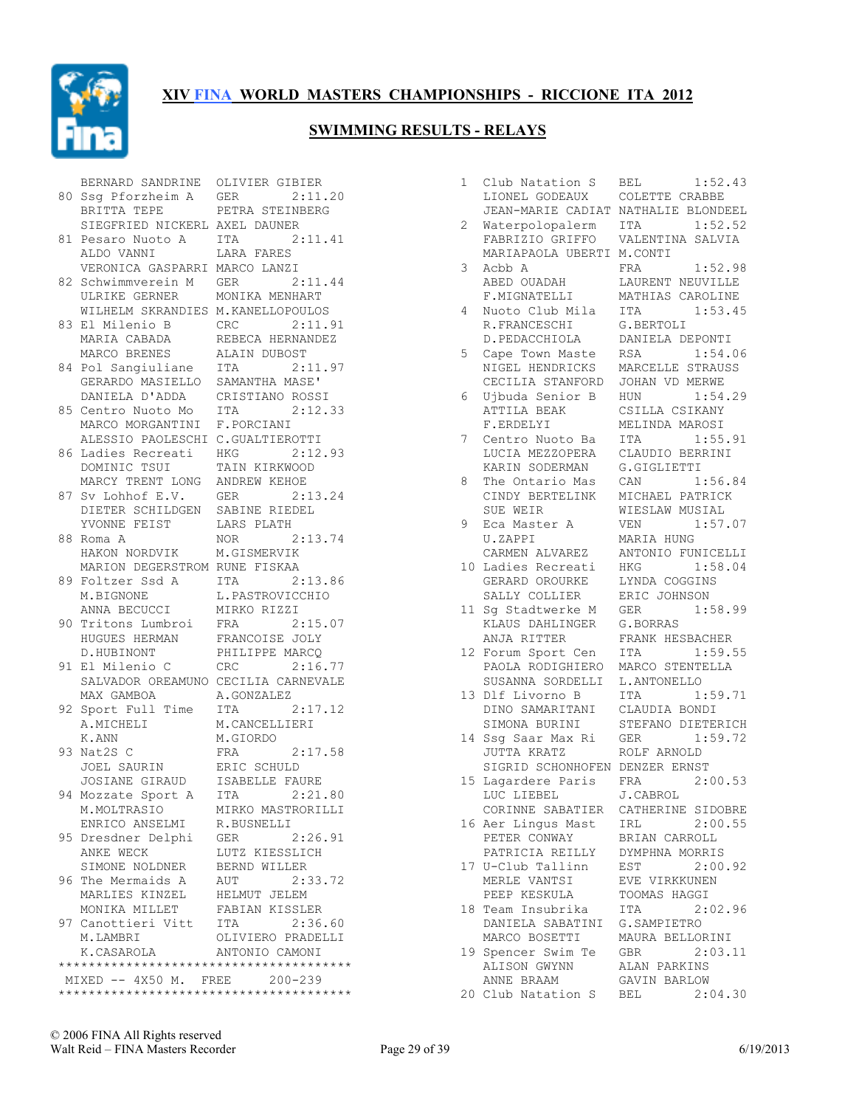

|    | BERNARD SANDRINE OLIVIER GIBIER                                                       |                                     |
|----|---------------------------------------------------------------------------------------|-------------------------------------|
|    | 80 Ssg Pforzheim A GER                                                                | 2:11.20                             |
|    | BRITTA TEPE                                                                           | PETRA STEINBERG                     |
|    | SIEGFRIED NICKERL AXEL DAUNER                                                         |                                     |
|    | 81 Pesaro Nuoto A                                                                     | ITA 2:11.41                         |
|    | ALDO VANNI                                                                            | LARA FARES                          |
|    | VERONICA GASPARRI MARCO LANZI                                                         |                                     |
|    | 82 Schwimmverein M GER 2:11.44<br>ULRIKE GERNER MONIKA MENHART                        |                                     |
|    |                                                                                       |                                     |
|    | WILHELM SKRANDIES M. KANELLOPOULOS                                                    |                                     |
|    |                                                                                       |                                     |
|    | 83 El Milenio B CRC 2:11.91<br>MARIA CABADA REBECA HERNANDEZ                          |                                     |
|    | MARCO BRENES ALAIN DUBOST                                                             |                                     |
|    |                                                                                       |                                     |
|    | 84 Pol Sangiuliane ITA 2:11.97<br>GERARDO MASIELLO SAMANTHA MASE'                     |                                     |
|    | DANIELA D'ADDA CRISTIANO ROSSI                                                        |                                     |
|    | 85 Centro Nuoto Mo ITA 2:12.33                                                        |                                     |
|    | MARCO MORGANTINI F.PORCIANI                                                           |                                     |
|    | ALESSIO PAOLESCHI C.GUALTIEROTTI                                                      |                                     |
|    | 86 Ladies Recreati HKG 2:12.93                                                        |                                     |
|    | DOMINIC TSUI                                                                          | TAIN KIRKWOOD                       |
|    | MARCY TRENT LONG ANDREW KEHOE                                                         |                                     |
|    | 87 Sv Lohhof E.V. GER 2:13.24                                                         |                                     |
|    | DIETER SCHILDGEN SABINE RIEDEL                                                        |                                     |
|    | YVONNE FEIST<br>Roma A                                                                | LARS PLATH                          |
|    | 88 Roma A                                                                             | NOR 2:13.74                         |
|    | HAKON NORDVIK                                                                         | M.GISMERVIK                         |
|    | MARION DEGERSTROM RUNE FISKAA                                                         |                                     |
|    | 89 Foltzer Ssd A                                                                      | ITA 2:13.86                         |
|    | M.BIGNONE                                                                             | L. PASTROVICCHIO                    |
|    | ANNA BECUCCI MIRKO RIZZI<br>90 Tritons Lumbroi FRA 2:15.07                            |                                     |
|    |                                                                                       |                                     |
|    |                                                                                       |                                     |
|    | HUGUES HERMAN FRANCOISE JOLY<br>D.HUBINONT PHILIPPE MARCO<br>91 El Milenio C CRC 2:16 | 2:16.77                             |
|    |                                                                                       | SALVADOR OREAMUNO CECILIA CARNEVALE |
|    | MAX GAMBOA                                                                            | A.GONZALEZ                          |
|    |                                                                                       | ITA 2:17.12                         |
|    | 92 Sport Full Time<br>A.MICHELI<br>K.ANN                                              | M.CANCELLIERI                       |
|    |                                                                                       | M.GIORDO                            |
|    | K.ANN<br>93 Nat2S C                                                                   | FRA 2:17.58                         |
|    | JOEL SAURIN                                                                           | ERIC SCHULD                         |
|    | JOSIANE GIRAUD ISABELLE FAURE                                                         |                                     |
| 94 | Mozzate Sport A                                                                       | <b>ITA</b><br>2:21.80               |
|    | M.MOLTRASIO                                                                           | MIRKO MASTRORILLI                   |
|    | ENRICO ANSELMI                                                                        | R.BUSNELLI                          |
|    | 95 Dresdner Delphi                                                                    | 2:26.91<br>GER                      |
|    | ANKE WECK                                                                             | LUTZ KIESSLICH                      |
|    | SIMONE NOLDNER                                                                        | BERND WILLER                        |
|    | 96 The Mermaids A                                                                     | AUT<br>2:33.72                      |
|    | MARLIES KINZEL                                                                        | HELMUT JELEM                        |
|    | MONIKA MILLET                                                                         | FABIAN KISSLER                      |
|    | 97 Canottieri Vitt                                                                    | 2:36.60<br>ITA                      |
|    | M.LAMBRI                                                                              | OLIVIERO PRADELLI                   |
|    | K.CASAROLA                                                                            | ANTONIO CAMONI                      |
|    |                                                                                       |                                     |
|    | MIXED -- 4X50 M. FREE 200-239                                                         |                                     |
|    |                                                                                       |                                     |

| 1  |                                  |                                                                                                                                                                                                                                           |
|----|----------------------------------|-------------------------------------------------------------------------------------------------------------------------------------------------------------------------------------------------------------------------------------------|
|    | Club Natation S                  | 1:52.43<br><b>BEL</b>                                                                                                                                                                                                                     |
|    | LIONEL GODEAUX                   | COLETTE CRABBE                                                                                                                                                                                                                            |
|    |                                  | JEAN-MARIE CADIAT NATHALIE BLONDEEL                                                                                                                                                                                                       |
| 2  | Waterpolopalerm                  | ITA<br>1:52.52                                                                                                                                                                                                                            |
|    |                                  |                                                                                                                                                                                                                                           |
|    | FABRIZIO GRIFFO                  | VALENTINA SALVIA                                                                                                                                                                                                                          |
|    | MARIAPAOLA UBERTI M.CONTI        |                                                                                                                                                                                                                                           |
| 3  | Acbb A                           | FRA<br>1:52.98                                                                                                                                                                                                                            |
|    | ABED OUADAH                      | LAURENT NEUVILLE                                                                                                                                                                                                                          |
|    | F.MIGNATELLI                     | MATHIAS CAROLINE                                                                                                                                                                                                                          |
| 4  | Nuoto Club Mila                  | 1:53.45<br><b>ITA</b>                                                                                                                                                                                                                     |
|    | R.FRANCESCHI                     | G.BERTOLI                                                                                                                                                                                                                                 |
|    |                                  |                                                                                                                                                                                                                                           |
|    | D.PEDACCHIOLA                    | DANIELA DEPONTI                                                                                                                                                                                                                           |
| 5  | Cape Town Maste                  | RSA<br>1:54.06                                                                                                                                                                                                                            |
|    | NIGEL HENDRICKS                  | MARCELLE STRAUSS                                                                                                                                                                                                                          |
|    | CECILIA STANFORD                 | JOHAN VD MERWE                                                                                                                                                                                                                            |
| 6  | Ujbuda Senior B                  | 1:54.29<br>HUN                                                                                                                                                                                                                            |
|    | ATTILA BEAK                      | CSILLA CSIKANY                                                                                                                                                                                                                            |
|    | F.ERDELYI                        | MELINDA MAROSI                                                                                                                                                                                                                            |
| 7  |                                  |                                                                                                                                                                                                                                           |
|    | Centro Nuoto Ba                  | 1:55.91<br>ITA                                                                                                                                                                                                                            |
|    | LUCIA MEZZOPERA                  | CLAUDIO BERRINI                                                                                                                                                                                                                           |
|    | KARIN SODERMAN                   | G.GIGLIETTI                                                                                                                                                                                                                               |
| 8  | The Ontario Mas                  | CAN<br>1:56.84                                                                                                                                                                                                                            |
|    | CINDY BERTELINK                  | MICHAEL PATRICK                                                                                                                                                                                                                           |
|    | SUE WEIR                         | WIESLAW MUSIAL                                                                                                                                                                                                                            |
| 9  | Eca Master A                     | 1:57.07<br><b>VEN</b>                                                                                                                                                                                                                     |
|    | U.ZAPPI                          | MARIA HUNG                                                                                                                                                                                                                                |
|    |                                  |                                                                                                                                                                                                                                           |
|    | CARMEN ALVAREZ                   | ANTONIO FUNICELLI                                                                                                                                                                                                                         |
|    | 10 Ladies Recreati               | 1:58.04<br>HKG                                                                                                                                                                                                                            |
|    | GERARD OROURKE                   | LYNDA COGGINS                                                                                                                                                                                                                             |
|    | SALLY COLLIER                    | ERIC JOHNSON                                                                                                                                                                                                                              |
|    | 11 Sq Stadtwerke M               | 1:58.99<br>GER                                                                                                                                                                                                                            |
|    | KLAUS DAHLINGER                  | G.BORRAS                                                                                                                                                                                                                                  |
|    |                                  |                                                                                                                                                                                                                                           |
|    |                                  |                                                                                                                                                                                                                                           |
|    | ANJA RITTER                      | FRANK HESBACHER                                                                                                                                                                                                                           |
|    | 12 Forum Sport Cen               | 1:59.55<br>ITA                                                                                                                                                                                                                            |
|    | PAOLA RODIGHIERO                 | MARCO STENTELLA                                                                                                                                                                                                                           |
|    | SUSANNA SORDELLI                 | L.ANTONELLO                                                                                                                                                                                                                               |
|    | 13 Dlf Livorno B                 | 1:59.71<br>ITA                                                                                                                                                                                                                            |
|    | DINO SAMARITANI                  | CLAUDIA BONDI                                                                                                                                                                                                                             |
|    | SIMONA BURINI                    | STEFANO DIETERICH                                                                                                                                                                                                                         |
|    |                                  |                                                                                                                                                                                                                                           |
| 14 | Ssg Saar Max Ri                  | 1:59.72<br>GER                                                                                                                                                                                                                            |
|    | JUTTA KRATZ                      | ROLF ARNOLD                                                                                                                                                                                                                               |
|    | SIGRID SCHONHOFEN DENZER ERNST   |                                                                                                                                                                                                                                           |
| 15 | Lagardere Paris                  | FRA<br>2:00.53                                                                                                                                                                                                                            |
|    | LUC LIEBEL                       | J.CABROL                                                                                                                                                                                                                                  |
|    | CORINNE SABATIER                 | CATHERINE SIDOBRE                                                                                                                                                                                                                         |
|    | 16 Aer Lingus Mast               | 2:00.55<br>IRL DESCRIPTION OF THE STATE OF THE STATE OF THE STATE OF THE STATE OF THE STATE OF THE STATE OF THE STATE OF THE STATE OF THE STATE OF THE STATE OF THE STATE OF THE STATE OF THE STATE OF THE STATE OF THE STATE OF THE STAT |
|    | PETER CONWAY                     | BRIAN CARROLL                                                                                                                                                                                                                             |
|    |                                  |                                                                                                                                                                                                                                           |
|    | PATRICIA REILLY                  | DYMPHNA MORRIS                                                                                                                                                                                                                            |
|    | 17 U-Club Tallinn                | EST<br>2:00.92                                                                                                                                                                                                                            |
|    | MERLE VANTSI                     | EVE VIRKKUNEN                                                                                                                                                                                                                             |
|    | PEEP KESKULA                     | TOOMAS HAGGI                                                                                                                                                                                                                              |
|    | 18 Team Insubrika                | <b>ITA</b><br>2:02.96                                                                                                                                                                                                                     |
|    | DANIELA SABATINI                 | G. SAMPIETRO                                                                                                                                                                                                                              |
|    | MARCO BOSETTI                    | MAURA BELLORINI                                                                                                                                                                                                                           |
|    |                                  | 2:03.11                                                                                                                                                                                                                                   |
|    | 19 Spencer Swim Te               | GBR                                                                                                                                                                                                                                       |
|    | ALISON GWYNN                     | ALAN PARKINS                                                                                                                                                                                                                              |
|    | ANNE BRAAM<br>20 Club Natation S | GAVIN BARLOW<br>BEL<br>2:04.30                                                                                                                                                                                                            |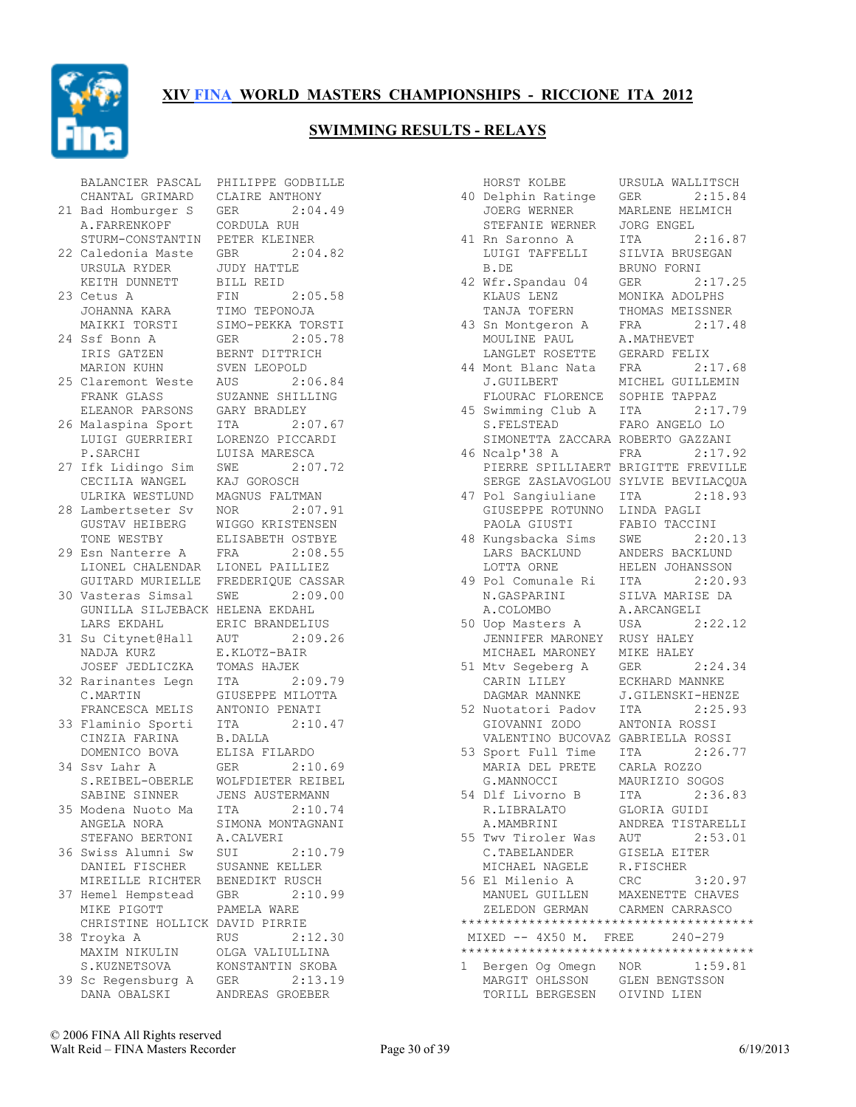

| CHANTAL GRIMARD<br>CLAIRE ANTHONY<br>21 Bad Homburger S<br>2:04.49<br>GER<br>A. FARRENKOPF<br>CORDULA RUH<br>STURM-CONSTANTIN<br>PETER KLEINER<br>22 Caledonia Maste<br>2:04.82<br>GBR<br><b>JUDY HATTLE</b><br>URSULA RYDER<br>KEITH DUNNETT<br>BILL REID<br>23 Cetus A<br>FIN<br>2:05.58<br>JOHANNA KARA<br>TIMO TEPONOJA<br>SIMO-PEKKA TORSTI<br>MAIKKI TORSTI<br>24 Ssf Bonn A<br>2:05.78<br><b>GER</b><br>IRIS GATZEN<br>BERNT DITTRICH<br>MARION KUHN<br>SVEN LEOPOLD<br>25 Claremont Weste<br>2:06.84<br>AUS<br>FRANK GLASS<br>SUZANNE SHILLING<br>GARY BRADLEY<br>ELEANOR PARSONS<br>26 Malaspina Sport<br>ITA<br>2:07.67<br>LUIGI GUERRIERI<br>LORENZO PICCARDI<br>P.SARCHI<br>LUISA MARESCA<br>Ifk Lidingo Sim<br>2:07.72<br>27<br>SWE<br>CECILIA WANGEL<br>KAJ GOROSCH<br>ULRIKA WESTLUND<br>MAGNUS FALTMAN<br>Lambertseter Sv<br>2:07.91<br>28<br>NOR <b>NO</b><br><b>GUSTAV HEIBERG</b><br>WIGGO KRISTENSEN<br>TONE WESTBY<br>ELISABETH OSTBYE<br>Esn Nanterre A<br>FRA<br>2:08.55<br>29<br>LIONEL PAILLIEZ<br>LIONEL CHALENDAR<br><b>GUITARD MURIELLE</b><br>FREDERIQUE CASSAR<br>SWE<br>Vasteras Simsal<br>2:09.00<br>30 -<br>GUNILLA SILJEBACK<br>HELENA EKDAHL<br>LARS EKDAHL<br>ERIC BRANDELIUS<br>31 Su Citynet@Hall<br>AUT 2:09.26<br>NADJA KURZ<br>E.KLOTZ-BAIR<br><b>JOSEF JEDLICZKA</b><br>TOMAS HAJEK<br>Rarinantes Legn<br><b>ITA</b><br>2:09.79<br>32<br>C.MARTIN<br>GIUSEPPE MILOTTA<br>FRANCESCA MELIS<br>ANTONIO PENATI<br>33 Flaminio Sporti<br>ITA<br>2:10.47<br>CINZIA FARINA<br><b>B.DALLA</b><br>DOMENICO BOVA<br>ELISA FILARDO<br>34<br>Ssv Lahr A<br>GER 2:10.69<br>S.REIBEL-OBERLE<br>WOLFDIETER REIBEL<br>SABINE SINNER<br>JENS AUSTERMANN<br>2:10.74<br>35 Modena Nuoto Ma<br>ITA<br>ANGELA NORA<br>SIMONA MONTAGNANI<br>STEFANO BERTONI<br>A.CALVERI<br>SUI<br>36 Swiss Alumni Sw<br>2:10.79<br>DANIEL FISCHER<br>SUSANNE KELLER<br>MIREILLE RICHTER<br>BENEDIKT RUSCH<br>37 Hemel Hempstead<br>2:10.99<br>GBR<br>MIKE PIGOTT<br>PAMELA WARE<br>CHRISTINE HOLLICK DAVID PIRRIE<br>38 Troyka A<br>RUS<br>2:12.30<br>OLGA VALIULLINA<br>MAXIM NIKULIN<br>S.KUZNETSOVA<br>KONSTANTIN SKOBA<br>2:13.19<br>39 Sc Regensburg A<br>GER<br>DANA OBALSKI<br>ANDREAS GROEBER | BALANCIER PASCAL | PHILIPPE GODBILLE |
|------------------------------------------------------------------------------------------------------------------------------------------------------------------------------------------------------------------------------------------------------------------------------------------------------------------------------------------------------------------------------------------------------------------------------------------------------------------------------------------------------------------------------------------------------------------------------------------------------------------------------------------------------------------------------------------------------------------------------------------------------------------------------------------------------------------------------------------------------------------------------------------------------------------------------------------------------------------------------------------------------------------------------------------------------------------------------------------------------------------------------------------------------------------------------------------------------------------------------------------------------------------------------------------------------------------------------------------------------------------------------------------------------------------------------------------------------------------------------------------------------------------------------------------------------------------------------------------------------------------------------------------------------------------------------------------------------------------------------------------------------------------------------------------------------------------------------------------------------------------------------------------------------------------------------------------------------------------------------------------------------------------------------------------------------------------------------------------------------------------------------------------------------------------------------------------------------------|------------------|-------------------|
|                                                                                                                                                                                                                                                                                                                                                                                                                                                                                                                                                                                                                                                                                                                                                                                                                                                                                                                                                                                                                                                                                                                                                                                                                                                                                                                                                                                                                                                                                                                                                                                                                                                                                                                                                                                                                                                                                                                                                                                                                                                                                                                                                                                                            |                  |                   |
|                                                                                                                                                                                                                                                                                                                                                                                                                                                                                                                                                                                                                                                                                                                                                                                                                                                                                                                                                                                                                                                                                                                                                                                                                                                                                                                                                                                                                                                                                                                                                                                                                                                                                                                                                                                                                                                                                                                                                                                                                                                                                                                                                                                                            |                  |                   |
|                                                                                                                                                                                                                                                                                                                                                                                                                                                                                                                                                                                                                                                                                                                                                                                                                                                                                                                                                                                                                                                                                                                                                                                                                                                                                                                                                                                                                                                                                                                                                                                                                                                                                                                                                                                                                                                                                                                                                                                                                                                                                                                                                                                                            |                  |                   |
|                                                                                                                                                                                                                                                                                                                                                                                                                                                                                                                                                                                                                                                                                                                                                                                                                                                                                                                                                                                                                                                                                                                                                                                                                                                                                                                                                                                                                                                                                                                                                                                                                                                                                                                                                                                                                                                                                                                                                                                                                                                                                                                                                                                                            |                  |                   |
|                                                                                                                                                                                                                                                                                                                                                                                                                                                                                                                                                                                                                                                                                                                                                                                                                                                                                                                                                                                                                                                                                                                                                                                                                                                                                                                                                                                                                                                                                                                                                                                                                                                                                                                                                                                                                                                                                                                                                                                                                                                                                                                                                                                                            |                  |                   |
|                                                                                                                                                                                                                                                                                                                                                                                                                                                                                                                                                                                                                                                                                                                                                                                                                                                                                                                                                                                                                                                                                                                                                                                                                                                                                                                                                                                                                                                                                                                                                                                                                                                                                                                                                                                                                                                                                                                                                                                                                                                                                                                                                                                                            |                  |                   |
|                                                                                                                                                                                                                                                                                                                                                                                                                                                                                                                                                                                                                                                                                                                                                                                                                                                                                                                                                                                                                                                                                                                                                                                                                                                                                                                                                                                                                                                                                                                                                                                                                                                                                                                                                                                                                                                                                                                                                                                                                                                                                                                                                                                                            |                  |                   |
|                                                                                                                                                                                                                                                                                                                                                                                                                                                                                                                                                                                                                                                                                                                                                                                                                                                                                                                                                                                                                                                                                                                                                                                                                                                                                                                                                                                                                                                                                                                                                                                                                                                                                                                                                                                                                                                                                                                                                                                                                                                                                                                                                                                                            |                  |                   |
|                                                                                                                                                                                                                                                                                                                                                                                                                                                                                                                                                                                                                                                                                                                                                                                                                                                                                                                                                                                                                                                                                                                                                                                                                                                                                                                                                                                                                                                                                                                                                                                                                                                                                                                                                                                                                                                                                                                                                                                                                                                                                                                                                                                                            |                  |                   |
|                                                                                                                                                                                                                                                                                                                                                                                                                                                                                                                                                                                                                                                                                                                                                                                                                                                                                                                                                                                                                                                                                                                                                                                                                                                                                                                                                                                                                                                                                                                                                                                                                                                                                                                                                                                                                                                                                                                                                                                                                                                                                                                                                                                                            |                  |                   |
|                                                                                                                                                                                                                                                                                                                                                                                                                                                                                                                                                                                                                                                                                                                                                                                                                                                                                                                                                                                                                                                                                                                                                                                                                                                                                                                                                                                                                                                                                                                                                                                                                                                                                                                                                                                                                                                                                                                                                                                                                                                                                                                                                                                                            |                  |                   |
|                                                                                                                                                                                                                                                                                                                                                                                                                                                                                                                                                                                                                                                                                                                                                                                                                                                                                                                                                                                                                                                                                                                                                                                                                                                                                                                                                                                                                                                                                                                                                                                                                                                                                                                                                                                                                                                                                                                                                                                                                                                                                                                                                                                                            |                  |                   |
|                                                                                                                                                                                                                                                                                                                                                                                                                                                                                                                                                                                                                                                                                                                                                                                                                                                                                                                                                                                                                                                                                                                                                                                                                                                                                                                                                                                                                                                                                                                                                                                                                                                                                                                                                                                                                                                                                                                                                                                                                                                                                                                                                                                                            |                  |                   |
|                                                                                                                                                                                                                                                                                                                                                                                                                                                                                                                                                                                                                                                                                                                                                                                                                                                                                                                                                                                                                                                                                                                                                                                                                                                                                                                                                                                                                                                                                                                                                                                                                                                                                                                                                                                                                                                                                                                                                                                                                                                                                                                                                                                                            |                  |                   |
|                                                                                                                                                                                                                                                                                                                                                                                                                                                                                                                                                                                                                                                                                                                                                                                                                                                                                                                                                                                                                                                                                                                                                                                                                                                                                                                                                                                                                                                                                                                                                                                                                                                                                                                                                                                                                                                                                                                                                                                                                                                                                                                                                                                                            |                  |                   |
|                                                                                                                                                                                                                                                                                                                                                                                                                                                                                                                                                                                                                                                                                                                                                                                                                                                                                                                                                                                                                                                                                                                                                                                                                                                                                                                                                                                                                                                                                                                                                                                                                                                                                                                                                                                                                                                                                                                                                                                                                                                                                                                                                                                                            |                  |                   |
|                                                                                                                                                                                                                                                                                                                                                                                                                                                                                                                                                                                                                                                                                                                                                                                                                                                                                                                                                                                                                                                                                                                                                                                                                                                                                                                                                                                                                                                                                                                                                                                                                                                                                                                                                                                                                                                                                                                                                                                                                                                                                                                                                                                                            |                  |                   |
|                                                                                                                                                                                                                                                                                                                                                                                                                                                                                                                                                                                                                                                                                                                                                                                                                                                                                                                                                                                                                                                                                                                                                                                                                                                                                                                                                                                                                                                                                                                                                                                                                                                                                                                                                                                                                                                                                                                                                                                                                                                                                                                                                                                                            |                  |                   |
|                                                                                                                                                                                                                                                                                                                                                                                                                                                                                                                                                                                                                                                                                                                                                                                                                                                                                                                                                                                                                                                                                                                                                                                                                                                                                                                                                                                                                                                                                                                                                                                                                                                                                                                                                                                                                                                                                                                                                                                                                                                                                                                                                                                                            |                  |                   |
|                                                                                                                                                                                                                                                                                                                                                                                                                                                                                                                                                                                                                                                                                                                                                                                                                                                                                                                                                                                                                                                                                                                                                                                                                                                                                                                                                                                                                                                                                                                                                                                                                                                                                                                                                                                                                                                                                                                                                                                                                                                                                                                                                                                                            |                  |                   |
|                                                                                                                                                                                                                                                                                                                                                                                                                                                                                                                                                                                                                                                                                                                                                                                                                                                                                                                                                                                                                                                                                                                                                                                                                                                                                                                                                                                                                                                                                                                                                                                                                                                                                                                                                                                                                                                                                                                                                                                                                                                                                                                                                                                                            |                  |                   |
|                                                                                                                                                                                                                                                                                                                                                                                                                                                                                                                                                                                                                                                                                                                                                                                                                                                                                                                                                                                                                                                                                                                                                                                                                                                                                                                                                                                                                                                                                                                                                                                                                                                                                                                                                                                                                                                                                                                                                                                                                                                                                                                                                                                                            |                  |                   |
|                                                                                                                                                                                                                                                                                                                                                                                                                                                                                                                                                                                                                                                                                                                                                                                                                                                                                                                                                                                                                                                                                                                                                                                                                                                                                                                                                                                                                                                                                                                                                                                                                                                                                                                                                                                                                                                                                                                                                                                                                                                                                                                                                                                                            |                  |                   |
|                                                                                                                                                                                                                                                                                                                                                                                                                                                                                                                                                                                                                                                                                                                                                                                                                                                                                                                                                                                                                                                                                                                                                                                                                                                                                                                                                                                                                                                                                                                                                                                                                                                                                                                                                                                                                                                                                                                                                                                                                                                                                                                                                                                                            |                  |                   |
|                                                                                                                                                                                                                                                                                                                                                                                                                                                                                                                                                                                                                                                                                                                                                                                                                                                                                                                                                                                                                                                                                                                                                                                                                                                                                                                                                                                                                                                                                                                                                                                                                                                                                                                                                                                                                                                                                                                                                                                                                                                                                                                                                                                                            |                  |                   |
|                                                                                                                                                                                                                                                                                                                                                                                                                                                                                                                                                                                                                                                                                                                                                                                                                                                                                                                                                                                                                                                                                                                                                                                                                                                                                                                                                                                                                                                                                                                                                                                                                                                                                                                                                                                                                                                                                                                                                                                                                                                                                                                                                                                                            |                  |                   |
|                                                                                                                                                                                                                                                                                                                                                                                                                                                                                                                                                                                                                                                                                                                                                                                                                                                                                                                                                                                                                                                                                                                                                                                                                                                                                                                                                                                                                                                                                                                                                                                                                                                                                                                                                                                                                                                                                                                                                                                                                                                                                                                                                                                                            |                  |                   |
|                                                                                                                                                                                                                                                                                                                                                                                                                                                                                                                                                                                                                                                                                                                                                                                                                                                                                                                                                                                                                                                                                                                                                                                                                                                                                                                                                                                                                                                                                                                                                                                                                                                                                                                                                                                                                                                                                                                                                                                                                                                                                                                                                                                                            |                  |                   |
|                                                                                                                                                                                                                                                                                                                                                                                                                                                                                                                                                                                                                                                                                                                                                                                                                                                                                                                                                                                                                                                                                                                                                                                                                                                                                                                                                                                                                                                                                                                                                                                                                                                                                                                                                                                                                                                                                                                                                                                                                                                                                                                                                                                                            |                  |                   |
|                                                                                                                                                                                                                                                                                                                                                                                                                                                                                                                                                                                                                                                                                                                                                                                                                                                                                                                                                                                                                                                                                                                                                                                                                                                                                                                                                                                                                                                                                                                                                                                                                                                                                                                                                                                                                                                                                                                                                                                                                                                                                                                                                                                                            |                  |                   |
|                                                                                                                                                                                                                                                                                                                                                                                                                                                                                                                                                                                                                                                                                                                                                                                                                                                                                                                                                                                                                                                                                                                                                                                                                                                                                                                                                                                                                                                                                                                                                                                                                                                                                                                                                                                                                                                                                                                                                                                                                                                                                                                                                                                                            |                  |                   |
|                                                                                                                                                                                                                                                                                                                                                                                                                                                                                                                                                                                                                                                                                                                                                                                                                                                                                                                                                                                                                                                                                                                                                                                                                                                                                                                                                                                                                                                                                                                                                                                                                                                                                                                                                                                                                                                                                                                                                                                                                                                                                                                                                                                                            |                  |                   |
|                                                                                                                                                                                                                                                                                                                                                                                                                                                                                                                                                                                                                                                                                                                                                                                                                                                                                                                                                                                                                                                                                                                                                                                                                                                                                                                                                                                                                                                                                                                                                                                                                                                                                                                                                                                                                                                                                                                                                                                                                                                                                                                                                                                                            |                  |                   |
|                                                                                                                                                                                                                                                                                                                                                                                                                                                                                                                                                                                                                                                                                                                                                                                                                                                                                                                                                                                                                                                                                                                                                                                                                                                                                                                                                                                                                                                                                                                                                                                                                                                                                                                                                                                                                                                                                                                                                                                                                                                                                                                                                                                                            |                  |                   |
|                                                                                                                                                                                                                                                                                                                                                                                                                                                                                                                                                                                                                                                                                                                                                                                                                                                                                                                                                                                                                                                                                                                                                                                                                                                                                                                                                                                                                                                                                                                                                                                                                                                                                                                                                                                                                                                                                                                                                                                                                                                                                                                                                                                                            |                  |                   |
|                                                                                                                                                                                                                                                                                                                                                                                                                                                                                                                                                                                                                                                                                                                                                                                                                                                                                                                                                                                                                                                                                                                                                                                                                                                                                                                                                                                                                                                                                                                                                                                                                                                                                                                                                                                                                                                                                                                                                                                                                                                                                                                                                                                                            |                  |                   |
|                                                                                                                                                                                                                                                                                                                                                                                                                                                                                                                                                                                                                                                                                                                                                                                                                                                                                                                                                                                                                                                                                                                                                                                                                                                                                                                                                                                                                                                                                                                                                                                                                                                                                                                                                                                                                                                                                                                                                                                                                                                                                                                                                                                                            |                  |                   |
|                                                                                                                                                                                                                                                                                                                                                                                                                                                                                                                                                                                                                                                                                                                                                                                                                                                                                                                                                                                                                                                                                                                                                                                                                                                                                                                                                                                                                                                                                                                                                                                                                                                                                                                                                                                                                                                                                                                                                                                                                                                                                                                                                                                                            |                  |                   |
|                                                                                                                                                                                                                                                                                                                                                                                                                                                                                                                                                                                                                                                                                                                                                                                                                                                                                                                                                                                                                                                                                                                                                                                                                                                                                                                                                                                                                                                                                                                                                                                                                                                                                                                                                                                                                                                                                                                                                                                                                                                                                                                                                                                                            |                  |                   |
|                                                                                                                                                                                                                                                                                                                                                                                                                                                                                                                                                                                                                                                                                                                                                                                                                                                                                                                                                                                                                                                                                                                                                                                                                                                                                                                                                                                                                                                                                                                                                                                                                                                                                                                                                                                                                                                                                                                                                                                                                                                                                                                                                                                                            |                  |                   |
|                                                                                                                                                                                                                                                                                                                                                                                                                                                                                                                                                                                                                                                                                                                                                                                                                                                                                                                                                                                                                                                                                                                                                                                                                                                                                                                                                                                                                                                                                                                                                                                                                                                                                                                                                                                                                                                                                                                                                                                                                                                                                                                                                                                                            |                  |                   |
|                                                                                                                                                                                                                                                                                                                                                                                                                                                                                                                                                                                                                                                                                                                                                                                                                                                                                                                                                                                                                                                                                                                                                                                                                                                                                                                                                                                                                                                                                                                                                                                                                                                                                                                                                                                                                                                                                                                                                                                                                                                                                                                                                                                                            |                  |                   |
|                                                                                                                                                                                                                                                                                                                                                                                                                                                                                                                                                                                                                                                                                                                                                                                                                                                                                                                                                                                                                                                                                                                                                                                                                                                                                                                                                                                                                                                                                                                                                                                                                                                                                                                                                                                                                                                                                                                                                                                                                                                                                                                                                                                                            |                  |                   |
|                                                                                                                                                                                                                                                                                                                                                                                                                                                                                                                                                                                                                                                                                                                                                                                                                                                                                                                                                                                                                                                                                                                                                                                                                                                                                                                                                                                                                                                                                                                                                                                                                                                                                                                                                                                                                                                                                                                                                                                                                                                                                                                                                                                                            |                  |                   |
|                                                                                                                                                                                                                                                                                                                                                                                                                                                                                                                                                                                                                                                                                                                                                                                                                                                                                                                                                                                                                                                                                                                                                                                                                                                                                                                                                                                                                                                                                                                                                                                                                                                                                                                                                                                                                                                                                                                                                                                                                                                                                                                                                                                                            |                  |                   |
|                                                                                                                                                                                                                                                                                                                                                                                                                                                                                                                                                                                                                                                                                                                                                                                                                                                                                                                                                                                                                                                                                                                                                                                                                                                                                                                                                                                                                                                                                                                                                                                                                                                                                                                                                                                                                                                                                                                                                                                                                                                                                                                                                                                                            |                  |                   |
|                                                                                                                                                                                                                                                                                                                                                                                                                                                                                                                                                                                                                                                                                                                                                                                                                                                                                                                                                                                                                                                                                                                                                                                                                                                                                                                                                                                                                                                                                                                                                                                                                                                                                                                                                                                                                                                                                                                                                                                                                                                                                                                                                                                                            |                  |                   |
|                                                                                                                                                                                                                                                                                                                                                                                                                                                                                                                                                                                                                                                                                                                                                                                                                                                                                                                                                                                                                                                                                                                                                                                                                                                                                                                                                                                                                                                                                                                                                                                                                                                                                                                                                                                                                                                                                                                                                                                                                                                                                                                                                                                                            |                  |                   |
|                                                                                                                                                                                                                                                                                                                                                                                                                                                                                                                                                                                                                                                                                                                                                                                                                                                                                                                                                                                                                                                                                                                                                                                                                                                                                                                                                                                                                                                                                                                                                                                                                                                                                                                                                                                                                                                                                                                                                                                                                                                                                                                                                                                                            |                  |                   |
|                                                                                                                                                                                                                                                                                                                                                                                                                                                                                                                                                                                                                                                                                                                                                                                                                                                                                                                                                                                                                                                                                                                                                                                                                                                                                                                                                                                                                                                                                                                                                                                                                                                                                                                                                                                                                                                                                                                                                                                                                                                                                                                                                                                                            |                  |                   |
|                                                                                                                                                                                                                                                                                                                                                                                                                                                                                                                                                                                                                                                                                                                                                                                                                                                                                                                                                                                                                                                                                                                                                                                                                                                                                                                                                                                                                                                                                                                                                                                                                                                                                                                                                                                                                                                                                                                                                                                                                                                                                                                                                                                                            |                  |                   |
|                                                                                                                                                                                                                                                                                                                                                                                                                                                                                                                                                                                                                                                                                                                                                                                                                                                                                                                                                                                                                                                                                                                                                                                                                                                                                                                                                                                                                                                                                                                                                                                                                                                                                                                                                                                                                                                                                                                                                                                                                                                                                                                                                                                                            |                  |                   |
|                                                                                                                                                                                                                                                                                                                                                                                                                                                                                                                                                                                                                                                                                                                                                                                                                                                                                                                                                                                                                                                                                                                                                                                                                                                                                                                                                                                                                                                                                                                                                                                                                                                                                                                                                                                                                                                                                                                                                                                                                                                                                                                                                                                                            |                  |                   |
|                                                                                                                                                                                                                                                                                                                                                                                                                                                                                                                                                                                                                                                                                                                                                                                                                                                                                                                                                                                                                                                                                                                                                                                                                                                                                                                                                                                                                                                                                                                                                                                                                                                                                                                                                                                                                                                                                                                                                                                                                                                                                                                                                                                                            |                  |                   |
|                                                                                                                                                                                                                                                                                                                                                                                                                                                                                                                                                                                                                                                                                                                                                                                                                                                                                                                                                                                                                                                                                                                                                                                                                                                                                                                                                                                                                                                                                                                                                                                                                                                                                                                                                                                                                                                                                                                                                                                                                                                                                                                                                                                                            |                  |                   |

|    | HORST KOLBE                         | URSULA WALLITSCH                |
|----|-------------------------------------|---------------------------------|
|    | 40 Delphin Ratinge                  | GER<br>2:15.84                  |
|    | JOERG WERNER                        | MARLENE HELMICH                 |
|    | STEFANIE WERNER                     | JORG ENGEL                      |
| 41 |                                     | 2:16.87<br>ITA                  |
|    | Rn Saronno A<br>LUIGI TAFFELLI      | SILVIA BRUSEGAN                 |
|    | B.DE                                | BRUNO FORNI                     |
|    |                                     | 2:17.25<br>GER                  |
|    | 42 Wfr.Spandau 04<br>KLAUS LENZ     | MONIKA ADOLPHS                  |
|    | TANJA TOFERN                        | THOMAS MEISSNER                 |
|    | 43 Sn Montgeron A                   | FRA 2:17.48                     |
|    | MOULINE PAUL                        | A.MATHEVET                      |
|    | LANGLET ROSETTE                     | GERARD FELIX                    |
| 44 | Mont Blanc Nata                     | FRA<br>2:17.68                  |
|    | J.GUILBERT                          | MICHEL GUILLEMIN                |
|    | FLOURAC FLORENCE                    | SOPHIE TAPPAZ                   |
|    | 45 Swimming Club A                  | 2:17.79<br>ITA                  |
|    | S. FELSTEAD                         | FARO ANGELO LO                  |
|    | SIMONETTA ZACCARA                   | ROBERTO GAZZANI                 |
|    | 46 Ncalp'38 A                       | FRA<br>2:17.92                  |
|    | PIERRE SPILLIAERT                   | BRIGITTE FREVILLE               |
|    | SERGE ZASLAVOGLOU                   | SYLVIE BEVILACQUA               |
|    | 47 Pol Sangiuliane                  | ITA 2:18.93                     |
|    | GIUSEPPE ROTUNNO                    | LINDA PAGLI                     |
|    | PAOLA GIUSTI                        | FABIO TACCINI                   |
|    | 48 Kungsbacka Sims                  | SWE<br>2:20.13                  |
|    | LARS BACKLUND                       | ANDERS BACKLUND                 |
|    | LOTTA ORNE                          | HELEN JOHANSSON                 |
| 49 | Pol Comunale Ri                     | ITA<br>2:20.93                  |
|    | N.GASPARINI                         | SILVA MARISE DA                 |
|    | A.COLOMBO                           | A. ARCANGELI                    |
|    | 50 Uop Masters A                    | USA 2:22.12                     |
|    | <b>JENNIFER MARONEY</b>             | RUSY HALEY                      |
|    | MICHAEL MARONEY                     | MIKE HALEY                      |
| 51 | Mtv Segeberg A                      | 2:24.34<br>GER                  |
|    | CARIN LILEY                         | ECKHARD MANNKE                  |
|    | DAGMAR MANNKE                       | J.GILENSKI-HENZE                |
|    | 52 Nuotatori Padov<br>GIOVANNI ZODO | ITA<br>2:25.93<br>ANTONIA ROSSI |
|    | VALENTINO BUCOVAZ GABRIELLA ROSSI   |                                 |
|    | 53 Sport Full Time                  | ITA<br>2:26.77                  |
|    | MARIA DEL PRETE                     | CARLA ROZZO                     |
|    | G.MANNOCCI                          | MAURIZIO SOGOS                  |
| 54 | Dlf Livorno B                       | ITA 2:36.83                     |
|    | R.LIBRALATO                         | GLORIA GUIDI                    |
|    | A.MAMBRINI                          | ANDREA TISTARELLI               |
|    | 55 Twv Tiroler Was                  | AUT<br>2:53.01                  |
|    | C.TABELANDER                        | GISELA EITER                    |
|    | MICHAEL NAGELE                      | R.FISCHER                       |
|    | 56 El Milenio A                     | CRC<br>3:20.97                  |
|    | MANUEL GUILLEN MAXENETTE CHAVES     |                                 |
|    | ZELEDON GERMAN                      | CARMEN CARRASCO                 |
|    |                                     |                                 |
|    | MIXED -- 4X50 M. FREE 240-279       |                                 |
|    |                                     |                                 |
|    | 1 Bergen Og Omegn NOR               | 1:59.81                         |
|    | MARGIT OHLSSON                      | GLEN BENGTSSON                  |
|    | TORILL BERGESEN OIVIND LIEN         |                                 |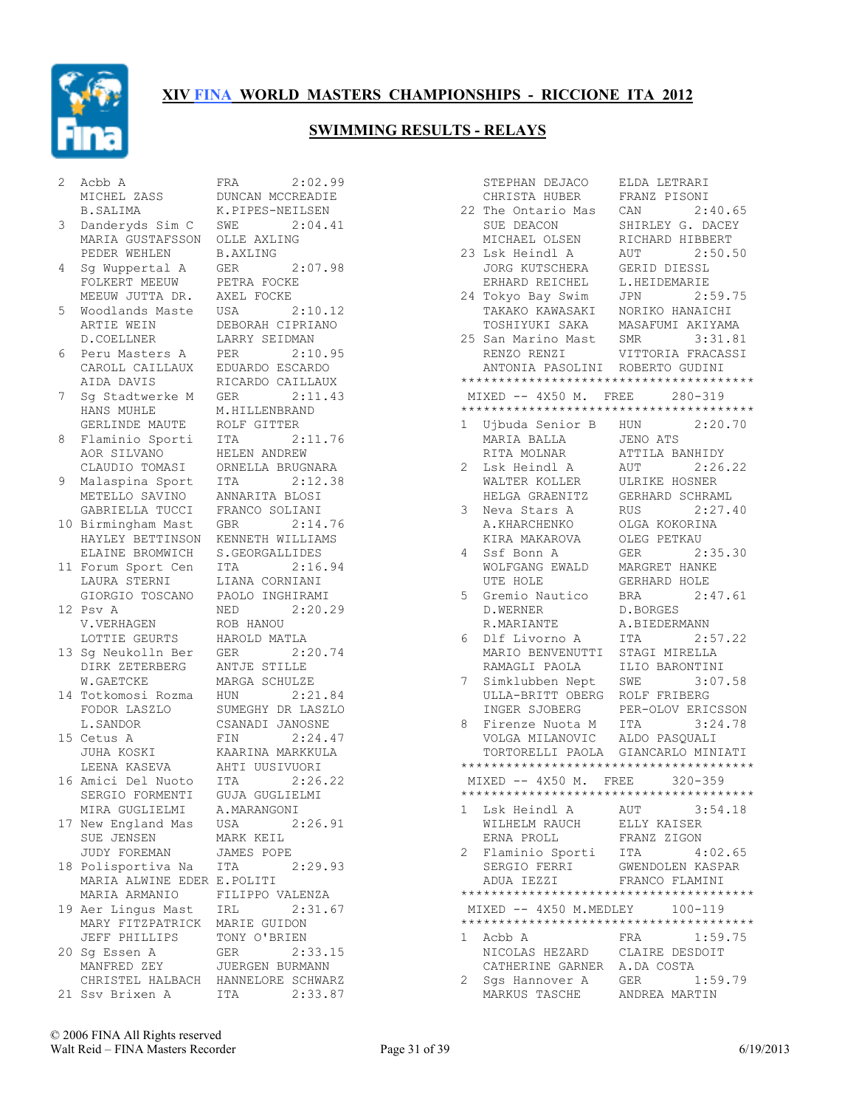

| 2  | Acbb A                     | 2:02.99<br>FRA                     |
|----|----------------------------|------------------------------------|
|    | MICHEL ZASS                | DUNCAN MCCREADIE                   |
|    | <b>B. SALIMA</b>           | K.PIPES-NEILSEN                    |
| 3  | Danderyds Sim C            | 2:04.41<br>SWE                     |
|    | MARIA GUSTAFSSON           | OLLE AXLING                        |
|    | PEDER WEHLEN               | <b>B.AXLING</b>                    |
| 4  | Sq Wuppertal A             | 2:07.98<br>GER                     |
|    | FOLKERT MEEUW              | PETRA FOCKE                        |
|    | MEEUW JUTTA DR.            | AXEL FOCKE                         |
| 5  | Woodlands Maste            | 2:10.12<br>USA <b>Martin</b>       |
|    | ARTIE WEIN                 | DEBORAH CIPRIANO                   |
|    | D. COELLNER                | LARRY SEIDMAN                      |
| 6  | Peru Masters A             | 2:10.95<br>PER                     |
|    | CAROLL CAILLAUX            | EDUARDO ESCARDO                    |
|    | AIDA DAVIS                 |                                    |
|    |                            | RICARDO CAILLAUX<br>2:11.43        |
| 7  | Sq Stadtwerke M            | GER                                |
|    | HANS MUHLE                 | M.HILLENBRAND                      |
|    | GERLINDE MAUTE             | ROLF GITTER                        |
| 8  | Flaminio Sporti            | ITA<br>2:11.76                     |
|    | AOR SILVANO                | HELEN ANDREW                       |
|    | CLAUDIO TOMASI             | ORNELLA BRUGNARA                   |
| 9  | Malaspina Sport            | 2:12.38<br>ITA                     |
|    | METELLO SAVINO             | ANNARITA BLOSI                     |
|    | GABRIELLA TUCCI            | FRANCO SOLIANI                     |
|    | 10 Birmingham Mast         | GBR<br>2:14.76                     |
|    | HAYLEY BETTINSON           | KENNETH WILLIAMS                   |
|    | ELAINE BROMWICH            | S.GEORGALLIDES                     |
|    | 11 Forum Sport Cen         | ITA<br>2:16.94                     |
|    | LAURA STERNI               | LIANA CORNIANI                     |
|    | GIORGIO TOSCANO            | PAOLO INGHIRAMI                    |
|    | 12 Psv A                   | 2:20.29<br>NED                     |
|    | V.VERHAGEN                 | ROB HANOU                          |
|    | LOTTIE GEURTS              | HAROLD MATLA                       |
| 13 | Sg Neukolln Ber            | 2:20.74<br>GER                     |
|    | DIRK ZETERBERG             | ANTJE STILLE                       |
|    | W.GAETCKE                  | MARGA SCHULZE                      |
|    | 14 Totkomosi Rozma         | 2:21.84<br>HUN                     |
|    | FODOR LASZLO               | SUMEGHY DR LASZLO                  |
|    | L.SANDOR                   | CSANADI JANOSNE                    |
|    | 15 Cetus A                 | ${\rm F\,IN}$<br>2:24.47           |
|    | JUHA KOSKI                 | KAARINA MARKKULA                   |
|    | LEENA KASEVA               | AHTI UUSIVUORI                     |
|    | 16 Amici Del Nuoto         | ITA<br>2:26.22                     |
|    | SERGIO FORMENTI            | GUJA GUGLIELMI                     |
|    | MIRA GUGLIELMI             | A.MARANGONI                        |
|    | 17 New England Mas         | USA<br>2:26.91                     |
|    | SUE JENSEN                 | MARK KEIL                          |
|    | JUDY FOREMAN               | JAMES POPE                         |
|    | 18 Polisportiva Na         | ITA<br>2:29.93                     |
|    | MARIA ALWINE EDER E.POLITI |                                    |
|    | MARIA ARMANIO              | FILIPPO VALENZA                    |
|    | 19 Aer Lingus Mast         | IRL<br>2:31.67                     |
|    | MARY FITZPATRICK           | MARIE GUIDON                       |
|    | JEFF PHILLIPS              | TONY O'BRIEN                       |
|    |                            | 2:33.15                            |
|    | 20 Sg Essen A              | GER                                |
|    | MANFRED ZEY                | JUERGEN BURMANN                    |
|    |                            | CHRISTEL HALBACH HANNELORE SCHWARZ |
|    | 21 Ssv Brixen A            | ITA<br>2:33.87                     |

|                | STEPHAN DEJACO                                             | ELDA LETRARI<br>FRANZ PISONI        |
|----------------|------------------------------------------------------------|-------------------------------------|
|                | CHRISTA HUBER                                              |                                     |
|                | 22 The Ontario Mas                                         | CAN 2:40.65                         |
|                | SUE DEACON                                                 | SHIRLEY G. DACEY                    |
|                | MICHAEL OLSEN                                              | RICHARD HIBBERT                     |
| 23             | Lsk Heindl A                                               | 2:50.50<br>AUT                      |
|                | JORG KUTSCHERA                                             | GERID DIESSL                        |
|                | ERHARD REICHEL                                             | L.HEIDEMARIE                        |
|                | 24 Tokyo Bay Swim                                          | JPN 2:59.75                         |
|                | TAKAKO KAWASAKI NORIKO HANAICHI                            |                                     |
|                | TOSHIYUKI SAKA                                             | MASAFUMI AKIYAMA                    |
| 25             | San Marino Mast                                            | 3:31.81<br>SMR<br>VITTORIA FRACASSI |
|                | RENZO RENZI                                                |                                     |
|                | ANTONIA PASOLINI ROBERTO GUDINI                            |                                     |
|                | MIXED -- 4X50 M. FREE 280-319                              |                                     |
|                |                                                            |                                     |
|                |                                                            |                                     |
|                | 1 Ujbuda Senior B HUN 2:20.70                              |                                     |
|                | MARIA BALLA     JENO ATS<br>RITA MOLNAR     ATTILA BANHIDY |                                     |
| $\overline{2}$ |                                                            | AUT<br>2:26.22                      |
|                | Lsk Heindl A<br>WALTER KOLLER                              | ULRIKE HOSNER                       |
|                | HELGA GRAENITZ GERHARD SCHRAML                             |                                     |
| 3              | Neva Stars A                                               | RUS 2:27.40                         |
|                | A.KHARCHENKO                                               | OLGA KOKORINA                       |
|                | KIRA MAKAROVA                                              | OLEG PETKAU                         |
| 4              | Ssf Bonn A                                                 | 2:35.30<br>GER                      |
|                | WOLFGANG EWALD                                             | MARGRET HANKE                       |
|                | UTE HOLE                                                   | GERHARD HOLE                        |
| 5              | Gremio Nautico                                             | <b>BRA</b><br>2:47.61               |
|                | D. WERNER                                                  | D.BORGES                            |
|                | R.MARIANTE                                                 | A. BIEDERMANN                       |
| 6              | Dlf Livorno A                                              | 2:57.22<br>ITA                      |
|                | MARIO BENVENUTTI                                           | STAGI MIRELLA                       |
|                | RAMAGLI PAOLA                                              | ILIO BARONTINI                      |
| 7              |                                                            |                                     |
|                |                                                            |                                     |
|                | Simklubben Nept SWE                                        | 3:07.58                             |
|                | ULLA-BRITT OBERG ROLF FRIBERG                              |                                     |
|                |                                                            | PER-OLOV ERICSSON                   |
| 8              | INGER SJOBERG PER-OLOV E<br>Firenze Nuota M ITA            | 3:24.78                             |
|                | VOLGA MILANOVIC ALDO PASQUALI                              |                                     |
|                | TORTORELLI PAOLA GIANCARLO MINIATI                         |                                     |
|                |                                                            |                                     |
|                | MIXED -- 4X50 M. FREE 320-359                              |                                     |
|                |                                                            |                                     |
| 1              | Lsk Heindl A                                               | AUT<br>3:54.18                      |
|                | WILHELM RAUCH                                              | ELLY KAISER                         |
|                | ERNA PROLL                                                 | FRANZ ZIGON                         |
| 2              | Flaminio Sporti                                            | 4:02.65<br>ITA                      |
|                |                                                            | GWENDOLEN KASPAR<br>FRANCO FLAMINI  |
|                | SERGIO FERRI<br>ADUA IEZZI<br>ADUA IEZZI                   |                                     |
|                |                                                            |                                     |
|                | MIXED -- 4X50 M.MEDLEY 100-119                             |                                     |
|                | 1 Acbb A                                                   | 1:59.75<br>FRA                      |
|                | NICOLAS HEZARD                                             | CLAIRE DESDOIT                      |
|                | CATHERINE GARNER A.DA COSTA                                |                                     |
| 2              | Sgs Hannover A                                             | GER<br>1:59.79                      |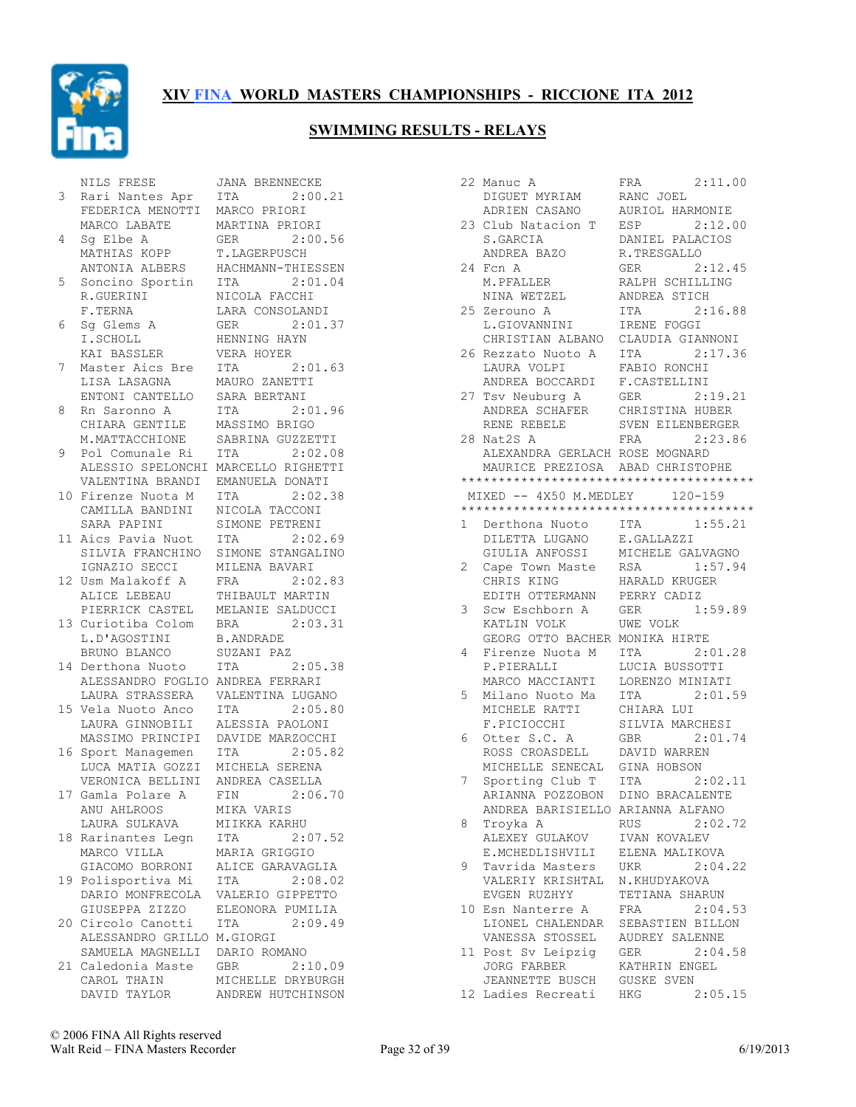

|   | NILS FRESE                                                                                         | JANA BRENNECKE                                      |
|---|----------------------------------------------------------------------------------------------------|-----------------------------------------------------|
| 3 |                                                                                                    | Rari Nantes Apr ITA 2:00.21                         |
|   | FEDERICA MENOTTI MARCO PRIORI                                                                      |                                                     |
|   | MARCO LABATE                                                                                       | MARTINA PRIORI                                      |
| 4 | Sq Elbe A                                                                                          | GER 2:00.56                                         |
|   | MATHIAS KOPP                                                                                       | T.LAGERPUSCH                                        |
|   | ANTONIA ALBERS                                                                                     | HACHMANN-THIESSEN                                   |
| 5 | Soncino Sportin                                                                                    | ITA 2:01.04                                         |
|   |                                                                                                    | NICOLA FACCHI                                       |
|   |                                                                                                    | LARA CONSOLANDI                                     |
| 6 | JUERINI<br>F.TERNA<br>Sg Glems A<br>I.SCHOIT                                                       | GER 2:01.37                                         |
|   | I.SCHOLL                                                                                           | HENNING HAYN                                        |
|   | KAI BASSLER                                                                                        | VERA HOYER                                          |
| 7 | Master Aics Bre                                                                                    | ITA<br>2:01.63                                      |
|   | LISA LASAGNA                                                                                       | MAURO ZANETTI                                       |
|   | ENTONI CANTELLO SARA BERTANI                                                                       |                                                     |
| 8 | Rn Saronno A                                                                                       | ITA<br>2:01.96                                      |
|   | CHIARA GENTILE                                                                                     | AAASSIMO BRIGO                                      |
|   | M.MATTACCHIONE SABRINA GUZZETTI                                                                    |                                                     |
| 9 | Pol Comunale Ri                                                                                    | ITA<br>2:02.08                                      |
|   | ALESSIO SPELONCHI MARCELLO RIGHETTI<br>VALENTINA BRANDI EMANUELA DONATI                            |                                                     |
|   |                                                                                                    |                                                     |
|   | 10 Firenze Nuota M                                                                                 | ITA<br>2:02.38                                      |
|   | -<br>CAMILLA BANDINI                                                                               | NICOLA TACCONI<br>SIMONE PETRENI                    |
|   | SARA PAPINI<br>11 Aics Pavia Nuot ITA 2:02.69                                                      |                                                     |
|   |                                                                                                    |                                                     |
|   | IGNAZIO SECCI                                                                                      | SILVIA FRANCHINO SIMONE STANGALINO<br>MILENA BAVARI |
|   | 12 Usm Malakoff A FRA                                                                              | 2:02.83                                             |
|   |                                                                                                    |                                                     |
|   | ALICE LEBEAU THIBAULT MARTIN<br>PIERRICK CASTEL MELANIE SALDUCCI<br>13 Curiotiba Colom BRA 2:03.31 |                                                     |
|   |                                                                                                    |                                                     |
|   | L.D'AGOSTINI                                                                                       | <b>B.ANDRADE</b>                                    |
|   | BRUNO BLANCO                                                                                       | SUZANI PAZ                                          |
|   | 14 Derthona Nuoto                                                                                  | <b>ITA</b><br>2:05.38                               |
|   | ALESSANDRO FOGLIO ANDREA FERRARI                                                                   |                                                     |
|   | LAURA STRASSERA                                                                                    | VALENTINA LUGANO                                    |
|   | 15 Vela Nuoto Anco                                                                                 | ITA 2:05.80                                         |
|   | LAURA GINNOBILI ALESSIA PAOLONI                                                                    |                                                     |
|   | MASSIMO PRINCIPI DAVIDE MARZOCCHI                                                                  |                                                     |
|   |                                                                                                    | 2:05.82                                             |
|   | 16 Sport Managemen ITA 2:05<br>LUCA MATIA GOZZI MICHELA SERENA                                     |                                                     |
|   | VERONICA BELLINI ANDREA CASELLA                                                                    |                                                     |
|   | 17 Gamla Polare A                                                                                  | FIN<br>2:06.70                                      |
|   | ANU AHLROOS                                                                                        | MIKA VARIS                                          |
|   | LAURA SULKAVA                                                                                      | MIIKKA KARHU                                        |
|   | 18 Rarinantes Legn                                                                                 | ITA<br>2:07.52                                      |
|   | MARCO VILLA                                                                                        | MARIA GRIGGIO                                       |
|   | GIACOMO BORRONI                                                                                    | ALICE GARAVAGLIA                                    |
|   | 19 Polisportiva Mi                                                                                 | ITA<br>2:08.02                                      |
|   | DARIO MONFRECOLA                                                                                   | VALERIO GIPPETTO                                    |
|   | GIUSEPPA ZIZZO                                                                                     | ELEONORA PUMILIA                                    |
|   | 20 Circolo Canotti                                                                                 | ITA<br>2:09.49                                      |
|   | ALESSANDRO GRILLO M.GIORGI                                                                         |                                                     |
|   | SAMUELA MAGNELLI                                                                                   | DARIO ROMANO                                        |
|   | 21 Caledonia Maste                                                                                 | 2:10.09<br>GBR                                      |
|   | CAROL THAIN                                                                                        | MICHELLE DRYBURGH                                   |
|   | DAVID TAYLOR                                                                                       | ANDREW HUTCHINSON                                   |

|    | 22 Manuc A<br>DIGUET MYRIAM       | 2:11.00<br>FRA<br>RANC JOEL |
|----|-----------------------------------|-----------------------------|
|    | ADRIEN CASANO                     | AURIOL HARMONIE             |
|    | 23 Club Natacion T                | ESP<br>2:12.00              |
|    | S.GARCIA                          | DANIEL PALACIOS             |
|    |                                   |                             |
|    | ANDREA BAZO                       | R.TRESGALLO                 |
|    | 24 Fcn A                          | 2:12.45<br>GER              |
|    | M.PFALLER                         | RALPH SCHILLING             |
|    | NINA WETZEL                       | ANDREA STICH                |
|    | 25 Zerouno A                      | 2:16.88<br>ITA              |
|    | L.GIOVANNINI                      | IRENE FOGGI                 |
|    | CHRISTIAN ALBANO                  | CLAUDIA GIANNONI            |
| 26 | Rezzato Nuoto A                   | 2:17.36<br><b>ITA</b>       |
|    | LAURA VOLPI                       | FABIO RONCHI                |
|    | ANDREA BOCCARDI                   | F.CASTELLINI                |
|    | 27 Tsv Neuburg A                  | GER 2:19.21                 |
|    | ANDREA SCHAFER                    | CHRISTINA HUBER             |
|    | RENE REBELE                       | SVEN EILENBERGER            |
|    | 28 Nat2S A                        | FRA<br>2:23.86              |
|    | ALEXANDRA GERLACH ROSE MOGNARD    |                             |
|    | MAURICE PREZIOSA ABAD CHRISTOPHE  |                             |
|    |                                   |                             |
|    | MIXED -- 4X50 M.MEDLEY 120-159    |                             |
|    |                                   |                             |
|    | 1 Derthona Nuoto ITA              | 1:55.21                     |
|    | DILETTA LUGANO E.GALLAZZI         |                             |
|    | GIULIA ANFOSSI MICHELE GALVAGNO   |                             |
| 2  | Cape Town Maste                   | RSA<br>1:57.94              |
|    | CHRIS KING                        | HARALD KRUGER               |
|    | EDITH OTTERMANN PERRY CADIZ       |                             |
| 3  | Scw Eschborn A                    | 1:59.89<br>GER              |
|    | KATLIN VOLK                       | UWE VOLK                    |
|    | GEORG OTTO BACHER                 | MONIKA HIRTE                |
| 4  | Firenze Nuota M                   | <b>ITA</b><br>2:01.28       |
|    | P.PIERALLI                        | LUCIA BUSSOTTI              |
|    | MARCO MACCIANTI                   | LORENZO MINIATI             |
| 5  | Milano Nuoto Ma                   | ITA<br>2:01.59              |
|    | MICHELE RATTI                     | CHIARA LUI                  |
|    | F.PICIOCCHI                       | SILVIA MARCHESI             |
| 6  | Otter S.C. A                      | 2:01.74<br><b>GBR</b>       |
|    | ROSS CROASDELL                    | DAVID WARREN                |
|    | MICHELLE SENECAL                  | GINA HOBSON                 |
| 7  | Sporting Club T                   | ITA<br>2:02.11              |
|    | ARIANNA POZZOBON                  | DINO BRACALENTE             |
|    | ANDREA BARISIELLO ARIANNA ALFANO  |                             |
| 8  | Troyka A                          | 2:02.72<br>RUS              |
|    | ALEXEY GULAKOV                    | IVAN KOVALEV                |
|    | E.MCHEDLISHVILI                   | ELENA MALIKOVA              |
| 9  | Tavrida Masters                   | 2:04.22<br><b>UKR</b>       |
|    | VALERIY KRISHTAL                  | N.KHUDYAKOVA                |
|    | EVGEN RUZHYY                      | TETIANA SHARUN              |
|    | 10 Esn Nanterre A                 | FRA<br>2:04.53              |
|    | LIONEL CHALENDAR SEBASTIEN BILLON |                             |
|    | VANESSA STOSSEL                   | AUDREY SALENNE              |
| 11 | Post Sv Leipzig                   | GER                         |
|    |                                   | 2:04.58                     |
|    | JORG FARBER                       | KATHRIN ENGEL               |
|    | JEANNETTE BUSCH                   | GUSKE SVEN                  |
|    | 12 Ladies Recreati                | HKG<br>2:05.15              |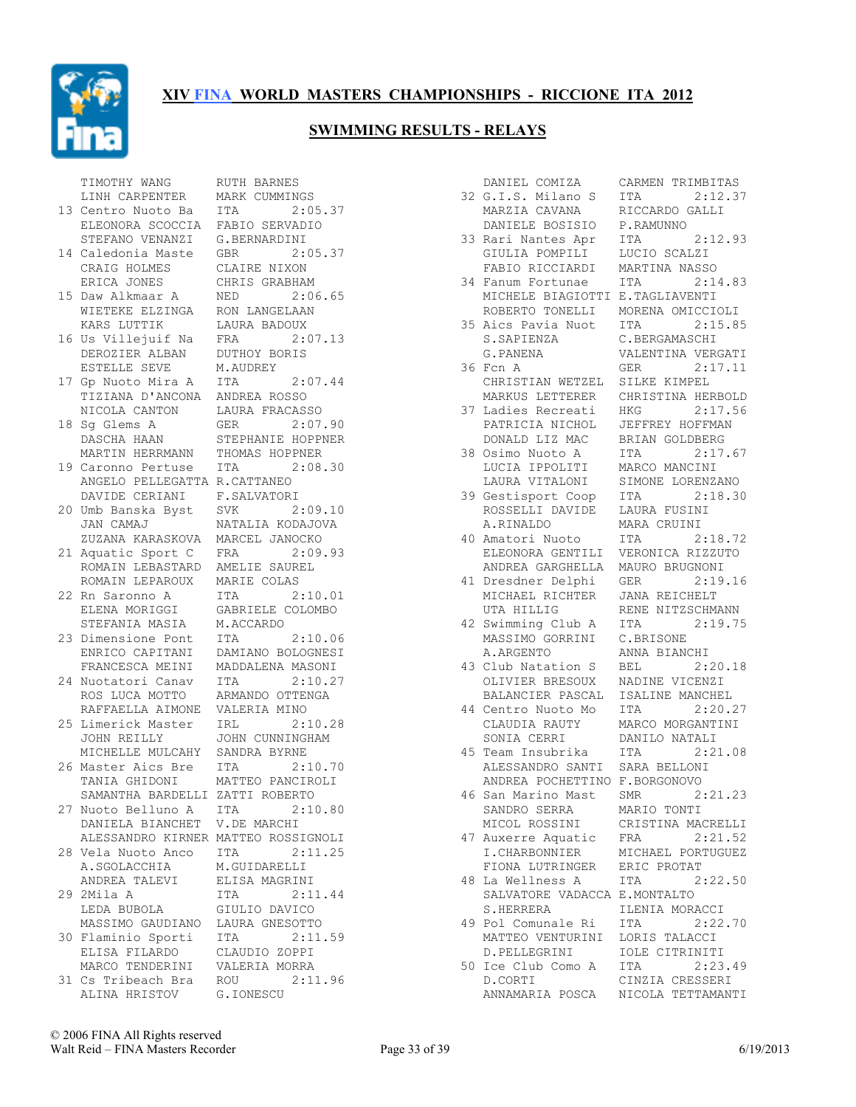

#### **SWIMMING RESULTS - RELAYS**

|    | TIMOTHY WANG                                                        | <b>RUTH BARNES</b>              |
|----|---------------------------------------------------------------------|---------------------------------|
|    | LINH CARPENTER                                                      | MARK CUMMINGS                   |
|    | 13 Centro Nuoto Ba                                                  | ITA 2:05.37                     |
|    | ELEONORA SCOCCIA                                                    | FABIO SERVADIO                  |
|    | STEFANO VENANZI                                                     | G.BERNARDINI                    |
| 14 | Caledonia Maste                                                     | GBR 2:05.37                     |
|    | CRAIG HOLMES                                                        | CLAIRE NIXON                    |
|    | ERICA JONES                                                         | CHRIS GRABHAM                   |
|    | 15 Daw Alkmaar A                                                    | 2:06.65<br>NED                  |
|    | WIETEKE ELZINGA<br>KARS LUTTIK                                      | RON LANGELAAN<br>LAURA BADOUX   |
|    | 16 Us Villejuif Na                                                  | 2:07.13<br>FRA                  |
|    | DEROZIER ALBAN                                                      | DUTHOY BORIS                    |
|    | ESTELLE SEVE                                                        | M.AUDREY                        |
|    | 17 Gp Nuoto Mira A                                                  | 2:07.44<br><b>ITA</b>           |
|    | TIZIANA D'ANCONA                                                    | ANDREA ROSSO                    |
|    | NICOLA CANTON                                                       | LAURA FRACASSO                  |
|    | 18 Sq Glems A                                                       | GER 2:07.90                     |
|    | DASCHA HAAN                                                         | STEPHANIE HOPPNER               |
|    | MARTIN HERRMANN                                                     | THOMAS HOPPNER                  |
|    | 19 Caronno Pertuse                                                  | 2:08.30<br>ITA                  |
|    | ANGELO PELLEGATTA R.CATTANEO                                        |                                 |
|    | DAVIDE CERIANI                                                      | F. SALVATORI                    |
|    | 20 Umb Banska Byst                                                  | SVK 2:09.10                     |
|    | JAN CAMAJ                                                           | NATALIA KODAJOVA                |
|    | ZUZANA KARASKOVA                                                    | MARCEL JANOCKO                  |
| 21 | Aquatic Sport C                                                     | 2:09.93<br>FRA                  |
|    | ROMAIN LEBASTARD                                                    | AMELIE SAUREL                   |
|    | ROMAIN LEPAROUX<br>22 Rn Saronno A                                  | MARIE COLAS<br>ITA<br>2:10.01   |
|    | ELENA MORIGGI                                                       | GABRIELE COLOMBO                |
|    | STEFANIA MASIA                                                      | M.ACCARDO                       |
| 23 | Dimensione Pont                                                     | ITA<br>2:10.06                  |
|    | ENRICO CAPITANI                                                     | DAMIANO BOLOGNESI               |
|    | FRANCESCA MEINI                                                     | MADDALENA MASONI                |
| 24 | Nuotatori Canav                                                     | ITA<br>2:10.27                  |
|    | ROS LUCA MOTTO                                                      | ARMANDO OTTENGA                 |
|    | RAFFAELLA AIMONE                                                    | VALERIA MINO                    |
|    | 25 Limerick Master                                                  | IRL 2:10.28                     |
|    | JOHN REILLY                                                         | JOHN CUNNINGHAM                 |
|    | MICHELLE MULCAHY                                                    | SANDRA BYRNE                    |
|    | 26 Master Aics Bre                                                  | 2:10.70<br>ITA                  |
|    | TANIA GHIDONI                                                       | MATTEO PANCIROLI                |
|    | SAMANTHA BARDELLI ZATTI ROBERTO                                     |                                 |
|    | 27 Nuoto Belluno A ITA                                              | 2:10.80                         |
|    | DANIELA BIANCHET V.DE MARCHI<br>ALESSANDRO KIRNER MATTEO ROSSIGNOLI |                                 |
|    | 28 Vela Nuoto Anco ITA                                              | 2:11.25                         |
|    | A. SGOLACCHIA                                                       | M.GUIDARELLI                    |
|    |                                                                     |                                 |
|    |                                                                     |                                 |
|    | ANDREA TALEVI<br>29 2Mila A                                         | ELISA MAGRINI<br>ITA<br>2:11.44 |
|    | LEDA BUBOLA                                                         | GIULIO DAVICO                   |
|    | MASSIMO GAUDIANO                                                    | LAURA GNESOTTO                  |
|    | 30 Flaminio Sporti                                                  | 2:11.59<br>ITA                  |
|    | ELISA FILARDO                                                       | CLAUDIO ZOPPI                   |
|    | MARCO TENDERINI                                                     |                                 |
|    | 31 Cs Tribeach Bra<br>ALINA HRISTOV G.IONESCU                       | 2:11.96                         |

|    | DANIEL COMIZA<br>32 G.I.S. Milano S   | CARMEN TRIMBITAS<br>ITA<br>2:12.37 |
|----|---------------------------------------|------------------------------------|
|    | MARZIA CAVANA<br>DANIELE BOSISIO      | RICCARDO GALLI<br>P.RAMUNNO        |
|    | 33 Rari Nantes Apr                    | ITA<br>2:12.93                     |
|    | GIULIA POMPILI                        | LUCIO SCALZI                       |
|    | FABIO RICCIARDI                       | MARTINA NASSO                      |
| 34 | Fanum Fortunae                        | <b>ITA</b><br>2:14.83              |
|    | MICHELE BIAGIOTTI E.TAGLIAVENTI       |                                    |
|    | ROBERTO TONELLI                       | MORENA OMICCIOLI                   |
|    | 35 Aics Pavia Nuot                    | ITA<br>2:15.85                     |
|    | S.SAPIENZA                            | C.BERGAMASCHI                      |
|    | G.PANENA                              | VALENTINA VERGATI                  |
| 36 | Fcn A                                 | 2:17.11<br><b>GER</b>              |
|    | CHRISTIAN WETZEL                      | SILKE KIMPEL                       |
|    | MARKUS LETTERER                       | CHRISTINA HERBOLD                  |
|    | 37 Ladies Recreati                    | HKG 2:17.56                        |
|    | PATRICIA NICHOL                       | JEFFREY HOFFMAN                    |
|    | DONALD LIZ MAC                        | BRIAN GOLDBERG                     |
| 38 | Osimo Nuoto A                         | ITA<br>2:17.67                     |
|    | LUCIA IPPOLITI                        | MARCO MANCINI                      |
|    | LAURA VITALONI                        | SIMONE LORENZANO                   |
|    | 39 Gestisport Coop                    | <b>ITA</b><br>2:18.30              |
|    | ROSSELLI DAVIDE                       | LAURA FUSINI                       |
|    | A.RINALDO                             | MARA CRUINI                        |
|    | 40 Amatori Nuoto                      | ITA 2:18.72                        |
|    | ELEONORA GENTILI                      | VERONICA RIZZUTO                   |
|    | ANDREA GARGHELLA                      | MAURO BRUGNONI                     |
|    | 41 Dresdner Delphi                    | GER<br>2:19.16                     |
|    | MICHAEL RICHTER                       | <b>JANA REICHELT</b>               |
|    | UTA HILLIG                            | RENE NITZSCHMANN                   |
|    | 42 Swimming Club A<br>MASSIMO GORRINI | ITA 2:19.75<br>C.BRISONE           |
|    | A.ARGENTO                             | ANNA BIANCHI                       |
| 43 | Club Natation S                       | <b>BEL</b><br>2:20.18              |
|    | OLIVIER BRESOUX                       | NADINE VICENZI                     |
|    | BALANCIER PASCAL                      | ISALINE MANCHEL                    |
|    | 44 Centro Nuoto Mo                    | ITA 2:20.27                        |
|    | CLAUDIA RAUTY                         | MARCO MORGANTINI                   |
|    | SONIA CERRI                           | DANILO NATALI                      |
|    | 45 Team Insubrika                     | <b>ITA</b><br>2:21.08              |
|    | ALESSANDRO SANTI                      | SARA BELLONI                       |
|    | ANDREA POCHETTINO F.BORGONOVO         |                                    |
| 46 | San Marino Mast                       | SMR<br>2:21.23                     |
|    |                                       |                                    |
|    |                                       |                                    |
|    | SANDRO SERRA                          | MARIO TONTI                        |
|    | MICOL ROSSINI                         | CRISTINA MACRELLI                  |
|    | 47 Auxerre Aquatic                    | 2:21.52<br>FRA                     |
|    | I.CHARBONNIER                         | MICHAEL PORTUGUEZ                  |
| 48 | FIONA LUTRINGER<br>La Wellness A      | ERIC PROTAT<br>ITA<br>2:22.50      |
|    | SALVATORE VADACCA E.MONTALTO          |                                    |
|    | S.HERRERA                             | ILENIA MORACCI                     |
|    | 49 Pol Comunale Ri                    | 2:22.70<br>ITA                     |
|    | MATTEO VENTURINI                      | LORIS TALACCI                      |
|    | D. PELLEGRINI                         | IOLE CITRINITI                     |
|    | 50 Ice Club Como A                    | ITA<br>2:23.49                     |
|    | D.CORTI                               | CINZIA CRESSERI                    |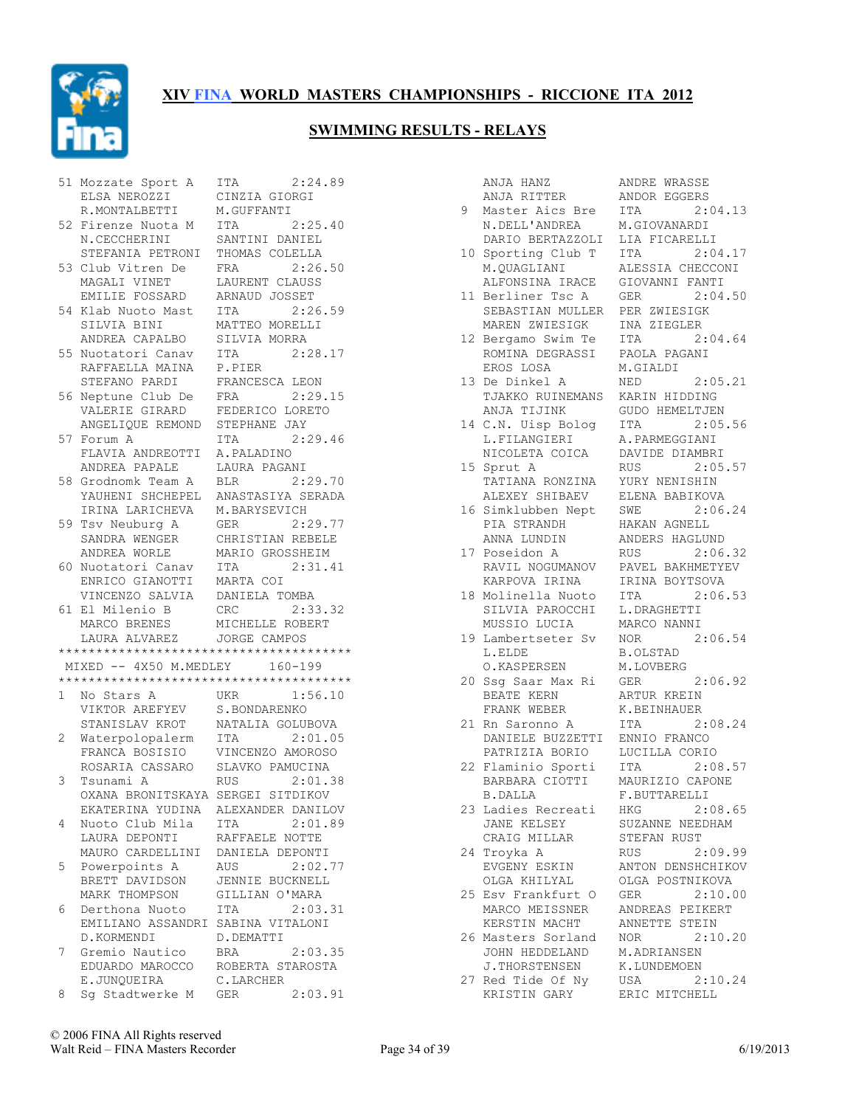

#### **SWIMMING RESULTS - RELAYS**

|              | 51 Mozzate Sport A                                                            | ITA<br>2:24.89                |
|--------------|-------------------------------------------------------------------------------|-------------------------------|
|              | ELSA NEROZZI                                                                  | CINZIA GIORGI                 |
|              | R.MONTALBETTI<br>52 Firenze Nuota M                                           | M.GUFFANTI<br>2:25.40<br>ITA  |
|              | N.CECCHERINI                                                                  | SANTINI DANIEL                |
|              | STEFANIA PETRONI                                                              | THOMAS COLELLA                |
|              | 53 Club Vitren De                                                             | FRA<br>2:26.50                |
|              | MAGALI VINET                                                                  | LAURENT CLAUSS                |
|              | EMILIE FOSSARD                                                                | ARNAUD JOSSET                 |
|              | 54 Klab Nuoto Mast                                                            | ITA<br>2:26.59                |
|              | SILVIA BINI                                                                   | MATTEO MORELLI                |
|              | ANDREA CAPALBO                                                                | SILVIA MORRA                  |
|              | 55 Nuotatori Canav                                                            | 2:28.17<br>ITA                |
|              | RAFFAELLA MAINA                                                               | P.PIER                        |
|              | STEFANO PARDI                                                                 | FRANCESCA LEON                |
|              | 56 Neptune Club De FRA                                                        | 2:29.15                       |
|              | VALERIE GIRARD FEDERICO LORETO                                                |                               |
|              | ANGELIQUE REMOND                                                              | STEPHANE JAY                  |
|              | 57 Forum A                                                                    | 2:29.46<br>ITA                |
|              | FLAVIA ANDREOTTI                                                              | A. PALADINO                   |
|              | ANDREA PAPALE                                                                 | LAURA PAGANI                  |
|              | 58 Grodnomk Team A                                                            | BLR 2:29.70                   |
|              | YAUHENI SHCHEPEL                                                              | ANASTASIYA SERADA             |
|              | IRINA LARICHEVA                                                               | M.BARYSEVICH                  |
|              | 59 Tsv Neuburg A                                                              | 2:29.77<br>GER                |
|              | SANDRA WENGER                                                                 | CHRISTIAN REBELE              |
|              | ANDREA WORLE                                                                  | MARIO GROSSHEIM               |
|              | 60 Nuotatori Canav<br>ENRICO GIANOTTI MARTA COI                               | ITA<br>2:31.41                |
|              |                                                                               |                               |
|              |                                                                               |                               |
|              | VINCENZO SALVIA DANIELA TOMBA                                                 |                               |
|              |                                                                               | CRC<br>2:33.32                |
|              | 61 El Milenio B<br>MARCO BRENES                                               | MICHELLE ROBERT               |
|              | LAURA ALVAREZ                                                                 | JORGE CAMPOS                  |
|              |                                                                               |                               |
|              | MIXED -- 4X50 M.MEDLEY 160-199                                                |                               |
|              |                                                                               | 1:56.10                       |
|              |                                                                               | S.BONDARENKO                  |
|              | 1 No Stars A UKR<br>VIKTOR AREFYEV S.BONDA<br>STANISLAV KROT NATALIA GOLUBOVA |                               |
| $\mathbf{2}$ | Waterpolopalerm ITA                                                           | 2:01.05                       |
|              |                                                                               | VINCENZO AMOROSO              |
|              | FRANCA BOSISIO VINCENZO AMOROSO<br>ROSARIA CASSARO SLAVKO PAMUCINA            |                               |
| 3            | Tsunami A                                                                     | RUS<br>2:01.38                |
|              | OXANA BRONITSKAYA                                                             | SERGEI SITDIKOV               |
|              | EKATERINA YUDINA                                                              | ALEXANDER DANILOV             |
| 4            | Nuoto Club Mila                                                               | 2:01.89<br>ITA                |
|              | LAURA DEPONTI                                                                 | RAFFAELE NOTTE                |
|              | MAURO CARDELLINI                                                              | DANIELA DEPONTI               |
| 5            | Powerpoints A                                                                 | 2:02.77<br>AUS                |
|              | BRETT DAVIDSON                                                                | JENNIE BUCKNELL               |
|              | MARK THOMPSON                                                                 | GILLIAN O'MARA                |
| 6            | Derthona Nuoto                                                                | 2:03.31<br>ITA                |
|              | EMILIANO ASSANDRI SABINA VITALONI                                             |                               |
|              | D. KORMENDI                                                                   | D.DEMATTI                     |
| 7            | Gremio Nautico                                                                | BRA<br>2:03.35                |
|              | EDUARDO MAROCCO<br>E.JUNQUEIRA                                                | ROBERTA STAROSTA<br>C.LARCHER |

|    | ANJA HANZ          | ANDRE WRASSE      |
|----|--------------------|-------------------|
|    | ANJA RITTER        | ANDOR EGGERS      |
| 9  | Master Aics Bre    | 2:04.13<br>ITA    |
|    | N.DELL'ANDREA      | M.GIOVANARDI      |
|    | DARIO BERTAZZOLI   | LIA FICARELLI     |
|    | 10 Sporting Club T | 2:04.17<br>ITA    |
|    | M.QUAGLIANI        | ALESSIA CHECCONI  |
|    | ALFONSINA IRACE    | GIOVANNI FANTI    |
|    | 11 Berliner Tsc A  | 2:04.50<br>GER    |
|    | SEBASTIAN MULLER   | PER ZWIESIGK      |
|    | MAREN ZWIESIGK     | INA ZIEGLER       |
|    | 12 Bergamo Swim Te | 2:04.64<br>ITA    |
|    | ROMINA DEGRASSI    | PAOLA PAGANI      |
|    | EROS LOSA          | M.GIALDI          |
|    | 13 De Dinkel A     | 2:05.21<br>NED.   |
|    | TJAKKO RUINEMANS   | KARIN HIDDING     |
|    | ANJA TIJINK        | GUDO HEMELTJEN    |
|    | 14 C.N. Uisp Bolog | ITA 2:05.56       |
|    | L. FILANGIERI      | A. PARMEGGIANI    |
|    | NICOLETA COICA     | DAVIDE DIAMBRI    |
|    | 15 Sprut A         | 2:05.57<br>RUS    |
|    | TATIANA RONZINA    | YURY NENISHIN     |
|    | ALEXEY SHIBAEV     | ELENA BABIKOVA    |
|    | 16 Simklubben Nept | SWE 2:06.24       |
|    | PIA STRANDH        | HAKAN AGNELL      |
|    | ANNA LUNDIN        | ANDERS HAGLUND    |
|    | 17 Poseidon A      | RUS<br>2:06.32    |
|    | RAVIL NOGUMANOV    | PAVEL BAKHMETYEV  |
|    | KARPOVA IRINA      | IRINA BOYTSOVA    |
|    | 18 Molinella Nuoto | ITA<br>2:06.53    |
|    | SILVIA PAROCCHI    | L.DRAGHETTI       |
|    | MUSSIO LUCIA       | MARCO NANNI       |
|    | 19 Lambertseter Sv | NOR 2:06.54       |
|    | L.ELDE             | <b>B.OLSTAD</b>   |
|    | O. KASPERSEN       | M.LOVBERG         |
| 20 | Ssg Saar Max Ri    | 2:06.92<br>GER    |
|    | <b>BEATE KERN</b>  | ARTUR KREIN       |
|    | FRANK WEBER        | K.BEINHAUER       |
|    | 21 Rn Saronno A    | 2:08.24<br>I TA   |
|    | DANIELE BUZZETTI   | ENNIO FRANCO      |
|    | PATRIZIA BORIO     | LUCILLA CORIO     |
| 22 | Flaminio Sporti    | ITA<br>2:08.57    |
|    | BARBARA CIOTTI     | MAURIZIO CAPONE   |
|    | B.DALLA            | F.BUTTARELLI      |
| 23 | Ladies Recreati    | 2:08.65<br>HKG    |
|    | <b>JANE KELSEY</b> | SUZANNE NEEDHAM   |
|    | CRAIG MILLAR       | STEFAN RUST       |
|    | 24 Troyka A        | RUS<br>2:09.99    |
|    | EVGENY ESKIN       | ANTON DENSHCHIKOV |
|    | OLGA KHILYAL       | OLGA POSTNIKOVA   |
|    | 25 Esv Frankfurt O | 2:10.00<br>GER    |
|    | MARCO MEISSNER     | ANDREAS PEIKERT   |
|    | KERSTIN MACHT      | ANNETTE STEIN     |
|    | 26 Masters Sorland | 2:10.20<br>NOR    |
|    | JOHN HEDDELAND     | M.ADRIANSEN       |
|    | J.THORSTENSEN      | K.LUNDEMOEN       |
|    | 27 Red Tide Of Ny  | USA<br>2:10.24    |
|    | KRISTIN GARY       | ERIC MITCHELL     |
|    |                    |                   |

ELLI. HECCONI  $2:04.50$ <br>GK LTJEN LANI AMBRI  $2:06.24$ ELL  $2:06.32$ HMETYEV **TSOVA** CAPONE<br>LLI EEDHAM<br>ST **BHCHIKOV**  $2:10.00$ EIKER<mark>T</mark><br>PEIN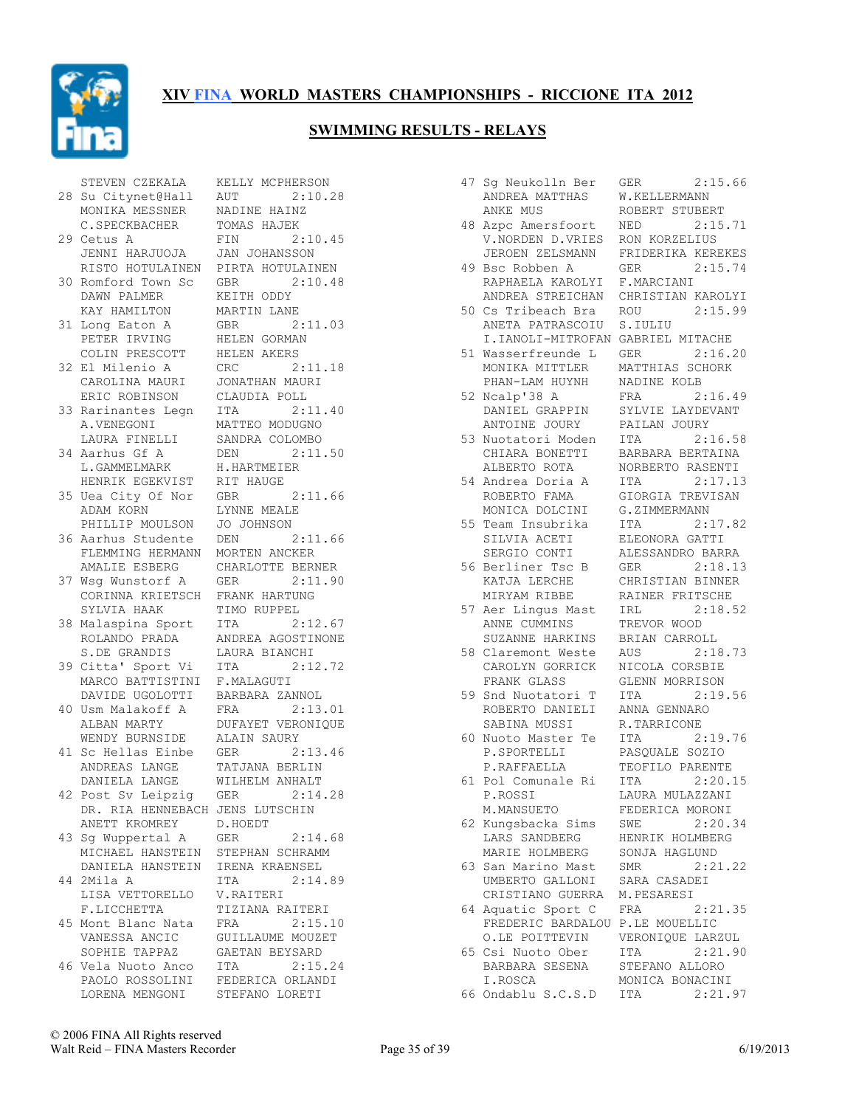

|    | STEVEN CZEKALA                                                    | KELLY MCPHERSON          |
|----|-------------------------------------------------------------------|--------------------------|
|    | 28 Su Citynet@Hall                                                | AUT 2:10.28              |
|    |                                                                   | NADINE HAINZ             |
|    | MONIKA MESSNER                                                    |                          |
|    | C. SPECKBACHER                                                    | TOMAS HAJEK              |
|    | 29 Cetus A                                                        | ${\rm F\,IN}$<br>2:10.45 |
|    | JENNI HARJUOJA                                                    | JAN JOHANSSON            |
|    | RISTO HOTULAINEN                                                  | PIRTA HOTULAINEN         |
|    | 30 Romford Town Sc                                                | 2:10.48<br>GBR           |
|    | DAWN PALMER                                                       | KEITH ODDY               |
|    | KAY HAMILTON                                                      | MARTIN LANE              |
|    | 31 Long Eaton A                                                   | 2:11.03<br>GBR           |
|    | PETER IRVING                                                      | HELEN GORMAN             |
|    | COLIN PRESCOTT                                                    | HELEN AKERS              |
|    | 32 El Milenio A                                                   | CRC 2:11.18              |
|    | CAROLINA MAURI                                                    | JONATHAN MAURI           |
|    | ERIC ROBINSON                                                     | CLAUDIA POLL             |
|    | 33 Rarinantes Legn                                                | ITA<br>2:11.40           |
|    | A. VENEGONI                                                       | MATTEO MODUGNO           |
|    | LAURA FINELLI                                                     | SANDRA COLOMBO           |
|    | 34 Aarhus Gf A                                                    | 2:11.50<br>DEN           |
|    | L. GAMMELMARK                                                     | H.HARTMEIER              |
|    | HENRIK EGEKVIST                                                   | RIT HAUGE                |
|    |                                                                   | GBR<br>2:11.66           |
|    | 35 Uea City Of Nor                                                |                          |
|    | ADAM KORN                                                         | LYNNE MEALE              |
|    | PHILLIP MOULSON                                                   | JO JOHNSON               |
|    | 36 Aarhus Studente                                                | DEN 2:11.66              |
|    | FLEMMING HERMANN                                                  | MORTEN ANCKER            |
|    | AMALIE ESBERG                                                     | CHARLOTTE BERNER         |
|    | 37 Wsq Wunstorf A                                                 | GER 2:11.90              |
|    | CORINNA KRIETSCH                                                  | FRANK HARTUNG            |
|    | SYLVIA HAAK                                                       | TIMO RUPPEL              |
|    | 38 Malaspina Sport                                                |                          |
|    |                                                                   | ITA 2:12.67              |
|    | ROLANDO PRADA                                                     | ANDREA AGOSTINONE        |
|    | S.DE GRANDIS                                                      | LAURA BIANCHI            |
| 39 | Citta' Sport Vi                                                   | ITA<br>2:12.72           |
|    | MARCO BATTISTINI                                                  | F.MALAGUTI               |
|    | DAVIDE UGOLOTTI                                                   | BARBARA ZANNOL           |
|    | 40 Usm Malakoff A                                                 | FRA 2:13.01              |
|    | ALBAN MARTY                                                       | DUFAYET VERONIQUE        |
|    | WENDY BURNSIDE                                                    | ALAIN SAURY              |
| 41 | Sc Hellas Einbe                                                   | 2:13.46                  |
|    | ANDREAS LANGE                                                     | GER<br>TATJANA BERLIN    |
|    | DANIELA LANGE                                                     | WILHELM ANHALT           |
|    |                                                                   |                          |
|    | 42 Post Sv Leipzig                                                | GER 2:14.28              |
|    | DR. RIA HENNEBACH JENS LUTSCHIN                                   |                          |
|    | ANETT KROMREY                                                     | D.HOEDT                  |
|    | 43 Sq Wuppertal A                                                 | GER<br>2:14.68           |
|    | MICHAEL HANSTEIN                                                  | STEPHAN SCHRAMM          |
|    | DANIELA HANSTEIN                                                  | IRENA KRAENSEL           |
|    | 44 2Mila A                                                        | ITA<br>2:14.89           |
|    | LISA VETTORELLO                                                   | V.RAITERI                |
|    | F.LICCHETTA                                                       | TIZIANA RAITERI          |
|    | 45 Mont Blanc Nata                                                | FRA<br>2:15.10           |
|    | VANESSA ANCIC                                                     | GUILLAUME MOUZET         |
|    | SOPHIE TAPPAZ                                                     | GAETAN BEYSARD           |
|    | 46 Vela Nuoto Anco                                                | 2:15.24<br>ITA           |
|    | PAOLO ROSSOLINI FEDERICA ORLANDI<br>LORENA MENGONI STEFANO LORETI |                          |

|    | 47 Sg Neukolln Ber              | GER<br>2:15.66                   |
|----|---------------------------------|----------------------------------|
|    | ANDREA MATTHAS                  | W.KELLERMANN                     |
|    | ANKE MUS                        | ROBERT STUBERT                   |
| 48 | Azpc Amersfoort                 | NED<br>2:15.71                   |
|    | V.NORDEN D.VRIES                | RON KORZELIUS                    |
|    | <b>JEROEN ZELSMANN</b>          | FRIDERIKA KEREKES                |
|    | 49 Bsc Robben A                 | 2:15.74<br><b>GER</b>            |
|    | RAPHAELA KAROLYI                | F.MARCIANI                       |
|    | ANDREA STREICHAN                | CHRISTIAN KAROLYI                |
|    | 50 Cs Tribeach Bra              | 2:15.99<br>ROU                   |
|    | ANETA PATRASCOIU                | S.IULIU                          |
|    | I.IANOLI-MITROFAN               | GABRIEL MITACHE                  |
|    | 51 Wasserfreunde L              | GER<br>2:16.20                   |
|    | MONIKA MITTLER                  | MATTHIAS SCHORK                  |
|    | PHAN-LAM HUYNH                  | NADINE KOLB                      |
|    | 52 Ncalp'38 A                   | 2:16.49<br>FRA                   |
|    | DANIEL GRAPPIN                  | SYLVIE LAYDEVANT                 |
|    | ANTOINE JOURY                   | PAILAN JOURY                     |
|    | 53 Nuotatori Moden              | 2:16.58<br>ITA                   |
|    | CHIARA BONETTI                  | BARBARA BERTAINA                 |
|    | ALBERTO ROTA                    | NORBERTO RASENTI                 |
|    | 54 Andrea Doria A               | ITA<br>2:17.13                   |
|    | ROBERTO FAMA                    | GIORGIA TREVISAN                 |
|    | MONICA DOLCINI                  | G.ZIMMERMANN                     |
| 55 | Team Insubrika                  | ITA 2:17.82                      |
|    | SILVIA ACETI                    | ELEONORA GATTI                   |
|    | SERGIO CONTI                    | ALESSANDRO BARRA                 |
|    | 56 Berliner Tsc B               | GER 2:18.13                      |
|    | KATJA LERCHE                    | CHRISTIAN BINNER                 |
|    | MIRYAM RIBBE                    | RAINER FRITSCHE                  |
| 57 | Aer Lingus Mast                 | 2:18.52<br>IRL                   |
|    | ANNE CUMMINS                    | TREVOR WOOD                      |
|    | SUZANNE HARKINS                 | BRIAN CARROLL                    |
|    | 58 Claremont Weste              | 2:18.73<br>AUS                   |
|    | CAROLYN GORRICK<br>FRANK GLASS  | NICOLA CORSBIE<br>GLENN MORRISON |
| 59 | Snd Nuotatori T                 | 2:19.56<br><b>ITA</b>            |
|    | ROBERTO DANIELI                 | ANNA GENNARO                     |
|    | SABINA MUSSI                    | R.TARRICONE                      |
|    | 60 Nuoto Master<br>Te           | <b>ITA</b><br>2:19.76            |
|    | P.SPORTELLI                     | PASQUALE SOZIO                   |
|    | P.RAFFAELLA                     | TEOFILO PARENTE                  |
|    | 61 Pol Comunale Ri              | 2:20.15<br>ITA                   |
|    | P.ROSSI                         | LAURA MULAZZANI                  |
|    | M.MANSUETO                      | FEDERICA MORONI                  |
|    | 62 Kungsbacka Sims              | 2:20.34<br>SWE                   |
|    | LARS SANDBERG                   | HENRIK HOLMBERG                  |
|    | MARIE HOLMBERG                  | SONJA HAGLUND                    |
|    | 63 San Marino Mast              | 2:21.22<br>SMR                   |
|    | UMBERTO GALLONI                 | SARA CASADEI                     |
|    | CRISTIANO GUERRA M.PESARESI     |                                  |
|    | 64 Aquatic Sport C              | 2:21.35<br>FRA                   |
|    | FREDERIC BARDALOU P.LE MOUELLIC |                                  |
|    | O.LE POITTEVIN                  | VERONIQUE LARZUL                 |
|    | 65 Csi Nuoto Ober               | ITA<br>2:21.90                   |
|    | BARBARA SESENA                  | STEFANO ALLORO                   |
|    | I.ROSCA                         | MONICA BONACINI                  |
|    |                                 | 66 Ondablu S.C.S.D ITA 2:21.97   |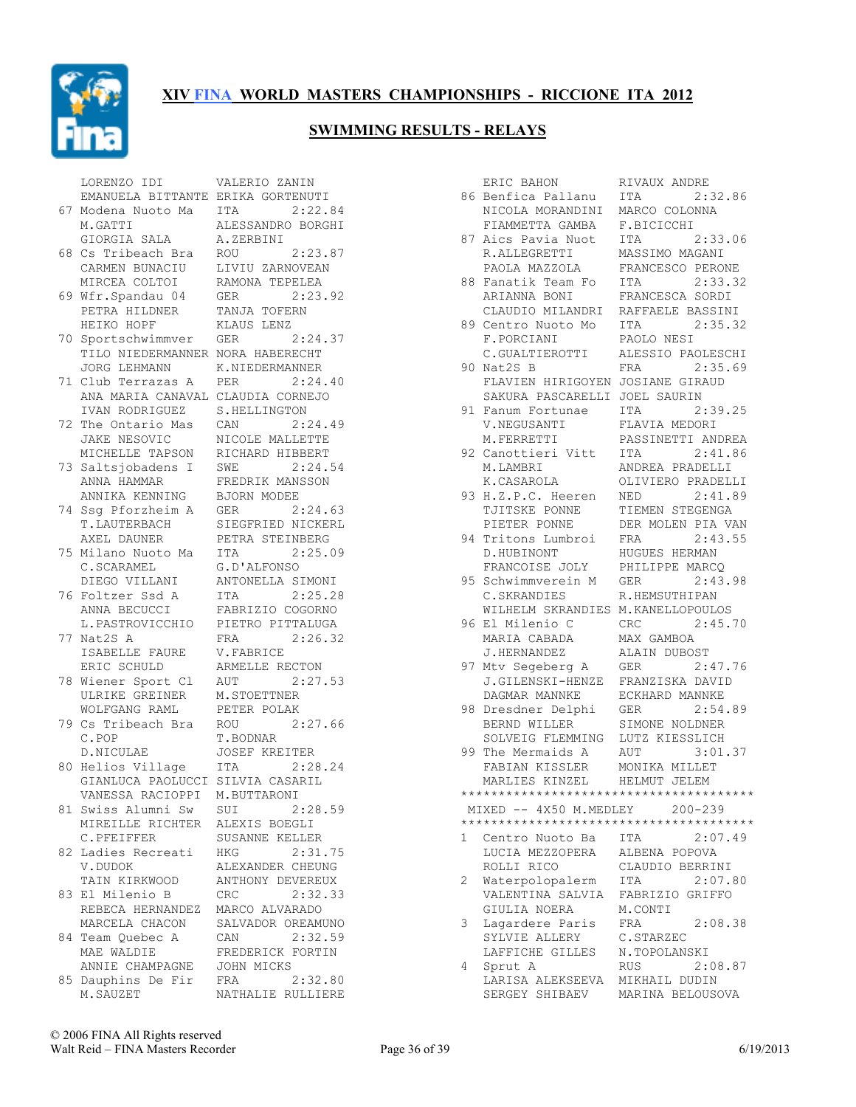

|    | LORENZO IDI                                      | VALERIO ZANIN                 |
|----|--------------------------------------------------|-------------------------------|
|    | EMANUELA BITTANTE ERIKA GORTENUTI                |                               |
|    | 67 Modena Nuoto Ma                               | 2:22.84<br>ITA                |
|    | M.GATTI                                          | ALESSANDRO BORGHI             |
|    | GIORGIA SALA                                     | A.ZERBINI                     |
| 68 | Cs Tribeach Bra                                  | 2:23.87<br>ROU                |
|    | CARMEN BUNACIU                                   | LIVIU ZARNOVEAN               |
|    | MIRCEA COLTOI                                    | RAMONA TEPELEA                |
|    | 69 Wfr. Spandau 04                               | GER<br>2:23.92                |
|    | PETRA HILDNER                                    | TANJA TOFERN<br>KLAUS LENZ    |
|    | HEIKO HOPF                                       |                               |
| 70 | Sportschwimmver                                  | 2:24.37<br>GER                |
|    | TILO NIEDERMANNER NORA HABERECHT<br>JORG LEHMANN |                               |
| 71 | Club Terrazas A                                  | K.NIEDERMANNER<br>PER 2:24.40 |
|    | ANA MARIA CANAVAL CLAUDIA CORNEJO                |                               |
|    | IVAN RODRIGUEZ                                   | S.HELLINGTON                  |
|    | 72 The Ontario Mas                               | CAN<br>2:24.49                |
|    | JAKE NESOVIC                                     | NICOLE MALLETTE               |
|    | MICHELLE TAPSON                                  | RICHARD HIBBERT               |
| 73 | Saltsjobadens I                                  | 2:24.54<br>SWE                |
|    | ANNA HAMMAR                                      | FREDRIK MANSSON               |
|    | ANNIKA KENNING                                   | <b>BJORN MODEE</b>            |
|    | 74 Ssq Pforzheim A                               | 2:24.63<br>GER                |
|    | T.LAUTERBACH                                     | SIEGFRIED NICKERL             |
|    | AXEL DAUNER                                      | PETRA STEINBERG               |
|    | 75 Milano Nuoto Ma                               | 2:25.09<br>ITA                |
|    | C.SCARAMEL                                       | G.D'ALFONSO                   |
|    | DIEGO VILLANI                                    | ANTONELLA SIMONI              |
|    | 76 Foltzer Ssd A                                 | ITA<br>2:25.28                |
|    | ANNA BECUCCI                                     | FABRIZIO COGORNO              |
|    | L.PASTROVICCHIO                                  | PIETRO PITTALUGA              |
|    | 77 Nat2S A                                       | 2:26.32<br>FRA                |
|    | ISABELLE FAURE                                   | V.FABRICE                     |
|    | ERIC SCHULD                                      | ARMELLE RECTON                |
|    | 78 Wiener Sport Cl                               | 2:27.53<br>AUT                |
|    | ULRIKE GREINER                                   | M. STOETTNER<br>PETER POLAK   |
|    | WOLFGANG RAML<br>79 Cs Tribeach Bra              | ROU 2:27.66                   |
|    | C.POP                                            | T.BODNAR                      |
|    | D.NICULAE                                        | <b>JOSEF KREITER</b>          |
|    | 80 Helios Village                                | 2:28.24<br>ITA                |
|    | GIANLUCA PAOLUCCI                                | SILVIA CASARIL                |
|    | VANESSA RACIOPPI                                 | M.BUTTARONI                   |
|    | 81 Swiss Alumni Sw                               | 2:28.59<br>SUI                |
|    | MIREILLE RICHTER                                 | ALEXIS BOEGLI                 |
|    | C. PFEIFFER                                      | SUSANNE KELLER                |
|    | 82 Ladies Recreati                               | HKG<br>2:31.75                |
|    | V.DUDOK                                          | ALEXANDER CHEUNG              |
|    | TAIN KIRKWOOD                                    | ANTHONY DEVEREUX              |
|    | 83 El Milenio B                                  | CRC<br>2:32.33                |
|    | REBECA HERNANDEZ                                 | MARCO ALVARADO                |
|    | MARCELA CHACON                                   | SALVADOR OREAMUNO             |
|    | 84 Team Quebec A                                 | CAN<br>2:32.59                |
|    | MAE WALDIE                                       | FREDERICK FORTIN              |
|    | ANNIE CHAMPAGNE                                  | JOHN MICKS                    |
|    | 85 Dauphins De Fir                               | FRA<br>2:32.80                |
|    | M. SAUZET                                        | NATHALIE RULLIERE             |

|    | ERIC BAHON                                                    | RIVAUX ANDRE                      |
|----|---------------------------------------------------------------|-----------------------------------|
|    | 86 Benfica Pallanu ITA 2:33<br>NICOLA MORANDINI MARCO COLONNA | 2:32.86                           |
|    |                                                               |                                   |
|    | FIAMMETTA GAMBA F.BICICCHI                                    |                                   |
|    | 87 Aics Pavia Nuot                                            | 2:33.06<br>ITA                    |
|    | R.ALLEGRETTI                                                  | MASSIMO MAGANI                    |
|    |                                                               |                                   |
|    | PAOLA MAZZOLA                                                 | FRANCESCO PERONE                  |
|    | 88 Fanatik Team Fo                                            | ITA<br>2:33.32                    |
|    | ARIANNA BONI                                                  | FRANCESCA SORDI                   |
|    | CLAUDIO MILANDRI RAFFAELE BASSINI                             |                                   |
|    | 89 Centro Nuoto Mo                                            | ITA 2:35.32                       |
|    | F.PORCIANI                                                    | PAOLO NESI                        |
|    | C.GUALTIEROTTI                                                | ALESSIO PAOLESCHI                 |
|    |                                                               |                                   |
|    | 90 Nat2S B                                                    | 2:35.69<br>FRA                    |
|    | FLAVIEN HIRIGOYEN JOSIANE GIRAUD                              |                                   |
|    | SAKURA PASCARELLI JOEL SAURIN                                 |                                   |
|    | 91 Fanum Fortunae                                             | 2:39.25<br>ITA                    |
|    | V.NEGUSANTI                                                   | FLAVIA MEDORI                     |
|    | M. FERRETTI                                                   | PASSINETTI ANDREA                 |
|    | 92 Canottieri Vitt                                            | 2:41.86<br>ITA                    |
|    | M.LAMBRI                                                      | ANDREA PRADELLI                   |
|    | K.CASAROLA                                                    |                                   |
|    |                                                               | OLIVIERO PRADELLI                 |
|    | 93 H.Z.P.C. Heeren                                            | <b>NED</b><br>2:41.89             |
|    | TJITSKE PONNE                                                 | TIEMEN STEGENGA                   |
|    | PIETER PONNE                                                  | DER MOLEN PIA VAN                 |
|    | 94 Tritons Lumbroi                                            | 2:43.55<br>FRA                    |
|    | D.HUBINONT                                                    | HUGUES HERMAN                     |
|    | FRANCOISE JOLY                                                | PHILIPPE MARCO                    |
|    | 95 Schwimmverein M                                            | <b>GER</b><br>2:43.98             |
|    | C.SKRANDIES                                                   | R.HEMSUTHIPAN                     |
|    |                                                               |                                   |
|    | WILHELM SKRANDIES M. KANELLOPOULOS                            |                                   |
| 96 | El Milenio C                                                  | CRC 2:45.70                       |
|    | MARIA CABADA                                                  | MAX GAMBOA                        |
|    | J.HERNANDEZ                                                   | ALAIN DUBOST                      |
| 97 | Mtv Segeberg A GER 2:47.<br>J.GILENSKI-HENZE FRANZISKA DAVID  | 2:47.76                           |
|    |                                                               |                                   |
|    | DAGMAR MANNKE                                                 | ECKHARD MANNKE                    |
|    | 98 Dresdner Delphi GER                                        | 2:54.89                           |
|    | BERND WILLER                                                  | SIMONE NOLDNER                    |
|    | SOLVEIG FLEMMING LUTZ KIESSLICH                               |                                   |
|    |                                                               |                                   |
|    | 99 The Mermaids A AUT                                         | 3:01.37                           |
|    | FABIAN KISSLER MONIKA MILLET<br>MARLIES KINZEL HELMUT JELEM   |                                   |
|    |                                                               |                                   |
|    |                                                               |                                   |
|    | MIXED -- 4X50 M.MEDLEY                                        | $200 - 239$                       |
|    |                                                               |                                   |
| 1  | Centro Nuoto Ba                                               | 2:07.49<br>ITA                    |
|    | LUCIA MEZZOPERA                                               | ALBENA POPOVA                     |
|    | ROLLI RICO                                                    |                                   |
|    |                                                               | CLAUDIO BERRINI                   |
| 2  | Waterpolopalerm                                               | 2:07.80<br>ITA                    |
|    | VALENTINA SALVIA                                              | FABRIZIO GRIFFO                   |
|    | GIULIA NOERA                                                  | M.CONTI                           |
| 3  | Lagardere Paris                                               | FRA<br>2:08.38                    |
|    | SYLVIE ALLERY                                                 | C.STARZEC                         |
|    | LAFFICHE GILLES                                               | N.TOPOLANSKI                      |
| 4  |                                                               |                                   |
|    |                                                               |                                   |
|    | Sprut A                                                       | RUS<br>2:08.87                    |
|    | LARISA ALEKSEEVA<br>SERGEY SHIBAEV                            | MIKHAIL DUDIN<br>MARINA BELOUSOVA |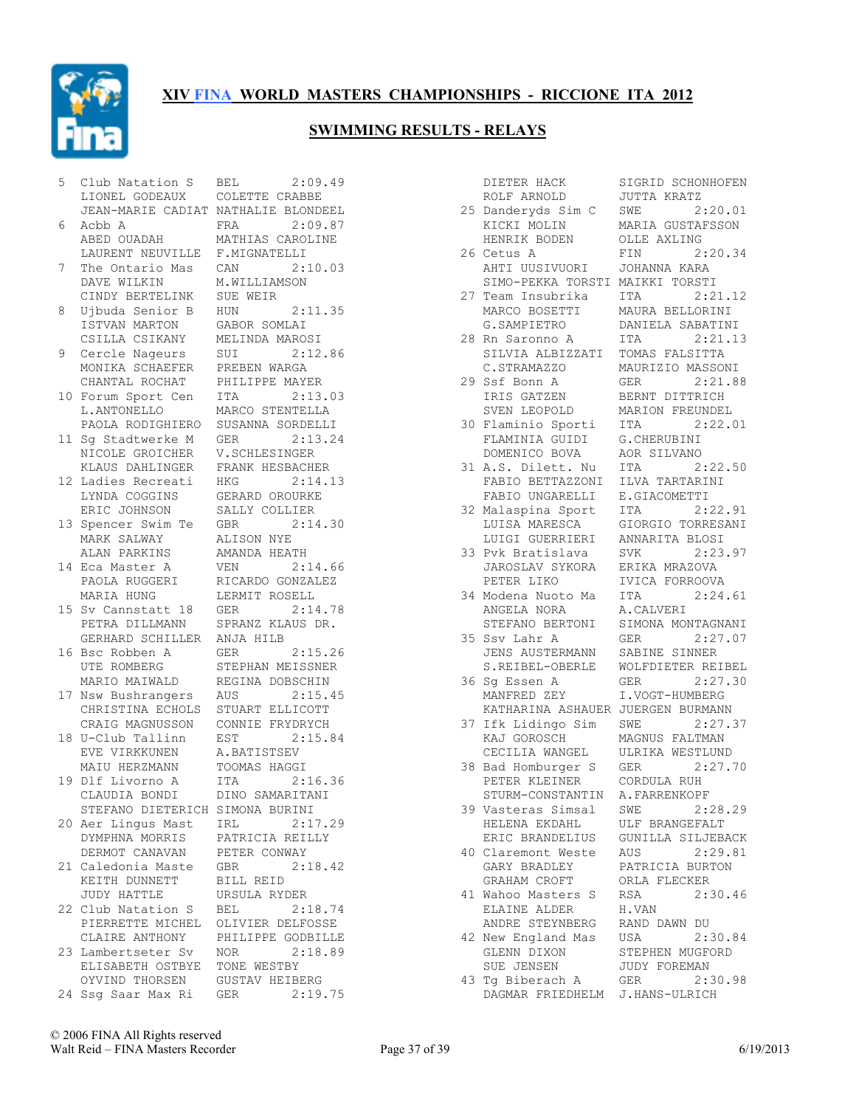

#### **SWIMMING RESULTS - RELAYS**

| 5 | Club Natation S<br>LIONEL GODEAUX                           | <b>BEL</b><br>2:09.49<br>COLETTE CRABBE |
|---|-------------------------------------------------------------|-----------------------------------------|
|   |                                                             | JEAN-MARIE CADIAT NATHALIE BLONDEEL     |
| 6 | Acbb A                                                      | FRA<br>2:09.87                          |
|   | ABED OUADAH                                                 | MATHIAS CAROLINE                        |
|   | LAURENT NEUVILLE                                            | F.MIGNATELLI                            |
| 7 | The Ontario Mas                                             | 2:10.03<br>CAN                          |
|   | DAVE WILKIN                                                 | M.WILLIAMSON                            |
|   | CINDY BERTELINK                                             | SUE WEIR                                |
| 8 | Ujbuda Senior B                                             | HUN 2:11.35                             |
|   | <b>ISTVAN MARTON</b>                                        | GABOR SOMLAI                            |
|   | CSILLA CSIKANY                                              | MELINDA MAROSI                          |
| 9 | Cercle Nageurs                                              | SUI<br>2:12.86                          |
|   | MONIKA SCHAEFER                                             | PREBEN WARGA                            |
|   | CHANTAL ROCHAT                                              | PHILIPPE MAYER                          |
|   |                                                             | ITA 2:13.03                             |
|   | 10 Forum Sport Cen<br>L. ANTONELLO                          | MARCO STENTELLA                         |
|   |                                                             |                                         |
|   | PAOLA RODIGHIERO                                            | SUSANNA SORDELLI                        |
|   | 11 Sg Stadtwerke M                                          | GER<br>2:13.24                          |
|   | NICOLE GROICHER                                             | V. SCHLESINGER                          |
|   | KLAUS DAHLINGER                                             | FRANK HESBACHER                         |
|   | 12 Ladies Recreati HKG 2:14<br>LYNDA COGGINS GERARD OROURKE | 2:14.13                                 |
|   |                                                             |                                         |
|   | ERIC JOHNSON                                                | SALLY COLLIER                           |
|   | 13 Spencer Swim Te                                          | GBR 2:14.30                             |
|   | MARK SALWAY                                                 | ALISON NYE                              |
|   | ALAN PARKINS                                                | AMANDA HEATH                            |
|   | 14 Eca Master A                                             | 2:14.66<br>VEN                          |
|   | PAOLA RUGGERI                                               | RICARDO GONZALEZ                        |
|   | MARIA HUNG                                                  | LERMIT ROSELL                           |
|   | 15 Sv Cannstatt 18                                          | GER<br>2:14.78                          |
|   | PETRA DILLMANN                                              | SPRANZ KLAUS DR.                        |
|   | GERHARD SCHILLER ANJA HILB                                  |                                         |
|   | 16 Bsc Robben A                                             | 2:15.26<br>GER                          |
|   | UTE ROMBERG                                                 | STEPHAN MEISSNER                        |
|   | MARIO MAIWALD                                               | REGINA DOBSCHIN                         |
|   | 17 Nsw Bushrangers                                          | <b>AUS</b><br>2:15.45                   |
|   | CHRISTINA ECHOLS                                            | STUART ELLICOTT                         |
|   | CRAIG MAGNUSSON                                             | CONNIE FRYDRYCH                         |
|   | 18 U-Club Tallinn                                           | EST 2:15.84                             |
|   | EVE VIRKKUNEN                                               | A.BATISTSEV                             |
|   | MAIU HERZMANN                                               | TOOMAS HAGGI                            |
|   | 19 Dlf Livorno A                                            | 2:16.36<br>ITA                          |
|   | CLAUDIA BONDI                                               | DINO SAMARITANI                         |
|   | STEFANO DIETERICH SIMONA BURINI                             |                                         |
|   | 20 Aer Lingus Mast                                          | 2:17.29<br>IRL                          |
|   | DYMPHNA MORRIS                                              | PATRICIA REILLY                         |
|   | DERMOT CANAVAN                                              | PETER CONWAY                            |
|   | 21 Caledonia Maste                                          | GBR<br>2:18.42                          |
|   | KEITH DUNNETT                                               | BILL REID                               |
|   | JUDY HATTLE                                                 | URSULA RYDER                            |
|   | 22 Club Natation S                                          | <b>BEL</b><br>2:18.74                   |
|   | PIERRETTE MICHEL                                            | OLIVIER DELFOSSE                        |
|   | CLAIRE ANTHONY                                              | PHILIPPE GODBILLE                       |
|   | 23 Lambertseter Sv                                          | NOR<br>2:18.89                          |
|   | ELISABETH OSTBYE                                            | TONE WESTBY                             |
|   | OYVIND THORSEN                                              | GUSTAV HEIBERG                          |
|   | 24 Ssg Saar Max Ri                                          | GER 2:19.75                             |
|   |                                                             |                                         |

|    | DIETER HACK                          | SIGRID SCHONH                   |
|----|--------------------------------------|---------------------------------|
|    | ROLF ARNOLD<br>25 Danderyds Sim C    | JUTTA KRATZ<br>2:2<br>SWE       |
|    | KICKI MOLIN                          | MARIA GUSTAFS:                  |
|    | HENRIK BODEN                         | OLLE AXLING                     |
|    | 26 Cetus A                           | 2:2<br>FIN                      |
|    | AHTI UUSIVUORI                       | JOHANNA KARA                    |
|    | SIMO-PEKKA TORSTI                    | MAIKKI TORSTI                   |
|    | 27 Team Insubrika                    | 2:2<br><b>ITA</b>               |
|    | MARCO BOSETTI                        | MAURA BELLORII                  |
|    | G.SAMPIETRO                          | DANIELA SABAT                   |
|    | 28 Rn Saronno A                      | 2:2<br>ITA                      |
|    | SILVIA ALBIZZATI TOMAS FALSITT.      |                                 |
|    | C.STRAMAZZO                          | MAURIZIO MASS                   |
| 29 | Ssf Bonn A                           | 2:2<br><b>GER</b>               |
|    | IRIS GATZEN                          | BERNT DITTRIC                   |
|    | SVEN LEOPOLD                         | MARION FREUND!                  |
|    | 30 Flaminio Sporti                   | 2:2:<br>ITA                     |
|    | FLAMINIA GUIDI                       | G.CHERUBINI                     |
|    | DOMENICO BOVA                        | AOR SILVANO                     |
| 31 | A.S. Dilett. Nu                      | ITA 2:2                         |
|    | FABIO BETTAZZONI ILVA TARTARIN       |                                 |
|    | FABIO UNGARELLI                      | E.GIACOMETTI                    |
|    | 32 Malaspina Sport                   | $ITA$ 2:2                       |
|    | LUISA MARESCA                        | GIORGIO TORRES<br>ANNARITA BLOS |
|    | LUIGI GUERRIERI<br>33 Pvk Bratislava | SVK 2:2                         |
|    | JAROSLAV SYKORA                      | ERIKA MRAZOVA                   |
|    | PETER LIKO                           | IVICA FORROOV                   |
| 34 | Modena Nuoto Ma                      | ITA<br>2:2                      |
|    | ANGELA NORA                          | A.CALVERI                       |
|    | STEFANO BERTONI                      | SIMONA MONTAGI                  |
| 35 | Ssv Lahr A                           | 2:2'<br>GER                     |
|    | JENS AUSTERMANN                      | SABINE SINNER                   |
|    | S.REIBEL-OBERLE                      | WOLFDIETER RE                   |
|    | 36 Sg Essen A                        | 2:2<br><b>GER</b>               |
|    | MANFRED ZEY                          | I.VOGT-HUMBER                   |
|    | KATHARINA ASHAUER JUERGEN BURMAI     |                                 |
|    | 37 Ifk Lidingo Sim                   | SWE<br>2:2'                     |
|    | KAJ GOROSCH                          | MAGNUS FALTMAI                  |
|    | CECILIA WANGEL                       | ULRIKA WESTLUI                  |
|    | 38 Bad Homburger S                   | <b>GER</b><br>2:2               |
|    | PETER KLEINER                        | CORDULA RUH                     |
|    | STURM-CONSTANTIN                     | A.FARRENKOPF                    |
|    | 39 Vasteras Simsal                   | 2:2<br>SWE                      |
|    | HELENA EKDAHL                        | ULF BRANGEFAL'                  |
|    | ERIC BRANDELIUS                      | <b>GUNILLA SILJE</b>            |
|    | 40 Claremont Weste                   | 2:2<br>AUS                      |
|    | GARY BRADLEY                         | PATRICIA BURT                   |
|    | GRAHAM CROFT                         | ORLA FLECKER<br>$_{\rm RSA}$    |
|    | 41 Wahoo Masters S<br>ELAINE ALDER   | 2:3<br>H.VAN                    |
|    | ANDRE STEYNBERG                      | RAND DAWN DU                    |
|    | 42 New England Mas                   | 2:3<br>USA                      |
|    | GLENN DIXON                          | STEPHEN MUGFOI                  |
|    | SUE JENSEN                           | JUDY FOREMAN                    |
|    | 43 Tg Biberach A                     | GER<br>2:3                      |
|    | DAGMAR FRIEDHELM J.HANS-ULRICH       |                                 |

NHOFEN  $2:20.01$ FSSON  $2:20.34$ ₹Ā  $ITI$  $2:21.12$ RINI **ATINI**  $2:21.13$ TTA: SSONI  $2:21.88$ **ICH NDEL**  $2:22.01$  $2:22.50$ **INI**  $T$  $2:22.91$ RESANI OSI  $2:23.97$ УA **AVO**  $2:24.61$ AGNANI  $2:27.07$ IER REIBEL  $2:27.30$ **ERG** MANN  $2:27.37$ 'MAN LUND<sup>"</sup>  $2:27.70$  $\overline{\mathrm{F}}$  $2:28.29$ ALT<sup>.</sup> **JEBACK**  $2:29.81$ **IRTON** R.  $2:30.46$ U  $2:30.84$ FORD N.  $2:30.98$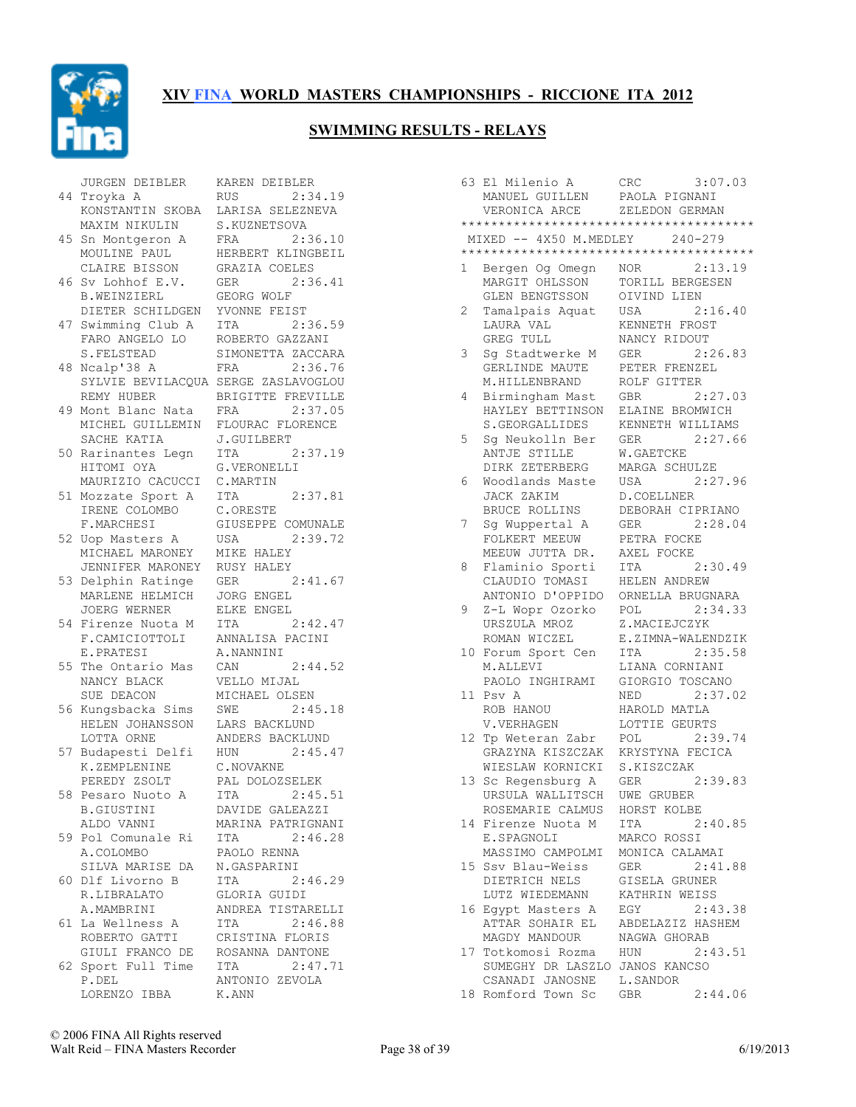

|    | JURGEN DEIBLER     | KAREN DEIBLER     |
|----|--------------------|-------------------|
| 44 |                    |                   |
|    | Troyka A           | 2:34.19<br>RUS    |
|    | KONSTANTIN SKOBA   | LARISA SELEZNEVA  |
|    | MAXIM NIKULIN      | S.KUZNETSOVA      |
|    | 45 Sn Montgeron A  | FRA 2:36.10       |
|    | MOULINE PAUL       | HERBERT KLINGBEIL |
|    | CLAIRE BISSON      | GRAZIA COELES     |
|    | 46 Sv Lohhof E.V.  | GER 2:36.41       |
|    | <b>B.WEINZIERL</b> | GEORG WOLF        |
|    | DIETER SCHILDGEN   | YVONNE FEIST      |
|    | 47 Swimming Club A | ITA<br>2:36.59    |
|    | FARO ANGELO LO     | ROBERTO GAZZANI   |
|    | S. FELSTEAD        | SIMONETTA ZACCARA |
|    | 48 Ncalp'38 A      | FRA<br>2:36.76    |
|    | SYLVIE BEVILACQUA  | SERGE ZASLAVOGLOU |
|    | REMY HUBER         | BRIGITTE FREVILLE |
|    | 49 Mont Blanc Nata | FRA<br>2:37.05    |
|    | MICHEL GUILLEMIN   | FLOURAC FLORENCE  |
|    | SACHE KATIA        | J.GUILBERT        |
|    | 50 Rarinantes Legn | ITA 2:37.19       |
|    | HITOMI OYA         | G.VERONELLI       |
|    | MAURIZIO CACUCCI   | C.MARTIN          |
|    | 51 Mozzate Sport A | ITA<br>2:37.81    |
|    | IRENE COLOMBO      | C.ORESTE          |
|    | F.MARCHESI         | GIUSEPPE COMUNALE |
|    | 52 Uop Masters A   | USA 2:39.72       |
|    | MICHAEL MARONEY    | MIKE HALEY        |
|    | JENNIFER MARONEY   | RUSY HALEY        |
|    | 53 Delphin Ratinge | GER 2:41.67       |
|    | MARLENE HELMICH    | JORG ENGEL        |
|    | JOERG WERNER       | ELKE ENGEL        |
|    | 54 Firenze Nuota M | ITA 2:42.47       |
|    | F.CAMICIOTTOLI     | ANNALISA PACINI   |
|    | E.PRATESI          | A.NANNINI         |
| 55 | The Ontario Mas    | CAN<br>2:44.52    |
|    | NANCY BLACK        | VELLO MIJAL       |
|    | SUE DEACON         | MICHAEL OLSEN     |
|    | 56 Kungsbacka Sims | SWE<br>2:45.18    |
|    | HELEN JOHANSSON    | LARS BACKLUND     |
|    | LOTTA ORNE         | ANDERS BACKLUND   |
|    | 57 Budapesti Delfi | 2:45.47<br>HUN    |
|    | K.ZEMPLENINE       | C.NOVAKNE         |
|    | PEREDY ZSOLT       | PAL DOLOZSELEK    |
| 58 | Pesaro Nuoto A     | ITA 2:45.51       |
|    | B.GIUSTINI         | DAVIDE GALEAZZI   |
|    | ALDO VANNI         | MARINA PATRIGNANI |
|    | 59 Pol Comunale Ri | ITA<br>2:46.28    |
|    | A.COLOMBO          | PAOLO RENNA       |
|    | SILVA MARISE DA    | N.GASPARINI       |
|    | 60 Dlf Livorno B   | ITA<br>2:46.29    |
|    | R.LIBRALATO        | GLORIA GUIDI      |
|    | A.MAMBRINI         | ANDREA TISTARELLI |
|    | 61 La Wellness A   | ITA<br>2:46.88    |
|    | ROBERTO GATTI      | CRISTINA FLORIS   |
|    | GIULI FRANCO DE    | ROSANNA DANTONE   |
|    |                    |                   |
| 62 | Sport Full Time    | 2:47.71<br>ITA    |
|    | P.DEL              | ANTONIO ZEVOLA    |
|    | LORENZO IBBA       | K.ANN             |

|   | 63 El Milenio A                | 3:07.03<br>CRC                 |
|---|--------------------------------|--------------------------------|
|   | MANUEL GUILLEN PAOLA PIGNANI   |                                |
|   | VERONICA ARCE                  | ZELEDON GERMAN                 |
|   |                                |                                |
|   | MIXED -- 4X50 M.MEDLEY 240-279 |                                |
|   |                                |                                |
|   |                                |                                |
| 1 | Bergen Og Omegn                | 2:13.19<br>NOR                 |
|   | MARGIT OHLSSON                 | TORILL BERGESEN                |
|   | GLEN BENGTSSON                 | OIVIND LIEN                    |
| 2 | Tamalpais Aquat                | 2:16.40<br>USA                 |
|   | LAURA VAL                      | KENNETH FROST                  |
|   | GREG TULL                      | NANCY RIDOUT                   |
| 3 | Sq Stadtwerke M                | GER 2:26.83                    |
|   |                                |                                |
|   | GERLINDE MAUTE                 | PETER FRENZEL                  |
|   | M.HILLENBRAND                  | ROLF GITTER                    |
| 4 | Birmingham Mast                | GBR 2:27.03                    |
|   | HAYLEY BETTINSON               | ELAINE BROMWICH                |
|   | S.GEORGALLIDES                 | KENNETH WILLIAMS               |
| 5 | Sg Neukolln Ber                | GER 2:27.66                    |
|   | ANTJE STILLE                   | W.GAETCKE                      |
|   | DIRK ZETERBERG                 | MARGA SCHULZE                  |
|   |                                |                                |
| 6 | Woodlands Maste                | 2:27.96<br>USA                 |
|   | JACK ZAKIM                     | D.COELLNER                     |
|   | BRUCE ROLLINS                  | DEBORAH CIPRIANO               |
| 7 | Sg Wuppertal A                 | GER 2:28.04                    |
|   | FOLKERT MEEUW                  | PETRA FOCKE                    |
|   | MEEUW JUTTA DR.                | AXEL FOCKE                     |
| 8 | Flaminio Sporti                | 2:30.49<br>ITA                 |
|   | CLAUDIO TOMASI                 | HELEN ANDREW                   |
|   |                                |                                |
|   | ANTONIO D'OPPIDO               | ORNELLA BRUGNARA               |
| 9 | Z-L Wopr Ozorko                | POL 2:34.33                    |
|   | URSZULA MROZ                   | Z.MACIEJCZYK                   |
|   | ROMAN WICZEL                   | E.ZIMNA-WALENDZIK              |
|   | 10 Forum Sport Cen             | 2:35.58<br>ITA                 |
|   | M.ALLEVI                       | LIANA CORNIANI                 |
|   | PAOLO INGHIRAMI                | GIORGIO TOSCANO                |
|   | 11 Psv A                       | 2:37.02<br>NED                 |
|   | ROB HANOU                      | HAROLD MATLA                   |
|   |                                |                                |
|   | V. VERHAGEN                    | LOTTIE GEURTS                  |
|   | 12 Tp Weteran Zabr             | POL 2:39.74                    |
|   | GRAZYNA KISZCZAK               | KRYSTYNA FECICA                |
|   | WIESLAW KORNICKI               | S.KISZCZAK                     |
|   | 13 Sc Regensburg A             | GER 2:39.83                    |
|   | URSULA WALLITSCH               | UWE GRUBER                     |
|   | ROSEMARIE CALMUS               | HORST KOLBE                    |
|   | 14 Firenze Nuota M             | ITA<br>2:40.85                 |
|   | E.SPAGNOLI                     | MARCO ROSSI                    |
|   |                                |                                |
|   | MASSIMO CAMPOLMI               | MONICA CALAMAI                 |
|   | 15 Ssv Blau-Weiss              | GER<br>2:41.88                 |
|   | DIETRICH NELS                  | GISELA GRUNER                  |
|   | LUTZ WIEDEMANN                 | KATHRIN WEISS                  |
|   | 16 Egypt Masters A             | EGY<br>2:43.38                 |
|   | ATTAR SOHAIR EL                | ABDELAZIZ HASHEM               |
|   | MAGDY MANDOUR                  | NAGWA GHORAB                   |
|   |                                |                                |
|   | 17 Totkomosi Rozma – HUN       | 2:43.51                        |
|   | SUMEGHY DR LASZLO JANOS KANCSO |                                |
|   | CSANADI JANOSNE                | L.SANDOR                       |
|   |                                | 18 Romford Town Sc GBR 2:44.06 |